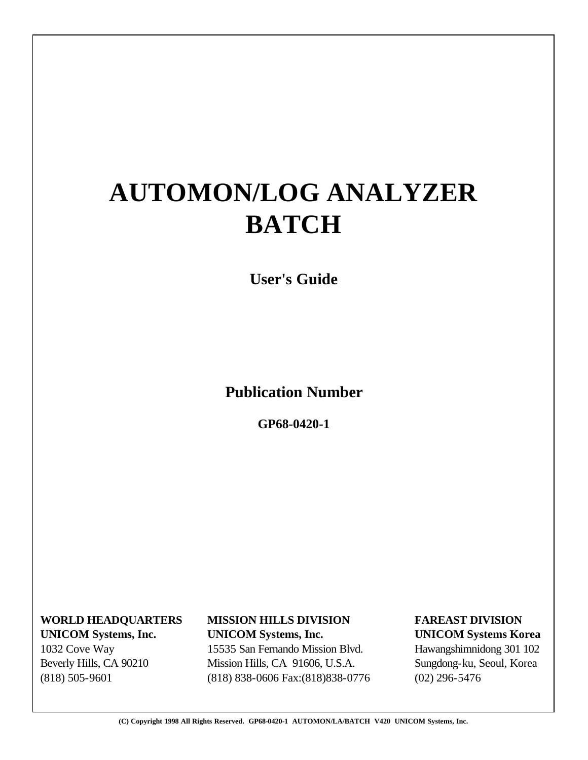# **AUTOMON/LOG ANALYZER BATCH**

**User's Guide**

**Publication Number**

**GP68-0420-1**

 **WORLD HEADQUARTERS MISSION HILLS DIVISION FAREAST DIVISION UNICOM Systems, Inc. UNICOM Systems, Inc. UNICOM Systems Korea**

 Beverly Hills, CA 90210 Mission Hills, CA 91606, U.S.A. Sungdong-ku, Seoul, Korea (818) 505-9601 (818) 838-0606 Fax:(818)838-0776 (02) 296-5476

1032 Cove Way 15535 San Fernando Mission Blvd. Hawangshimnidong 301 102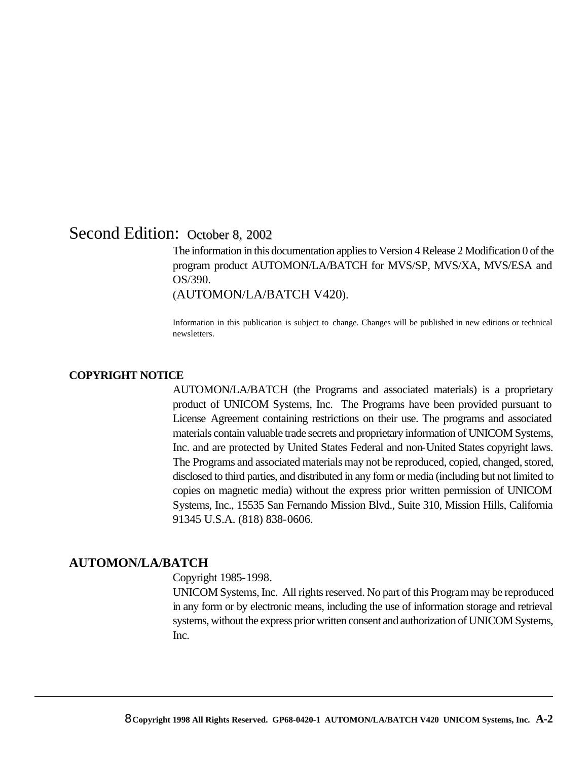## Second Edition: October 8, 2002

The information in this documentation applies to Version 4 Release 2 Modification 0 of the program product AUTOMON/LA/BATCH for MVS/SP, MVS/XA, MVS/ESA and OS/390.

(AUTOMON/LA/BATCH V420).

Information in this publication is subject to change. Changes will be published in new editions or technical newsletters.

#### **COPYRIGHT NOTICE**

AUTOMON/LA/BATCH (the Programs and associated materials) is a proprietary product of UNICOM Systems, Inc. The Programs have been provided pursuant to License Agreement containing restrictions on their use. The programs and associated materials contain valuable trade secrets and proprietary information of UNICOM Systems, Inc. and are protected by United States Federal and non-United States copyright laws. The Programs and associated materials may not be reproduced, copied, changed, stored, disclosed to third parties, and distributed in any form or media (including but not limited to copies on magnetic media) without the express prior written permission of UNICOM Systems, Inc., 15535 San Fernando Mission Blvd., Suite 310, Mission Hills, California 91345 U.S.A. (818) 838-0606.

#### **AUTOMON/LA/BATCH**

Copyright 1985-1998.

UNICOM Systems, Inc. All rights reserved. No part of this Program may be reproduced in any form or by electronic means, including the use of information storage and retrieval systems, without the express prior written consent and authorization of UNICOM Systems, Inc.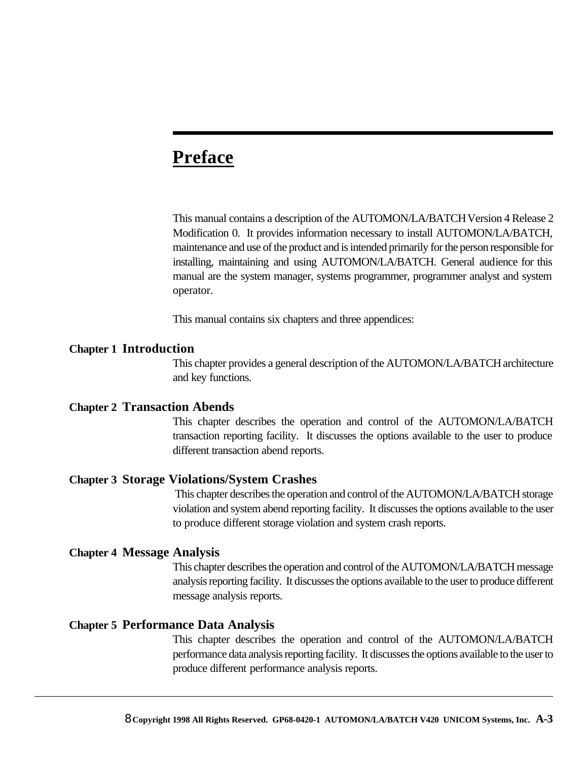## **Preface**

This manual contains a description of the AUTOMON/LA/BATCH Version 4 Release 2 Modification 0. It provides information necessary to install AUTOMON/LA/BATCH, maintenance and use of the product and is intended primarily for the person responsible for installing, maintaining and using AUTOMON/LA/BATCH. General audience for this manual are the system manager, systems programmer, programmer analyst and system operator.

This manual contains six chapters and three appendices:

#### **Chapter 1 Introduction**

This chapter provides a general description of the AUTOMON/LA/BATCH architecture and key functions.

#### **Chapter 2 Transaction Abends**

This chapter describes the operation and control of the AUTOMON/LA/BATCH transaction reporting facility. It discusses the options available to the user to produce different transaction abend reports.

#### **Chapter 3 Storage Violations/System Crashes**

 This chapter describes the operation and control of the AUTOMON/LA/BATCH storage violation and system abend reporting facility. It discusses the options available to the user to produce different storage violation and system crash reports.

#### **Chapter 4 Message Analysis**

This chapter describes the operation and control of the AUTOMON/LA/BATCH message analysis reporting facility. It discusses the options available to the user to produce different message analysis reports.

#### **Chapter 5 Performance Data Analysis**

This chapter describes the operation and control of the AUTOMON/LA/BATCH performance data analysis reporting facility. It discusses the options available to the user to produce different performance analysis reports.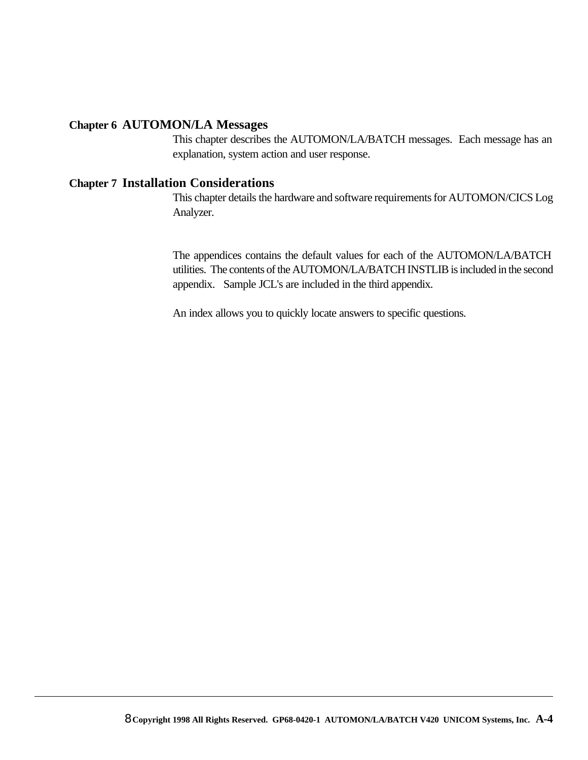#### **Chapter 6 AUTOMON/LA Messages**

This chapter describes the AUTOMON/LA/BATCH messages. Each message has an explanation, system action and user response.

#### **Chapter 7 Installation Considerations**

This chapter details the hardware and software requirements for AUTOMON/CICS Log Analyzer.

The appendices contains the default values for each of the AUTOMON/LA/BATCH utilities. The contents of the AUTOMON/LA/BATCH INSTLIB is included in the second appendix. Sample JCL's are included in the third appendix.

An index allows you to quickly locate answers to specific questions.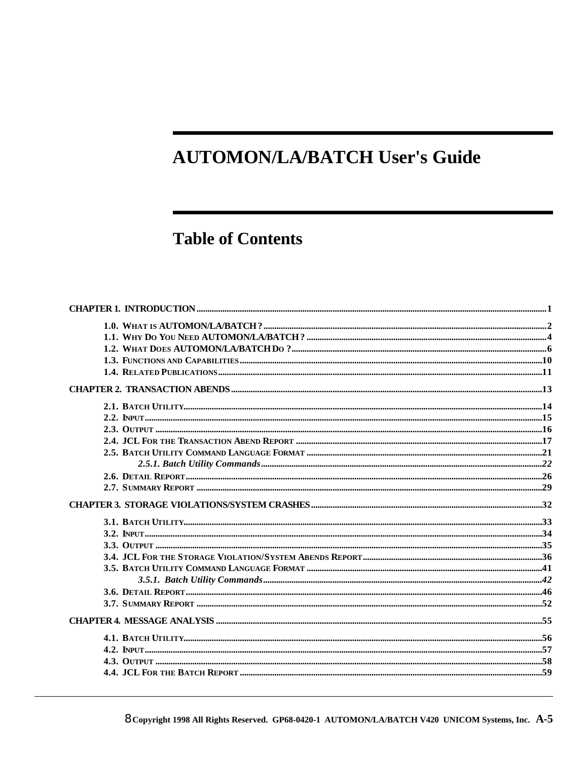## **AUTOMON/LA/BATCH User's Guide**

## **Table of Contents**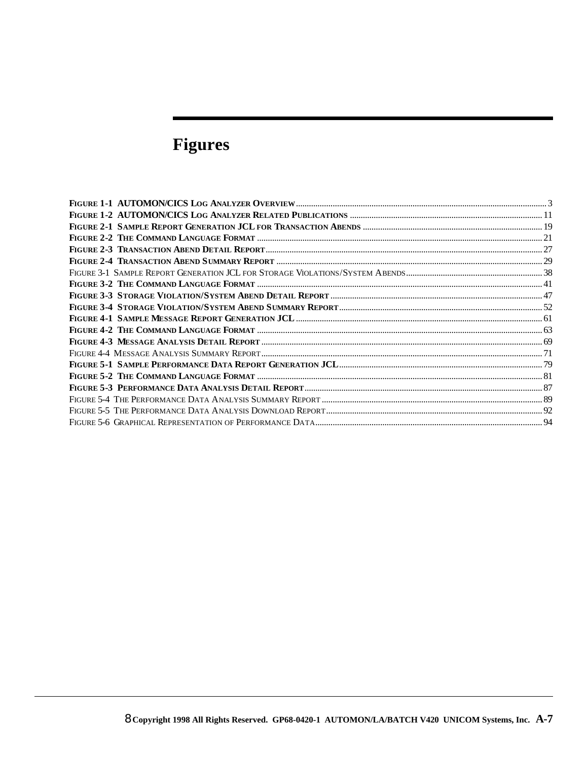# **Figures**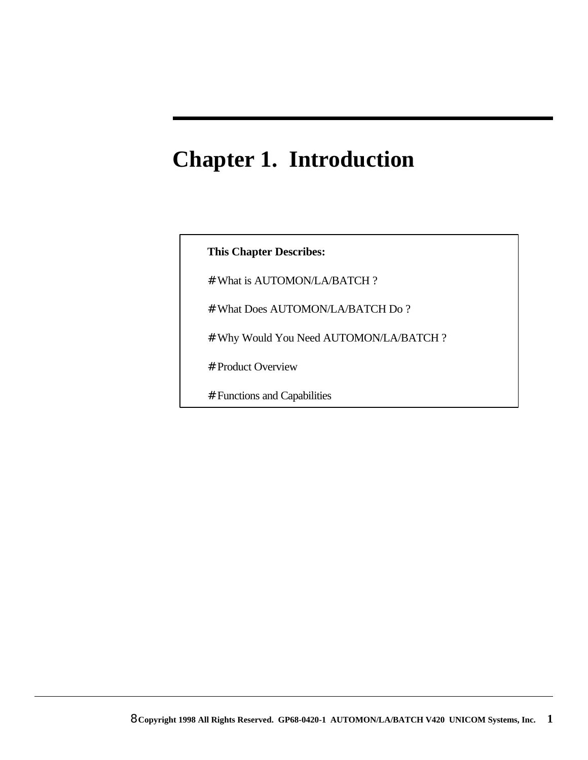# **Chapter 1. Introduction**

### **This Chapter Describes:**

- # What is AUTOMON/LA/BATCH ?
- # What Does AUTOMON/LA/BATCH Do ?
- # Why Would You Need AUTOMON/LA/BATCH ?
- # Product Overview
- # Functions and Capabilities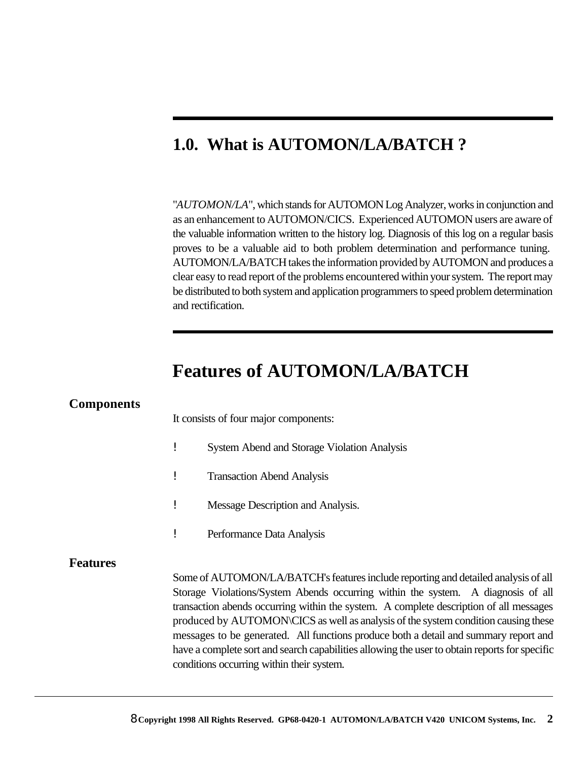## **1.0. What is AUTOMON/LA/BATCH ?**

"*AUTOMON/LA*", which stands for AUTOMON Log Analyzer, works in conjunction and as an enhancement to AUTOMON/CICS. Experienced AUTOMON users are aware of the valuable information written to the history log. Diagnosis of this log on a regular basis proves to be a valuable aid to both problem determination and performance tuning. AUTOMON/LA/BATCH takes the information provided by AUTOMON and produces a clear easy to read report of the problems encountered within your system. The report may be distributed to both system and application programmers to speed problem determination and rectification.

## **Features of AUTOMON/LA/BATCH**

| <b>Components</b> |                                                                                                                                                                                                                                                                                                                                                                                                                                                                                                                                                                                              |  |
|-------------------|----------------------------------------------------------------------------------------------------------------------------------------------------------------------------------------------------------------------------------------------------------------------------------------------------------------------------------------------------------------------------------------------------------------------------------------------------------------------------------------------------------------------------------------------------------------------------------------------|--|
|                   | It consists of four major components:                                                                                                                                                                                                                                                                                                                                                                                                                                                                                                                                                        |  |
|                   | <b>System Abend and Storage Violation Analysis</b>                                                                                                                                                                                                                                                                                                                                                                                                                                                                                                                                           |  |
|                   | 1<br><b>Transaction Abend Analysis</b>                                                                                                                                                                                                                                                                                                                                                                                                                                                                                                                                                       |  |
|                   | Message Description and Analysis.                                                                                                                                                                                                                                                                                                                                                                                                                                                                                                                                                            |  |
|                   | Performance Data Analysis                                                                                                                                                                                                                                                                                                                                                                                                                                                                                                                                                                    |  |
| <b>Features</b>   | Some of AUTOMON/LA/BATCH's features include reporting and detailed analysis of all<br>Storage Violations/System Abends occurring within the system. A diagnosis of all<br>transaction abends occurring within the system. A complete description of all messages<br>produced by AUTOMON\CICS as well as analysis of the system condition causing these<br>messages to be generated. All functions produce both a detail and summary report and<br>have a complete sort and search capabilities allowing the user to obtain reports for specific<br>conditions occurring within their system. |  |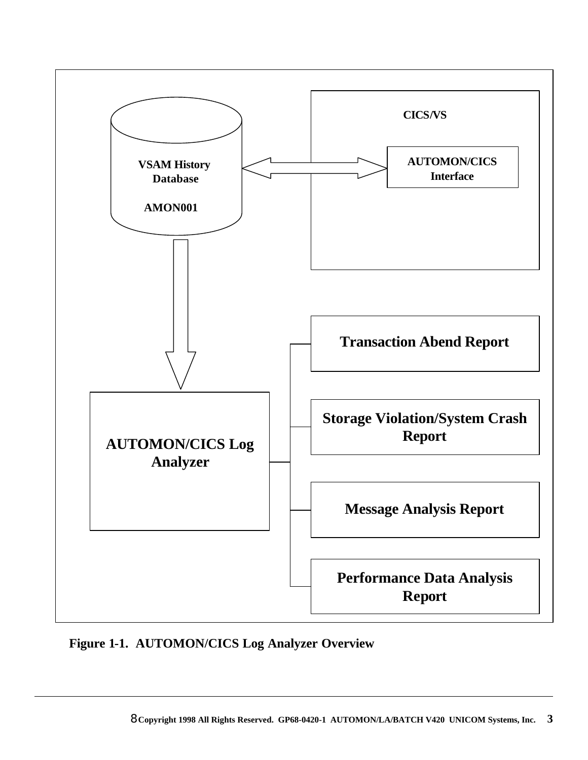

**Figure 1-1. AUTOMON/CICS Log Analyzer Overview**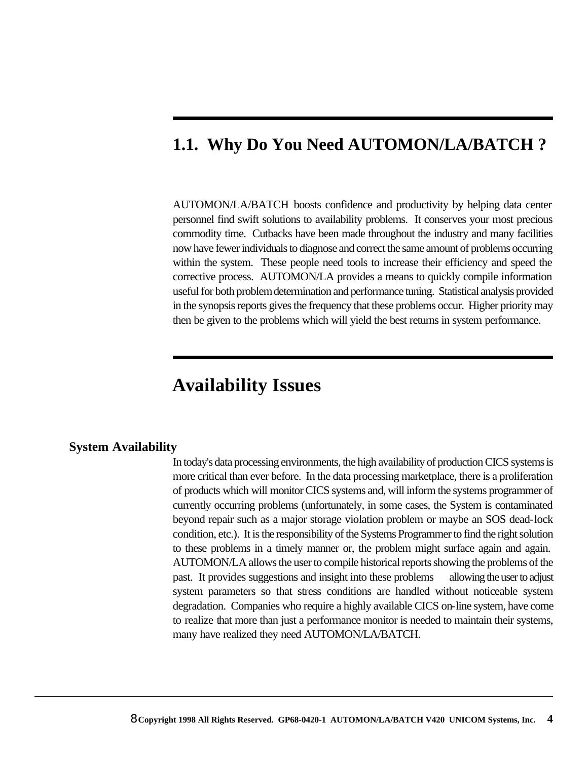## **1.1. Why Do You Need AUTOMON/LA/BATCH ?**

AUTOMON/LA/BATCH boosts confidence and productivity by helping data center personnel find swift solutions to availability problems. It conserves your most precious commodity time. Cutbacks have been made throughout the industry and many facilities now have fewer individuals to diagnose and correct the same amount of problems occurring within the system. These people need tools to increase their efficiency and speed the corrective process. AUTOMON/LA provides a means to quickly compile information useful for both problem determination and performance tuning. Statistical analysis provided in the synopsis reports gives the frequency that these problems occur. Higher priority may then be given to the problems which will yield the best returns in system performance.

## **Availability Issues**

#### **System Availability**

In today's data processing environments, the high availability of production CICS systems is more critical than ever before. In the data processing marketplace, there is a proliferation of products which will monitor CICS systems and, will inform the systems programmer of currently occurring problems (unfortunately, in some cases, the System is contaminated beyond repair such as a major storage violation problem or maybe an SOS dead-lock condition, etc.). It is the responsibility of the Systems Programmer to find the right solution to these problems in a timely manner or, the problem might surface again and again. AUTOMON/LA allows the user to compile historical reports showing the problems of the past. It provides suggestions and insight into these problems allowing the user to adjust system parameters so that stress conditions are handled without noticeable system degradation. Companies who require a highly available CICS on-line system, have come to realize that more than just a performance monitor is needed to maintain their systems, many have realized they need AUTOMON/LA/BATCH.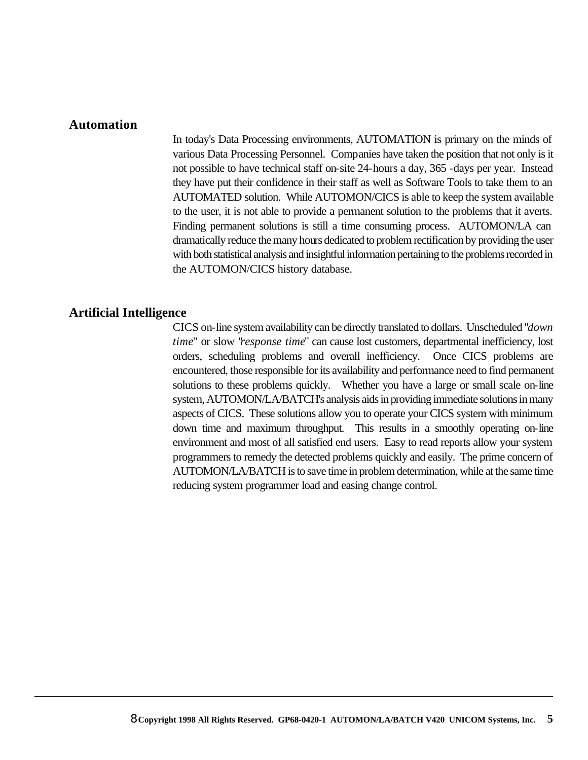#### **Automation**

In today's Data Processing environments, AUTOMATION is primary on the minds of various Data Processing Personnel. Companies have taken the position that not only is it not possible to have technical staff on-site 24-hours a day, 365 -days per year. Instead they have put their confidence in their staff as well as Software Tools to take them to an AUTOMATED solution. While AUTOMON/CICS is able to keep the system available to the user, it is not able to provide a permanent solution to the problems that it averts. Finding permanent solutions is still a time consuming process. AUTOMON/LA can dramatically reduce the many hours dedicated to problem rectification by providing the user with both statistical analysis and insightful information pertaining to the problems recorded in the AUTOMON/CICS history database.

#### **Artificial Intelligence**

CICS on-line system availability can be directly translated to dollars. Unscheduled "*down time*" or slow "*response time*" can cause lost customers, departmental inefficiency, lost orders, scheduling problems and overall inefficiency. Once CICS problems are encountered, those responsible for its availability and performance need to find permanent solutions to these problems quickly. Whether you have a large or small scale on-line system, AUTOMON/LA/BATCH's analysis aids in providing immediate solutions in many aspects of CICS. These solutions allow you to operate your CICS system with minimum down time and maximum throughput. This results in a smoothly operating on-line environment and most of all satisfied end users. Easy to read reports allow your system programmers to remedy the detected problems quickly and easily. The prime concern of AUTOMON/LA/BATCH is to save time in problem determination, while at the same time reducing system programmer load and easing change control.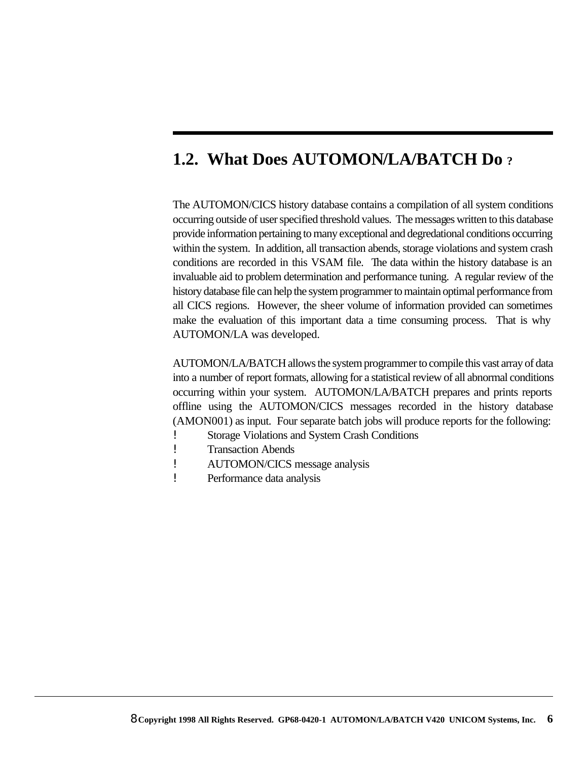## **1.2. What Does AUTOMON/LA/BATCH Do ?**

The AUTOMON/CICS history database contains a compilation of all system conditions occurring outside of user specified threshold values. The messages written to this database provide information pertaining to many exceptional and degredational conditions occurring within the system. In addition, all transaction abends, storage violations and system crash conditions are recorded in this VSAM file. The data within the history database is an invaluable aid to problem determination and performance tuning. A regular review of the history database file can help the system programmer to maintain optimal performance from all CICS regions. However, the sheer volume of information provided can sometimes make the evaluation of this important data a time consuming process. That is why AUTOMON/LA was developed.

AUTOMON/LA/BATCH allows the system programmer to compile this vast array of data into a number of report formats, allowing for a statistical review of all abnormal conditions occurring within your system. AUTOMON/LA/BATCH prepares and prints reports offline using the AUTOMON/CICS messages recorded in the history database (AMON001) as input. Four separate batch jobs will produce reports for the following:

- ! Storage Violations and System Crash Conditions
- ! Transaction Abends
- ! AUTOMON/CICS message analysis
- ! Performance data analysis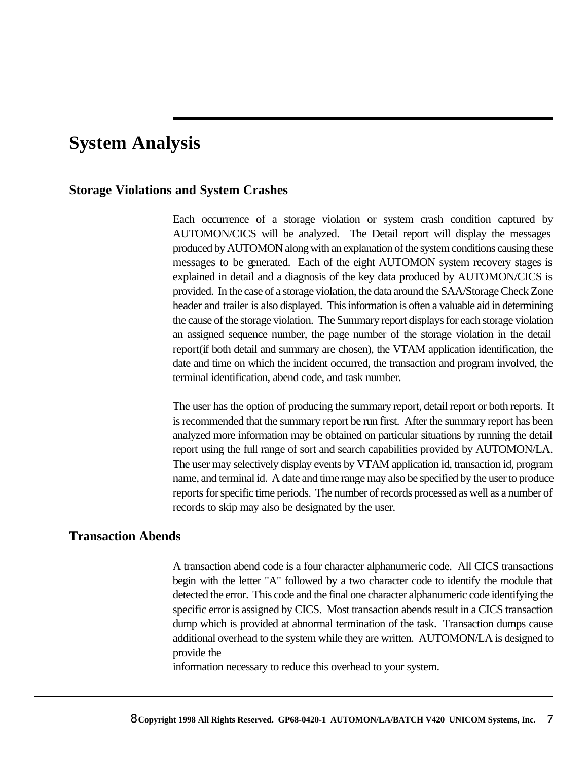## **System Analysis**

#### **Storage Violations and System Crashes**

Each occurrence of a storage violation or system crash condition captured by AUTOMON/CICS will be analyzed. The Detail report will display the messages produced by AUTOMON along with an explanation of the system conditions causing these messages to be generated. Each of the eight AUTOMON system recovery stages is explained in detail and a diagnosis of the key data produced by AUTOMON/CICS is provided. In the case of a storage violation, the data around the SAA/Storage Check Zone header and trailer is also displayed. This information is often a valuable aid in determining the cause of the storage violation. The Summary report displays for each storage violation an assigned sequence number, the page number of the storage violation in the detail report(if both detail and summary are chosen), the VTAM application identification, the date and time on which the incident occurred, the transaction and program involved, the terminal identification, abend code, and task number.

The user has the option of producing the summary report, detail report or both reports. It is recommended that the summary report be run first. After the summary report has been analyzed more information may be obtained on particular situations by running the detail report using the full range of sort and search capabilities provided by AUTOMON/LA. The user may selectively display events by VTAM application id, transaction id, program name, and terminal id. A date and time range may also be specified by the user to produce reports for specific time periods. The number of records processed as well as a number of records to skip may also be designated by the user.

#### **Transaction Abends**

A transaction abend code is a four character alphanumeric code. All CICS transactions begin with the letter "A" followed by a two character code to identify the module that detected the error. This code and the final one character alphanumeric code identifying the specific error is assigned by CICS. Most transaction abends result in a CICS transaction dump which is provided at abnormal termination of the task. Transaction dumps cause additional overhead to the system while they are written. AUTOMON/LA is designed to provide the

information necessary to reduce this overhead to your system.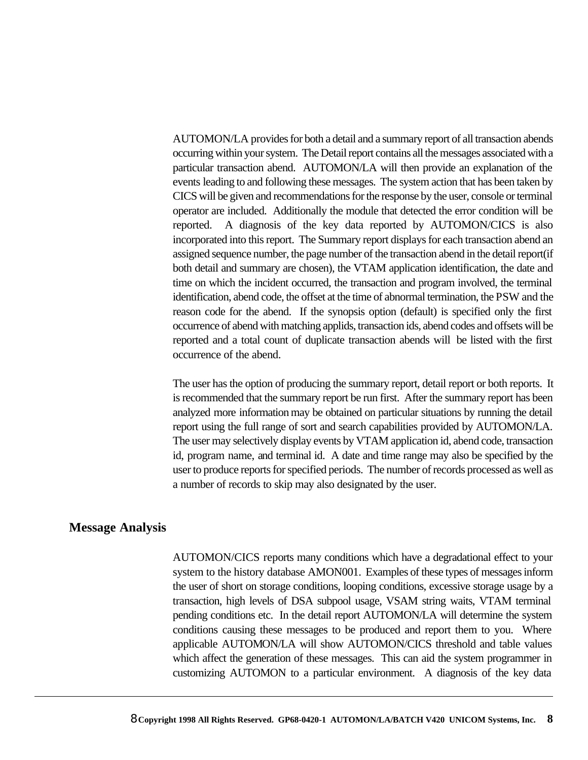AUTOMON/LA provides for both a detail and a summary report of all transaction abends occurring within your system. The Detail report contains all the messages associated with a particular transaction abend. AUTOMON/LA will then provide an explanation of the events leading to and following these messages. The system action that has been taken by CICS will be given and recommendations for the response by the user, console or terminal operator are included. Additionally the module that detected the error condition will be reported. A diagnosis of the key data reported by AUTOMON/CICS is also incorporated into this report. The Summary report displays for each transaction abend an assigned sequence number, the page number of the transaction abend in the detail report(if both detail and summary are chosen), the VTAM application identification, the date and time on which the incident occurred, the transaction and program involved, the terminal identification, abend code, the offset at the time of abnormal termination, the PSW and the reason code for the abend. If the synopsis option (default) is specified only the first occurrence of abend with matching applids, transaction ids, abend codes and offsets will be reported and a total count of duplicate transaction abends will be listed with the first occurrence of the abend.

The user has the option of producing the summary report, detail report or both reports. It is recommended that the summary report be run first. After the summary report has been analyzed more information may be obtained on particular situations by running the detail report using the full range of sort and search capabilities provided by AUTOMON/LA. The user may selectively display events by VTAM application id, abend code, transaction id, program name, and terminal id. A date and time range may also be specified by the user to produce reports for specified periods. The number of records processed as well as a number of records to skip may also designated by the user.

#### **Message Analysis**

AUTOMON/CICS reports many conditions which have a degradational effect to your system to the history database AMON001. Examples of these types of messages inform the user of short on storage conditions, looping conditions, excessive storage usage by a transaction, high levels of DSA subpool usage, VSAM string waits, VTAM terminal pending conditions etc. In the detail report AUTOMON/LA will determine the system conditions causing these messages to be produced and report them to you. Where applicable AUTOMON/LA will show AUTOMON/CICS threshold and table values which affect the generation of these messages. This can aid the system programmer in customizing AUTOMON to a particular environment. A diagnosis of the key data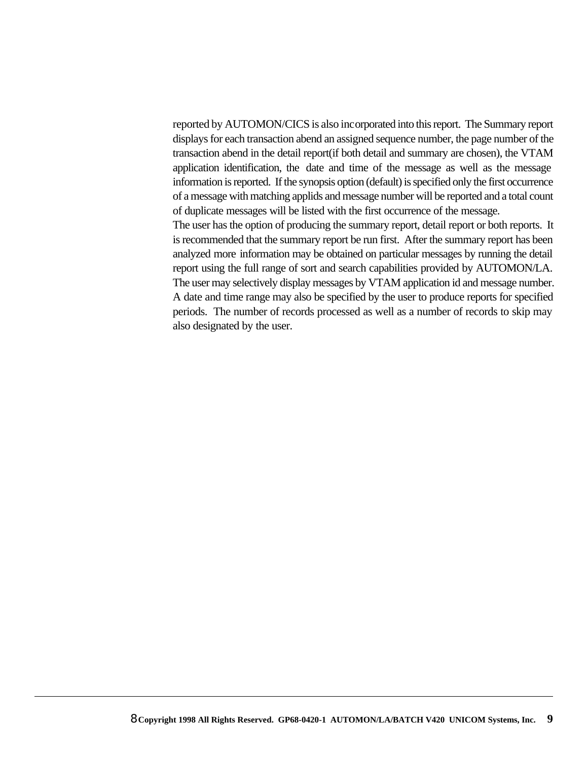reported by AUTOMON/CICS is also incorporated into this report. The Summary report displays for each transaction abend an assigned sequence number, the page number of the transaction abend in the detail report(if both detail and summary are chosen), the VTAM application identification, the date and time of the message as well as the message information is reported. If the synopsis option (default) is specified only the first occurrence of a message with matching applids and message number will be reported and a total count of duplicate messages will be listed with the first occurrence of the message.

The user has the option of producing the summary report, detail report or both reports. It is recommended that the summary report be run first. After the summary report has been analyzed more information may be obtained on particular messages by running the detail report using the full range of sort and search capabilities provided by AUTOMON/LA. The user may selectively display messages by VTAM application id and message number. A date and time range may also be specified by the user to produce reports for specified periods. The number of records processed as well as a number of records to skip may also designated by the user.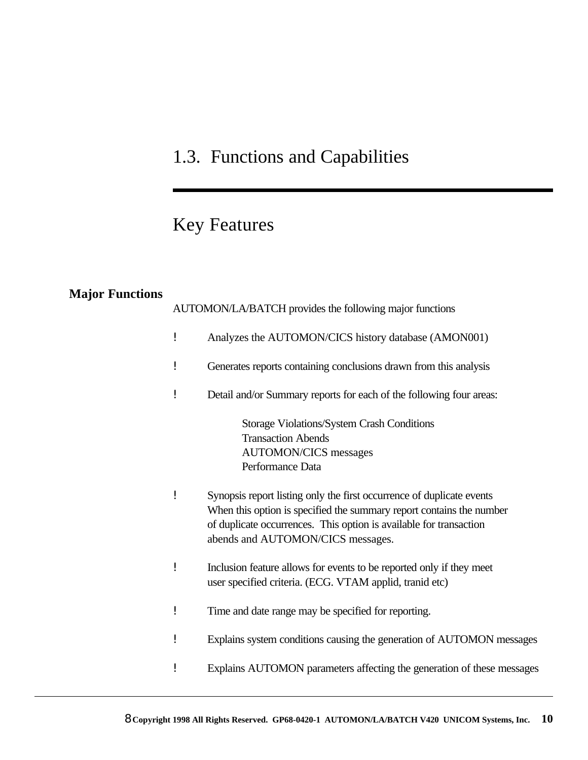# 1.3. Functions and Capabilities

## Key Features

## **Major Functions**

|   | AUTOMON/LA/BATCH provides the following major functions                                                                                                                                                                                                  |
|---|----------------------------------------------------------------------------------------------------------------------------------------------------------------------------------------------------------------------------------------------------------|
| ļ | Analyzes the AUTOMON/CICS history database (AMON001)                                                                                                                                                                                                     |
| i | Generates reports containing conclusions drawn from this analysis                                                                                                                                                                                        |
| ļ | Detail and/or Summary reports for each of the following four areas:                                                                                                                                                                                      |
|   | Storage Violations/System Crash Conditions<br><b>Transaction Abends</b><br><b>AUTOMON/CICS</b> messages<br>Performance Data                                                                                                                              |
| ï | Synopsis report listing only the first occurrence of duplicate events<br>When this option is specified the summary report contains the number<br>of duplicate occurrences. This option is available for transaction<br>abends and AUTOMON/CICS messages. |
| İ | Inclusion feature allows for events to be reported only if they meet<br>user specified criteria. (ECG. VTAM applid, tranid etc)                                                                                                                          |
| i | Time and date range may be specified for reporting.                                                                                                                                                                                                      |
| i | Explains system conditions causing the generation of AUTOMON messages                                                                                                                                                                                    |
|   | Explains AUTOMON parameters affecting the generation of these messages                                                                                                                                                                                   |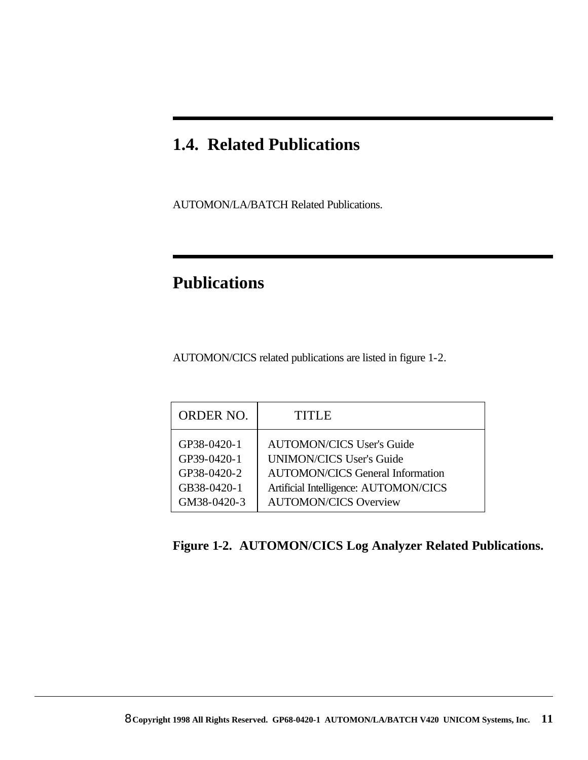## **1.4. Related Publications**

AUTOMON/LA/BATCH Related Publications.

## **Publications**

AUTOMON/CICS related publications are listed in figure 1-2.

| <b>ORDER NO.</b> | TITLE                                   |
|------------------|-----------------------------------------|
| GP38-0420-1      | <b>AUTOMON/CICS User's Guide</b>        |
| GP39-0420-1      | <b>UNIMON/CICS User's Guide</b>         |
| GP38-0420-2      | <b>AUTOMON/CICS General Information</b> |
| GB38-0420-1      | Artificial Intelligence: AUTOMON/CICS   |
| GM38-0420-3      | <b>AUTOMON/CICS Overview</b>            |

## **Figure 1-2. AUTOMON/CICS Log Analyzer Related Publications.**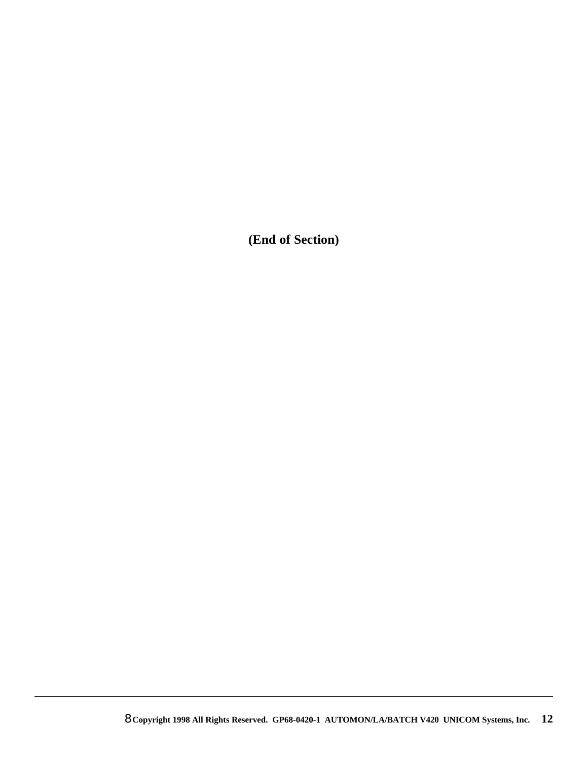**(End of Section)**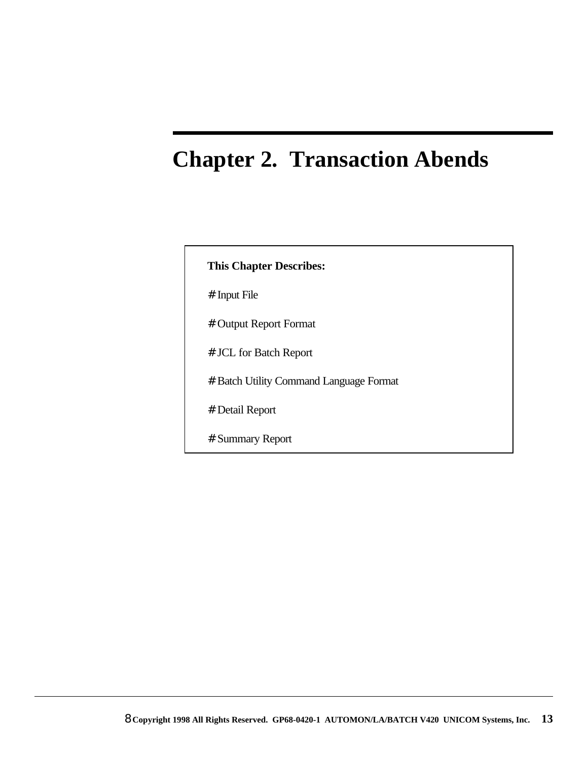# **Chapter 2. Transaction Abends**

| <b>This Chapter Describes:</b>          |
|-----------------------------------------|
| # Input File                            |
| # Output Report Format                  |
| # JCL for Batch Report                  |
| # Batch Utility Command Language Format |
| # Detail Report                         |
| # Summary Report                        |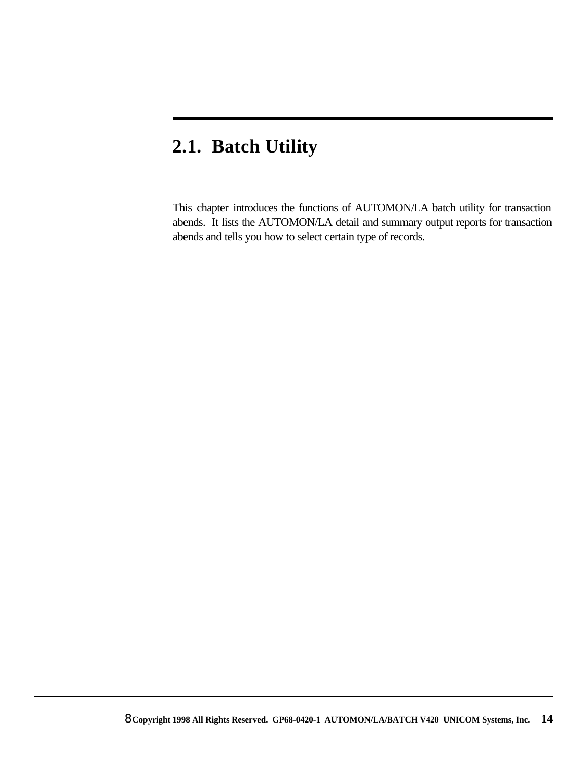# **2.1. Batch Utility**

This chapter introduces the functions of AUTOMON/LA batch utility for transaction abends. It lists the AUTOMON/LA detail and summary output reports for transaction abends and tells you how to select certain type of records.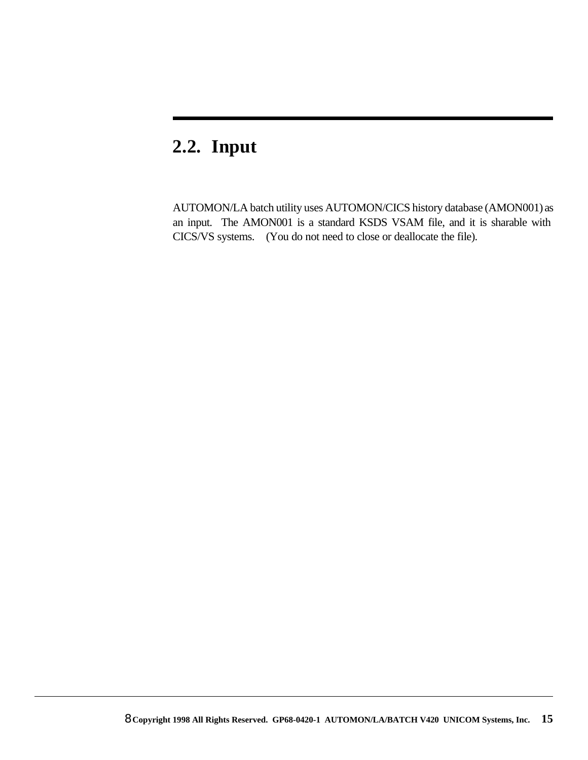## **2.2. Input**

AUTOMON/LA batch utility uses AUTOMON/CICS history database (AMON001) as an input. The AMON001 is a standard KSDS VSAM file, and it is sharable with CICS/VS systems. (You do not need to close or deallocate the file).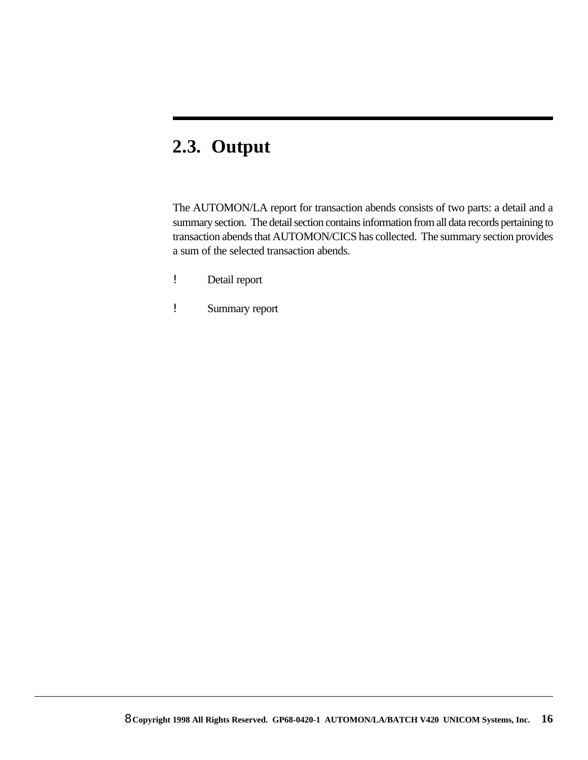## **2.3. Output**

The AUTOMON/LA report for transaction abends consists of two parts: a detail and a summary section. The detail section contains information from all data records pertaining to transaction abends that AUTOMON/CICS has collected. The summary section provides a sum of the selected transaction abends.

- ! Detail report
- ! Summary report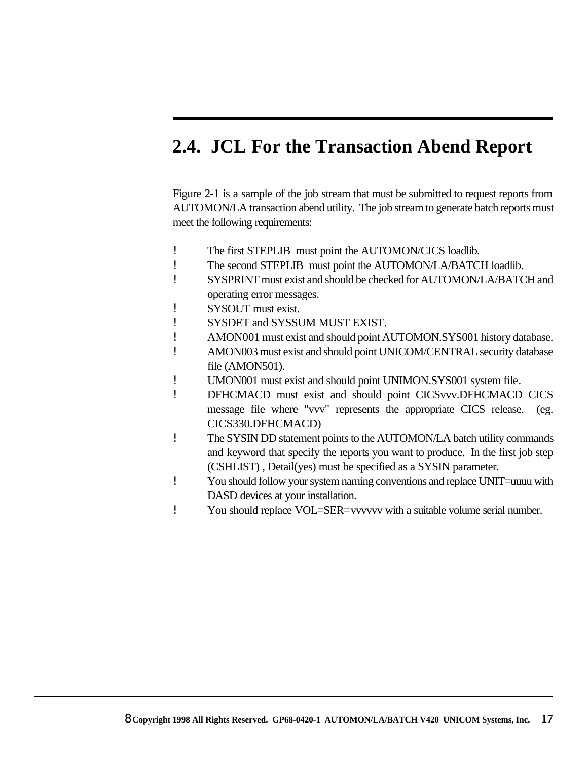## **2.4. JCL For the Transaction Abend Report**

Figure 2-1 is a sample of the job stream that must be submitted to request reports from AUTOMON/LA transaction abend utility. The job stream to generate batch reports must meet the following requirements:

- ! The first STEPLIB must point the AUTOMON/CICS loadlib.
- ! The second STEPLIB must point the AUTOMON/LA/BATCH loadlib.
- ! SYSPRINT must exist and should be checked for AUTOMON/LA/BATCH and operating error messages.
- ! SYSOUT must exist.
- ! SYSDET and SYSSUM MUST EXIST.
- ! AMON001 must exist and should point AUTOMON.SYS001 history database.
- ! AMON003 must exist and should point UNICOM/CENTRAL security database file (AMON501).
- ! UMON001 must exist and should point UNIMON.SYS001 system file.
- ! DFHCMACD must exist and should point CICSvvv.DFHCMACD CICS message file where "vvv" represents the appropriate CICS release. (eg. CICS330.DFHCMACD)
- ! The SYSIN DD statement points to the AUTOMON/LA batch utility commands and keyword that specify the reports you want to produce. In the first job step (CSHLIST) , Detail(yes) must be specified as a SYSIN parameter.
- ! You should follow your system naming conventions and replace UNIT=uuuu with DASD devices at your installation.
- ! You should replace VOL=SER=vvvvvv with a suitable volume serial number.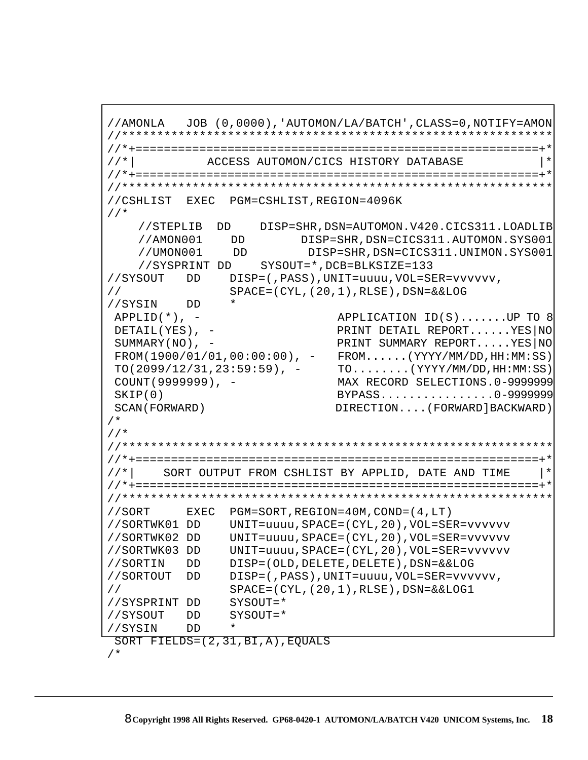```
//AMONLA JOB (0,0000),'AUTOMON/LA/BATCH',CLASS=0,NOTIFY=AMON 
//************************************************************* 
                     //*+=========================================================+* 
//*| ACCESS AUTOMON/CICS HISTORY DATABASE |* 
//*+=========================================================+* 
//************************************************************* 
//CSHLIST EXEC PGM=CSHLIST,REGION=4096K 
 //* 
    //STEPLIB DD DISP=SHR,DSN=AUTOMON.V420.CICS311.LOADLIB 
     //AMON001 DD DISP=SHR,DSN=CICS311.AUTOMON.SYS001 
     //UMON001 DD DISP=SHR,DSN=CICS311.UNIMON.SYS001 
     //SYSPRINT DD SYSOUT=*,DCB=BLKSIZE=133 
//SYSOUT DD DISP=(,PASS),UNIT=uuuu,VOL=SER=vvvvvv,
// SPACE=(CYL,(20,1),RLSE),DSN=&&LOG
//SYSIN DD * 
APPLID(*), - APPLICATION ID(S).......UP TO 8
 DETAIL(YES), - PRINT DETAIL REPORT......YES|NO 
SUMMARY(NO), - PRINT SUMMARY REPORT.....YES|NO
 FROM(1900/01/01,00:00:00), - FROM......(YYYY/MM/DD,HH:MM:SS)
TO(2099/12/31, 23:59:59), - TO.......(YYYY/MM/DD, HH:MM:SS)
 COUNT(9999999), - MAX RECORD SELECTIONS.0-9999999 
 SKIP(0) BYPASS................0-9999999 
 SCAN(FORWARD) DIRECTION....(FORWARD]BACKWARD)
/*
//*
//************************************************************* 
//*+=========================================================+* 
//*| SORT OUTPUT FROM CSHLIST BY APPLID, DATE AND TIME |* 
//*+=========================================================+* 
//************************************************************* 
//SORT EXEC PGM=SORT,REGION=40M,COND=(4,LT)
//SORTWK01 DD UNIT=uuuu,SPACE=(CYL,20),VOL=SER=vvvvvv
//SORTWK02 DD UNIT=uuuu,SPACE=(CYL,20),VOL=SER=vvvvvv
//SORTWK03 DD UNIT=uuuu,SPACE=(CYL,20),VOL=SER=vvvvvv
//SORTIN DD DISP=(OLD,DELETE,DELETE),DSN=&&LOG
//SORTOUT DD DISP=(,PASS),UNIT=uuuu,VOL=SER=vvvvvv,
// SPACE=(CYL,(20,1),RLSE),DSN=&&LOG1
//SYSPRINT DD SYSOUT=*
//SYSOUT DD SYSOUT=*
//SYSIN DD *
 SORT FIELDS=(2,31,BI,A),EQUALS
/*
```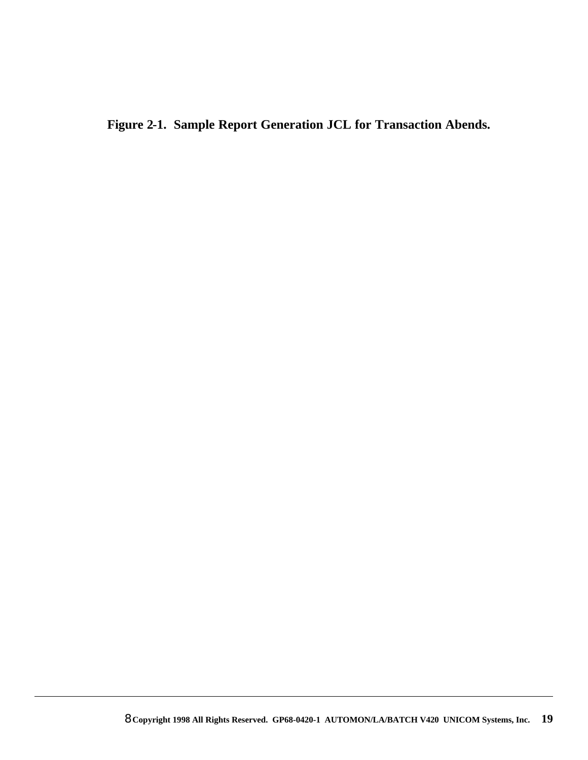**Figure 2-1. Sample Report Generation JCL for Transaction Abends.**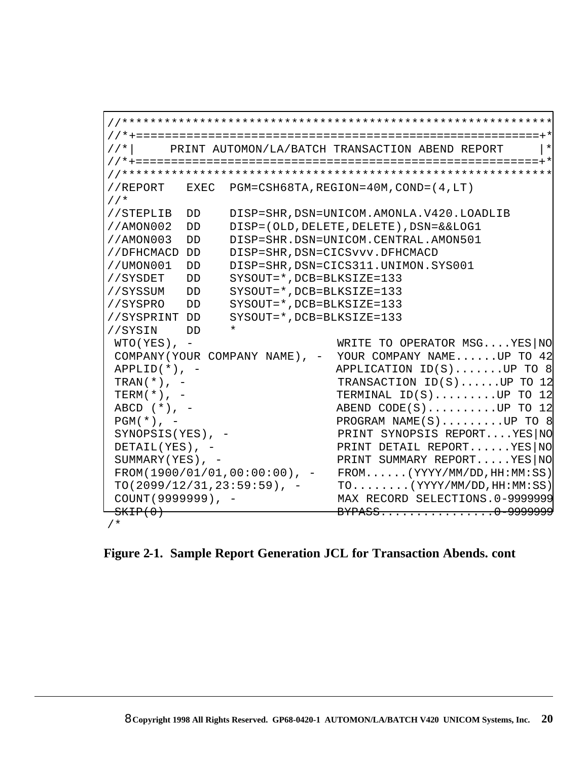```
//************************************************************* 
//*+=========================================================+* 
//*| PRINT AUTOMON/LA/BATCH TRANSACTION ABEND REPORT |* 
//*+=========================================================+* 
//************************************************************* 
//REPORT EXEC PGM=CSH68TA,REGION=40M,COND=(4,LT)
//*
//STEPLIB DD DISP=SHR,DSN=UNICOM.AMONLA.V420.LOADLIB 
//AMON002 DD DISP=(OLD,DELETE,DELETE),DSN=&&LOG1 
//AMON003 DD DISP=SHR.DSN=UNICOM.CENTRAL.AMON501
//DFHCMACD DD DISP=SHR,DSN=CICSvvv.DFHCMACD 
//UMON001 DD DISP=SHR,DSN=CICS311.UNIMON.SYS001
//SYSDET DD SYSOUT=*,DCB=BLKSIZE=133
//SYSSUM DD SYSOUT=*,DCB=BLKSIZE=133
//SYSPRO DD SYSOUT=*,DCB=BLKSIZE=133
//SYSPRINT DD SYSOUT=*,DCB=BLKSIZE=133 
//SYSIN DD * 
WTO(YES), - WRITE TO OPERATOR MSG....YES|NO
 COMPANY(YOUR COMPANY NAME), - YOUR COMPANY NAME......UP TO 42
APPLID(*), - APPLICATION ID(S).......UP TO 8
TRAN(*), - TRANSACTION ID(S)......UP TO 12
TERM(*), - TERMINAL ID(S)........UP TO 12
ABCD (*), - ABEND CODE(S).........UP TO 12
PGM(*), - PROGRAM NAME(S)........UP TO 8
SYNOPSIS(YES), - PRINT SYNOPSIS REPORT....YES|NO
 DETAIL(YES), - PRINT DETAIL REPORT......YES|NO 
SUMMARY(YES), - PRINT SUMMARY REPORT.....YES NO
 FROM(1900/01/01,00:00:00), - FROM......(YYYY/MM/DD,HH:MM:SS)
TO(2099/12/31,23:59:59), - TO........(YYYY/MM/DD, HH:MM:SS)
 COUNT(9999999), - MAX RECORD SELECTIONS.0-9999999 
 SKIP(0) BYPASS................0-9999999 
/*
```
**Figure 2-1. Sample Report Generation JCL for Transaction Abends. cont**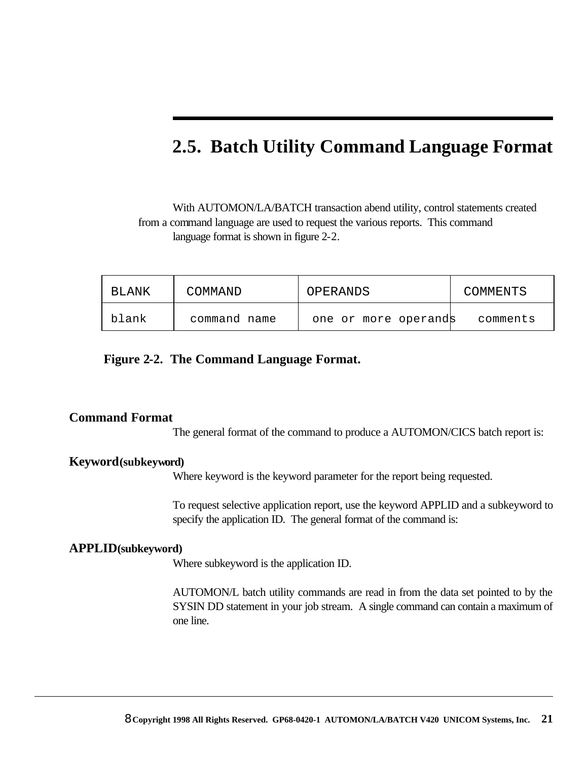## **2.5. Batch Utility Command Language Format**

With AUTOMON/LA/BATCH transaction abend utility, control statements created from a command language are used to request the various reports. This command language format is shown in figure 2-2.

| BLANK | COMMAND      | OPERANDS             | COMMENTS |
|-------|--------------|----------------------|----------|
| blank | command name | one or more operands | comments |

**Figure 2-2. The Command Language Format.**

#### **Command Format**

The general format of the command to produce a AUTOMON/CICS batch report is:

#### **Keyword(subkeyword)**

Where keyword is the keyword parameter for the report being requested.

To request selective application report, use the keyword APPLID and a subkeyword to specify the application ID. The general format of the command is:

#### **APPLID(subkeyword)**

Where subkeyword is the application ID.

AUTOMON/L batch utility commands are read in from the data set pointed to by the SYSIN DD statement in your job stream. A single command can contain a maximum of one line.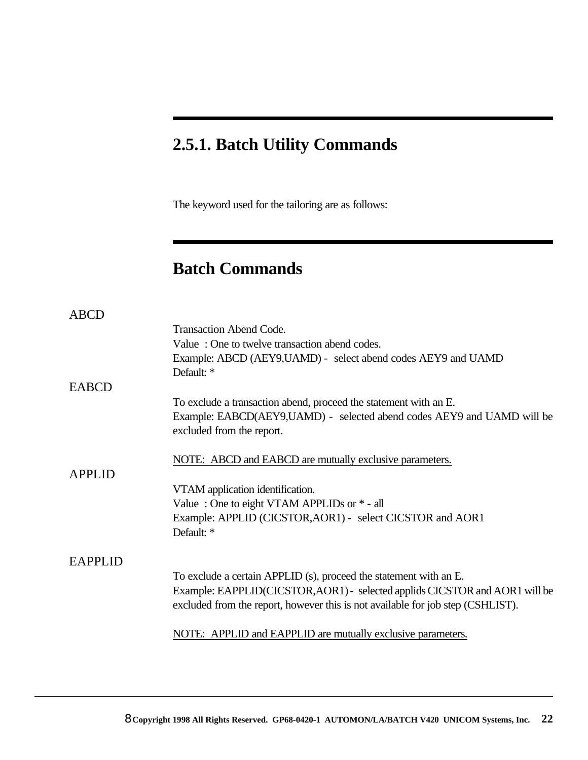## **2.5.1. Batch Utility Commands**

The keyword used for the tailoring are as follows:

## **Batch Commands**

| <b>ABCD</b>    |                                                                                                                                                                |
|----------------|----------------------------------------------------------------------------------------------------------------------------------------------------------------|
|                | <b>Transaction Abend Code.</b>                                                                                                                                 |
|                | Value: One to twelve transaction abend codes.                                                                                                                  |
|                | Example: ABCD (AEY9, UAMD) - select abend codes AEY9 and UAMD                                                                                                  |
|                | Default: *                                                                                                                                                     |
| <b>EABCD</b>   |                                                                                                                                                                |
|                | To exclude a transaction abend, proceed the statement with an E.                                                                                               |
|                | Example: EABCD(AEY9,UAMD) - selected abend codes AEY9 and UAMD will be<br>excluded from the report.                                                            |
| <b>APPLID</b>  | NOTE: ABCD and EABCD are mutually exclusive parameters.                                                                                                        |
|                | VTAM application identification.                                                                                                                               |
|                | Value: One to eight VTAM APPLIDs or $*$ - all                                                                                                                  |
|                | Example: APPLID (CICSTOR, AOR1) - select CICSTOR and AOR1                                                                                                      |
|                | Default: *                                                                                                                                                     |
| <b>EAPPLID</b> |                                                                                                                                                                |
|                | To exclude a certain APPLID (s), proceed the statement with an E.                                                                                              |
|                | Example: EAPPLID(CICSTOR, AOR1) - selected applids CICSTOR and AOR1 will be<br>excluded from the report, however this is not available for job step (CSHLIST). |
|                | NOTE: APPLID and EAPPLID are mutually exclusive parameters.                                                                                                    |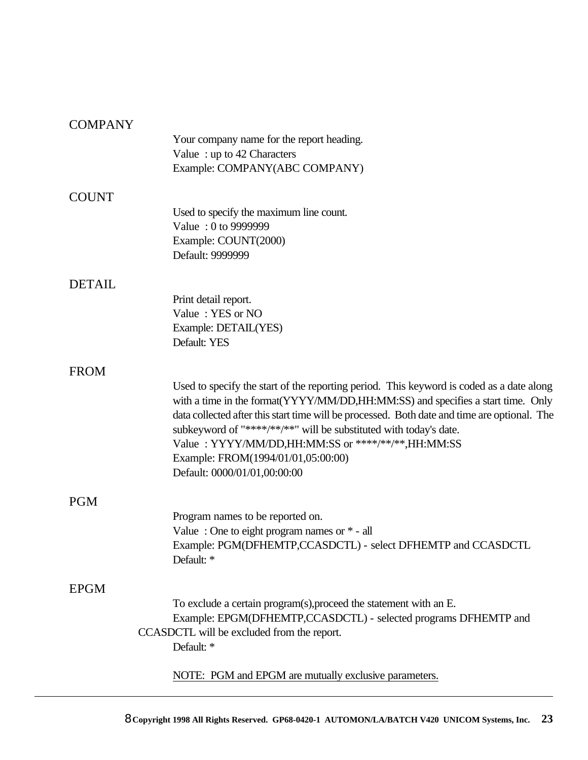### **COMPANY**

| COMI TU U     |                                                                                              |
|---------------|----------------------------------------------------------------------------------------------|
|               | Your company name for the report heading.                                                    |
|               | Value: up to 42 Characters                                                                   |
|               | Example: COMPANY(ABC COMPANY)                                                                |
| <b>COUNT</b>  |                                                                                              |
|               | Used to specify the maximum line count.                                                      |
|               | Value: 0 to 9999999                                                                          |
|               | Example: COUNT(2000)                                                                         |
|               | Default: 9999999                                                                             |
| <b>DETAIL</b> |                                                                                              |
|               | Print detail report.                                                                         |
|               | Value: YES or NO                                                                             |
|               | Example: DETAIL(YES)                                                                         |
|               | Default: YES                                                                                 |
| <b>FROM</b>   |                                                                                              |
|               | Used to specify the start of the reporting period. This keyword is coded as a date along     |
|               | with a time in the format(YYYY/MM/DD,HH:MM:SS) and specifies a start time. Only              |
|               | data collected after this start time will be processed. Both date and time are optional. The |
|               | subkeyword of "****/**/**" will be substituted with today's date.                            |
|               | Value: YYYY/MM/DD,HH:MM:SS or ****/**/**,HH:MM:SS                                            |
|               | Example: FROM(1994/01/01,05:00:00)                                                           |
|               | Default: 0000/01/01,00:00:00                                                                 |
| <b>PGM</b>    |                                                                                              |
|               | Program names to be reported on.                                                             |
|               | Value: One to eight program names or $*$ - all                                               |
|               | Example: PGM(DFHEMTP,CCASDCTL) - select DFHEMTP and CCASDCTL                                 |
|               | Default: *                                                                                   |
| <b>EPGM</b>   |                                                                                              |
|               | To exclude a certain program(s), proceed the statement with an E.                            |
|               | Example: EPGM(DFHEMTP,CCASDCTL) - selected programs DFHEMTP and                              |
|               | CCASDCTL will be excluded from the report.                                                   |
|               | Default: *                                                                                   |
|               | NOTE: PGM and EPGM are mutually exclusive parameters.                                        |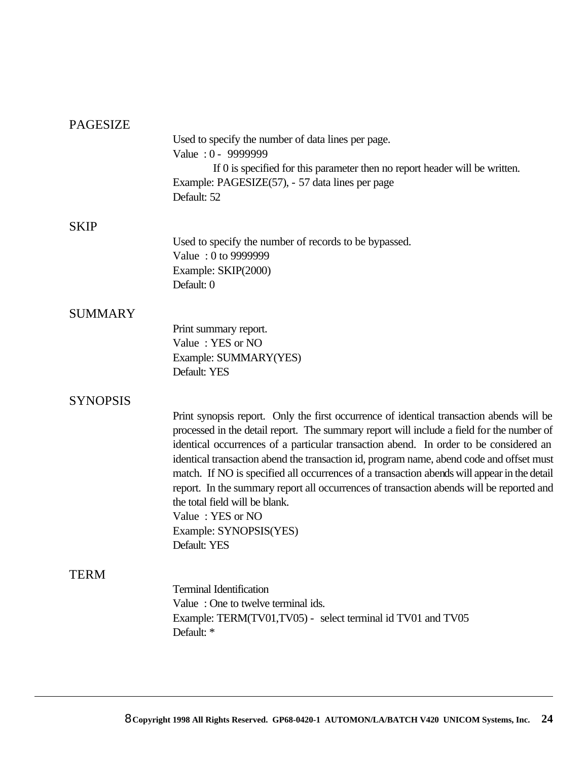### PAGESIZE

|                 | Used to specify the number of data lines per page.<br>Value: 0 - 9999999                                                                                                           |
|-----------------|------------------------------------------------------------------------------------------------------------------------------------------------------------------------------------|
|                 | If 0 is specified for this parameter then no report header will be written.<br>Example: PAGESIZE(57), - 57 data lines per page<br>Default: 52                                      |
| <b>SKIP</b>     |                                                                                                                                                                                    |
|                 | Used to specify the number of records to be bypassed.                                                                                                                              |
|                 | Value: 0 to 9999999                                                                                                                                                                |
|                 | Example: SKIP(2000)<br>Default: 0                                                                                                                                                  |
| <b>SUMMARY</b>  |                                                                                                                                                                                    |
|                 | Print summary report.                                                                                                                                                              |
|                 | Value: YES or NO                                                                                                                                                                   |
|                 | Example: SUMMARY(YES)<br>Default: YES                                                                                                                                              |
| <b>SYNOPSIS</b> |                                                                                                                                                                                    |
|                 | Print synopsis report. Only the first occurrence of identical transaction abends will be                                                                                           |
|                 | processed in the detail report. The summary report will include a field for the number of<br>identical occurrences of a particular transaction abend. In order to be considered an |
|                 | identical transaction abend the transaction id, program name, abend code and offset must                                                                                           |
|                 | match. If NO is specified all occurrences of a transaction abends will appear in the detail                                                                                        |
|                 | report. In the summary report all occurrences of transaction abends will be reported and                                                                                           |
|                 | the total field will be blank.                                                                                                                                                     |
|                 | Value: YES or NO<br>Example: SYNOPSIS(YES)                                                                                                                                         |
|                 | Default: YES                                                                                                                                                                       |
| <b>TERM</b>     |                                                                                                                                                                                    |
|                 | <b>Terminal Identification</b>                                                                                                                                                     |
|                 | Value: One to twelve terminal ids.                                                                                                                                                 |
|                 | Example: TERM(TV01,TV05) - select terminal id TV01 and TV05<br>Default: *                                                                                                          |
|                 |                                                                                                                                                                                    |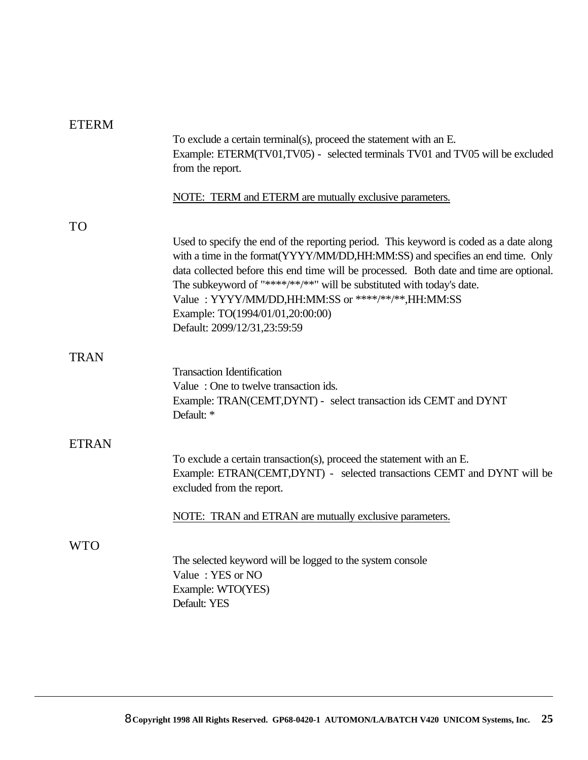| <b>ETERM</b> |                                                                                                                                                                                                                                                                                                                                                                                                                                                                       |
|--------------|-----------------------------------------------------------------------------------------------------------------------------------------------------------------------------------------------------------------------------------------------------------------------------------------------------------------------------------------------------------------------------------------------------------------------------------------------------------------------|
|              | To exclude a certain terminal(s), proceed the statement with an E.<br>Example: ETERM(TV01,TV05) - selected terminals TV01 and TV05 will be excluded<br>from the report.                                                                                                                                                                                                                                                                                               |
|              | NOTE: TERM and ETERM are mutually exclusive parameters.                                                                                                                                                                                                                                                                                                                                                                                                               |
| <b>TO</b>    |                                                                                                                                                                                                                                                                                                                                                                                                                                                                       |
|              | Used to specify the end of the reporting period. This keyword is coded as a date along<br>with a time in the format(YYYY/MM/DD,HH:MM:SS) and specifies an end time. Only<br>data collected before this end time will be processed. Both date and time are optional.<br>The subkeyword of "****/**/**" will be substituted with today's date.<br>Value: YYYY/MM/DD,HH:MM:SS or ****/**/**,HH:MM:SS<br>Example: TO(1994/01/01,20:00:00)<br>Default: 2099/12/31,23:59:59 |
| <b>TRAN</b>  |                                                                                                                                                                                                                                                                                                                                                                                                                                                                       |
|              | <b>Transaction Identification</b><br>Value: One to twelve transaction ids.<br>Example: TRAN(CEMT,DYNT) - select transaction ids CEMT and DYNT<br>Default: *                                                                                                                                                                                                                                                                                                           |
| <b>ETRAN</b> |                                                                                                                                                                                                                                                                                                                                                                                                                                                                       |
|              | To exclude a certain transaction(s), proceed the statement with an E.<br>Example: ETRAN(CEMT,DYNT) - selected transactions CEMT and DYNT will be<br>excluded from the report.                                                                                                                                                                                                                                                                                         |
|              | NOTE: TRAN and ETRAN are mutually exclusive parameters.                                                                                                                                                                                                                                                                                                                                                                                                               |
| WTO          |                                                                                                                                                                                                                                                                                                                                                                                                                                                                       |
|              | The selected keyword will be logged to the system console<br>Value: YES or NO<br>Example: WTO(YES)<br>Default: YES                                                                                                                                                                                                                                                                                                                                                    |
|              |                                                                                                                                                                                                                                                                                                                                                                                                                                                                       |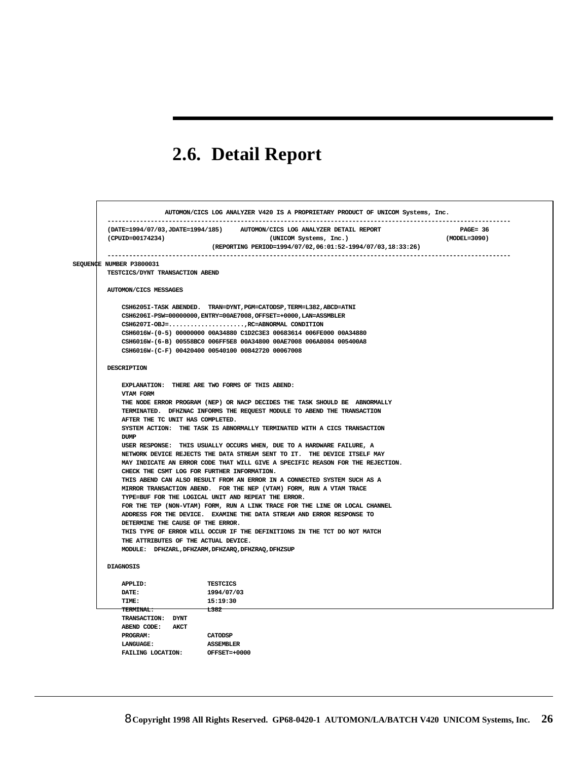# **2.6. Detail Report**

| (CPUID=00174234)                                    | (DATE=1994/07/03, JDATE=1994/185) AUTOMON/CICS LOG ANALYZER DETAIL REPORT<br>(UNICOM Systems, Inc.)                                                        | $PAGE = 36$<br>(MODEL=3090) |
|-----------------------------------------------------|------------------------------------------------------------------------------------------------------------------------------------------------------------|-----------------------------|
|                                                     | (REPORTING PERIOD=1994/07/02,06:01:52-1994/07/03,18:33:26)                                                                                                 | --------------------------- |
| SEQUENCE NUMBER P3800031                            |                                                                                                                                                            |                             |
| TESTCICS/DYNT TRANSACTION ABEND                     |                                                                                                                                                            |                             |
| AUTOMON/CICS MESSAGES                               |                                                                                                                                                            |                             |
|                                                     | CSH6205I-TASK ABENDED. TRAN=DYNT, PGM=CATODSP, TERM=L382, ABCD=ATNI                                                                                        |                             |
|                                                     | CSH6206I-PSW=00000000, ENTRY=00AE7008, OFFSET=+0000, LAN=ASSMBLER                                                                                          |                             |
|                                                     | CSH6207I-OBJ=,RC=ABNORMAL CONDITION                                                                                                                        |                             |
|                                                     | CSH6016W-(0-5) 00000000 00A34880 ClD2C3E3 00683614 006FE000 00A34880                                                                                       |                             |
|                                                     | CSH6016W-(6-B) 00558BC0 006FF5E8 00A34800 00AE7008 006A8084 005400A8                                                                                       |                             |
| CSH6016W-(C-F) 00420400 00540100 00842720 00067008  |                                                                                                                                                            |                             |
| DESCRIPTION                                         |                                                                                                                                                            |                             |
| EXPLANATION: THERE ARE TWO FORMS OF THIS ABEND:     |                                                                                                                                                            |                             |
| VTAM FORM                                           |                                                                                                                                                            |                             |
|                                                     | THE NODE ERROR PROGRAM (NEP) OR NACP DECIDES THE TASK SHOULD BE ABNORMALLY                                                                                 |                             |
|                                                     | TERMINATED. DFHZNAC INFORMS THE REQUEST MODULE TO ABEND THE TRANSACTION                                                                                    |                             |
| AFTER THE TC UNIT HAS COMPLETED.                    |                                                                                                                                                            |                             |
|                                                     | SYSTEM ACTION: THE TASK IS ABNORMALLY TERMINATED WITH A CICS TRANSACTION                                                                                   |                             |
| <b>DUMP</b>                                         |                                                                                                                                                            |                             |
|                                                     | USER RESPONSE: THIS USUALLY OCCURS WHEN, DUE TO A HARDWARE FAILURE, A                                                                                      |                             |
|                                                     | NETWORK DEVICE REJECTS THE DATA STREAM SENT TO IT. THE DEVICE ITSELF MAY<br>MAY INDICATE AN ERROR CODE THAT WILL GIVE A SPECIFIC REASON FOR THE REJECTION. |                             |
| CHECK THE CSMT LOG FOR FURTHER INFORMATION.         |                                                                                                                                                            |                             |
|                                                     | THIS ABEND CAN ALSO RESULT FROM AN ERROR IN A CONNECTED SYSTEM SUCH AS A                                                                                   |                             |
|                                                     | MIRROR TRANSACTION ABEND. FOR THE NEP (VTAM) FORM, RUN A VTAM TRACE                                                                                        |                             |
|                                                     | TYPE=BUF FOR THE LOGICAL UNIT AND REPEAT THE ERROR.                                                                                                        |                             |
|                                                     | FOR THE TEP (NON-VTAM) FORM, RUN A LINK TRACE FOR THE LINE OR LOCAL CHANNEL                                                                                |                             |
|                                                     | ADDRESS FOR THE DEVICE. EXAMINE THE DATA STREAM AND ERROR RESPONSE TO                                                                                      |                             |
| DETERMINE THE CAUSE OF THE ERROR.                   |                                                                                                                                                            |                             |
|                                                     | THIS TYPE OF ERROR WILL OCCUR IF THE DEFINITIONS IN THE TCT DO NOT MATCH                                                                                   |                             |
| THE ATTRIBUTES OF THE ACTUAL DEVICE.                |                                                                                                                                                            |                             |
| MODULE: DFHZARL, DFHZARM, DFHZARQ, DFHZRAQ, DFHZSUP |                                                                                                                                                            |                             |
| <b>DIAGNOSIS</b>                                    |                                                                                                                                                            |                             |
| APPLID:                                             | <b>TESTCICS</b>                                                                                                                                            |                             |
| <b>DATE:</b>                                        | 1994/07/03                                                                                                                                                 |                             |
| <b>TIME:</b>                                        | 15:19:30                                                                                                                                                   |                             |
| $\overline{\phantom{1}1382}$<br>TERMINAL:           |                                                                                                                                                            |                             |
| TRANSACTION: DYNT                                   |                                                                                                                                                            |                             |
| ABEND CODE: AKCT                                    |                                                                                                                                                            |                             |
| PROGRAM:                                            | CATODSP                                                                                                                                                    |                             |
| <b>LANGUAGE:</b>                                    | <b>ASSEMBLER</b>                                                                                                                                           |                             |
| FAILING LOCATION:                                   | OFFSET=+0000                                                                                                                                               |                             |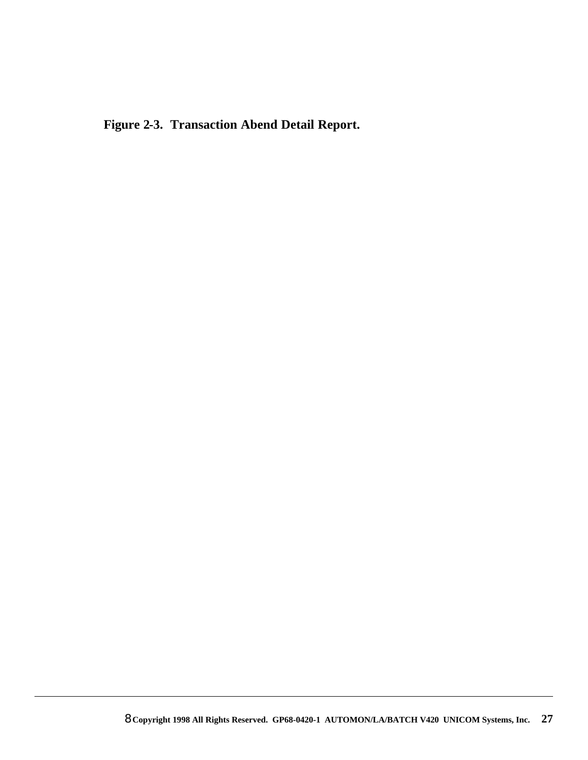**Figure 2-3. Transaction Abend Detail Report.**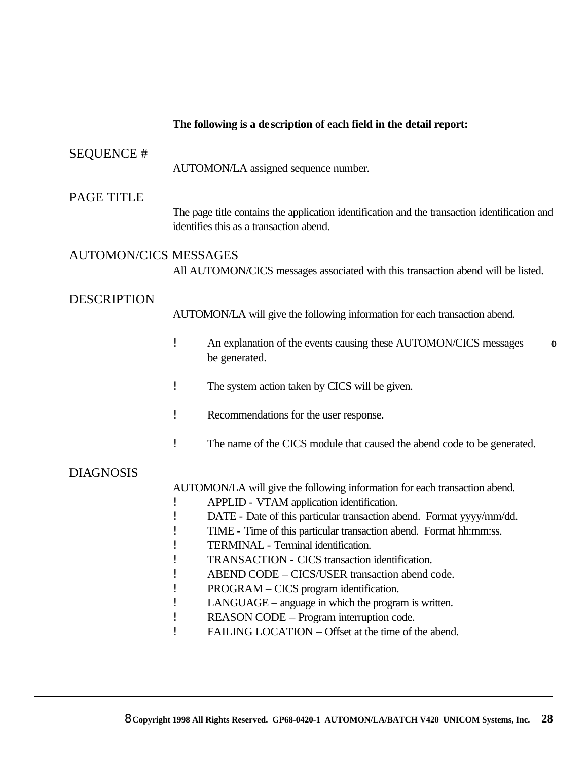## **The following is a description of each field in the detail report:** SEQUENCE # AUTOMON/LA assigned sequence number. PAGE TITLE The page title contains the application identification and the transaction identification and identifies this as a transaction abend. AUTOMON/CICS MESSAGES All AUTOMON/CICS messages associated with this transaction abend will be listed. DESCRIPTION AUTOMON/LA will give the following information for each transaction abend. ! An explanation of the events causing these AUTOMON/CICS messages to be generated. ! The system action taken by CICS will be given. ! Recommendations for the user response. ! The name of the CICS module that caused the abend code to be generated. DIAGNOSIS AUTOMON/LA will give the following information for each transaction abend. ! APPLID - VTAM application identification. ! DATE - Date of this particular transaction abend. Format yyyy/mm/dd. ! TIME - Time of this particular transaction abend. Format hh:mm:ss. ! TERMINAL - Terminal identification. ! TRANSACTION - CICS transaction identification. ! ABEND CODE – CICS/USER transaction abend code. ! PROGRAM – CICS program identification. ! LANGUAGE – anguage in which the program is written. ! REASON CODE – Program interruption code. ! FAILING LOCATION – Offset at the time of the abend.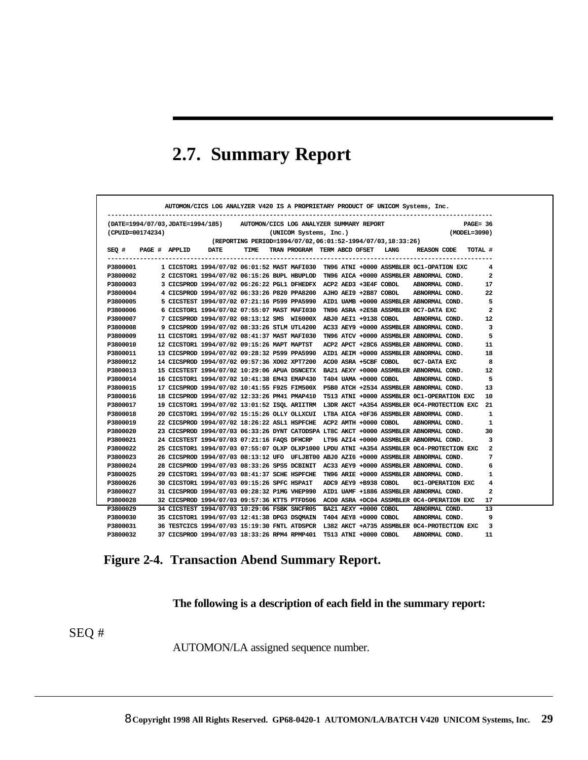## **2.7. Summary Report**

|                                                                                             | $(MODEL = 3090)$ |                                   |  | (UNICOM Systems, Inc.) |      | (DATE=1994/07/03,JDATE=1994/185) AUTOMON/CICS LOG ANALYZER SUMMARY REPORT             |                            | (CPUID=00174234) |
|---------------------------------------------------------------------------------------------|------------------|-----------------------------------|--|------------------------|------|---------------------------------------------------------------------------------------|----------------------------|------------------|
|                                                                                             |                  |                                   |  |                        |      | (REPORTING PERIOD=1994/07/02,06:01:52-1994/07/03,18:33:26)                            |                            |                  |
| REASON CODE<br>TOTAL #                                                                      |                  | TRAN PROGRAM TERM ABCD OFSET LANG |  |                        | TIME |                                                                                       | $SEQ$ # PAGE # APPLID DATE |                  |
| 1 CICSTOR1 1994/07/02 06:01:52 MAST MAFI030 TN96 ATNI +0000 ASSMBLER 0C1-OPATION EXC        |                  |                                   |  |                        |      |                                                                                       |                            | P3800001         |
| 2 CICSTOR1 1994/07/02 06:15:26 BUPL HBUPLOD TN96 AICA +0000 ASSMBLER ABNORMAL COND.         |                  |                                   |  |                        |      |                                                                                       |                            | P3800002         |
| ABNORMAL COND.                                                                              |                  |                                   |  |                        |      | 3 CICSPROD 1994/07/02 06:26:22 PGL1 DFHEDFX ACP2 AED3 +3E4F COBOL                     |                            | P3800003         |
| ABNORMAL COND.                                                                              |                  |                                   |  |                        |      | 4 CICSPROD 1994/07/02 06:33:26 P820 PPA8200 AJHO AEI9 +2B87 COBOL                     |                            | P3800004         |
| 5 CICSTEST 1994/07/02 07:21:16 P599 PPA5990 AID1 UAMB +0000 ASSMBLER ABNORMAL COND.         |                  |                                   |  |                        |      |                                                                                       |                            | P3800005         |
| TN96 ASRA +2E5B ASSMBLER 0C7-DATA EXC                                                       |                  |                                   |  |                        |      | 6 CICSTOR1 1994/07/02 07:55:07 MAST MAFI030                                           |                            | P3800006         |
| ABNORMAL COND.                                                                              |                  |                                   |  |                        |      | 7 CICSPROD 1994/07/02 08:13:12 SMS WI6000X ABJ0 AEI1 +9138 COBOL                      |                            | P3800007         |
| AC33 AEY9 +0000 ASSMBLER ABNORMAL COND.                                                     |                  |                                   |  |                        |      | 9 CICSPROD 1994/07/02 08:33:26 STLM UTL4200                                           |                            | P3800008         |
| TN96 ATCV +0000 ASSMBLER ABNORMAL COND.                                                     |                  |                                   |  |                        |      | 11 CICSTOR1 1994/07/02 08:41:37 MAST MAFI030                                          |                            | P3800009         |
| ACP2 APCT +28C6 ASSMBLER ABNORMAL COND.                                                     |                  |                                   |  |                        |      | 12 CICSTOR1 1994/07/02 09:15:26 MAPT MAPTST                                           |                            | P3800010         |
| 13 CICSPROD 1994/07/02 09:28:32 P599 PPA5990 AID1 AEIM +0000 ASSMBLER ABNORMAL COND.        |                  |                                   |  |                        |      |                                                                                       |                            | P3800011         |
| OC7-DATA EXC                                                                                |                  |                                   |  |                        |      | 14 CICSPROD 1994/07/02 09:57:36 XO02 XPT7200 ACO0 ASRA +5CBF COBOL                    |                            | P3800012         |
| 15 CICSTEST 1994/07/02 10:29:06 APUA DSNCETX BA21 AEXY +0000 ASSMBLER ABNORMAL COND.        |                  |                                   |  |                        |      |                                                                                       |                            | P3800013         |
| ABNORMAL COND.                                                                              |                  | T404 UAMA +0000 COBOL             |  |                        |      | 16 CICSTOR1 1994/07/02 10:41:38 EM43 EMAP430                                          |                            | P3800014         |
|                                                                                             |                  |                                   |  |                        |      | 17 CICSPROD 1994/07/02 10:41:55 F925 FIM500X P5B0 ATCH +2534 ASSMBLER ABNORMAL COND.  |                            | P3800015         |
| T513 ATNI +0000 ASSMBLER 0C1-OPERATION EXC                                                  |                  |                                   |  |                        |      | 18 CICSPROD 1994/07/02 12:33:26 PM41 PMAP410                                          |                            | P3800016         |
| 19 CICSTOR1 1994/07/02 13:01:52 ISQL ARIITRM L3DR AKCT +A354 ASSMBLER 0C4-PROTECTION EXC 21 |                  |                                   |  |                        |      |                                                                                       |                            | P3800017         |
|                                                                                             |                  |                                   |  |                        |      | 20 CICSTOR1 1994/07/02 15:15:26 OLLY OLLXCUI LT8A AICA +0F36 ASSMBLER ABNORMAL COND.  |                            | P3800018         |
| ABNORMAL COND.                                                                              |                  |                                   |  |                        |      | 22 CICSPROD 1994/07/02 18:26:22 ASL1 HSPFCHE ACP2 AMTH +0000 COBOL                    |                            | P3800019         |
|                                                                                             |                  |                                   |  |                        |      | 23 CICSPROD 1994/07/03 06:33:26 DYNT CATODSPA LT8C AKCT +0000 ASSMBLER ABNORMAL COND. |                            | P3800020         |
| LT96 AZI4 +0000 ASSMBLER ABNORMAL COND.                                                     |                  |                                   |  |                        |      | 24 CICSTEST 1994/07/03 07:21:16 FAOS DFHCRP                                           |                            | P3800021         |
| 25 CICSTOR1 1994/07/03 07:55:07 OLXP OLXP1000 LPDU ATNI +A354 ASSMBLER 0C4-PROTECTION EXC   |                  |                                   |  |                        |      |                                                                                       |                            | P3800022         |
|                                                                                             |                  |                                   |  |                        |      | 26 CICSPROD 1994/07/03 08:13:12 UFO UFLJBT00 ABJ0 AZI6 +0000 ASSMBLER ABNORMAL COND.  |                            | P3800023         |
|                                                                                             |                  |                                   |  |                        |      | 28 CICSPROD 1994/07/03 08:33:26 SPS5 DCBINIT AC33 AEY9 +0000 ASSMBLER ABNORMAL COND.  |                            | P3800024         |
|                                                                                             |                  |                                   |  |                        |      | 29 CICSTOR1 1994/07/03 08:41:37 SCHE HSPFCHE TN96 ARIE +0000 ASSMBLER ABNORMAL COND.  |                            | P3800025         |
| <b>OC1-OPERATION EXC</b>                                                                    |                  | ADC9 AEY9 +B938 COBOL             |  |                        |      | 30 CICSTOR1 1994/07/03 09:15:26 SPFC HSPA1T                                           |                            | P3800026         |
|                                                                                             |                  |                                   |  |                        |      | 31 CICSPROD 1994/07/03 09:28:32 P1MG VHEP990 AID1 UAMF +1886 ASSMBLER ABNORMAL COND.  |                            | P3800027         |
| 32 CICSPROD 1994/07/03 09:57:36 KTT5 PTFD506 ACO0 ASRA +DC04 ASSMBLER 0C4-OPERATION EXC     |                  |                                   |  |                        |      |                                                                                       |                            | P3800028         |
| ABNORMAL COND.                                                                              |                  |                                   |  |                        |      | 34 CICSTEST 1994/07/03 10:29:06 FSBK SNCFR05 BA21 AEXY +0000 COBOL                    |                            | P3800029         |
| ABNORMAL COND.                                                                              |                  |                                   |  |                        |      | 35 CICSTOR1 1994/07/03 12:41:38 DPG3 DSQMAIN T404 AEY8 +0000 COBOL                    |                            | P3800030         |
| 36 TESTCICS 1994/07/03 15:19:30 FNTL ATDSPCR L382 AKCT +A735 ASSMBLER 0C4-PROTECTION EXC 3  |                  |                                   |  |                        |      |                                                                                       |                            | P3800031         |

## **Figure 2-4. Transaction Abend Summary Report.**

**The following is a description of each field in the summary report:**

SEQ #

AUTOMON/LA assigned sequence number.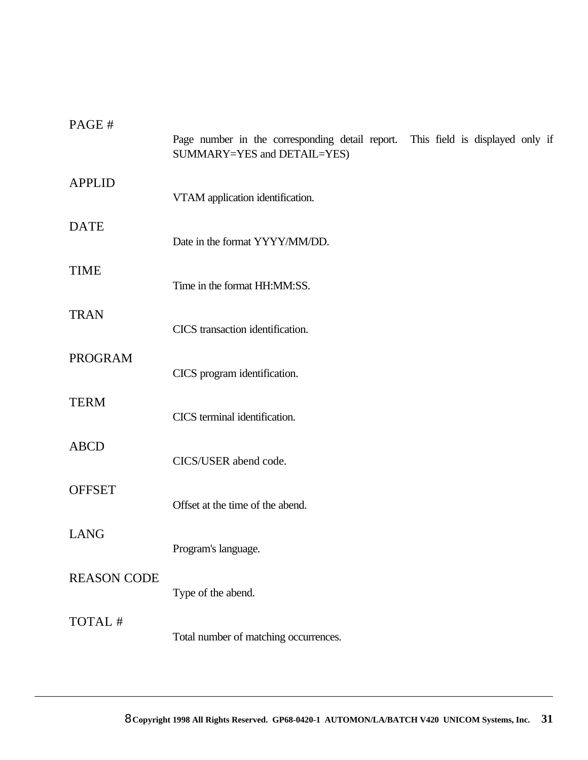| PAGE#              | Page number in the corresponding detail report. This field is displayed only if<br>SUMMARY=YES and DETAIL=YES) |
|--------------------|----------------------------------------------------------------------------------------------------------------|
| <b>APPLID</b>      | VTAM application identification.                                                                               |
| <b>DATE</b>        | Date in the format YYYY/MM/DD.                                                                                 |
| <b>TIME</b>        | Time in the format HH:MM:SS.                                                                                   |
| <b>TRAN</b>        | CICS transaction identification.                                                                               |
| <b>PROGRAM</b>     | CICS program identification.                                                                                   |
| <b>TERM</b>        | CICS terminal identification.                                                                                  |
| <b>ABCD</b>        | CICS/USER abend code.                                                                                          |
| <b>OFFSET</b>      | Offset at the time of the abend.                                                                               |
| <b>LANG</b>        | Program's language.                                                                                            |
| <b>REASON CODE</b> | Type of the abend.                                                                                             |
| TOTAL #            | Total number of matching occurrences.                                                                          |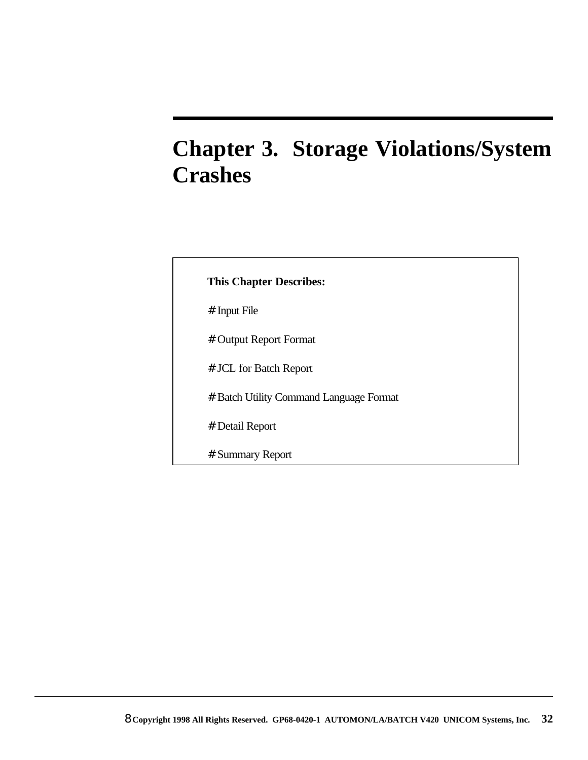# **Chapter 3. Storage Violations/System Crashes**

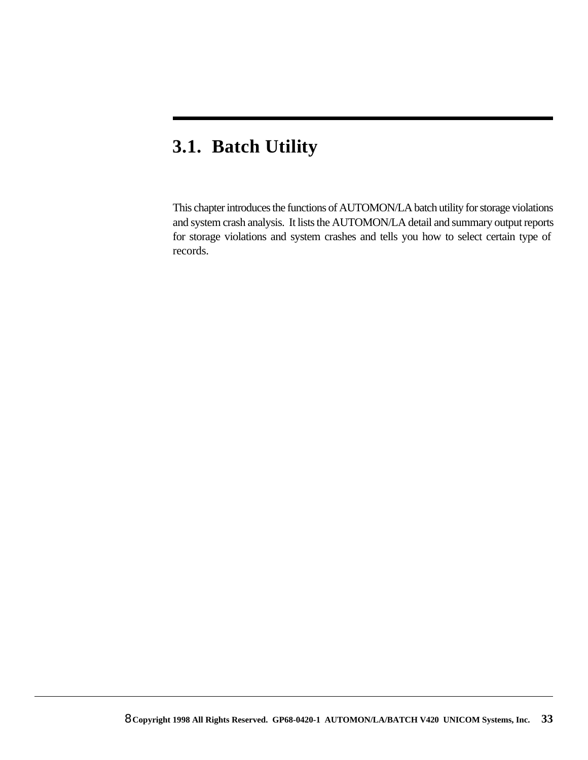### **3.1. Batch Utility**

This chapter introduces the functions of AUTOMON/LA batch utility for storage violations and system crash analysis. It lists the AUTOMON/LA detail and summary output reports for storage violations and system crashes and tells you how to select certain type of records.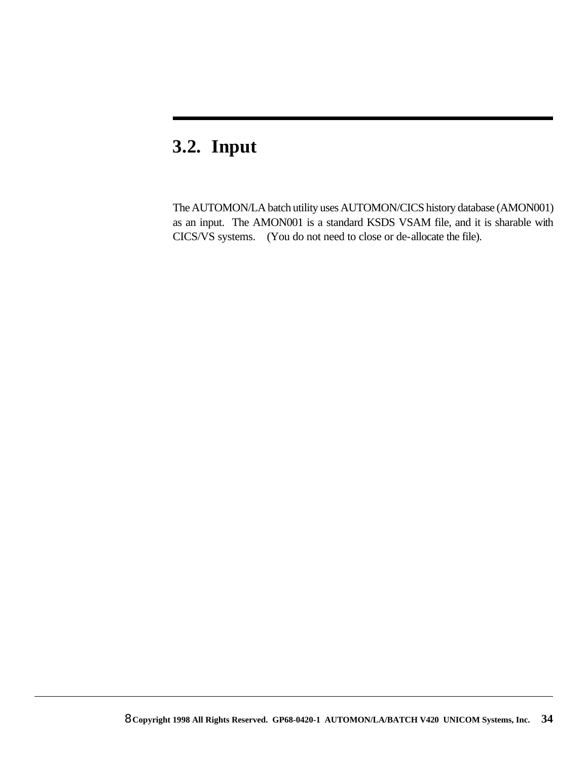### **3.2. Input**

The AUTOMON/LA batch utility uses AUTOMON/CICS history database (AMON001) as an input. The AMON001 is a standard KSDS VSAM file, and it is sharable with CICS/VS systems. (You do not need to close or de-allocate the file).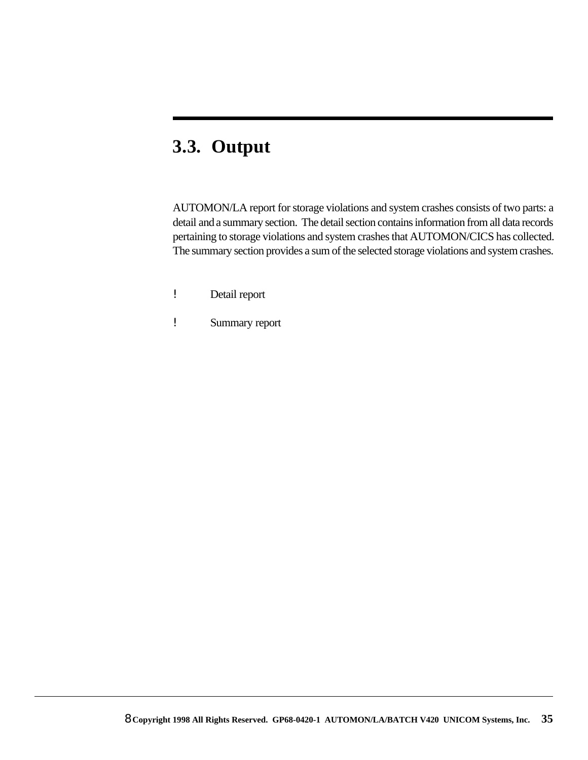### **3.3. Output**

AUTOMON/LA report for storage violations and system crashes consists of two parts: a detail and a summary section. The detail section contains information from all data records pertaining to storage violations and system crashes that AUTOMON/CICS has collected. The summary section provides a sum of the selected storage violations and system crashes.

- ! Detail report
- ! Summary report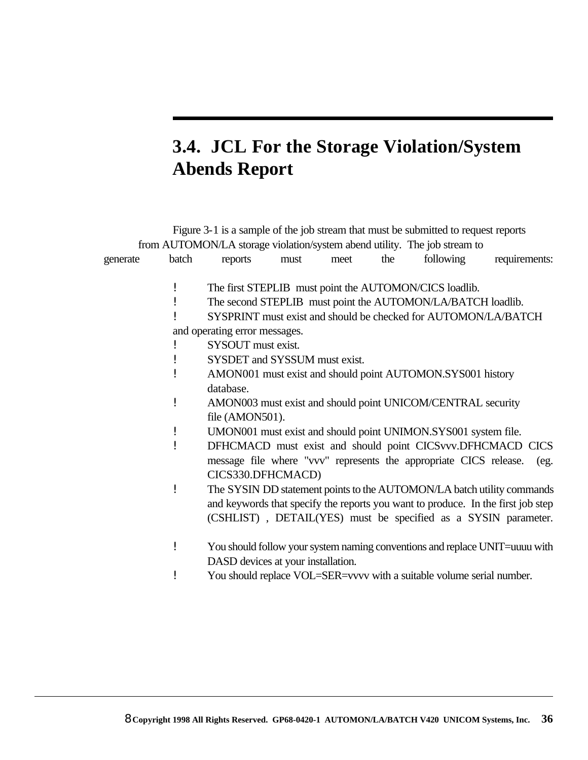## **3.4. JCL For the Storage Violation/System Abends Report**

|          |       |                                    |      |      |     | Figure 3-1 is a sample of the job stream that must be submitted to request reports |                                                                                  |
|----------|-------|------------------------------------|------|------|-----|------------------------------------------------------------------------------------|----------------------------------------------------------------------------------|
|          |       |                                    |      |      |     | from AUTOMON/LA storage violation/system abend utility. The job stream to          |                                                                                  |
| generate | batch | reports                            | must | meet | the | following                                                                          | requirements:                                                                    |
|          |       |                                    |      |      |     |                                                                                    |                                                                                  |
|          |       |                                    |      |      |     | The first STEPLIB must point the AUTOMON/CICS loadlib.                             |                                                                                  |
|          |       |                                    |      |      |     | The second STEPLIB must point the AUTOMON/LA/BATCH loadlib.                        |                                                                                  |
|          |       |                                    |      |      |     | SYSPRINT must exist and should be checked for AUTOMON/LA/BATCH                     |                                                                                  |
|          |       | and operating error messages.      |      |      |     |                                                                                    |                                                                                  |
|          |       | SYSOUT must exist.                 |      |      |     |                                                                                    |                                                                                  |
|          |       | SYSDET and SYSSUM must exist.      |      |      |     |                                                                                    |                                                                                  |
|          |       |                                    |      |      |     | AMON001 must exist and should point AUTOMON.SYS001 history                         |                                                                                  |
|          |       | database.                          |      |      |     |                                                                                    |                                                                                  |
|          |       |                                    |      |      |     | AMON003 must exist and should point UNICOM/CENTRAL security                        |                                                                                  |
|          |       | file (AMON501).                    |      |      |     |                                                                                    |                                                                                  |
|          |       |                                    |      |      |     | UMON001 must exist and should point UNIMON.SYS001 system file.                     |                                                                                  |
|          |       |                                    |      |      |     |                                                                                    | DFHCMACD must exist and should point CICSvvv.DFHCMACD CICS                       |
|          |       |                                    |      |      |     | message file where "vvv" represents the appropriate CICS release.                  | (eg.                                                                             |
|          |       | CICS330.DFHCMACD)                  |      |      |     |                                                                                    |                                                                                  |
|          | Ţ     |                                    |      |      |     |                                                                                    | The SYSIN DD statement points to the AUTOMON/LA batch utility commands           |
|          |       |                                    |      |      |     |                                                                                    | and keywords that specify the reports you want to produce. In the first job step |
|          |       |                                    |      |      |     |                                                                                    | (CSHLIST), DETAIL(YES) must be specified as a SYSIN parameter.                   |
|          |       |                                    |      |      |     |                                                                                    |                                                                                  |
|          |       |                                    |      |      |     |                                                                                    | You should follow your system naming conventions and replace UNIT=uuuu with      |
|          |       | DASD devices at your installation. |      |      |     |                                                                                    |                                                                                  |
|          |       |                                    |      |      |     | You should replace VOL=SER=vvvv with a suitable volume serial number.              |                                                                                  |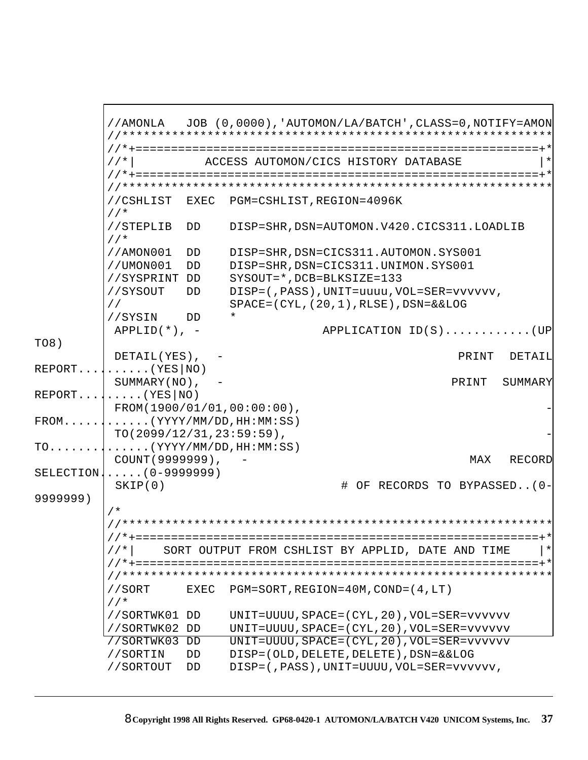//AMONLA JOB (0,0000),'AUTOMON/LA/BATCH',CLASS=0,NOTIFY=AMON //\*\*\*\*\*\*\*\*\*\*\*\*\*\*\*\*\*\*\*\*\*\*\*\*\*\*\*\*\*\*\*\*\*\*\*\*\*\*\*\*\*\*\*\*\*\*\*\*\*\*\*\*\*\*\*\*\*\*\*\*\* //\*+=========================================================+\* //\*| ACCESS AUTOMON/CICS HISTORY DATABASE |\* //\*+=========================================================+\* //\*\*\*\*\*\*\*\*\*\*\*\*\*\*\*\*\*\*\*\*\*\*\*\*\*\*\*\*\*\*\*\*\*\*\*\*\*\*\*\*\*\*\*\*\*\*\*\*\*\*\*\*\*\*\*\*\*\*\*\*\* //CSHLIST EXEC PGM=CSHLIST,REGION=4096K //\* //STEPLIB DD DISP=SHR,DSN=AUTOMON.V420.CICS311.LOADLIB //\* //AMON001 DD DISP=SHR,DSN=CICS311.AUTOMON.SYS001 //UMON001 DD DISP=SHR,DSN=CICS311.UNIMON.SYS001 //SYSPRINT DD SYSOUT=\*,DCB=BLKSIZE=133 //SYSOUT DD DISP=(,PASS),UNIT=uuuu,VOL=SER=vvvvvv, // SPACE=(CYL,(20,1),RLSE),DSN=&&LOG //SYSIN DD \* APPLID(\*), - APPLICATION ID(S)............(UP TO8) DETAIL(YES), - PRINT DETAIL REPORT..........(YES|NO) SUMMARY(NO), - PRINT SUMMARY  $REPORT. . . . . . . . (YES|NO)$  $FROM(1900/01/01,00:00:00)$ FROM............(YYYY/MM/DD,HH:MM:SS)  $TO(2099/12/31,23:59:59)$ , TO..............(YYYY/MM/DD,HH:MM:SS) COUNT(9999999), - COUNT(999999), - MAX RECORD SELECTION......(0-9999999) SKIP(0)  $\qquad$   $\qquad$   $\qquad$   $\qquad$   $\qquad$  OF RECORDS TO BYPASSED..(0-9999999) /\* //\*\*\*\*\*\*\*\*\*\*\*\*\*\*\*\*\*\*\*\*\*\*\*\*\*\*\*\*\*\*\*\*\*\*\*\*\*\*\*\*\*\*\*\*\*\*\*\*\*\*\*\*\*\*\*\*\*\*\*\*\* //\*+=========================================================+\*  $\mathcal{U}/*|$  SORT OUTPUT FROM CSHLIST BY APPLID, DATE AND TIME //\*+=========================================================+\* //\*\*\*\*\*\*\*\*\*\*\*\*\*\*\*\*\*\*\*\*\*\*\*\*\*\*\*\*\*\*\*\*\*\*\*\*\*\*\*\*\*\*\*\*\*\*\*\*\*\*\*\*\*\*\*\*\*\*\*\*\* //SORT EXEC PGM=SORT,REGION=40M,COND=(4,LT) //\* //SORTWK01 DD UNIT=UUUU,SPACE=(CYL,20),VOL=SER=vvvvvv //SORTWK02 DD UNIT=UUUU,SPACE=(CYL,20),VOL=SER=vvvvvv //SORTWK03 DD UNIT=UUUU,SPACE=(CYL,20),VOL=SER=vvvvvv //SORTIN DD DISP=(OLD,DELETE,DELETE),DSN=&&LOG //SORTOUT DD DISP=(,PASS),UNIT=UUUU,VOL=SER=vvvvvv,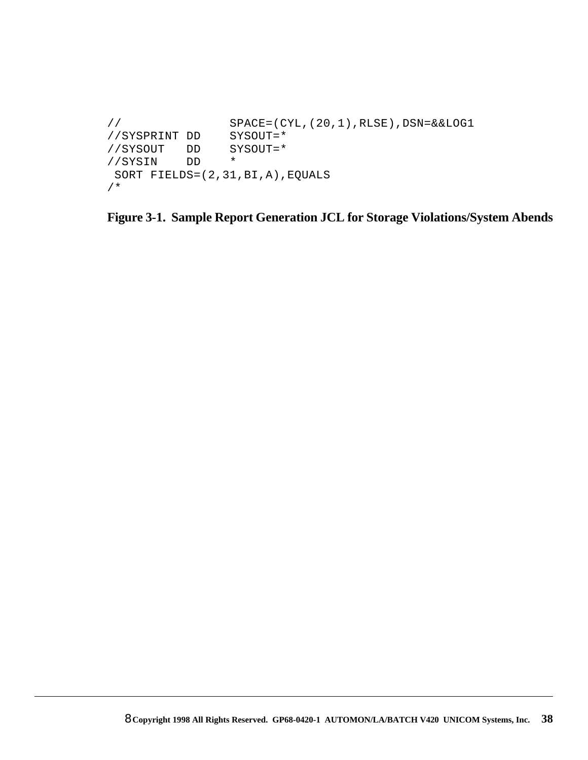```
// SPACE=(CYL,(20,1),RLSE),DSN=&&LOG1
//SYSPRINT DD SYSOUT=*
//SYSOUT DD SYSOUT=*
//SYSIN DD *
 SORT FIELDS=(2,31,BI,A),EQUALS
/*
```
**Figure 3-1. Sample Report Generation JCL for Storage Violations/System Abends**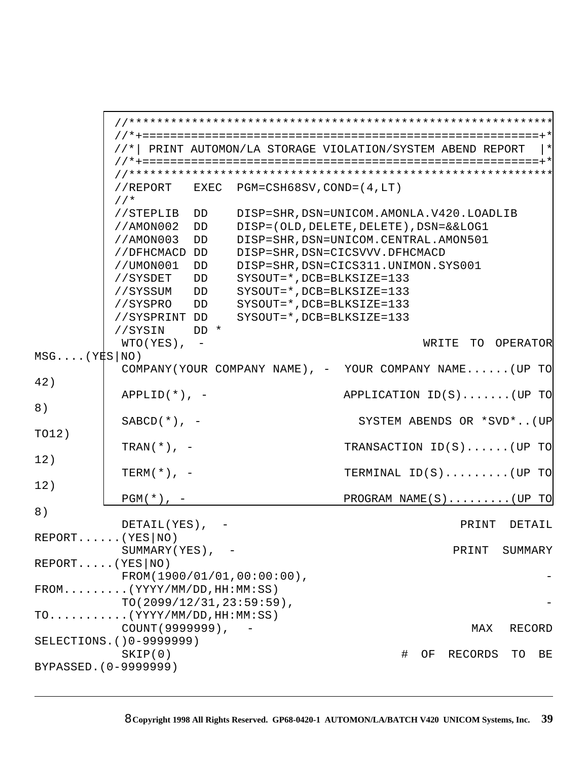```
 //*************************************************************
          //*+=========================================================+*
          //*| PRINT AUTOMON/LA STORAGE VIOLATION/SYSTEM ABEND REPORT |*
          //*+=========================================================+*
          //*************************************************************
          //REPORT EXEC PGM=CSH68SV,COND=(4,LT)
          //*
          //STEPLIB DD DISP=SHR,DSN=UNICOM.AMONLA.V420.LOADLIB
          //AMON002 DD DISP=(OLD,DELETE,DELETE),DSN=&&LOG1
          //AMON003 DD DISP=SHR,DSN=UNICOM.CENTRAL.AMON501
          //DFHCMACD DD DISP=SHR,DSN=CICSVVV.DFHCMACD
          //UMON001 DD DISP=SHR,DSN=CICS311.UNIMON.SYS001
          //SYSDET DD SYSOUT=*,DCB=BLKSIZE=133
          //SYSSUM DD SYSOUT=*,DCB=BLKSIZE=133
          //SYSPRO DD SYSOUT=*,DCB=BLKSIZE=133
          //SYSPRINT DD SYSOUT=*,DCB=BLKSIZE=133
          //SYSIN DD *
          WTO(YES), - WRITE TO OPERATOR
MSG... (YES NO))
           COMPANY(YOUR COMPANY NAME), - YOUR COMPANY NAME......(UP TO 
42)
           APPLID(*), - APPLICATION ID(S).......(UP TO 
8)
          SABCD(*), - SYSTEM ABENDS OR *SVD*..(UP
TO12)
          TRAN(*), - TRANSACTION ID(S)......(UP TO
12)
           TERM(*), - TERMINAL ID(S).........(UP TO 
12)
          PGM(*), - PROGRAM NAME(S)........(UP TO
8)
           DETAIL(YES), - PRINT DETAIL
REPORT......(YES|NO)
          SUMMARY(YES), - PRINT SUMMARY
REPORT.....(YES|NO)
          FROM(1900/01/01,00:00:00)FROM.........(YYYY/MM/DD,HH:MM:SS)
          TO(2099/12/31,23:59:59),
TO...........(YYYY/MM/DD,HH:MM:SS)
           COUNT(9999999), - MAX RECORD
SELECTIONS.()0-9999999)
           SKIP(0) # OF RECORDS TO BE
BYPASSED.(0-9999999)
```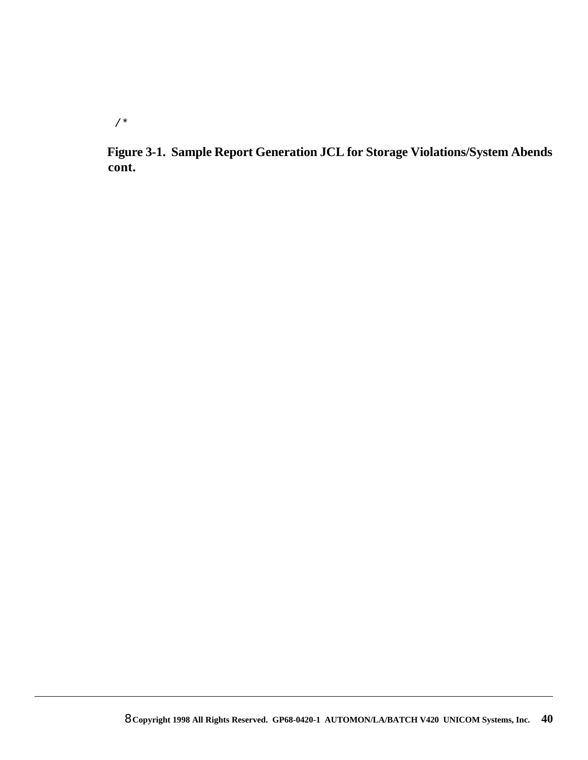/\*

**Figure 3-1. Sample Report Generation JCL for Storage Violations/System Abends cont.**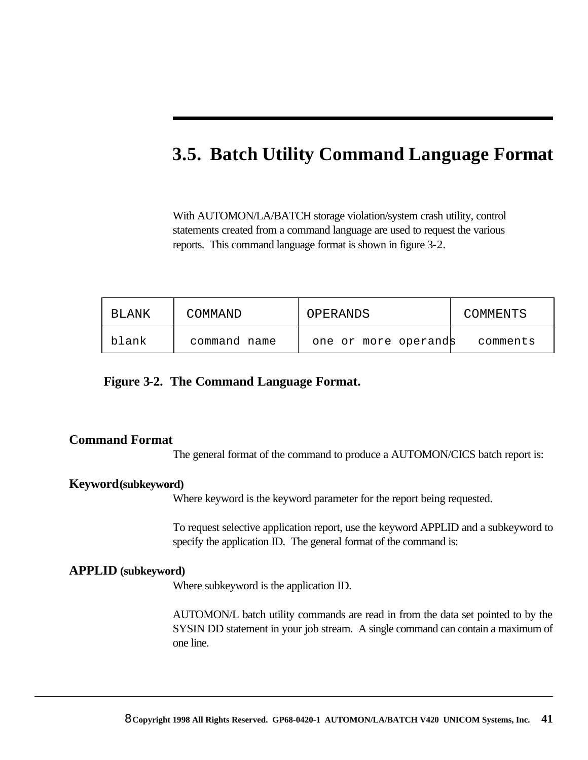### **3.5. Batch Utility Command Language Format**

With AUTOMON/LA/BATCH storage violation/system crash utility, control statements created from a command language are used to request the various reports. This command language format is shown in figure 3-2.

| BLANK | COMMAND      | OPERANDS             | COMMENTS |
|-------|--------------|----------------------|----------|
| blank | command name | one or more operands | comments |

#### **Figure 3-2. The Command Language Format.**

#### **Command Format**

The general format of the command to produce a AUTOMON/CICS batch report is:

#### **Keyword(subkeyword)**

Where keyword is the keyword parameter for the report being requested.

To request selective application report, use the keyword APPLID and a subkeyword to specify the application ID. The general format of the command is:

#### **APPLID (subkeyword)**

Where subkeyword is the application ID.

AUTOMON/L batch utility commands are read in from the data set pointed to by the SYSIN DD statement in your job stream. A single command can contain a maximum of one line.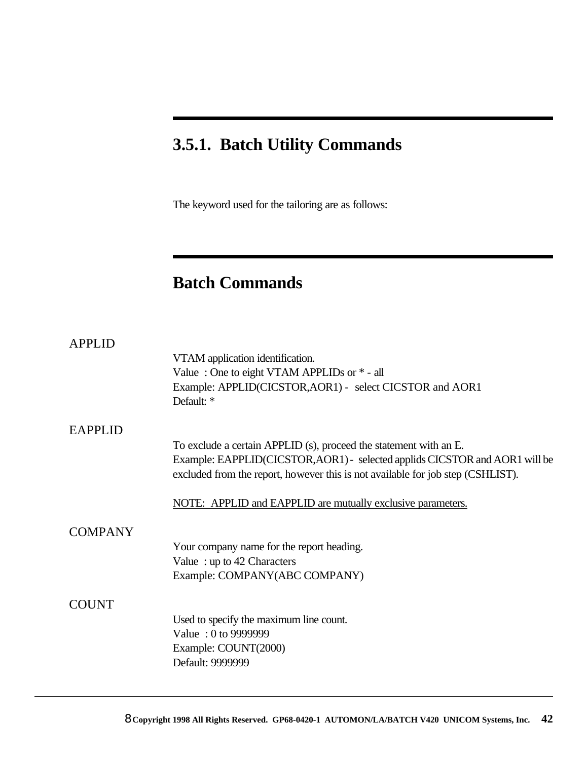### **3.5.1. Batch Utility Commands**

The keyword used for the tailoring are as follows:

### **Batch Commands**

| <b>APPLID</b>  |                                                                                 |
|----------------|---------------------------------------------------------------------------------|
|                | VTAM application identification.                                                |
|                | Value: One to eight VTAM APPLIDs or $*$ - all                                   |
|                | Example: APPLID(CICSTOR, AOR1) - select CICSTOR and AOR1                        |
|                | Default: *                                                                      |
| <b>EAPPLID</b> |                                                                                 |
|                | To exclude a certain APPLID (s), proceed the statement with an E.               |
|                | Example: EAPPLID(CICSTOR, AOR1) - selected applids CICSTOR and AOR1 will be     |
|                | excluded from the report, however this is not available for job step (CSHLIST). |
|                | NOTE: APPLID and EAPPLID are mutually exclusive parameters.                     |
| <b>COMPANY</b> |                                                                                 |
|                | Your company name for the report heading.                                       |
|                | Value: $up to 42$ Characters                                                    |
|                | Example: COMPANY(ABC COMPANY)                                                   |
| <b>COUNT</b>   |                                                                                 |
|                | Used to specify the maximum line count.                                         |
|                | Value: 0 to 9999999                                                             |
|                | Example: COUNT(2000)                                                            |
|                | Default: 9999999                                                                |
|                |                                                                                 |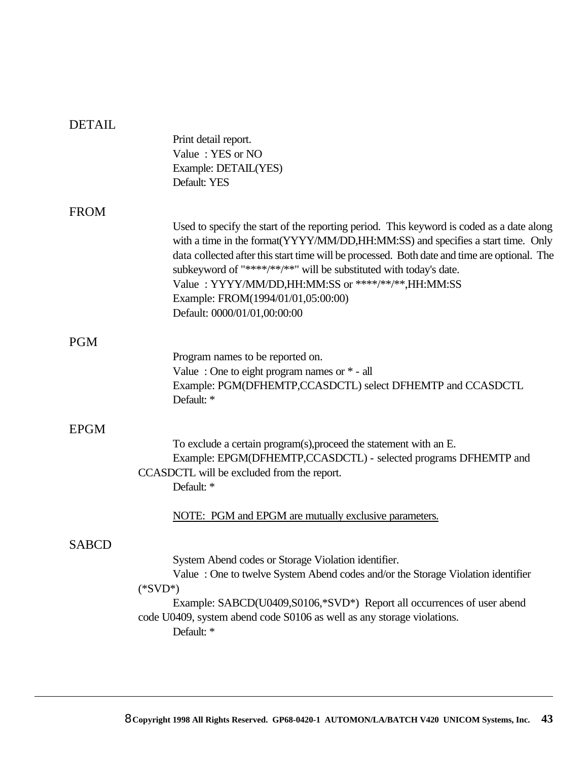| <b>DETAIL</b> |                                                                                                                                                                                                                                                                                                                                                                                                                                                                                 |
|---------------|---------------------------------------------------------------------------------------------------------------------------------------------------------------------------------------------------------------------------------------------------------------------------------------------------------------------------------------------------------------------------------------------------------------------------------------------------------------------------------|
|               | Print detail report.                                                                                                                                                                                                                                                                                                                                                                                                                                                            |
|               | Value: YES or NO<br>Example: DETAIL(YES)                                                                                                                                                                                                                                                                                                                                                                                                                                        |
|               | Default: YES                                                                                                                                                                                                                                                                                                                                                                                                                                                                    |
|               |                                                                                                                                                                                                                                                                                                                                                                                                                                                                                 |
| <b>FROM</b>   | Used to specify the start of the reporting period. This keyword is coded as a date along<br>with a time in the format (YYYY/MM/DD, HH: MM: SS) and specifies a start time. Only<br>data collected after this start time will be processed. Both date and time are optional. The<br>subkeyword of "****/**/**" will be substituted with today's date.<br>Value: YYYY/MM/DD,HH:MM:SS or ****/**/**,HH:MM:SS<br>Example: FROM(1994/01/01,05:00:00)<br>Default: 0000/01/01,00:00:00 |
| <b>PGM</b>    |                                                                                                                                                                                                                                                                                                                                                                                                                                                                                 |
|               | Program names to be reported on.                                                                                                                                                                                                                                                                                                                                                                                                                                                |
|               | Value: One to eight program names or $*$ - all<br>Example: PGM(DFHEMTP,CCASDCTL) select DFHEMTP and CCASDCTL<br>Default: *                                                                                                                                                                                                                                                                                                                                                      |
| <b>EPGM</b>   |                                                                                                                                                                                                                                                                                                                                                                                                                                                                                 |
|               | To exclude a certain program(s), proceed the statement with an E.                                                                                                                                                                                                                                                                                                                                                                                                               |
|               | Example: EPGM(DFHEMTP,CCASDCTL) - selected programs DFHEMTP and<br>CCASDCTL will be excluded from the report.<br>Default: *                                                                                                                                                                                                                                                                                                                                                     |
|               | NOTE: PGM and EPGM are mutually exclusive parameters.                                                                                                                                                                                                                                                                                                                                                                                                                           |
| <b>SABCD</b>  |                                                                                                                                                                                                                                                                                                                                                                                                                                                                                 |
|               | System Abend codes or Storage Violation identifier.<br>Value: One to twelve System Abend codes and/or the Storage Violation identifier<br>$(*SVD*)$<br>Example: SABCD(U0409,S0106,*SVD*) Report all occurrences of user abend<br>code U0409, system abend code S0106 as well as any storage violations.<br>Default: *                                                                                                                                                           |
|               |                                                                                                                                                                                                                                                                                                                                                                                                                                                                                 |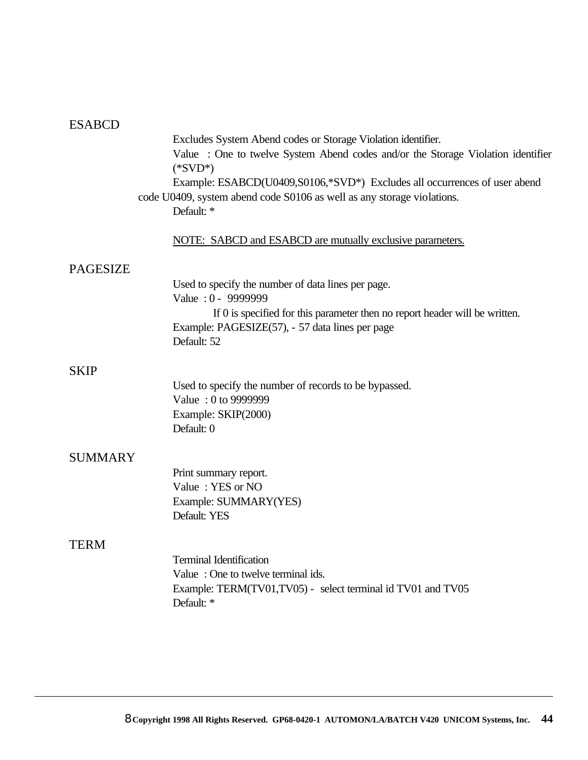### ESABCD

|                 | Excludes System Abend codes or Storage Violation identifier.                    |
|-----------------|---------------------------------------------------------------------------------|
|                 | Value: One to twelve System Abend codes and/or the Storage Violation identifier |
|                 | $(*SVD*)$                                                                       |
|                 | Example: ESABCD(U0409,S0106,*SVD*) Excludes all occurrences of user abend       |
|                 | code U0409, system abend code S0106 as well as any storage violations.          |
|                 | Default: *                                                                      |
|                 |                                                                                 |
|                 | NOTE: SABCD and ESABCD are mutually exclusive parameters.                       |
| <b>PAGESIZE</b> |                                                                                 |
|                 | Used to specify the number of data lines per page.                              |
|                 | Value: 0 - 9999999                                                              |
|                 | If 0 is specified for this parameter then no report header will be written.     |
|                 | Example: PAGESIZE(57), - 57 data lines per page                                 |
|                 | Default: 52                                                                     |
|                 |                                                                                 |
| <b>SKIP</b>     |                                                                                 |
|                 | Used to specify the number of records to be bypassed.                           |
|                 | Value: 0 to 9999999                                                             |
|                 | Example: SKIP(2000)                                                             |
|                 | Default: 0                                                                      |
| <b>SUMMARY</b>  |                                                                                 |
|                 | Print summary report.                                                           |
|                 | Value: YES or NO                                                                |
|                 | Example: SUMMARY(YES)                                                           |
|                 | Default: YES                                                                    |
| TERM            |                                                                                 |
|                 | <b>Terminal Identification</b>                                                  |
|                 | Value: One to twelve terminal ids.                                              |
|                 | Example: TERM(TV01,TV05) - select terminal id TV01 and TV05                     |
|                 | Default: *                                                                      |
|                 |                                                                                 |
|                 |                                                                                 |
|                 |                                                                                 |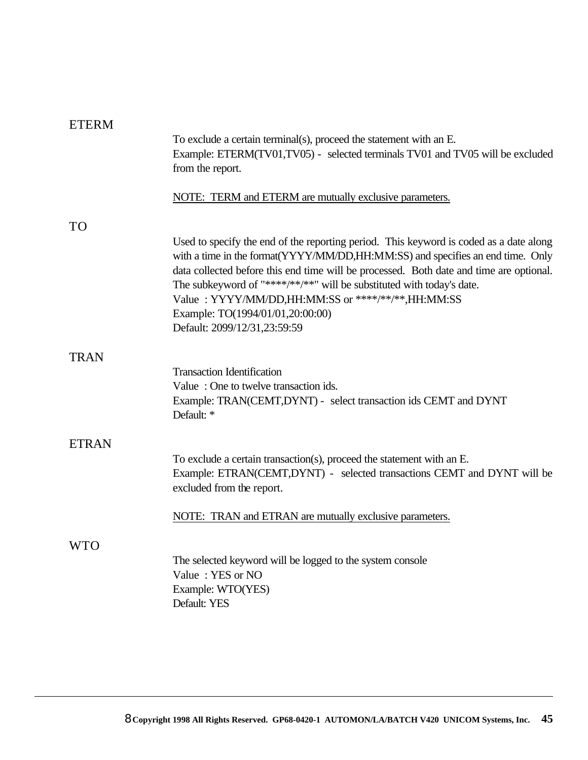| <b>ETERM</b> |                                                                                                                                                                                                                                                                                                                                                                                                                                                                       |
|--------------|-----------------------------------------------------------------------------------------------------------------------------------------------------------------------------------------------------------------------------------------------------------------------------------------------------------------------------------------------------------------------------------------------------------------------------------------------------------------------|
|              | To exclude a certain terminal(s), proceed the statement with an E.<br>Example: ETERM(TV01,TV05) - selected terminals TV01 and TV05 will be excluded<br>from the report.                                                                                                                                                                                                                                                                                               |
|              | NOTE: TERM and ETERM are mutually exclusive parameters.                                                                                                                                                                                                                                                                                                                                                                                                               |
| <b>TO</b>    |                                                                                                                                                                                                                                                                                                                                                                                                                                                                       |
|              | Used to specify the end of the reporting period. This keyword is coded as a date along<br>with a time in the format(YYYY/MM/DD,HH:MM:SS) and specifies an end time. Only<br>data collected before this end time will be processed. Both date and time are optional.<br>The subkeyword of "****/**/**" will be substituted with today's date.<br>Value: YYYY/MM/DD,HH:MM:SS or ****/**/**,HH:MM:SS<br>Example: TO(1994/01/01,20:00:00)<br>Default: 2099/12/31,23:59:59 |
| <b>TRAN</b>  |                                                                                                                                                                                                                                                                                                                                                                                                                                                                       |
|              | <b>Transaction Identification</b><br>Value: One to twelve transaction ids.<br>Example: TRAN(CEMT,DYNT) - select transaction ids CEMT and DYNT<br>Default: *                                                                                                                                                                                                                                                                                                           |
| <b>ETRAN</b> |                                                                                                                                                                                                                                                                                                                                                                                                                                                                       |
|              | To exclude a certain transaction(s), proceed the statement with an E.<br>Example: ETRAN(CEMT,DYNT) - selected transactions CEMT and DYNT will be<br>excluded from the report.                                                                                                                                                                                                                                                                                         |
|              | NOTE: TRAN and ETRAN are mutually exclusive parameters.                                                                                                                                                                                                                                                                                                                                                                                                               |
| WTO          |                                                                                                                                                                                                                                                                                                                                                                                                                                                                       |
|              | The selected keyword will be logged to the system console<br>Value: YES or NO<br>Example: WTO(YES)<br>Default: YES                                                                                                                                                                                                                                                                                                                                                    |
|              |                                                                                                                                                                                                                                                                                                                                                                                                                                                                       |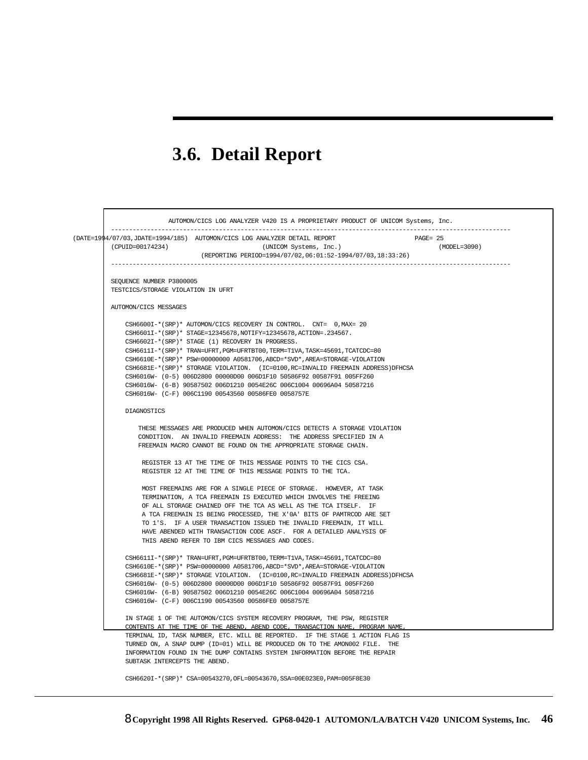## **3.6. Detail Report**

 $\Gamma$ 

| (DATE=1994/07/03, JDATE=1994/185) AUTOMON/CICS LOG ANALYZER DETAIL REPORT<br>$PAGE = 25$<br>(CPUID=00174234)<br>(UNICOM Systems, Inc.)                    | (MODEL=3090) |
|-----------------------------------------------------------------------------------------------------------------------------------------------------------|--------------|
| (REPORTING PERIOD=1994/07/02,06:01:52-1994/07/03,18:33:26)                                                                                                |              |
| SEQUENCE NUMBER P3800005                                                                                                                                  |              |
| TESTCICS/STORAGE VIOLATION IN UFRT                                                                                                                        |              |
| AUTOMON/CICS MESSAGES                                                                                                                                     |              |
| CSH6600I-*(SRP)* AUTOMON/CICS RECOVERY IN CONTROL. CNT= 0, MAX= 20                                                                                        |              |
| CSH6601I-*(SRP)* STAGE=12345678, NOTIFY=12345678, ACTION=.234567.<br>CSH6602I-*(SRP)* STAGE (1) RECOVERY IN PROGRESS.                                     |              |
| CSH6611I-*(SRP)* TRAN=UFRT, PGM=UFRTBT00, TERM=T1VA, TASK=45691, TCATCDC=80                                                                               |              |
| CSH6610E-*(SRP)* PSW=00000000 A0581706, ABCD=*SVD*, AREA=STORAGE-VIOLATION                                                                                |              |
| CSH6681E-*(SRP)* STORAGE VIOLATION. (IC=0100, RC=INVALID FREEMAIN ADDRESS) DFHCSA                                                                         |              |
| CSH6016W- (0-5) 006D2800 00000D00 006D1F10 50586F92 00587F91 005FF260                                                                                     |              |
| CSH6016W- (6-B) 90587502 006D1210 0054E26C 006C1004 00696A04 50587216<br>CSH6016W- (C-F) 006C1190 00543560 00586FE0 0058757E                              |              |
| DIAGNOSTICS                                                                                                                                               |              |
| THESE MESSAGES ARE PRODUCED WHEN AUTOMON/CICS DETECTS A STORAGE VIOLATION                                                                                 |              |
| CONDITION. AN INVALID FREEMAIN ADDRESS: THE ADDRESS SPECIFIED IN A                                                                                        |              |
| FREEMAIN MACRO CANNOT BE FOUND ON THE APPROPRIATE STORAGE CHAIN.                                                                                          |              |
| REGISTER 13 AT THE TIME OF THIS MESSAGE POINTS TO THE CICS CSA.                                                                                           |              |
| REGISTER 12 AT THE TIME OF THIS MESSAGE POINTS TO THE TCA.                                                                                                |              |
| MOST FREEMAINS ARE FOR A SINGLE PIECE OF STORAGE. HOWEVER, AT TASK                                                                                        |              |
| TERMINATION, A TCA FREEMAIN IS EXECUTED WHICH INVOLVES THE FREEING<br>OF ALL STORAGE CHAINED OFF THE TCA AS WELL AS THE TCA ITSELF. IF                    |              |
| A TCA FREEMAIN IS BEING PROCESSED, THE X'OA' BITS OF PAMTRCOD ARE SET                                                                                     |              |
| TO 1'S. IF A USER TRANSACTION ISSUED THE INVALID FREEMAIN, IT WILL                                                                                        |              |
| HAVE ABENDED WITH TRANSACTION CODE ASCF. FOR A DETAILED ANALYSIS OF                                                                                       |              |
| THIS ABEND REFER TO IBM CICS MESSAGES AND CODES.                                                                                                          |              |
| CSH6611I-*(SRP)* TRAN=UFRT, PGM=UFRTBT00, TERM=T1VA, TASK=45691, TCATCDC=80                                                                               |              |
| CSH6610E-*(SRP)* PSW=00000000 A0581706, ABCD=*SVD*, AREA=STORAGE-VIOLATION                                                                                |              |
| CSH6681E-*(SRP)* STORAGE VIOLATION. (IC=0100, RC=INVALID FREEMAIN ADDRESS)DFHCSA<br>CSH6016W- (0-5) 006D2800 00000D00 006D1F10 50586F92 00587F91 005FF260 |              |
| CSH6016W- (6-B) 90587502 006D1210 0054E26C 006C1004 00696A04 50587216                                                                                     |              |
| CSH6016W- (C-F) 006C1190 00543560 00586FE0 0058757E                                                                                                       |              |
| IN STAGE 1 OF THE AUTOMON/CICS SYSTEM RECOVERY PROGRAM, THE PSW, REGISTER                                                                                 |              |
| CONTENTS AT THE TIME OF THE ABEND, ABEND CODE, TRANSACTION NAME, PROGRAM NAME,                                                                            |              |
| TERMINAL ID, TASK NUMBER, ETC. WILL BE REPORTED. IF THE STAGE 1 ACTION FLAG IS                                                                            |              |
| TURNED ON, A SNAP DUMP (ID=01) WILL BE PRODUCED ON TO THE AMON002 FILE. THE                                                                               |              |
|                                                                                                                                                           |              |
| INFORMATION FOUND IN THE DUMP CONTAINS SYSTEM INFORMATION BEFORE THE REPAIR<br>SUBTASK INTERCEPTS THE ABEND.                                              |              |

٦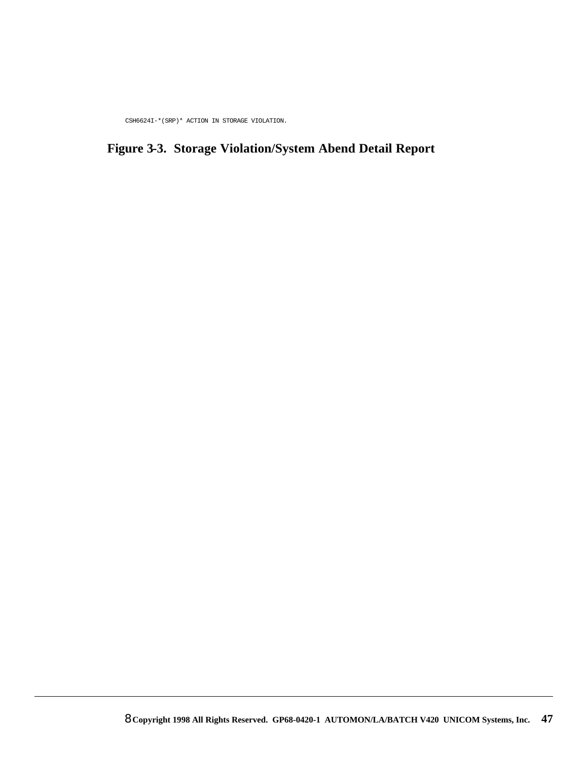CSH6624I-\*(SRP)\* ACTION IN STORAGE VIOLATION.

### **Figure 3-3. Storage Violation/System Abend Detail Report**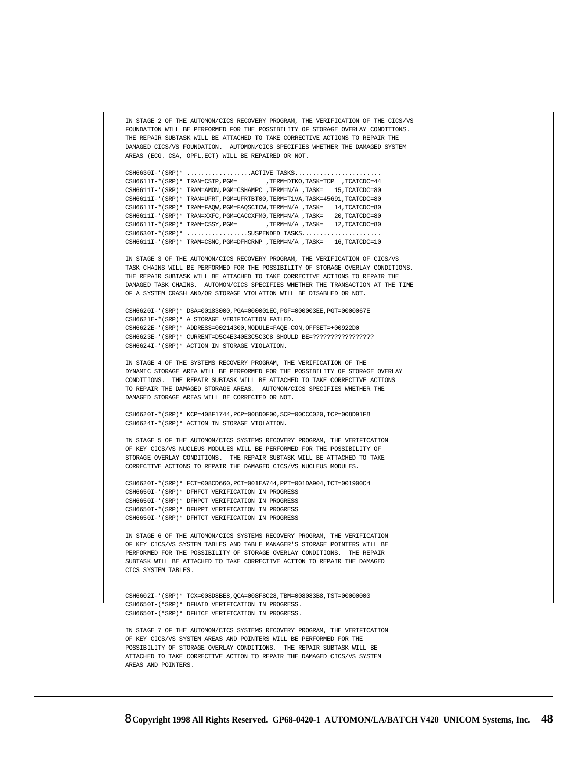```
 IN STAGE 2 OF THE AUTOMON/CICS RECOVERY PROGRAM, THE VERIFICATION OF THE CICS/VS
 FOUNDATION WILL BE PERFORMED FOR THE POSSIBILITY OF STORAGE OVERLAY CONDITIONS.
 THE REPAIR SUBTASK WILL BE ATTACHED TO TAKE CORRECTIVE ACTIONS TO REPAIR THE 
 DAMAGED CICS/VS FOUNDATION. AUTOMON/CICS SPECIFIES WHETHER THE DAMAGED SYSTEM
 AREAS (ECG. CSA, OPFL,ECT) WILL BE REPAIRED OR NOT.
\verb+CSH6630I-*(SRP)*{\dots}{\dots}{\dots}{\dots}{\dots}{\dots}.\nonumber\\ \verb+ACTIVE TASKS+{\dots}{\dots}{\dots}{\dots}{\dots}{\dots}.\nonumber\texttt{CSH6611I-*(SRP)*} \texttt{TRAN=CSTP}, \texttt{PGM=} \texttt{7ERN=DTKO}, \texttt{TASK=TCP} \texttt{7CATCDC=44} CSH6611I-*(SRP)* TRAM=AMON,PGM=CSHAMPC ,TERM=N/A ,TASK= 15,TCATCDC=80
 CSH6611I-*(SRP)* TRAN=UFRT,PGM=UFRTBT00,TERM=T1VA,TASK=45691,TCATCDC=80
 CSH6611I-*(SRP)* TRAM=FAQW,PGM=FAQSCICW,TERM=N/A ,TASK= 14,TCATCDC=80
 CSH6611I-*(SRP)* TRAN=XXFC,PGM=CACCXFM0,TERM=N/A ,TASK= 20,TCATCDC=80
\verb|CSH6611I-*(SRP)*\verb|TRAM=CSSY,PGM=~~,TERM=N/A \text{ ,} \verb|TASK= 12, TCATCDC=80 CSH6630I-*(SRP)* .................SUSPENDED TASKS......................
<code>CSH6611I-*(SRP)* TRAM=CSNC</code> , <code>PGM=DFHCRNP</code> , <code>TERM=N/A</code> , <code>TASK=\quad16</code> ,<br><code>TCATCDC=10</code>
 IN STAGE 3 OF THE AUTOMON/CICS RECOVERY PROGRAM, THE VERIFICATION OF CICS/VS
 TASK CHAINS WILL BE PERFORMED FOR THE POSSIBILITY OF STORAGE OVERLAY CONDITIONS.
 THE REPAIR SUBTASK WILL BE ATTACHED TO TAKE CORRECTIVE ACTIONS TO REPAIR THE
 DAMAGED TASK CHAINS. AUTOMON/CICS SPECIFIES WHETHER THE TRANSACTION AT THE TIME
 OF A SYSTEM CRASH AND/OR STORAGE VIOLATION WILL BE DISABLED OR NOT.
 CSH6620I-*(SRP)* DSA=00183000,PGA=000001EC,PGF=000003EE,PGT=0000067E
 CSH6621E-*(SRP)* A STORAGE VERIFICATION FAILED.
 CSH6622E-*(SRP)* ADDRESS=00214300,MODULE=FAQE-CON,OFFSET=+00922D0
 CSH6623E-*(SRP)* CURRENT=D5C4E340E3C5C3C8 SHOULD BE=?????????????????
 CSH6624I-*(SRP)* ACTION IN STORAGE VIOLATION.
 IN STAGE 4 OF THE SYSTEMS RECOVERY PROGRAM, THE VERIFICATION OF THE 
 DYNAMIC STORAGE AREA WILL BE PERFORMED FOR THE POSSIBILITY OF STORAGE OVERLAY
 CONDITIONS. THE REPAIR SUBTASK WILL BE ATTACHED TO TAKE CORRECTIVE ACTIONS
 TO REPAIR THE DAMAGED STORAGE AREAS. AUTOMON/CICS SPECIFIES WHETHER THE 
 DAMAGED STORAGE AREAS WILL BE CORRECTED OR NOT. 
 CSH6620I-*(SRP)* KCP=408F1744,PCP=008D0F00,SCP=00CCC020,TCP=008D91F8
 CSH6624I-*(SRP)* ACTION IN STORAGE VIOLATION.
 IN STAGE 5 OF THE AUTOMON/CICS SYSTEMS RECOVERY PROGRAM, THE VERIFICATION
 OF KEY CICS/VS NUCLEUS MODULES WILL BE PERFORMED FOR THE POSSIBILITY OF 
 STORAGE OVERLAY CONDITIONS. THE REPAIR SUBTASK WILL BE ATTACHED TO TAKE
 CORRECTIVE ACTIONS TO REPAIR THE DAMAGED CICS/VS NUCLEUS MODULES.
 CSH6620I-*(SRP)* FCT=008CD660,PCT=001EA744,PPT=001DA904,TCT=001900C4
 CSH6650I-*(SRP)* DFHFCT VERIFICATION IN PROGRESS
 CSH6650I-*(SRP)* DFHPCT VERIFICATION IN PROGRESS
 CSH6650I-*(SRP)* DFHPPT VERIFICATION IN PROGRESS
 CSH6650I-*(SRP)* DFHTCT VERIFICATION IN PROGRESS
 IN STAGE 6 OF THE AUTOMON/CICS SYSTEMS RECOVERY PROGRAM, THE VERIFICATION
 OF KEY CICS/VS SYSTEM TABLES AND TABLE MANAGER'S STORAGE POINTERS WILL BE
 PERFORMED FOR THE POSSIBILITY OF STORAGE OVERLAY CONDITIONS. THE REPAIR
 SUBTASK WILL BE ATTACHED TO TAKE CORRECTIVE ACTION TO REPAIR THE DAMAGED
 CICS SYSTEM TABLES.
 CSH6602I-*(SRP)* TCX=008D8BE8,QCA=008F8C28,TBM=008083B8,TST=00000000
 CSH6650I-(*SRP)* DFHAID VERIFICATION IN PROGRESS.
 CSH6650I-(*SRP)* DFHICE VERIFICATION IN PROGRESS.
 IN STAGE 7 OF THE AUTOMON/CICS SYSTEMS RECOVERY PROGRAM, THE VERIFICATION
```
 OF KEY CICS/VS SYSTEM AREAS AND POINTERS WILL BE PERFORMED FOR THE POSSIBILITY OF STORAGE OVERLAY CONDITIONS. THE REPAIR SUBTASK WILL BE ATTACHED TO TAKE CORRECTIVE ACTION TO REPAIR THE DAMAGED CICS/VS SYSTEM AREAS AND POINTERS.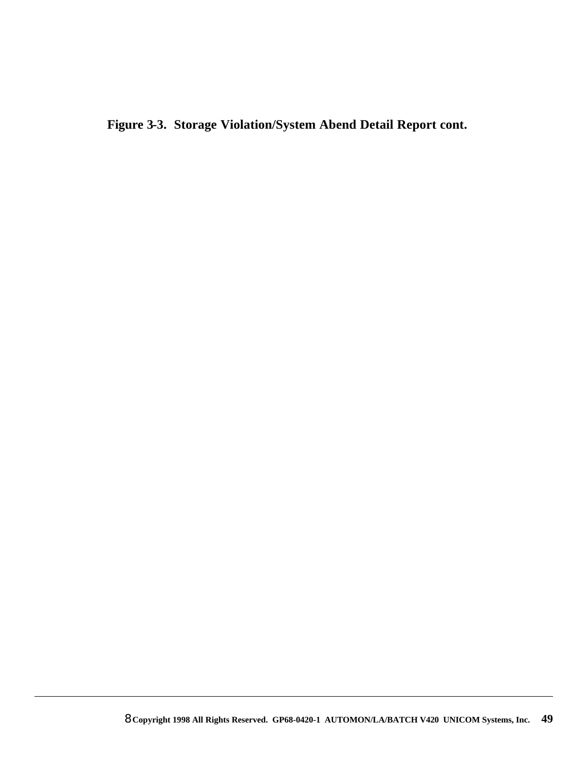**Figure 3-3. Storage Violation/System Abend Detail Report cont.**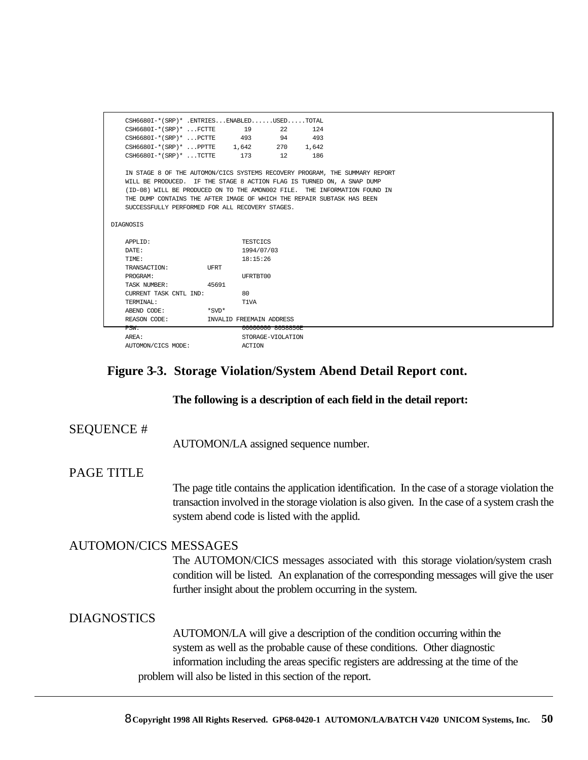| CSH6680I-*(SRP)* .ENTRIESENABLEDUSEDTOTAL                                   |       |                          |     |       |  |  |  |  |
|-----------------------------------------------------------------------------|-------|--------------------------|-----|-------|--|--|--|--|
| $\text{CSH6680I-*} (\text{SRP})$ * $\text{FCTTE}$                           | 19    |                          | 22  | 124   |  |  |  |  |
| $CSH6680I-* (SRP)*$ PCTTE 493                                               |       |                          | 94  | 493   |  |  |  |  |
| $CSH6680I-* (SRP)*$ PPTTE 1,642                                             |       |                          | 270 | 1,642 |  |  |  |  |
| $\text{CSH6680I-*} (\text{SRP})$ *  TCTTE 173                               |       |                          | 12  | 186   |  |  |  |  |
|                                                                             |       |                          |     |       |  |  |  |  |
| IN STAGE 8 OF THE AUTOMON/CICS SYSTEMS RECOVERY PROGRAM, THE SUMMARY REPORT |       |                          |     |       |  |  |  |  |
| WILL BE PRODUCED. IF THE STAGE 8 ACTION FLAG IS TURNED ON, A SNAP DUMP      |       |                          |     |       |  |  |  |  |
| (ID-08) WILL BE PRODUCED ON TO THE AMON002 FILE. THE INFORMATION FOUND IN   |       |                          |     |       |  |  |  |  |
| THE DUMP CONTAINS THE AFTER IMAGE OF WHICH THE REPAIR SUBTASK HAS BEEN      |       |                          |     |       |  |  |  |  |
| SUCCESSFULLY PERFORMED FOR ALL RECOVERY STAGES.                             |       |                          |     |       |  |  |  |  |
|                                                                             |       |                          |     |       |  |  |  |  |
| DIAGNOSIS                                                                   |       |                          |     |       |  |  |  |  |
|                                                                             |       |                          |     |       |  |  |  |  |
| APPLID:                                                                     |       | <b>TESTCICS</b>          |     |       |  |  |  |  |
| DATE:                                                                       |       | 1994/07/03               |     |       |  |  |  |  |
| TIME:                                                                       |       | 18:15:26                 |     |       |  |  |  |  |
| TRANSACTION:                                                                | UFRT  |                          |     |       |  |  |  |  |
| PROGRAM:                                                                    |       | UFRTBT00                 |     |       |  |  |  |  |
| TASK NUMBER:                                                                | 45691 |                          |     |       |  |  |  |  |
| CURRENT TASK CNTL IND:                                                      |       | 80                       |     |       |  |  |  |  |
| TERMINAL:                                                                   |       | T1VA                     |     |       |  |  |  |  |
| ABEND CODE:                                                                 | *SVD* |                          |     |       |  |  |  |  |
| REASON CODE:                                                                |       | INVALID FREEMAIN ADDRESS |     |       |  |  |  |  |
| PSW:                                                                        |       | 00000000 8058856E        |     |       |  |  |  |  |
| AREA:                                                                       |       | STORAGE-VIOLATION        |     |       |  |  |  |  |
| AUTOMON/CICS MODE:                                                          |       | ACTTON                   |     |       |  |  |  |  |

#### **Figure 3-3. Storage Violation/System Abend Detail Report cont.**

#### **The following is a description of each field in the detail report:**

#### SEQUENCE #

AUTOMON/LA assigned sequence number.

#### PAGE TITLE

The page title contains the application identification. In the case of a storage violation the transaction involved in the storage violation is also given. In the case of a system crash the system abend code is listed with the applid.

#### AUTOMON/CICS MESSAGES

The AUTOMON/CICS messages associated with this storage violation/system crash condition will be listed. An explanation of the corresponding messages will give the user further insight about the problem occurring in the system.

#### DIAGNOSTICS

AUTOMON/LA will give a description of the condition occurring within the system as well as the probable cause of these conditions. Other diagnostic information including the areas specific registers are addressing at the time of the problem will also be listed in this section of the report.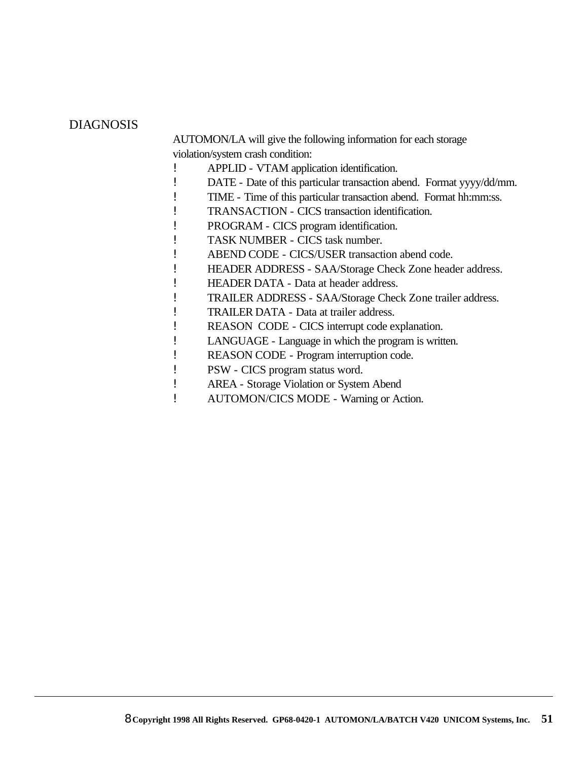#### DIAGNOSIS

AUTOMON/LA will give the following information for each storage violation/system crash condition:

- ! APPLID VTAM application identification.
- ! DATE Date of this particular transaction abend. Format yyyy/dd/mm.
- ! TIME Time of this particular transaction abend. Format hh:mm:ss.
- ! TRANSACTION CICS transaction identification.
- ! PROGRAM CICS program identification.
- ! TASK NUMBER CICS task number.
- ! ABEND CODE CICS/USER transaction abend code.
- ! HEADER ADDRESS SAA/Storage Check Zone header address.
- ! HEADER DATA Data at header address.
- ! TRAILER ADDRESS SAA/Storage Check Zone trailer address.
- ! TRAILER DATA Data at trailer address.
- ! REASON CODE CICS interrupt code explanation.
- ! LANGUAGE Language in which the program is written.
- ! REASON CODE Program interruption code.
- ! PSW CICS program status word.
- ! AREA Storage Violation or System Abend
- ! AUTOMON/CICS MODE Warning or Action.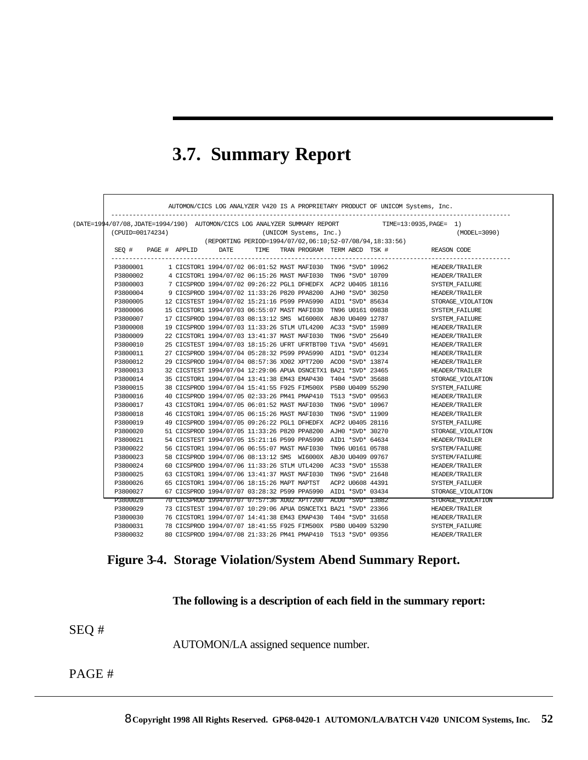### **3.7. Summary Report**

|                                                                  |  |               |                                                                                   |  |  |  |  |                  |                  | AUTOMON/CICS LOG ANALYZER V420 IS A PROPRIETARY PRODUCT OF UNICOM Systems, Inc.                 |
|------------------------------------------------------------------|--|---------------|-----------------------------------------------------------------------------------|--|--|--|--|------------------|------------------|-------------------------------------------------------------------------------------------------|
|                                                                  |  |               |                                                                                   |  |  |  |  |                  |                  | (DATE=1994/07/08,JDATE=1994/190) AUTOMON/CICS LOG ANALYZER SUMMARY REPORT TIME=13:0935,PAGE= 1) |
| $(\mathtt{UNICOM}$ Systems, $\mathtt{Inc.})$<br>(CPUID=00174234) |  |               |                                                                                   |  |  |  |  | $(MODEL = 3090)$ |                  |                                                                                                 |
| (REPORTING PERIOD=1994/07/02,06:10;52-07/08/94,18:33:56)         |  |               |                                                                                   |  |  |  |  |                  |                  |                                                                                                 |
| SEO #                                                            |  | PAGE # APPLID | DATE                                                                              |  |  |  |  |                  |                  | TIME TRAN PROGRAM TERM ABCD TSK # REASON CODE<br>------------------------------                 |
| P3800001                                                         |  |               | 1 CICSTOR1 1994/07/02 06:01:52 MAST MAFI030 TN96 *SVD* 10962                      |  |  |  |  |                  |                  | HEADER/TRAILER                                                                                  |
| P3800002                                                         |  |               | 4 CICSTOR1 1994/07/02 06:15:26 MAST MAFI030 TN96 *SVD* 10709                      |  |  |  |  |                  |                  | HEADER/TRAILER                                                                                  |
| P3800003                                                         |  |               | 7 CICSPROD 1994/07/02 09:26:22 PGL1 DFHEDFX ACP2 U0405 18116                      |  |  |  |  |                  |                  | SYSTEM FAILURE                                                                                  |
| P3800004                                                         |  |               | 9 CICSPROD 1994/07/02 11:33:26 P820 PPA8200 AJH0 *SVD* 30250                      |  |  |  |  |                  |                  | HEADER/TRAILER                                                                                  |
| P3800005                                                         |  |               | 12 CICSTEST 1994/07/02 15:21:16 P599 PPA5990 AID1 *SVD* 85634                     |  |  |  |  |                  |                  | STORAGE VIOLATION                                                                               |
| P3800006                                                         |  |               | 15 CICSTOR1 1994/07/03 06:55:07 MAST MAFI030 TN96 U0161 09838                     |  |  |  |  |                  |                  | SYSTEM_FAILURE                                                                                  |
| P3800007                                                         |  |               | 17 CICSPROD 1994/07/03 08:13:12 SMS WI6000X ABJ0 U0409 12787                      |  |  |  |  |                  |                  | SYSTEM FAILURE                                                                                  |
| P3800008                                                         |  |               | 19 CICSPROD 1994/07/03 11:33:26 STLM UTL4200 AC33 *SVD* 15989                     |  |  |  |  |                  |                  | HEADER/TRAILER                                                                                  |
| P3800009                                                         |  |               | 22 CICSTOR1 1994/07/03 13:41:37 MAST MAFI030 TN96 *SVD* 25649                     |  |  |  |  |                  |                  | HEADER/TRAILER                                                                                  |
| P3800010                                                         |  |               | 25 CICSTEST 1994/07/03 18:15:26 UFRT UFRTBT00 T1VA *SVD* 45691                    |  |  |  |  |                  |                  | HEADER/TRAILER                                                                                  |
| P3800011                                                         |  |               | 27 CICSPROD 1994/07/04 05:28:32 P599 PPA5990 AID1 *SVD* 01234                     |  |  |  |  |                  |                  | HEADER/TRAILER                                                                                  |
| P3800012                                                         |  |               | 29 CICSPROD 1994/07/04 08:57:36 XO02 XPT7200 ACO0 *SVD* 13874                     |  |  |  |  |                  |                  | HEADER/TRAILER                                                                                  |
| P3800013                                                         |  |               | 32 CICSTEST 1994/07/04 12:29:06 APUA DSNCETX1 BA21 *SVD* 23465                    |  |  |  |  |                  |                  | HEADER/TRAILER                                                                                  |
| P3800014                                                         |  |               | 35 CICSTOR1 1994/07/04 13:41:38 EM43 EMAP430 T404 *SVD* 35688                     |  |  |  |  |                  |                  | STORAGE VIOLATION                                                                               |
| P3800015                                                         |  |               | 38 CICSPROD 1994/07/04 15:41:55 F925 FIM500X P5B0 U0409 55290                     |  |  |  |  |                  |                  | SYSTEM FAILURE                                                                                  |
| P3800016                                                         |  |               | 40 CICSPROD 1994/07/05 02:33:26 PM41 PMAP410 T513 *SVD* 09563                     |  |  |  |  |                  |                  | HEADER/TRAILER                                                                                  |
| P3800017                                                         |  |               | 43 CICSTOR1 1994/07/05 06:01:52 MAST MAFI030 TN96 *SVD* 10967                     |  |  |  |  |                  |                  | HEADER/TRAILER                                                                                  |
| P3800018                                                         |  |               | 46 CICSTOR1 1994/07/05 06:15:26 MAST MAFI030 TN96 *SVD* 11909                     |  |  |  |  |                  |                  | HEADER/TRAILER                                                                                  |
| P3800019                                                         |  |               | 49 CICSPROD 1994/07/05 09:26:22 PGL1 DFHEDFX ACP2 U0405 28116                     |  |  |  |  |                  |                  | SYSTEM FAILURE                                                                                  |
| P3800020                                                         |  |               | 51 CICSPROD 1994/07/05 11:33:26 P820 PPA8200 AJH0 *SVD* 30270                     |  |  |  |  |                  |                  | STORAGE VIOLATION                                                                               |
| P3800021                                                         |  |               | 54 CICSTEST 1994/07/05 15:21:16 P599 PPA5990 AID1 *SVD* 64634                     |  |  |  |  |                  |                  | HEADER/TRAILER                                                                                  |
| P3800022                                                         |  |               | 56 CICSTOR1 1994/07/06 06:55:07 MAST MAFI030 TN96 U0161 05788                     |  |  |  |  |                  |                  | SYSTEM/FAILURE                                                                                  |
| P3800023                                                         |  |               | 58 CICSPROD 1994/07/06 08:13:12 SMS WI6000X ABJ0 U0409 09767                      |  |  |  |  |                  |                  | SYSTEM/FAILURE                                                                                  |
| P3800024                                                         |  |               | 60 CICSPROD 1994/07/06 11:33:26 STLM UTL4200 AC33 *SVD* 15538                     |  |  |  |  |                  |                  | HEADER/TRAILER                                                                                  |
| P3800025                                                         |  |               | 63 CICSTOR1 1994/07/06 13:41:37 MAST MAFI030 TN96 *SVD* 21648                     |  |  |  |  |                  |                  | HEADER/TRAILER                                                                                  |
| P3800026                                                         |  |               | 65 CICSTOR1 1994/07/06 18:15:26 MAPT MAPTST                                       |  |  |  |  |                  | ACP2 U0608 44391 | SYSTEM FAILUER                                                                                  |
| P3800027                                                         |  |               | 67 CICSPROD 1994/07/07 03:28:32 P599 PPA5990 AID1 *SVD* 03434                     |  |  |  |  |                  |                  | STORAGE VIOLATION                                                                               |
| P3800028                                                         |  |               | 70 CICSPROD 1994/07/07 07:57:36 XO02 XPT7200                     ACO0 *SVD* 13882 |  |  |  |  |                  |                  | STORAGE VIOLATION                                                                               |
| P3800029                                                         |  |               | 73 CICSTEST 1994/07/07 10:29:06 APUA DSNCETX1 BA21 *SVD* 23366                    |  |  |  |  |                  |                  | HEADER/TRAILER                                                                                  |
| P3800030                                                         |  |               | 76 CICSTOR1 1994/07/07 14:41:38 EM43 EMAP430 T404 *SVD* 31658                     |  |  |  |  |                  |                  | HEADER/TRAILER                                                                                  |
| P3800031                                                         |  |               | 78 CICSPROD 1994/07/07 18:41:55 F925 FIM500X P5B0 U0409 53290                     |  |  |  |  |                  |                  | SYSTEM FAILURE                                                                                  |
| P3800032                                                         |  |               | 80 CICSPROD 1994/07/08 21:33:26 PM41 PMAP410 T513 *SVD* 09356                     |  |  |  |  |                  |                  | HEADER/TRAILER                                                                                  |

### **Figure 3-4. Storage Violation/System Abend Summary Report.**

**The following is a description of each field in the summary report:**

SEQ #

AUTOMON/LA assigned sequence number.

PAGE #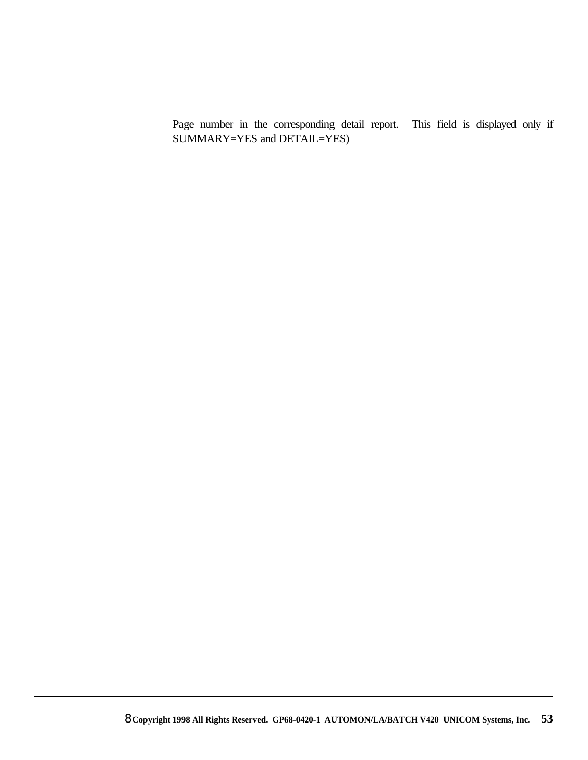Page number in the corresponding detail report. This field is displayed only if SUMMARY=YES and DETAIL=YES)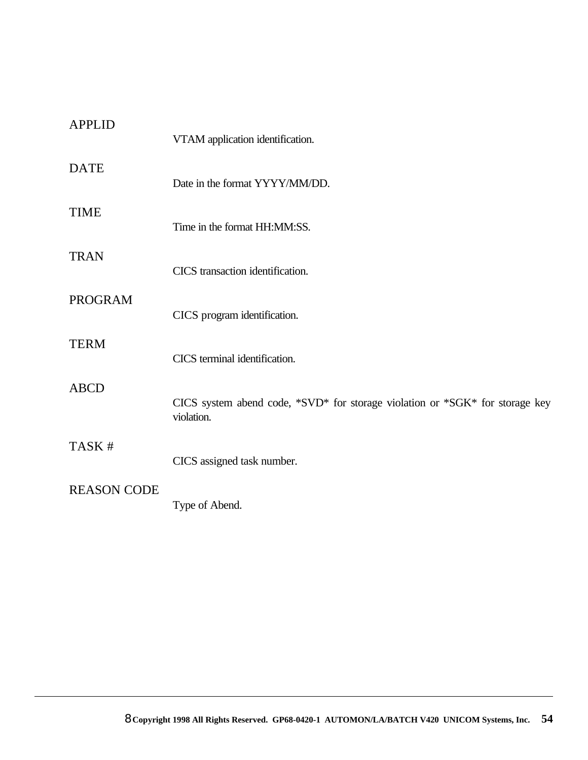| <b>APPLID</b>      | VTAM application identification.                                                           |
|--------------------|--------------------------------------------------------------------------------------------|
| <b>DATE</b>        | Date in the format YYYY/MM/DD.                                                             |
| <b>TIME</b>        | Time in the format HH:MM:SS.                                                               |
| <b>TRAN</b>        | CICS transaction identification.                                                           |
| <b>PROGRAM</b>     | CICS program identification.                                                               |
| <b>TERM</b>        | CICS terminal identification.                                                              |
| <b>ABCD</b>        | CICS system abend code, *SVD* for storage violation or *SGK* for storage key<br>violation. |
| TASK #             | CICS assigned task number.                                                                 |
| <b>REASON CODE</b> | Type of Abend.                                                                             |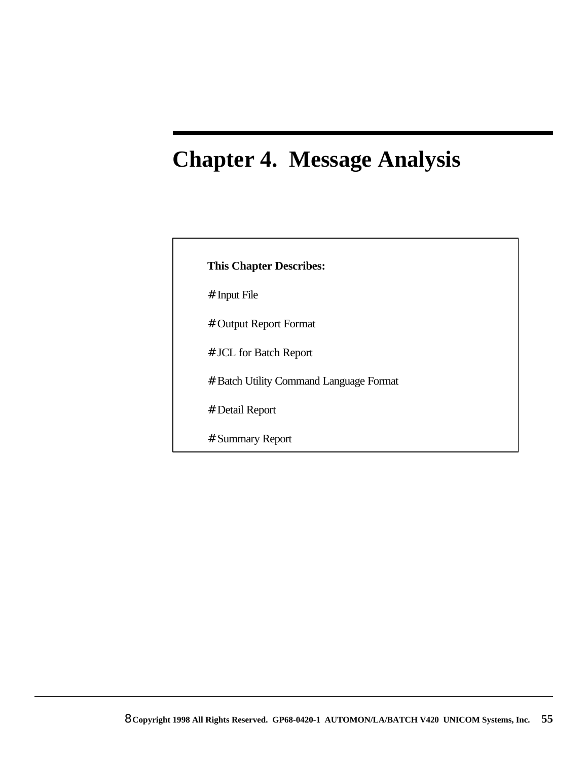# **Chapter 4. Message Analysis**

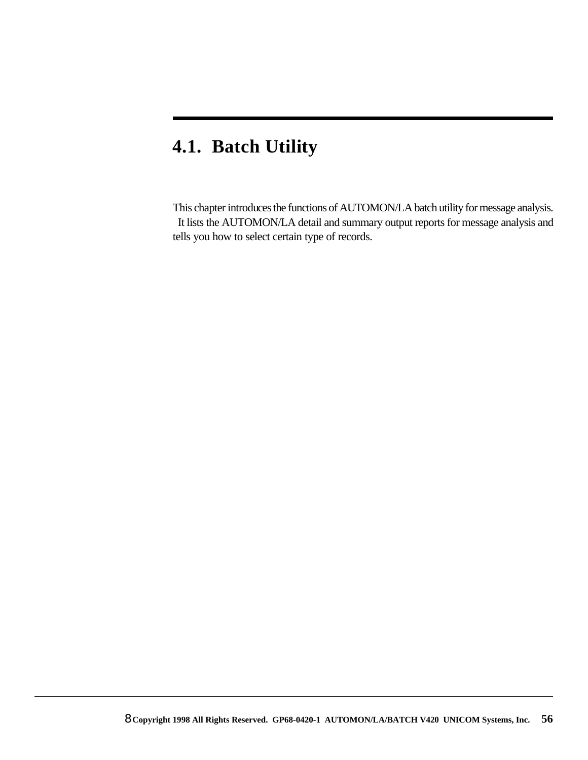### **4.1. Batch Utility**

This chapter introduces the functions of AUTOMON/LA batch utility for message analysis. It lists the AUTOMON/LA detail and summary output reports for message analysis and tells you how to select certain type of records.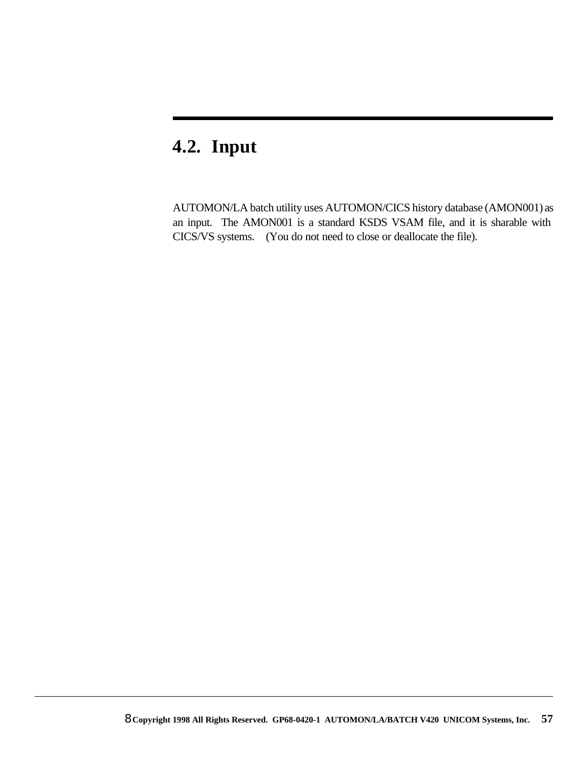## **4.2. Input**

AUTOMON/LA batch utility uses AUTOMON/CICS history database (AMON001) as an input. The AMON001 is a standard KSDS VSAM file, and it is sharable with CICS/VS systems. (You do not need to close or deallocate the file).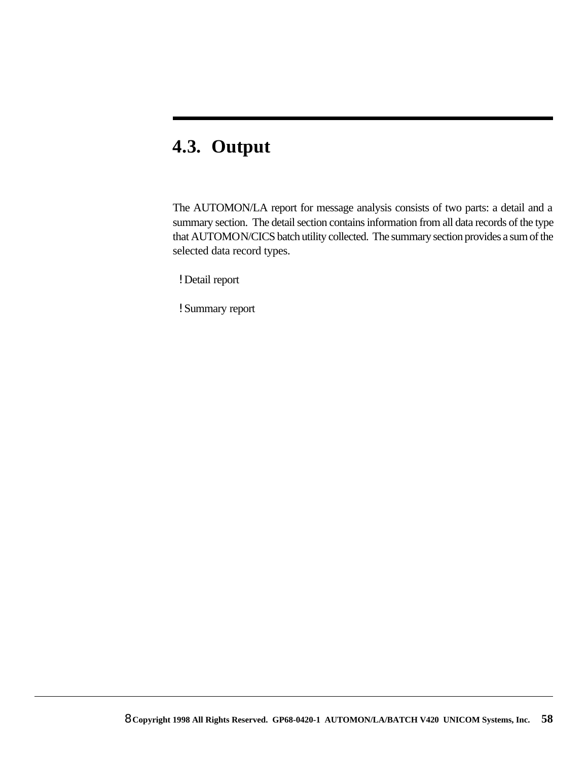# **4.3. Output**

The AUTOMON/LA report for message analysis consists of two parts: a detail and a summary section. The detail section contains information from all data records of the type that AUTOMON/CICS batch utility collected. The summary section provides a sum of the selected data record types.

! Detail report

! Summary report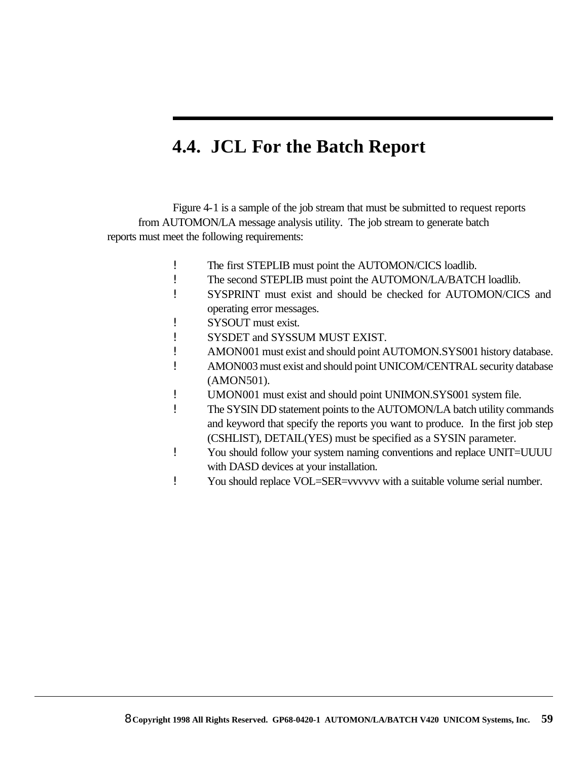### **4.4. JCL For the Batch Report**

Figure 4-1 is a sample of the job stream that must be submitted to request reports from AUTOMON/LA message analysis utility. The job stream to generate batch reports must meet the following requirements:

- ! The first STEPLIB must point the AUTOMON/CICS loadlib.
- ! The second STEPLIB must point the AUTOMON/LA/BATCH loadlib.
- ! SYSPRINT must exist and should be checked for AUTOMON/CICS and operating error messages.
- ! SYSOUT must exist.
- ! SYSDET and SYSSUM MUST EXIST.
- ! AMON001 must exist and should point AUTOMON.SYS001 history database.
- ! AMON003 must exist and should point UNICOM/CENTRAL security database (AMON501).
- ! UMON001 must exist and should point UNIMON.SYS001 system file.
- ! The SYSIN DD statement points to the AUTOMON/LA batch utility commands and keyword that specify the reports you want to produce. In the first job step (CSHLIST), DETAIL(YES) must be specified as a SYSIN parameter.
- ! You should follow your system naming conventions and replace UNIT=UUUU with DASD devices at your installation.
- ! You should replace VOL=SER=vvvvvv with a suitable volume serial number.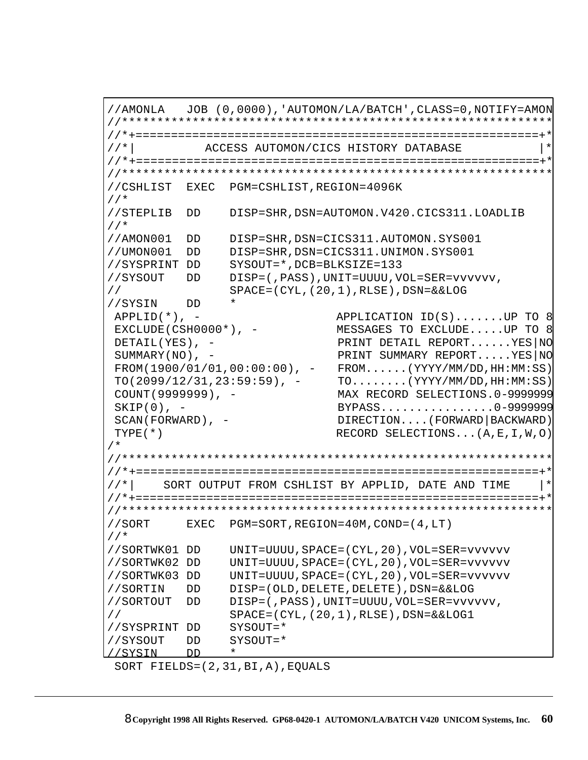//AMONLA JOB (0,0000),'AUTOMON/LA/BATCH',CLASS=0,NOTIFY=AMON //\*\*\*\*\*\*\*\*\*\*\*\*\*\*\*\*\*\*\*\*\*\*\*\*\*\*\*\*\*\*\*\*\*\*\*\*\*\*\*\*\*\*\*\*\*\*\*\*\*\*\*\*\*\*\*\*\*\*\*\*\* //\*+=========================================================+\* ACCESS AUTOMON/CICS HISTORY DATABASE //\*+=========================================================+\* //\*\*\*\*\*\*\*\*\*\*\*\*\*\*\*\*\*\*\*\*\*\*\*\*\*\*\*\*\*\*\*\*\*\*\*\*\*\*\*\*\*\*\*\*\*\*\*\*\*\*\*\*\*\*\*\*\*\*\*\*\* //CSHLIST EXEC PGM=CSHLIST,REGION=4096K //\* //STEPLIB DD DISP=SHR,DSN=AUTOMON.V420.CICS311.LOADLIB //\* //AMON001 DD DISP=SHR,DSN=CICS311.AUTOMON.SYS001 //UMON001 DD DISP=SHR,DSN=CICS311.UNIMON.SYS001 //SYSPRINT DD SYSOUT=\*,DCB=BLKSIZE=133 //SYSOUT DD DISP=(,PASS),UNIT=UUUU,VOL=SER=vvvvvv, // SPACE=(CYL,(20,1),RLSE),DSN=&&LOG //SYSIN DD \* APPLID(\*), - APPLICATION ID(S).......UP TO 8 EXCLUDE(CSH0000\*), - MESSAGES TO EXCLUDE.....UP TO 8 DETAIL(YES), - PRINT DETAIL REPORT......YES|NO SUMMARY(NO), - PRINT SUMMARY REPORT.....YES|NO FROM(1900/01/01,00:00:00), - FROM......(YYYY/MM/DD,HH:MM:SS)  $TO(2099/12/31, 23:59:59)$ , -  $TO......$ .(YYYY/MM/DD, HH:MM:SS) COUNT(9999999), - MAX RECORD SELECTIONS.0-9999999 SKIP(0), - BYPASS...............0-9999999 SCAN(FORWARD), - DIRECTION....(FORWARD|BACKWARD) TYPE(\*) RECORD SELECTIONS...(A,E,I,W,O) /\* //\*\*\*\*\*\*\*\*\*\*\*\*\*\*\*\*\*\*\*\*\*\*\*\*\*\*\*\*\*\*\*\*\*\*\*\*\*\*\*\*\*\*\*\*\*\*\*\*\*\*\*\*\*\*\*\*\*\*\*\*\* //\*+=========================================================+\*  $\mathcal{U}/*|$  SORT OUTPUT FROM CSHLIST BY APPLID, DATE AND TIME //\*+=========================================================+\* //\*\*\*\*\*\*\*\*\*\*\*\*\*\*\*\*\*\*\*\*\*\*\*\*\*\*\*\*\*\*\*\*\*\*\*\*\*\*\*\*\*\*\*\*\*\*\*\*\*\*\*\*\*\*\*\*\*\*\*\*\* //SORT EXEC PGM=SORT,REGION=40M,COND=(4,LT) //\* //SORTWK01 DD UNIT=UUUU,SPACE=(CYL,20),VOL=SER=vvvvvv //SORTWK02 DD UNIT=UUUU,SPACE=(CYL,20),VOL=SER=vvvvvv //SORTWK03 DD UNIT=UUUU,SPACE=(CYL,20),VOL=SER=vvvvvv //SORTIN DD DISP=(OLD,DELETE,DELETE),DSN=&&LOG //SORTOUT DD DISP=(,PASS),UNIT=UUUU,VOL=SER=vvvvvv, // SPACE=(CYL,(20,1),RLSE),DSN=&&LOG1 //SYSPRINT DD SYSOUT=\* //SYSOUT DD SYSOUT=\* //SYSIN DD \*

```
 SORT FIELDS=(2,31,BI,A),EQUALS
```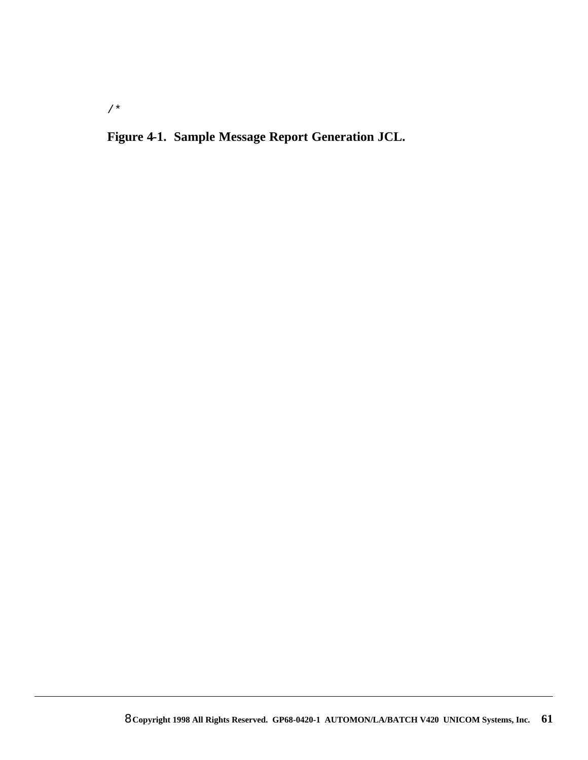**Figure 4-1. Sample Message Report Generation JCL.**

/\*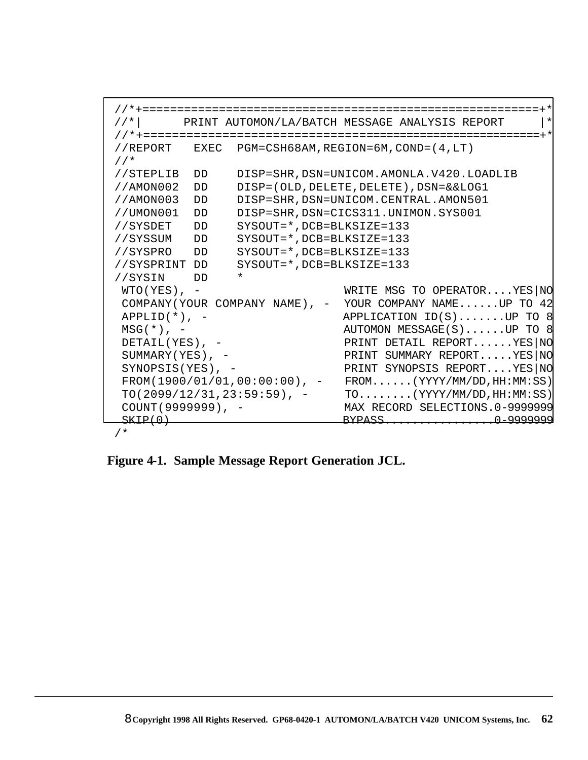```
 //*+=========================================================+*
 //*| PRINT AUTOMON/LA/BATCH MESSAGE ANALYSIS REPORT |*
 //*+=========================================================+*
 //REPORT EXEC PGM=CSH68AM,REGION=6M,COND=(4,LT)
 //*
 //STEPLIB DD DISP=SHR,DSN=UNICOM.AMONLA.V420.LOADLIB
 //AMON002 DD DISP=(OLD,DELETE,DELETE),DSN=&&LOG1
 //AMON003 DD DISP=SHR,DSN=UNICOM.CENTRAL.AMON501
 //UMON001 DD DISP=SHR,DSN=CICS311.UNIMON.SYS001
 //SYSDET DD SYSOUT=*,DCB=BLKSIZE=133
 //SYSSUM DD SYSOUT=*,DCB=BLKSIZE=133
 //SYSPRO DD SYSOUT=*,DCB=BLKSIZE=133
 //SYSPRINT DD SYSOUT=*,DCB=BLKSIZE=133
 //SYSIN DD *
WIO(YES), - WRITE MSG TO OPERATOR....YES|NO
 COMPANY(YOUR COMPANY NAME), - YOUR COMPANY NAME......UP TO 42
APPLID(*), - APPLICATION ID(S).......UP TO 8
MSG(*), - AUTOMON MESSAGE(S).....UP TO 8
DETAIL(YES), - PRINT DETAIL REPORT......YES|NO
 SUMMARY(YES), - PRINT SUMMARY REPORT.....YES|NO
 SYNOPSIS(YES), - PRINT SYNOPSIS REPORT....YES NO
 FROM(1900/01/01,00:00:00), - FROM......(YYYY/MM/DD,HH:MM:SS)
  TO(2099/12/31,23:59:59), - TO........(YYYY/MM/DD,HH:MM:SS)
  COUNT(9999999), - MAX RECORD SELECTIONS.0-9999999
 المن المستقل المستقل المستقل المستقل المستقل المستقل المستقل المستقل المستقل المستقل المستقل المستقل المستقل ا<br>المستقل المستقل المستقل المستقل المستقل المستقل المستقل المستقل المستقل المستقل المستقل المستقل المستقل المستق
```
/\*

**Figure 4-1. Sample Message Report Generation JCL.**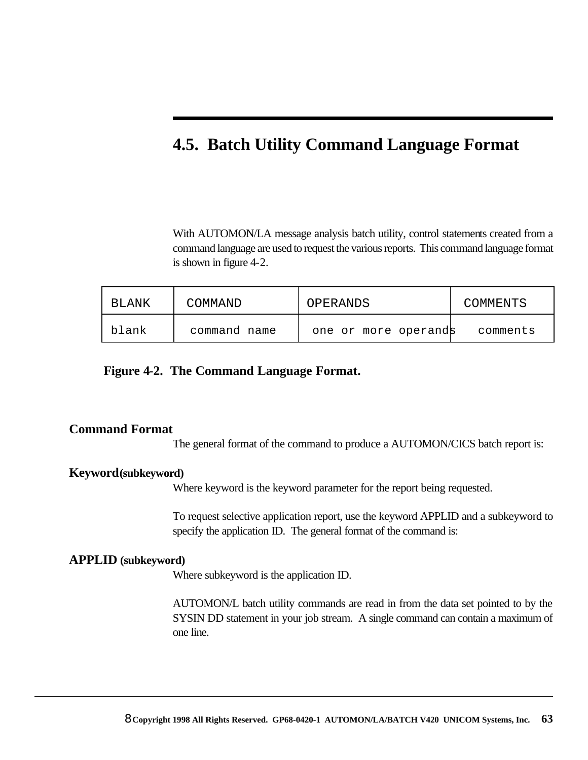### **4.5. Batch Utility Command Language Format**

With AUTOMON/LA message analysis batch utility, control statements created from a command language are used to request the various reports. This command language format is shown in figure 4-2.

| BLANK | COMMAND      | OPERANDS             | COMMENTS |
|-------|--------------|----------------------|----------|
| blank | command name | one or more operands | comments |

#### **Figure 4-2. The Command Language Format.**

#### **Command Format**

The general format of the command to produce a AUTOMON/CICS batch report is:

#### **Keyword(subkeyword)**

Where keyword is the keyword parameter for the report being requested.

To request selective application report, use the keyword APPLID and a subkeyword to specify the application ID. The general format of the command is:

#### **APPLID (subkeyword)**

Where subkeyword is the application ID.

AUTOMON/L batch utility commands are read in from the data set pointed to by the SYSIN DD statement in your job stream. A single command can contain a maximum of one line.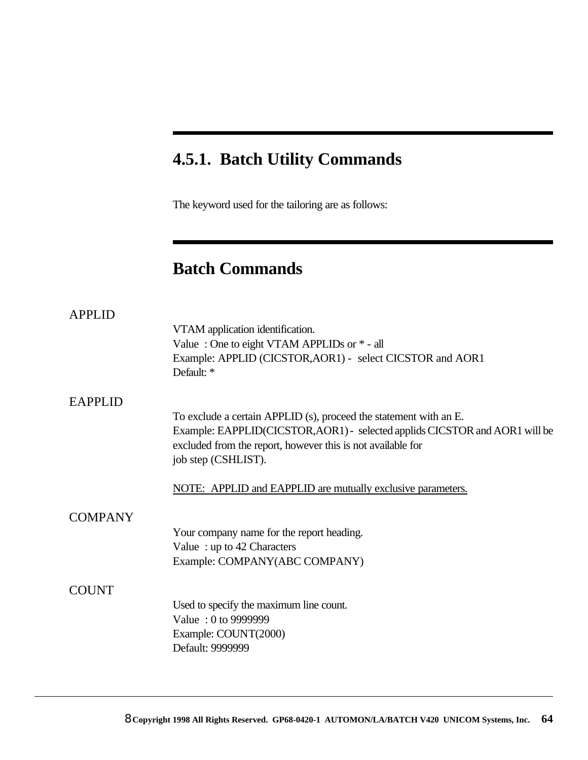### **4.5.1. Batch Utility Commands**

The keyword used for the tailoring are as follows:

### **Batch Commands**

| <b>APPLID</b>  |                                                                             |
|----------------|-----------------------------------------------------------------------------|
|                | VTAM application identification.                                            |
|                | Value: One to eight VTAM APPLIDs or $*$ - all                               |
|                | Example: APPLID (CICSTOR, AOR1) - select CICSTOR and AOR1<br>Default: *     |
|                |                                                                             |
| <b>EAPPLID</b> |                                                                             |
|                | To exclude a certain APPLID (s), proceed the statement with an E.           |
|                | Example: EAPPLID(CICSTOR, AOR1) - selected applids CICSTOR and AOR1 will be |
|                | excluded from the report, however this is not available for                 |
|                | job step (CSHLIST).                                                         |
|                | NOTE: APPLID and EAPPLID are mutually exclusive parameters.                 |
| <b>COMPANY</b> |                                                                             |
|                | Your company name for the report heading.                                   |
|                | Value: up to 42 Characters                                                  |
|                | Example: COMPANY(ABC COMPANY)                                               |
|                |                                                                             |
| <b>COUNT</b>   |                                                                             |
|                | Used to specify the maximum line count.                                     |
|                | Value: 0 to 9999999                                                         |
|                | Example: COUNT(2000)                                                        |
|                | Default: 9999999                                                            |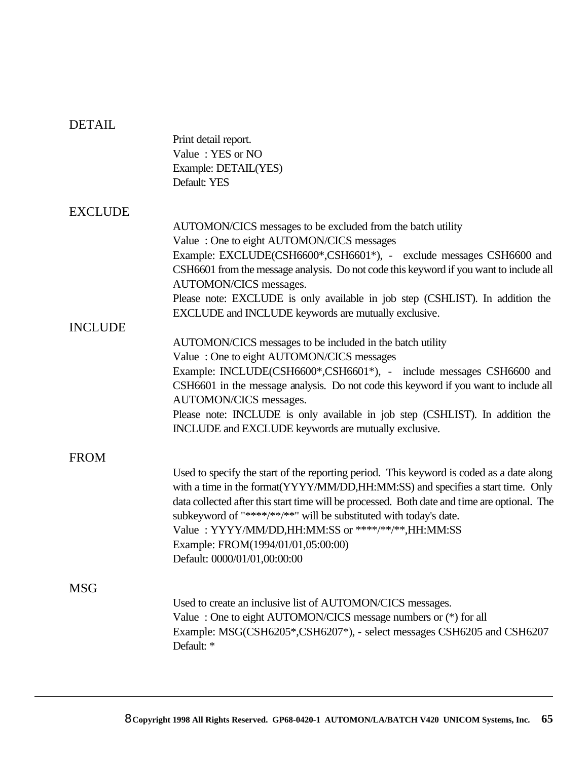| <b>DETAIL</b>  |                                                                                              |
|----------------|----------------------------------------------------------------------------------------------|
|                | Print detail report.                                                                         |
|                | Value: YES or NO                                                                             |
|                | Example: DETAIL(YES)                                                                         |
|                | Default: YES                                                                                 |
| <b>EXCLUDE</b> |                                                                                              |
|                | AUTOMON/CICS messages to be excluded from the batch utility                                  |
|                | Value: One to eight AUTOMON/CICS messages                                                    |
|                | Example: EXCLUDE(CSH6600*,CSH6601*), - exclude messages CSH6600 and                          |
|                | CSH6601 from the message analysis. Do not code this keyword if you want to include all       |
|                | AUTOMON/CICS messages.                                                                       |
|                | Please note: EXCLUDE is only available in job step (CSHLIST). In addition the                |
|                | EXCLUDE and INCLUDE keywords are mutually exclusive.                                         |
| <b>INCLUDE</b> |                                                                                              |
|                | AUTOMON/CICS messages to be included in the batch utility                                    |
|                | Value: One to eight AUTOMON/CICS messages                                                    |
|                |                                                                                              |
|                | Example: INCLUDE(CSH6600*,CSH6601*), - include messages CSH6600 and                          |
|                | CSH6601 in the message analysis. Do not code this keyword if you want to include all         |
|                | AUTOMON/CICS messages.                                                                       |
|                | Please note: INCLUDE is only available in job step (CSHLIST). In addition the                |
|                | INCLUDE and EXCLUDE keywords are mutually exclusive.                                         |
| <b>FROM</b>    |                                                                                              |
|                | Used to specify the start of the reporting period. This keyword is coded as a date along     |
|                | with a time in the format(YYYY/MM/DD,HH:MM:SS) and specifies a start time. Only              |
|                | data collected after this start time will be processed. Both date and time are optional. The |
|                | subkeyword of "****/**/**" will be substituted with today's date.                            |
|                | Value: YYYY/MM/DD,HH:MM:SS or ****/**/**,HH:MM:SS                                            |
|                | Example: FROM(1994/01/01,05:00:00)                                                           |
|                | Default: 0000/01/01,00:00:00                                                                 |
|                |                                                                                              |
| <b>MSG</b>     |                                                                                              |
|                | Used to create an inclusive list of AUTOMON/CICS messages.                                   |
|                | Value: One to eight AUTOMON/CICS message numbers or (*) for all                              |
|                | Example: MSG(CSH6205*,CSH6207*), - select messages CSH6205 and CSH6207                       |
|                | Default: *                                                                                   |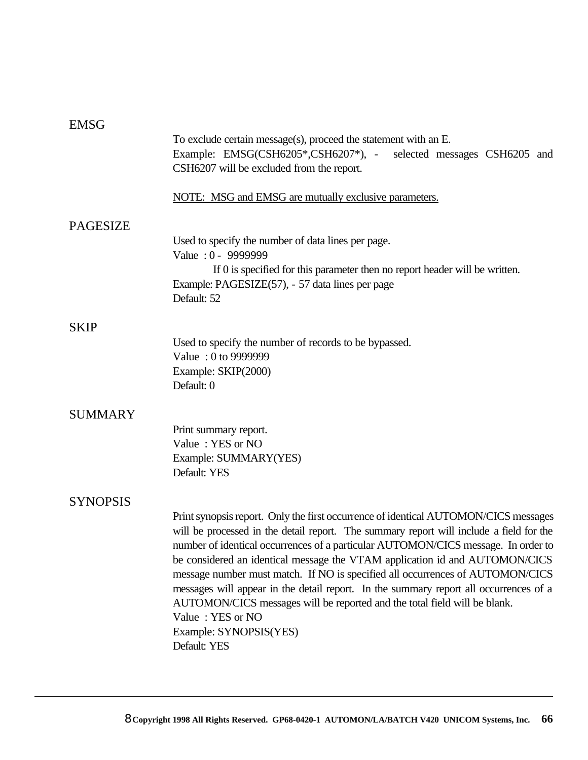#### EMSG

|                 | To exclude certain message(s), proceed the statement with an $E$ .<br>Example: EMSG(CSH6205*,CSH6207*), - selected messages CSH6205 and<br>CSH6207 will be excluded from the report.                                                                                                                                                                                                                                                                                                                                                                                                                                                                                    |
|-----------------|-------------------------------------------------------------------------------------------------------------------------------------------------------------------------------------------------------------------------------------------------------------------------------------------------------------------------------------------------------------------------------------------------------------------------------------------------------------------------------------------------------------------------------------------------------------------------------------------------------------------------------------------------------------------------|
|                 | NOTE: MSG and EMSG are mutually exclusive parameters.                                                                                                                                                                                                                                                                                                                                                                                                                                                                                                                                                                                                                   |
| <b>PAGESIZE</b> | Used to specify the number of data lines per page.<br>Value: 0 - 9999999<br>If 0 is specified for this parameter then no report header will be written.<br>Example: PAGESIZE(57), - 57 data lines per page<br>Default: 52                                                                                                                                                                                                                                                                                                                                                                                                                                               |
| <b>SKIP</b>     | Used to specify the number of records to be bypassed.<br>Value: 0 to 9999999<br>Example: SKIP(2000)<br>Default: 0                                                                                                                                                                                                                                                                                                                                                                                                                                                                                                                                                       |
| <b>SUMMARY</b>  | Print summary report.<br>Value: YES or NO<br>Example: SUMMARY(YES)<br>Default: YES                                                                                                                                                                                                                                                                                                                                                                                                                                                                                                                                                                                      |
| <b>SYNOPSIS</b> | Print synopsis report. Only the first occurrence of identical AUTOMON/CICS messages<br>will be processed in the detail report. The summary report will include a field for the<br>number of identical occurrences of a particular AUTOMON/CICS message. In order to<br>be considered an identical message the VTAM application id and AUTOMON/CICS<br>message number must match. If NO is specified all occurrences of AUTOMON/CICS<br>messages will appear in the detail report. In the summary report all occurrences of a<br>AUTOMON/CICS messages will be reported and the total field will be blank.<br>Value: YES or NO<br>Example: SYNOPSIS(YES)<br>Default: YES |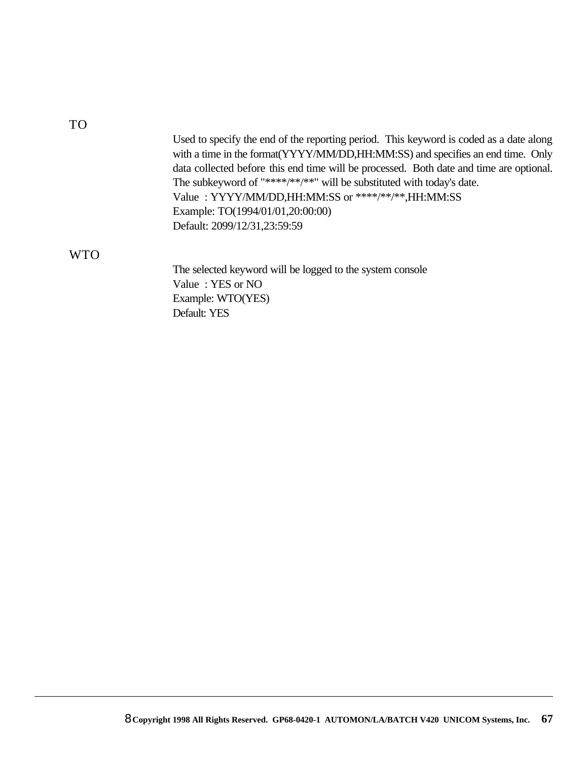TO

| Used to specify the end of the reporting period. This keyword is coded as a date along<br>with a time in the format(YYYY/MM/DD,HH:MM:SS) and specifies an end time. Only<br>data collected before this end time will be processed. Both date and time are optional. |
|---------------------------------------------------------------------------------------------------------------------------------------------------------------------------------------------------------------------------------------------------------------------|
| The subkeyword of "****/**/**" will be substituted with today's date.                                                                                                                                                                                               |
| Value: YYYY/MM/DD,HH:MM:SS or ****/**/**,HH:MM:SS                                                                                                                                                                                                                   |
| Example: TO(1994/01/01,20:00:00)                                                                                                                                                                                                                                    |
| Default: 2099/12/31,23:59:59                                                                                                                                                                                                                                        |

#### WTO

The selected keyword will be logged to the system console Value : YES or NO Example: WTO(YES) Default: YES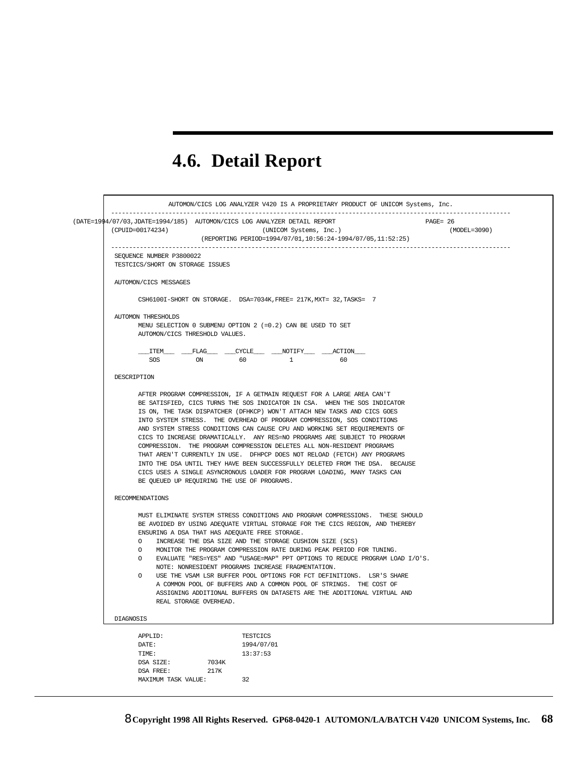# **4.6. Detail Report**

|                                                                     | (DATE=1994/07/03, JDATE=1994/185) AUTOMON/CICS LOG ANALYZER DETAIL REPORT      | $PAGE = 26$      |  |  |  |  |  |  |
|---------------------------------------------------------------------|--------------------------------------------------------------------------------|------------------|--|--|--|--|--|--|
| (CPUID=00174234)                                                    | (UNICOM Systems, Inc.)                                                         | $(MODEL = 3090)$ |  |  |  |  |  |  |
|                                                                     | (REPORTING PERIOD=1994/07/01,10:56:24-1994/07/05,11:52:25)                     |                  |  |  |  |  |  |  |
| SEQUENCE NUMBER P3800022                                            |                                                                                |                  |  |  |  |  |  |  |
| TESTCICS/SHORT ON STORAGE ISSUES                                    |                                                                                |                  |  |  |  |  |  |  |
| AUTOMON/CICS MESSAGES                                               |                                                                                |                  |  |  |  |  |  |  |
| CSH6100I-SHORT ON STORAGE. DSA=7034K, FREE= 217K, MXT= 32, TASKS= 7 |                                                                                |                  |  |  |  |  |  |  |
| AUTOMON THRESHOLDS                                                  |                                                                                |                  |  |  |  |  |  |  |
|                                                                     | MENU SELECTION 0 SUBMENU OPTION 2 (=0.2) CAN BE USED TO SET                    |                  |  |  |  |  |  |  |
|                                                                     | AUTOMON/CICS THRESHOLD VALUES.                                                 |                  |  |  |  |  |  |  |
|                                                                     | _ITEM____________FLAG__________CYCLE_____________NOTIFY___________ACTION_      |                  |  |  |  |  |  |  |
| SOS.                                                                | ON<br>60<br>$\mathbf{1}$<br>60                                                 |                  |  |  |  |  |  |  |
|                                                                     |                                                                                |                  |  |  |  |  |  |  |
| DESCRIPTION                                                         |                                                                                |                  |  |  |  |  |  |  |
|                                                                     | AFTER PROGRAM COMPRESSION, IF A GETMAIN REQUEST FOR A LARGE AREA CAN'T         |                  |  |  |  |  |  |  |
|                                                                     | BE SATISFIED, CICS TURNS THE SOS INDICATOR IN CSA. WHEN THE SOS INDICATOR      |                  |  |  |  |  |  |  |
|                                                                     | IS ON, THE TASK DISPATCHER (DFHKCP) WON'T ATTACH NEW TASKS AND CICS GOES       |                  |  |  |  |  |  |  |
|                                                                     | INTO SYSTEM STRESS. THE OVERHEAD OF PROGRAM COMPRESSION, SOS CONDITIONS        |                  |  |  |  |  |  |  |
|                                                                     | AND SYSTEM STRESS CONDITIONS CAN CAUSE CPU AND WORKING SET REQUIREMENTS OF     |                  |  |  |  |  |  |  |
|                                                                     | CICS TO INCREASE DRAMATICALLY. ANY RES=NO PROGRAMS ARE SUBJECT TO PROGRAM      |                  |  |  |  |  |  |  |
|                                                                     | COMPRESSION. THE PROGRAM COMPRESSION DELETES ALL NON-RESIDENT PROGRAMS         |                  |  |  |  |  |  |  |
|                                                                     | THAT AREN'T CURRENTLY IN USE. DFHPCP DOES NOT RELOAD (FETCH) ANY PROGRAMS      |                  |  |  |  |  |  |  |
|                                                                     | INTO THE DSA UNTIL THEY HAVE BEEN SUCCESSFULLY DELETED FROM THE DSA. BECAUSE   |                  |  |  |  |  |  |  |
|                                                                     | CICS USES A SINGLE ASYNCRONOUS LOADER FOR PROGRAM LOADING, MANY TASKS CAN      |                  |  |  |  |  |  |  |
|                                                                     | BE OUEUED UP REQUIRING THE USE OF PROGRAMS.                                    |                  |  |  |  |  |  |  |
| RECOMMENDATIONS                                                     |                                                                                |                  |  |  |  |  |  |  |
|                                                                     | MUST ELIMINATE SYSTEM STRESS CONDITIONS AND PROGRAM COMPRESSIONS. THESE SHOULD |                  |  |  |  |  |  |  |
|                                                                     | BE AVOIDED BY USING ADEQUATE VIRTUAL STORAGE FOR THE CICS REGION, AND THEREBY  |                  |  |  |  |  |  |  |
|                                                                     | ENSURING A DSA THAT HAS ADEQUATE FREE STORAGE.                                 |                  |  |  |  |  |  |  |
| $\Omega$                                                            | INCREASE THE DSA SIZE AND THE STORAGE CUSHION SIZE (SCS)                       |                  |  |  |  |  |  |  |
| $\Omega$                                                            | MONITOR THE PROGRAM COMPRESSION RATE DURING PEAK PERIOD FOR TUNING.            |                  |  |  |  |  |  |  |
| $\Omega$                                                            | EVALUATE "RES=YES" AND "USAGE=MAP" PPT OPTIONS TO REDUCE PROGRAM LOAD I/O'S.   |                  |  |  |  |  |  |  |
|                                                                     | NOTE: NONRESIDENT PROGRAMS INCREASE FRAGMENTATION.                             |                  |  |  |  |  |  |  |
| $\Omega$                                                            | USE THE VSAM LSR BUFFER POOL OPTIONS FOR FCT DEFINITIONS. LSR'S SHARE          |                  |  |  |  |  |  |  |
|                                                                     | A COMMON POOL OF BUFFERS AND A COMMON POOL OF STRINGS. THE COST OF             |                  |  |  |  |  |  |  |
|                                                                     | ASSIGNING ADDITIONAL BUFFERS ON DATASETS ARE THE ADDITIONAL VIRTUAL AND        |                  |  |  |  |  |  |  |
|                                                                     | REAL STORAGE OVERHEAD.                                                         |                  |  |  |  |  |  |  |
| DIAGNOSIS                                                           |                                                                                |                  |  |  |  |  |  |  |
| APPLID:                                                             | <b>TESTCICS</b>                                                                |                  |  |  |  |  |  |  |
|                                                                     | 1994/07/01                                                                     |                  |  |  |  |  |  |  |
| DATE:                                                               |                                                                                |                  |  |  |  |  |  |  |
| TIME:                                                               | 13:37:53                                                                       |                  |  |  |  |  |  |  |
| DSA SIZE:                                                           | 7034K                                                                          |                  |  |  |  |  |  |  |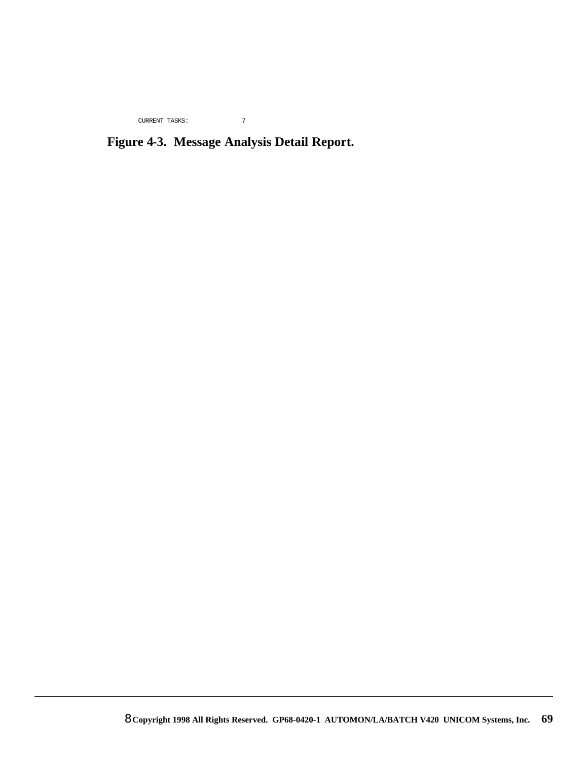CURRENT TASKS: 7

### **Figure 4-3. Message Analysis Detail Report.**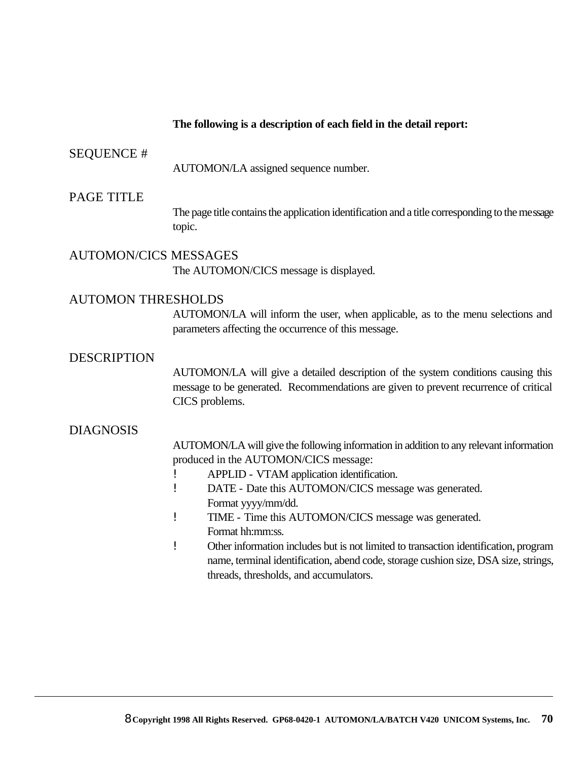#### **The following is a description of each field in the detail report:**

#### SEQUENCE #

AUTOMON/LA assigned sequence number.

#### PAGE TITLE

The page title contains the application identification and a title corresponding to the message topic.

AUTOMON/CICS MESSAGES The AUTOMON/CICS message is displayed.

#### AUTOMON THRESHOLDS

AUTOMON/LA will inform the user, when applicable, as to the menu selections and parameters affecting the occurrence of this message.

#### DESCRIPTION

AUTOMON/LA will give a detailed description of the system conditions causing this message to be generated. Recommendations are given to prevent recurrence of critical CICS problems.

#### DIAGNOSIS

AUTOMON/LA will give the following information in addition to any relevant information produced in the AUTOMON/CICS message:

- ! APPLID VTAM application identification.
- ! DATE Date this AUTOMON/CICS message was generated. Format yyyy/mm/dd.
- ! TIME Time this AUTOMON/CICS message was generated. Format hh:mm:ss.
- ! Other information includes but is not limited to transaction identification, program name, terminal identification, abend code, storage cushion size, DSA size, strings, threads, thresholds, and accumulators.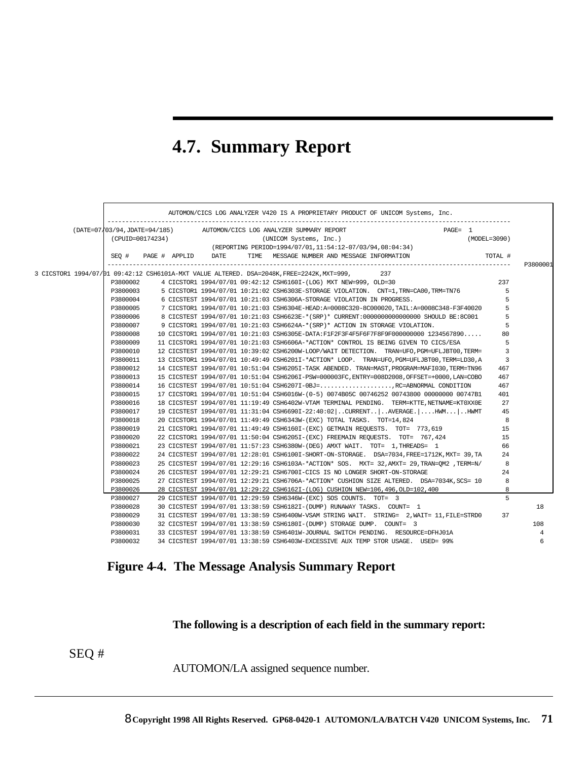## **4.7. Summary Report**

|                              |                  |      | AUTOMON/CICS LOG ANALYZER V420 IS A PROPRIETARY PRODUCT OF UNICOM Systems, Inc.               |            |              |
|------------------------------|------------------|------|-----------------------------------------------------------------------------------------------|------------|--------------|
| (DATE=07/03/94,JDATE=94/185) |                  |      | AUTOMON/CICS LOG ANALYZER SUMMARY REPORT                                                      | $PAGE = 1$ |              |
|                              | (CPUID=00174234) |      | (UNICOM Systems, Inc.)                                                                        |            | (MODEL=3090) |
|                              |                  |      | (REPORTING PERIOD=1994/07/01,11:54:12-07/03/94,08:04:34)                                      |            |              |
| SEO #                        | PAGE # APPLID    | DATE | TIME MESSAGE NUMBER AND MESSAGE INFORMATION                                                   |            | TOTAL #      |
|                              |                  |      | 3 CICSTOR1 1994/07/01 09:42:12 CSH6101A-MXT VALUE ALTERED. DSA=2048K, FREE=2242K, MXT=999,    | 237        |              |
| P3800002                     |                  |      | 4 CICSTOR1 1994/07/01 09:42:12 CSH6160I-(LOG) MXT NEW=999, OLD=30                             |            | 237          |
| P3800003                     |                  |      | 5 CICSTOR1 1994/07/01 10:21:02 CSH6303E-STORAGE VIOLATION. CNT=1,TRN=CA00,TRM=TN76            |            | 5            |
| P3800004                     |                  |      | 6 CICSTEST 1994/07/01 10:21:03 CSH6306A-STORAGE VIOLATION IN PROGRESS.                        |            | 5            |
| P3800005                     |                  |      | 7 CICSTOR1 1994/07/01 10:21:03 CSH6304E-HEAD:A=0008C320-8C000020,TAIL:A=0008C348-F3F40020     |            | 5            |
| P3800006                     |                  |      | 8 CICSTEST 1994/07/01 10:21:03 CSH6623E-*(SRP)* CURRENT:0000000000000000 SHOULD BE:8C001      |            | 5            |
| P3800007                     |                  |      | 9 CICSTOR1 1994/07/01 10:21:03 CSH6624A-*(SRP)* ACTION IN STORAGE VIOLATION.                  |            | 5            |
| P3800008                     |                  |      | 10 CICSTOR1 1994/07/01 10:21:03 CSH6305E-DATA:F1F2F3F4F5F6F7F8F9F000000000 1234567890         |            | 80           |
| P3800009                     |                  |      | 11 CICSTOR1 1994/07/01 10:21:03 CSH6606A-*ACTION* CONTROL IS BEING GIVEN TO CICS/ESA          |            | 5            |
| P3800010                     |                  |      | 12 CICSTEST 1994/07/01 10:39:02 CSH6200W-LOOP/WAIT DETECTION. TRAN=UFO, PGM=UFLJBT00, TERM=   |            | 3            |
| P3800011                     |                  |      | 13 CICSTOR1 1994/07/01 10:49:49 CSH6201I-*ACTION* LOOP. TRAN=UFO, PGM=UFLJBT00, TERM=LD30, A  |            | 3            |
| P3800012                     |                  |      | 14 CICSTEST 1994/07/01 10:51:04 CSH62051-TASK ABENDED. TRAN=MAST, PROGRAM=MAFI030, TERM=TN96  |            | 467          |
| P3800013                     |                  |      | 15 CICSTEST 1994/07/01 10:51:04 CSH62061-PSW=000003FC, ENTRY=008D2008, OFFSET=+0000, LAN=COBO |            | 467          |
| P3800014                     |                  |      | 16 CICSTEST 1994/07/01 10:51:04 CSH6207I-0BJ=RC=ABNORMAL CONDITION                            |            | 467          |
| P3800015                     |                  |      | 17 CICSTOR1 1994/07/01 10:51:04 CSH6016W-(0-5) 0074B05C 00746252 00743800 00000000 00747B1    |            | 401          |
| P3800016                     |                  |      | 18 CICSTEST 1994/07/01 11:19:49 CSH6402W-VTAM TERMINAL PENDING. TERM=KTTE.NETNAME=KT0XX0E     |            | 27           |
| P3800017                     |                  |      | 19 CICSTEST 1994/07/01 11:31:04 CSH6690I-22:40:02 . CURRENT. AVERAGE.  . HWM HWMT             |            | 45           |
| P3800018                     |                  |      | 20 CICSTOR1 1994/07/01 11:49:49 CSH6343W-(EXC) TOTAL TASKS. TOT=14,824                        |            | 8            |
| P3800019                     |                  |      | 21 CICSTOR1 1994/07/01 11:49:49 CSH6160I-(EXC) GETMAIN REQUESTS. TOT= 773,619                 |            | 15           |
| P3800020                     |                  |      | 22 CICSTOR1 1994/07/01 11:50:04 CSH62051-(EXC) FREEMAIN REQUESTS. TOT= 767,424                |            | 15           |
| P3800021                     |                  |      | 23 CICSTEST 1994/07/01 11:57:23 CSH6380W-(DEG) AMXT WAIT. TOT= 1, THREADS= 1                  |            | 66           |
| P3800022                     |                  |      | 24 CICSTEST 1994/07/01 12:28:01 CSH6100I-SHORT-ON-STORAGE. DSA=7034, FREE=1712K, MXT= 39, TA  |            | 24           |
| P3800023                     |                  |      | /25 CICSTEST 1994/07/01 12:29:16 CSH6103A-*ACTION* SOS. MXT= 32,AMXT= 29,TRAN=OM2 ,TERM=N     |            | 8            |
| P3800024                     |                  |      | 26 CICSTEST 1994/07/01 12:29:21 CSH6700I-CICS IS NO LONGER SHORT-ON-STORAGE                   |            | 24           |
| P3800025                     |                  |      | 27 CICSTEST 1994/07/01 12:29:21 CSH6706A-*ACTION* CUSHION SIZE ALTERED. DSA=7034K, SCS= 10    |            | 8            |
| P3800026                     |                  |      | 28 CICSTEST 1994/07/01 12:29:22 CSH6162I-(LOG) CUSHION NEW=106,496,OLD=102,400                |            | 8            |
| P3800027                     |                  |      | 29 CICSTEST 1994/07/01 12:29:59 CSH6346W-(EXC) SOS COUNTS. TOT= 3                             |            | 5            |
| P3800028                     |                  |      | 30 CICSTEST 1994/07/01 13:38:59 CSH6182I-(DUMP) RUNAWAY TASKS. COUNT= 1                       |            |              |
| P3800029                     |                  |      | 31 CICSTEST 1994/07/01 13:38:59 CSH6400W-VSAM STRING WAIT. STRING= 2,WAIT= 11,FILE=STRD0      |            | 37           |
| P3800030                     |                  |      | 32 CICSTEST 1994/07/01 13:38:59 CSH6180I-(DUMP) STORAGE DUMP. COUNT= 3                        |            |              |
| P3800031                     |                  |      | 33 CICSTEST 1994/07/01 13:38:59 CSH6401W-JOURNAL SWITCH PENDING. RESOURCE=DFHJ01A             |            |              |
| P3800032                     |                  |      | 34 CICSTEST 1994/07/01 13:38:59 CSH6403W-EXCESSIVE AUX TEMP STOR USAGE. USED= 99%             |            |              |

**Figure 4-4. The Message Analysis Summary Report**

**The following is a description of each field in the summary report:**

SEQ #

AUTOMON/LA assigned sequence number.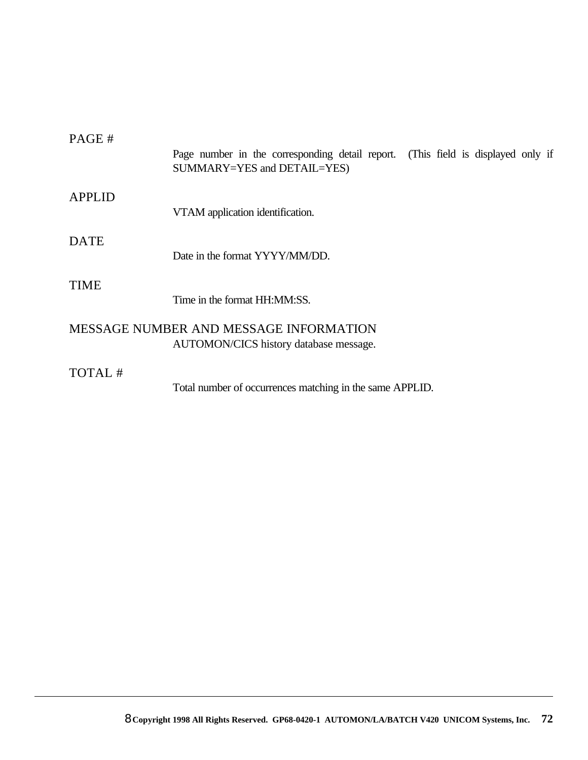| PAGE#         | Page number in the corresponding detail report. (This field is displayed only if<br>SUMMARY=YES and DETAIL=YES) |  |
|---------------|-----------------------------------------------------------------------------------------------------------------|--|
| <b>APPLID</b> | VTAM application identification.                                                                                |  |
| <b>DATE</b>   | Date in the format YYYY/MM/DD.                                                                                  |  |
| TIME          | Time in the format HH:MM:SS.                                                                                    |  |
|               | MESSAGE NUMBER AND MESSAGE INFORMATION<br>AUTOMON/CICS history database message.                                |  |
| TOTAL #       |                                                                                                                 |  |

Total number of occurrences matching in the same APPLID.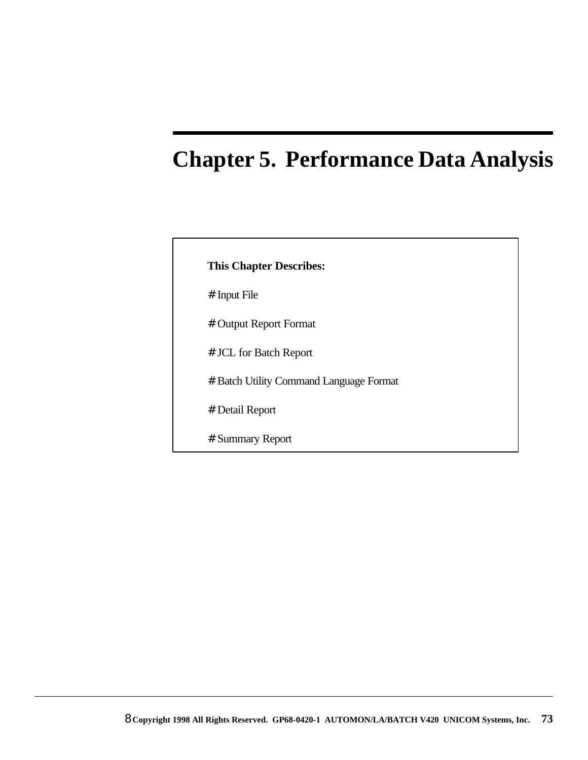# **Chapter 5. Performance Data Analysis**

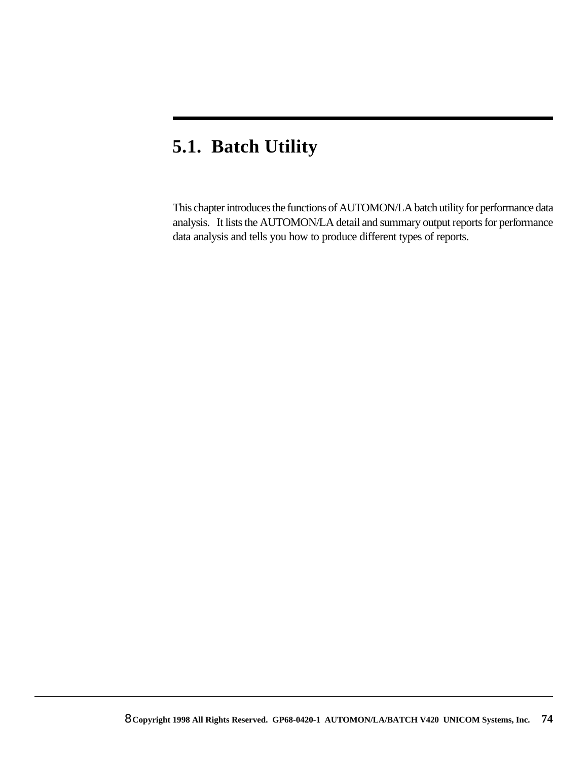## **5.1. Batch Utility**

This chapter introduces the functions of AUTOMON/LA batch utility for performance data analysis. It lists the AUTOMON/LA detail and summary output reports for performance data analysis and tells you how to produce different types of reports.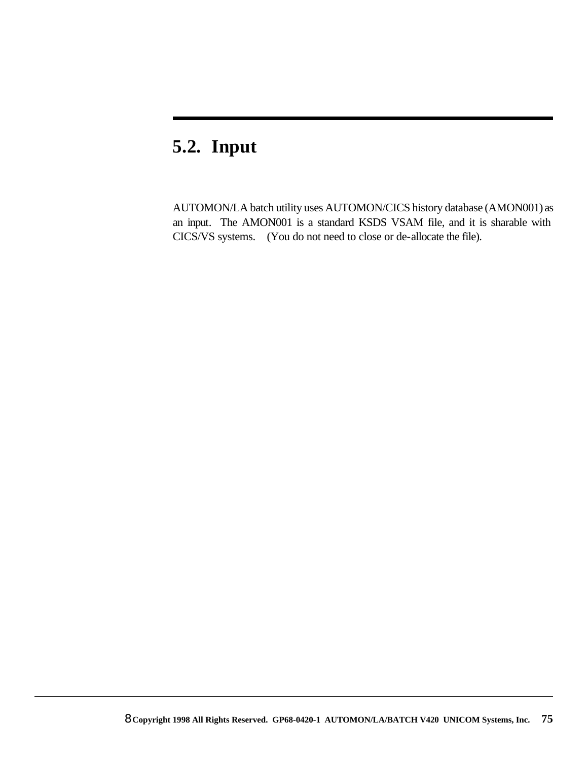## **5.2. Input**

AUTOMON/LA batch utility uses AUTOMON/CICS history database (AMON001) as an input. The AMON001 is a standard KSDS VSAM file, and it is sharable with CICS/VS systems. (You do not need to close or de-allocate the file).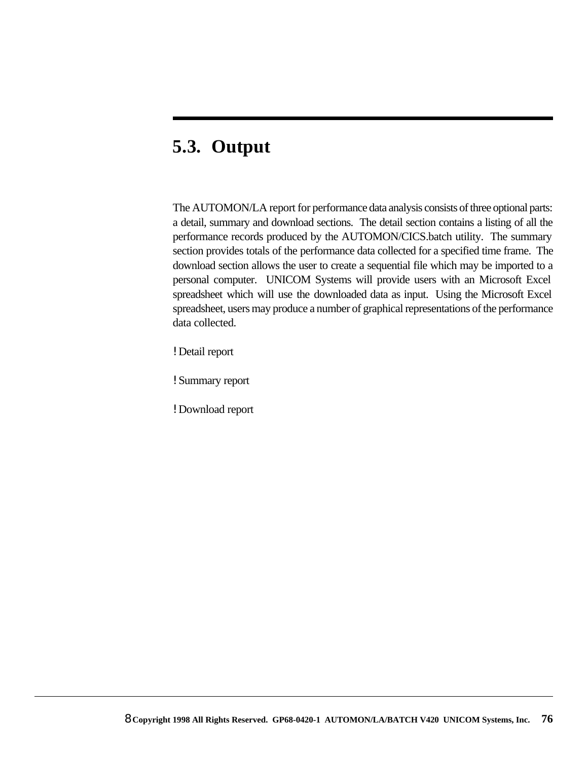## **5.3. Output**

The AUTOMON/LA report for performance data analysis consists of three optional parts: a detail, summary and download sections. The detail section contains a listing of all the performance records produced by the AUTOMON/CICS.batch utility. The summary section provides totals of the performance data collected for a specified time frame. The download section allows the user to create a sequential file which may be imported to a personal computer. UNICOM Systems will provide users with an Microsoft Excel spreadsheet which will use the downloaded data as input. Using the Microsoft Excel spreadsheet, users may produce a number of graphical representations of the performance data collected.

! Detail report

! Summary report

! Download report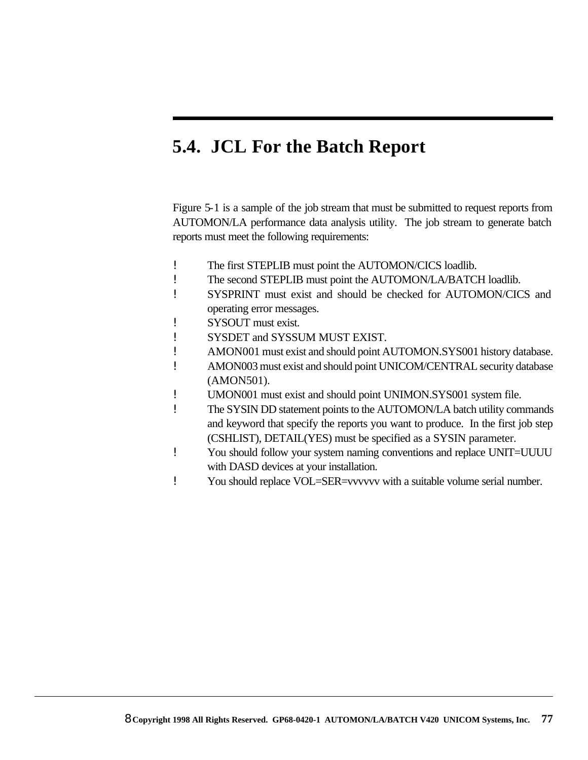## **5.4. JCL For the Batch Report**

Figure 5-1 is a sample of the job stream that must be submitted to request reports from AUTOMON/LA performance data analysis utility. The job stream to generate batch reports must meet the following requirements:

- ! The first STEPLIB must point the AUTOMON/CICS loadlib.
- ! The second STEPLIB must point the AUTOMON/LA/BATCH loadlib.
- ! SYSPRINT must exist and should be checked for AUTOMON/CICS and operating error messages.
- ! SYSOUT must exist.
- ! SYSDET and SYSSUM MUST EXIST.
- ! AMON001 must exist and should point AUTOMON.SYS001 history database.
- ! AMON003 must exist and should point UNICOM/CENTRAL security database (AMON501).
- ! UMON001 must exist and should point UNIMON.SYS001 system file.
- ! The SYSIN DD statement points to the AUTOMON/LA batch utility commands and keyword that specify the reports you want to produce. In the first job step (CSHLIST), DETAIL(YES) must be specified as a SYSIN parameter.
- ! You should follow your system naming conventions and replace UNIT=UUUU with DASD devices at your installation.
- ! You should replace VOL=SER=vvvvvv with a suitable volume serial number.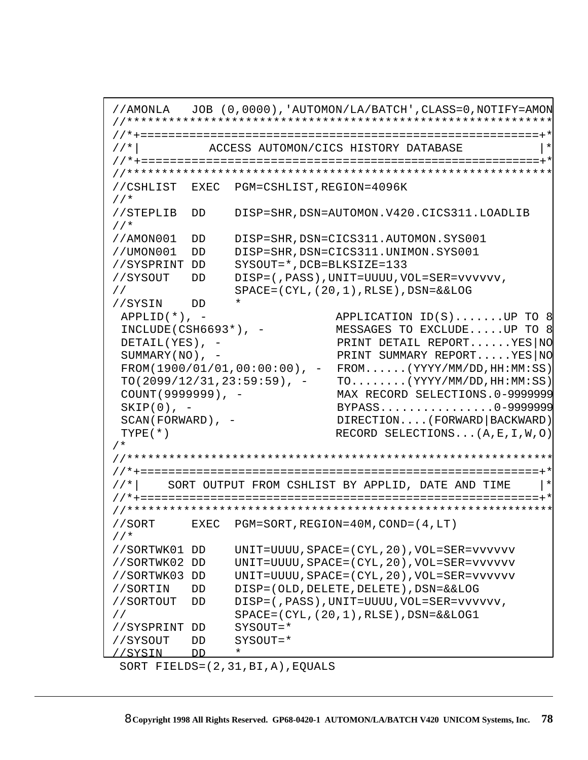```
//AMONLA JOB (0,0000),'AUTOMON/LA/BATCH',CLASS=0,NOTIFY=AMON 
//************************************************************* 
//*+=========================================================+* 
//*| ACCESS AUTOMON/CICS HISTORY DATABASE |* 
//*+=========================================================+* 
//************************************************************* 
//CSHLIST EXEC PGM=CSHLIST,REGION=4096K 
//*
 //STEPLIB DD DISP=SHR,DSN=AUTOMON.V420.CICS311.LOADLIB 
 //*
//AMON001 DD DISP=SHR,DSN=CICS311.AUTOMON.SYS001
//UMON001 DD DISP=SHR,DSN=CICS311.UNIMON.SYS001 
//SYSPRINT DD SYSOUT=*,DCB=BLKSIZE=133 
//SYSOUT DD DISP=(,PASS),UNIT=UUUU,VOL=SER=vvvvvv,
// SPACE=(CYL,(20,1),RLSE),DSN=&&LOG
//SYSIN DD * 
APPLID(*), - APPLICATION ID(S).......UP TO 8
INCLUDE(CSH6693*), - MESSAGES TO EXCLUDE.....UP TO 8
DETAIL(YES), - PRINT DETAIL REPORT......YES|NO
SUMMARY(NO), - PRINT SUMMARY REPORT.....YES|NO
FROM(1900/01/01,00:00:00), - FROM......(YYYY/MM/DD,HH:MM:SS)
TO(2099/12/31,23:59:59), - TO.......(YYYY/MM/DD, HH:MM:SS)
COUNT(9999999), - MAX RECORD SELECTIONS.0-9999999
SKIP(0), - BYPASS................0-9999999
SCAN(FORWARD), - DIRECTION....(FORWARD|BACKWARD)
TYPE(*) RECORD SELECTIONS...(A,E,I,W,O)
/*
//************************************************************* 
//*+=========================================================+* 
//*| SORT OUTPUT FROM CSHLIST BY APPLID, DATE AND TIME
//*+=========================================================+* 
//************************************************************* 
//SORT EXEC PGM=SORT,REGION=40M,COND=(4,LT)
//*
//SORTWK01 DD UNIT=UUUU,SPACE=(CYL,20),VOL=SER=vvvvvv
//SORTWK02 DD UNIT=UUUU,SPACE=(CYL,20),VOL=SER=vvvvvv
//SORTWK03 DD UNIT=UUUU,SPACE=(CYL,20),VOL=SER=vvvvvv
//SORTIN DD DISP=(OLD,DELETE,DELETE),DSN=&&LOG
//SORTOUT DD DISP=(,PASS),UNIT=UUUU,VOL=SER=vvvvvv,
// SPACE=(CYL,(20,1),RLSE),DSN=&&LOG1
//SYSPRINT DD SYSOUT=*
//SYSOUT DD SYSOUT=*
//SYSIN DD *
```

```
 SORT FIELDS=(2,31,BI,A),EQUALS
```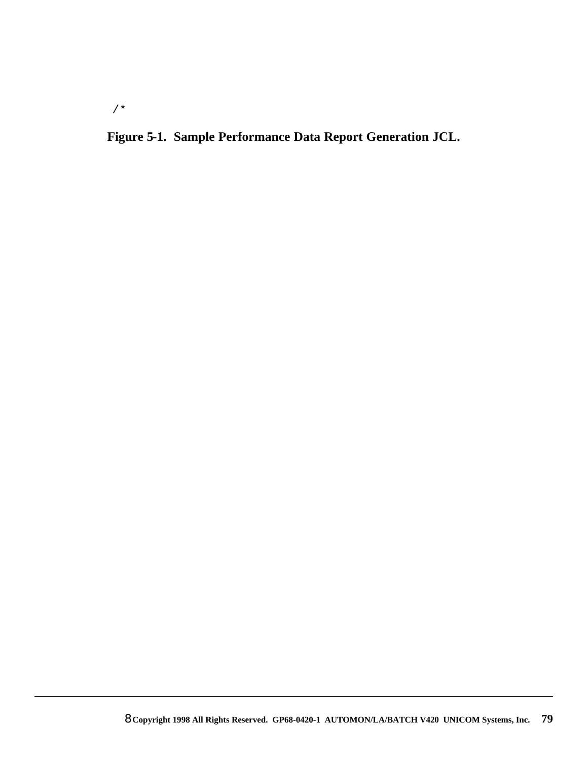/\*

### **Figure 5-1. Sample Performance Data Report Generation JCL.**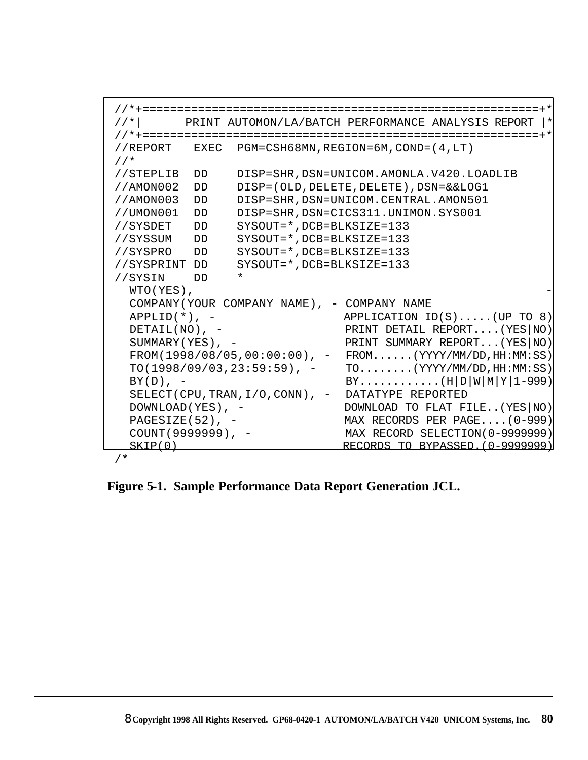```
 //*+=========================================================+*
 //*| PRINT AUTOMON/LA/BATCH PERFORMANCE ANALYSIS REPORT |*
 //*+=========================================================+*
 //REPORT EXEC PGM=CSH68MN,REGION=6M,COND=(4,LT)
 //*
 //STEPLIB DD DISP=SHR,DSN=UNICOM.AMONLA.V420.LOADLIB
 //AMON002 DD DISP=(OLD,DELETE,DELETE),DSN=&&LOG1
 //AMON003 DD DISP=SHR,DSN=UNICOM.CENTRAL.AMON501
 //UMON001 DD DISP=SHR,DSN=CICS311.UNIMON.SYS001
 //SYSDET DD SYSOUT=*,DCB=BLKSIZE=133
 //SYSSUM DD SYSOUT=*,DCB=BLKSIZE=133
 //SYSPRO DD SYSOUT=*,DCB=BLKSIZE=133
 //SYSPRINT DD SYSOUT=*,DCB=BLKSIZE=133
 //SYSIN DD *
 WTO(YES),
  COMPANY(YOUR COMPANY NAME), - COMPANY NAME 
 APPLID(*), - APPLICATION ID(S).....(UP TO 8)
 DETAIL(NO), - PRINT DETAIL REPORT....(YES|NO)
 SUMMARY(YES), - PRINT SUMMARY REPORT...(YES NO)
 FROM(1998/08/05,00:00:00), - FROM......(YYYY/MM/DD, HH:MM:SS)
 TO(1998/09/03, 23:59:59), - TO........(YYYY/MM/DD, HH:MM:SS)
 BY(D), – BY...........(H|D|W|M|Y|1-999)
 SELECT(CPU,TRAN,I/O,CONN), - DATATYPE REPORTED 
 DOWNLOAD(YES), - DOWNLOAD TO FLAT FILE..(YES|NO)
 PAGESIZE(52), - MAX RECORDS PER PAGE.... (0-999)
 COUNT(9999999), - MAX RECORD SELECTION(0-9999999)
 SKIP(0) RECORDS TO BYPASSED. (0-9999999)
```
/\*

**Figure 5-1. Sample Performance Data Report Generation JCL.**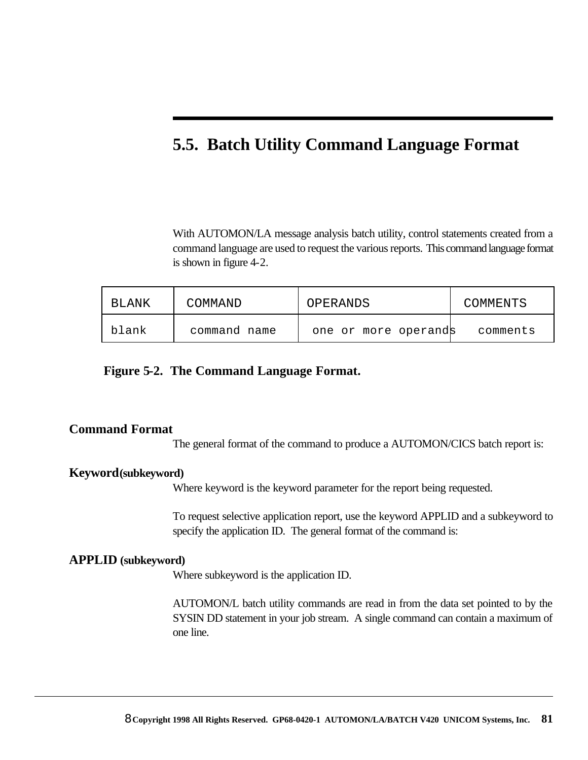### **5.5. Batch Utility Command Language Format**

With AUTOMON/LA message analysis batch utility, control statements created from a command language are used to request the various reports. This command language format is shown in figure 4-2.

| BLANK | COMMAND      | OPERANDS             | COMMENTS |
|-------|--------------|----------------------|----------|
| blank | command name | one or more operands | comments |

#### **Figure 5-2. The Command Language Format.**

#### **Command Format**

The general format of the command to produce a AUTOMON/CICS batch report is:

#### **Keyword(subkeyword)**

Where keyword is the keyword parameter for the report being requested.

To request selective application report, use the keyword APPLID and a subkeyword to specify the application ID. The general format of the command is:

#### **APPLID (subkeyword)**

Where subkeyword is the application ID.

AUTOMON/L batch utility commands are read in from the data set pointed to by the SYSIN DD statement in your job stream. A single command can contain a maximum of one line.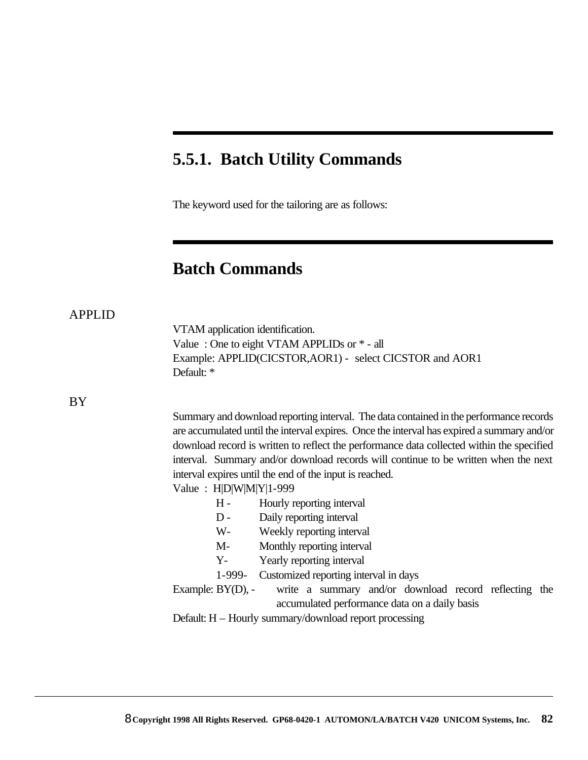### **5.5.1. Batch Utility Commands**

The keyword used for the tailoring are as follows:

### **Batch Commands**

|--|--|

VTAM application identification. Value : One to eight VTAM APPLIDs or \* - all Example: APPLID(CICSTOR,AOR1) - select CICSTOR and AOR1 Default: \*

BY

Summary and download reporting interval. The data contained in the performance records are accumulated until the interval expires. Once the interval has expired a summary and/or download record is written to reflect the performance data collected within the specified interval. Summary and/or download records will continue to be written when the next interval expires until the end of the input is reached.

Value : H|D|W|M|Y|1-999

- H Hourly reporting interval
- D Daily reporting interval
- W- Weekly reporting interval
- M- Monthly reporting interval
- Y- Yearly reporting interval
- 1-999- Customized reporting interval in days

Example: BY(D), - write a summary and/or download record reflecting the accumulated performance data on a daily basis

Default: H – Hourly summary/download report processing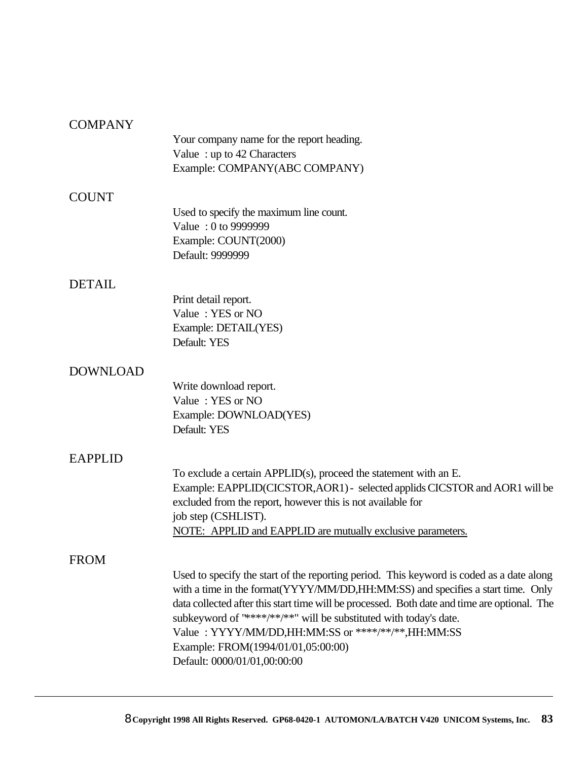#### **COMPANY**

|                 | Your company name for the report heading.<br>Value: up to 42 Characters<br>Example: COMPANY(ABC COMPANY) |
|-----------------|----------------------------------------------------------------------------------------------------------|
| <b>COUNT</b>    |                                                                                                          |
|                 | Used to specify the maximum line count.                                                                  |
|                 | Value: 0 to 9999999                                                                                      |
|                 | Example: COUNT(2000)                                                                                     |
|                 | Default: 9999999                                                                                         |
| <b>DETAIL</b>   |                                                                                                          |
|                 | Print detail report.                                                                                     |
|                 | Value: YES or NO                                                                                         |
|                 | Example: DETAIL(YES)                                                                                     |
|                 | Default: YES                                                                                             |
| <b>DOWNLOAD</b> |                                                                                                          |
|                 | Write download report.                                                                                   |
|                 | Value: YES or NO                                                                                         |
|                 | Example: DOWNLOAD(YES)                                                                                   |
|                 | Default: YES                                                                                             |
| <b>EAPPLID</b>  |                                                                                                          |
|                 | To exclude a certain $APPLID(s)$ , proceed the statement with an E.                                      |
|                 | Example: EAPPLID(CICSTOR, AOR1) - selected applids CICSTOR and AOR1 will be                              |
|                 | excluded from the report, however this is not available for                                              |
|                 | job step (CSHLIST).                                                                                      |
|                 | NOTE: APPLID and EAPPLID are mutually exclusive parameters.                                              |
| <b>FROM</b>     |                                                                                                          |
|                 | Used to specify the start of the reporting period. This keyword is coded as a date along                 |
|                 | with a time in the format (YYYY/MM/DD, HH: MM: SS) and specifies a start time. Only                      |
|                 | data collected after this start time will be processed. Both date and time are optional. The             |
|                 | subkeyword of "****/**/**" will be substituted with today's date.                                        |
|                 | Value: YYYY/MM/DD,HH:MM:SS or ****/**/**,HH:MM:SS                                                        |
|                 | Example: FROM(1994/01/01,05:00:00)<br>Default: 0000/01/01,00:00:00                                       |
|                 |                                                                                                          |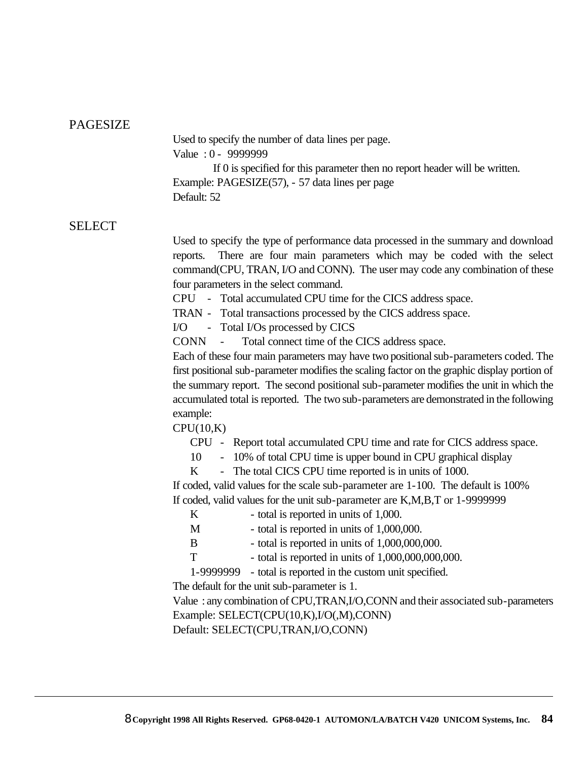#### PAGESIZE

Used to specify the number of data lines per page. Value : 0 - 9999999

 If 0 is specified for this parameter then no report header will be written. Example: PAGESIZE(57), - 57 data lines per page Default: 52

#### SELECT

Used to specify the type of performance data processed in the summary and download reports. There are four main parameters which may be coded with the select command(CPU, TRAN, I/O and CONN). The user may code any combination of these four parameters in the select command.

CPU - Total accumulated CPU time for the CICS address space.

TRAN - Total transactions processed by the CICS address space.

I/O - Total I/Os processed by CICS

CONN - Total connect time of the CICS address space.

Each of these four main parameters may have two positional sub-parameters coded. The first positional sub-parameter modifies the scaling factor on the graphic display portion of the summary report. The second positional sub-parameter modifies the unit in which the accumulated total is reported. The two sub-parameters are demonstrated in the following example:

 $CPU(10,K)$ 

- CPU Report total accumulated CPU time and rate for CICS address space.
- 10 10% of total CPU time is upper bound in CPU graphical display
- K The total CICS CPU time reported is in units of 1000.

If coded, valid values for the scale sub-parameter are 1-100. The default is 100% If coded, valid values for the unit sub-parameter are K,M,B,T or 1-9999999

| - total is reported in units of 1,000. |  |
|----------------------------------------|--|
|----------------------------------------|--|

- M total is reported in units of 1,000,000.
- B total is reported in units of 1,000,000,000.
- $T$  total is reported in units of  $1,000,000,000,000$ .
- 1-9999999 total is reported in the custom unit specified.

The default for the unit sub-parameter is 1.

Value : any combination of CPU,TRAN,I/O,CONN and their associated sub-parameters Example: SELECT(CPU(10,K),I/O(,M),CONN)

Default: SELECT(CPU,TRAN,I/O,CONN)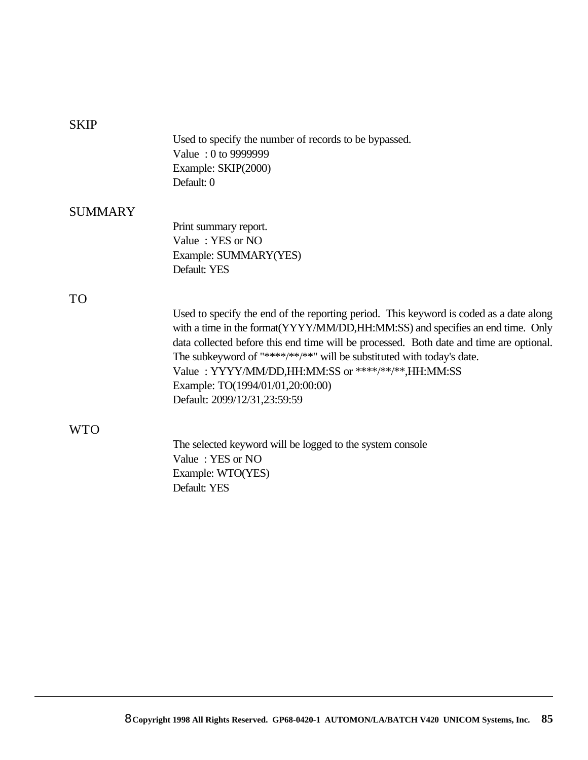#### **SKIP**

Used to specify the number of records to be bypassed. Value : 0 to 9999999 Example: SKIP(2000) Default: 0

#### **SUMMARY**

Print summary report. Value : YES or NO Example: SUMMARY(YES) Default: YES

#### TO

Used to specify the end of the reporting period. This keyword is coded as a date along with a time in the format(YYYY/MM/DD,HH:MM:SS) and specifies an end time. Only data collected before this end time will be processed. Both date and time are optional. The subkeyword of "\*\*\*\*/\*\*/\*\*" will be substituted with today's date. Value : YYYY/MM/DD,HH:MM:SS or \*\*\*\*/\*\*/\*\*,HH:MM:SS Example: TO(1994/01/01,20:00:00) Default: 2099/12/31,23:59:59

#### WTO

The selected keyword will be logged to the system console Value : YES or NO Example: WTO(YES) Default: YES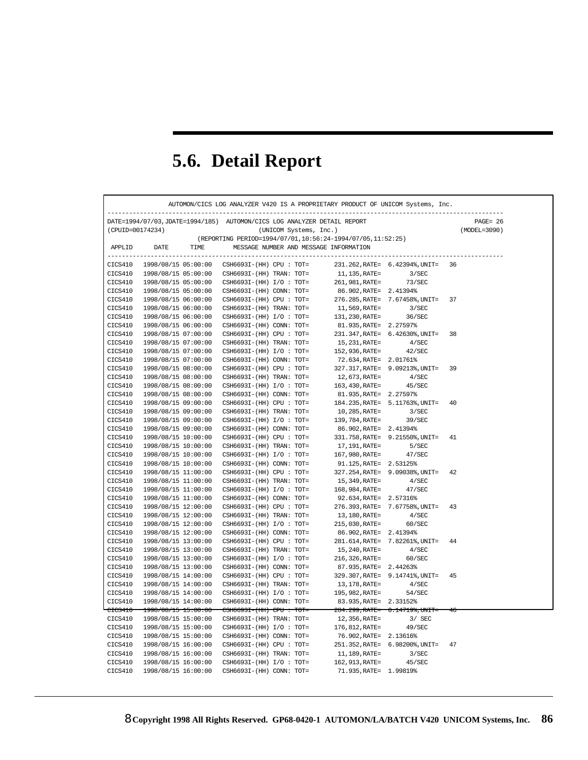# **5.6. Detail Report**

|                    |                                            | DATE=1994/07/03, JDATE=1994/185) AUTOMON/CICS LOG ANALYZER DETAIL REPORT |                        |                                         | $PAGE = 26$  |
|--------------------|--------------------------------------------|--------------------------------------------------------------------------|------------------------|-----------------------------------------|--------------|
| (CPUID=00174234)   |                                            | (UNICOM Systems, Inc.)                                                   |                        |                                         | (MODEL=3090) |
|                    |                                            | (REPORTING PERIOD=1994/07/01,10:56:24-1994/07/05,11:52:25)               |                        |                                         |              |
| APPLID             | DATE<br>TIME                               | MESSAGE NUMBER AND MESSAGE INFORMATION                                   |                        |                                         |              |
| CICS410            | 1998/08/15 05:00:00                        | CSH6693I-(HH) CPU : TOT=                                                 |                        | 231.262, RATE= 6.42394%, UNIT=          | 36           |
| CICS410            | 1998/08/15 05:00:00                        | $CSH6693I-(HH) TRAN: TOT=$                                               | 11,135,RATE=           | 3/SEC                                   |              |
| CICS410            | 1998/08/15 05:00:00                        | $CSH6693I-(HH) I/O : TOT=$                                               | 261,981,RATE=          | 73/SEC                                  |              |
| CICS410            | 1998/08/15 05:00:00                        |                                                                          | 86.902, RATE= 2.41394% |                                         |              |
|                    |                                            | CSH6693I-(HH) CONN: TOT=                                                 |                        |                                         | 37           |
| CICS410<br>CICS410 | 1998/08/15 06:00:00<br>1998/08/15 06:00:00 | $CSH6693I-(HH)$ CPU : TOT=<br>$CSH6693I-(HH) TRAN: TOT=$                 | 11,569,RATE=           | 276.285, RATE= 7.67458%, UNIT=<br>3/SEC |              |
|                    | 1998/08/15 06:00:00                        |                                                                          |                        |                                         |              |
| CICS410            |                                            | $CSH6693I-(HH) I/O : TOT=$                                               | 131,230, RATE=         | 36/SEC                                  |              |
| CICS410            | 1998/08/15 06:00:00                        | $CSH6693I-(HH)$ CONN: TOT=                                               | 81.935, RATE= 2.27597% |                                         | 38           |
| CICS410            | 1998/08/15 07:00:00                        | $CSH6693I-(HH)$ CPU : TOT=                                               |                        | 231.347, RATE= 6.42630%, UNIT=          |              |
| CICS410            | 1998/08/15 07:00:00                        | $CSH6693I-(HH) TRAN: TOT=$                                               | 15,231,RATE=           | 4/SEC                                   |              |
| CICS410            | 1998/08/15 07:00:00                        | $CSH6693I-(HH) I/O : TOT=$                                               | 152,936,RATE=          | 42/SEC                                  |              |
| CICS410            | 1998/08/15 07:00:00                        | $CSH6693I-(HH)$ CONN: TOT=                                               | 72.634, RATE= 2.01761% |                                         |              |
| CICS410            | 1998/08/15 08:00:00                        | $CSH6693I-(HH)$ CPU : TOT=                                               |                        | 327.317, RATE= 9.09213%, UNIT=          | 39           |
| CICS410            | 1998/08/15 08:00:00                        | CSH6693I-(HH) TRAN: TOT=                                                 | 12,673,RATE=           | 4/SEC                                   |              |
| CICS410            | 1998/08/15 08:00:00                        | $CSH6693I-(HH) I/O : TOT=$                                               | 163,430, RATE=         | 45/SEC                                  |              |
| CICS410            | 1998/08/15 08:00:00                        | $CSH6693I-(HH)$ CONN: TOT=                                               | 81.935, RATE= 2.27597% |                                         |              |
| CICS410            | 1998/08/15 09:00:00                        | $CSH6693I-(HH)$ CPU : TOT=                                               |                        | 184.235, RATE= 5.11763%, UNIT=          | 40           |
| CICS410            | 1998/08/15 09:00:00                        | CSH6693I-(HH) TRAN: TOT=                                                 | 10,285,RATE=           | 3/SEC                                   |              |
| CICS410            | 1998/08/15 09:00:00                        | $CSH6693I-(HH) I/O : TOT=$                                               | 139,784,RATE=          | 39/SEC                                  |              |
| CICS410            | 1998/08/15 09:00:00                        | CSH6693I-(HH) CONN: TOT=                                                 | 86.902, RATE= 2.41394% |                                         |              |
| CICS410            | 1998/08/15 10:00:00                        | $CSH6693I-(HH)$ CPU : TOT=                                               |                        | 331.758, RATE= 9.21550%, UNIT=          | 41           |
| CICS410            | 1998/08/15 10:00:00                        | $CSH6693I-(HH) TRAN: TOT=$                                               | 17,191,RATE=           | 5/SEC                                   |              |
| CICS410            | 1998/08/15 10:00:00                        | $CSH6693I-(HH) I/O : TOT=$                                               | 167,980, RATE=         | 47/SEC                                  |              |
| CICS410            | 1998/08/15 10:00:00                        | $CSH6693I-(HH)$ CONN: TOT=                                               | 91.125, RATE= 2.53125% |                                         |              |
| CICS410            | 1998/08/15 11:00:00                        | $CSH6693I-(HH) CPU : TOT=$                                               |                        | 327.254, RATE= 9.09038%, UNIT=          | 42           |
| CICS410            | 1998/08/15 11:00:00                        | CSH6693I-(HH) TRAN: TOT=                                                 | 15,349,RATE=           | 4/SEC                                   |              |
| CICS410            | 1998/08/15 11:00:00                        | $CSH6693I-(HH) I/O : TOT=$                                               | 168,984, RATE=         | 47/SEC                                  |              |
| CICS410            | 1998/08/15 11:00:00                        | CSH6693I-(HH) CONN: TOT=                                                 | 92.634, RATE= 2.57316% |                                         |              |
| CICS410            | 1998/08/15 12:00:00                        | $CSH6693I-(HH)$ CPU : TOT=                                               |                        | 276.393, RATE= 7.67758%, UNIT=          | 43           |
| CICS410            | 1998/08/15 12:00:00                        | $CSH6693I-(HH) TRAN: TOT=$                                               | 13,180,RATE=           | 4/SEC                                   |              |
| CICS410            | 1998/08/15 12:00:00                        | CSH6693I-(HH) $I/O : TOT =$                                              | 215,030, RATE=         | 60/SEC                                  |              |
| CICS410            | 1998/08/15 12:00:00                        | $CSH6693I-(HH)$ CONN: TOT=                                               | 86.902, RATE= 2.41394% |                                         |              |
| CICS410            | 1998/08/15 13:00:00                        | $CSH6693I-(HH)$ CPU : TOT=                                               |                        | 281.614, RATE= 7.82261%, UNIT=          | 44           |
| CICS410            | 1998/08/15 13:00:00                        | CSH6693I-(HH) TRAN: TOT=                                                 | 15,240,RATE=           | 4/SEC                                   |              |
| CICS410            | 1998/08/15 13:00:00                        | $CSH6693I-(HH) I/O : TOT=$                                               | 216,326,RATE=          | 60/SEC                                  |              |
| CICS410            | 1998/08/15 13:00:00                        | $CSH6693I-(HH)$ CONN: TOT=                                               | 87.935, RATE= 2.44263% |                                         |              |
| CICS410            | 1998/08/15 14:00:00                        | $CSH6693I-(HH)$ CPU : TOT=                                               |                        | 329.307, RATE= 9.14741%, UNIT=          | 45           |
| CICS410            | 1998/08/15 14:00:00                        | CSH6693I-(HH) TRAN: TOT=                                                 | 13,178,RATE=           | 4/SEC                                   |              |
| CICS410            | 1998/08/15 14:00:00                        | $CSH6693I-(HH) I/O : TOT=$                                               | 195,982,RATE=          | 54/SEC                                  |              |
| CICS410            | 1998/08/15 14:00:00                        | CSH6693I-(HH) CONN: TOT=                                                 | 83.935, RATE= 2.33152% |                                         |              |
|                    | $CICS410$ 1998/08/15 15:00:00              | $CSH66931-(HH)$ $CPU$ $TOT=$                                             |                        | $284.299$ , RATE= $0.147198$ , UNIT=    | -46          |
| CICS410            | 1998/08/15 15:00:00                        | $CSH6693I-(HH) TRAN: TOT=$                                               | 12,356,RATE=           | $3/$ SEC                                |              |
| CICS410            | 1998/08/15 15:00:00                        | $CSH6693I-(HH) I/O : TOT=$                                               | 176,812,RATE=          | 49/SEC                                  |              |
| CICS410            | 1998/08/15 15:00:00                        | CSH6693I-(HH) CONN: TOT=                                                 | 76.902, RATE= 2.13616% |                                         |              |
| CICS410            | 1998/08/15 16:00:00                        | $CSH6693I-(HH)$ CPU : TOT=                                               |                        | 251.352, RATE= 6.98200%, UNIT=          | 47           |
| CICS410            | 1998/08/15 16:00:00                        | $CSH6693I-(HH) TRAN: TOT=$                                               | 11,189,RATE=           | 3/SEC                                   |              |
| CICS410            | 1998/08/15 16:00:00                        | CSH6693I-(HH) I/O : TOT=                                                 | 162,913,RATE=          | 45/SEC                                  |              |
|                    |                                            |                                                                          |                        |                                         |              |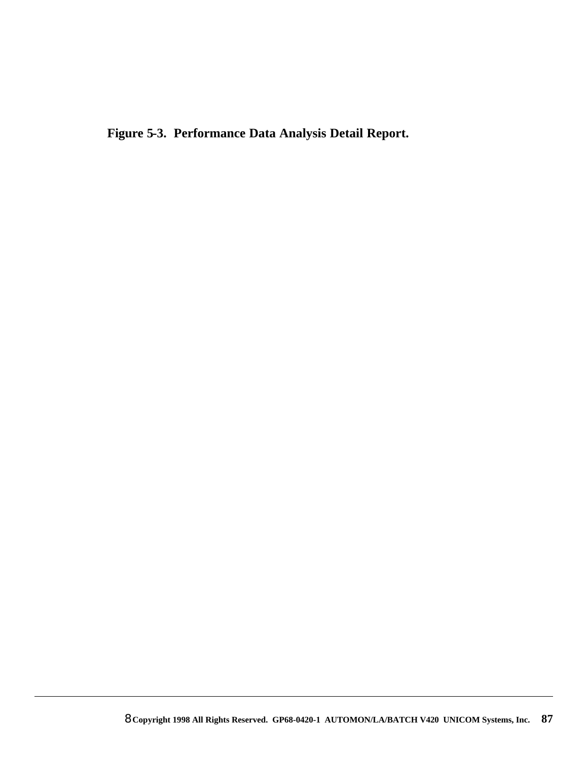**Figure 5-3. Performance Data Analysis Detail Report.**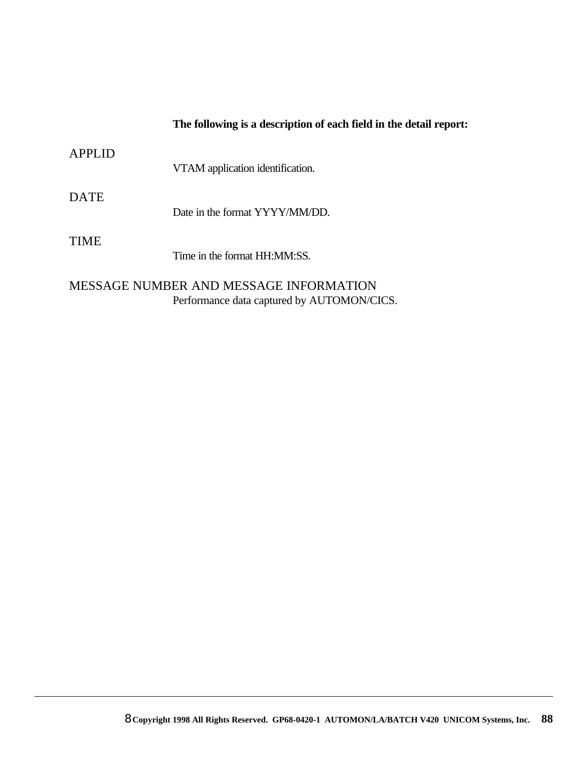#### **The following is a description of each field in the detail report:**

| <b>APPLID</b> | VTAM application identification. |
|---------------|----------------------------------|
| <b>DATE</b>   | Date in the format YYYY/MM/DD.   |
| TIME          | Time in the format HH:MM:SS.     |

MESSAGE NUMBER AND MESSAGE INFORMATION Performance data captured by AUTOMON/CICS.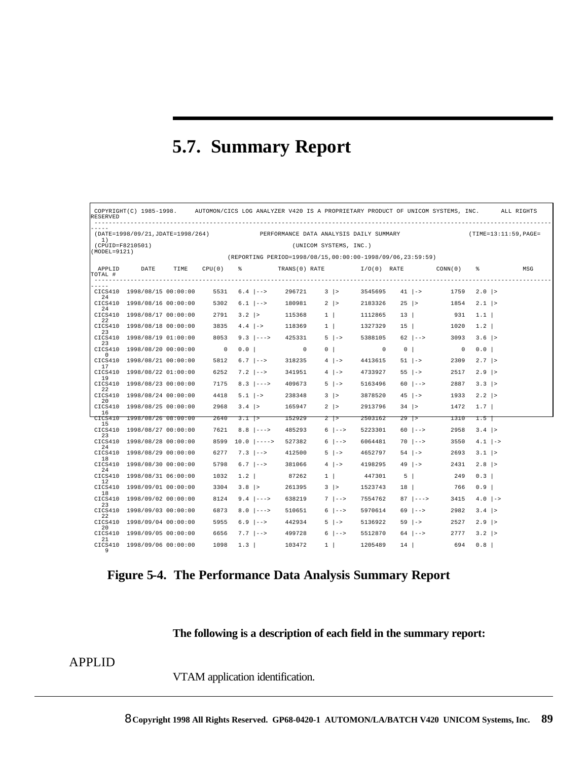## **5.7. Summary Report**

| RESERVED                                                                                                 |                             |      |                          |                                  |                                                            |                        |                             |                          |                                      | COPYRIGHT(C) 1985-1998. AUTOMON/CICS LOG ANALYZER V420 IS A PROPRIETARY PRODUCT OF UNICOM SYSTEMS, INC. |                       | ALL RIGHTS |
|----------------------------------------------------------------------------------------------------------|-----------------------------|------|--------------------------|----------------------------------|------------------------------------------------------------|------------------------|-----------------------------|--------------------------|--------------------------------------|---------------------------------------------------------------------------------------------------------|-----------------------|------------|
| (DATE=1998/09/21, JDATE=1998/264) PERFORMANCE DATA ANALYSIS DAILY SUMMARY<br>(TIME=13:11:59, PAGE=<br>1) |                             |      |                          |                                  |                                                            |                        |                             |                          |                                      |                                                                                                         |                       |            |
| (CPUID=F8210501)<br>(MODEL=9121)                                                                         |                             |      |                          |                                  |                                                            | (UNICOM SYSTEMS, INC.) |                             |                          |                                      |                                                                                                         |                       |            |
|                                                                                                          |                             |      |                          |                                  | (REPORTING PERIOD=1998/08/15.00:00:00-1998/09/06.23:59:59) |                        |                             |                          |                                      |                                                                                                         |                       |            |
| APPLID<br>TOTAL #                                                                                        | DATE                        | TIME |                          | $CPU(0)$ $\frac{1}{6}$           |                                                            |                        |                             |                          |                                      | TRANS(0) RATE $I/O(0)$ RATE CONN(0)                                                                     | - ≋                   | MSG        |
| 24                                                                                                       | CICS410 1998/08/15 00:00:00 |      |                          | $5531 \t 6.4 \t - -5$            |                                                            | $296721$ 3  >          |                             |                          | $3545695$ $41$ $\rightarrow$         |                                                                                                         | $1759$ $2.0$  >       |            |
| 24                                                                                                       | CICS410 1998/08/16 00:00:00 |      |                          | $5302 \t 6.1$ $\vert -- \rangle$ | 180981                                                     | $2$  >                 |                             |                          | $2183326$ $25$  >                    |                                                                                                         | $1854$ $2.1$  >       |            |
|                                                                                                          | CICS410 1998/08/17 00:00:00 |      |                          | $2791$ $3.2$  >                  | 115368                                                     | $1 \quad   \quad$      |                             | 1112865                  | 13                                   | 931                                                                                                     | 1.1                   |            |
| 22<br>23                                                                                                 | CICS410 1998/08/18 00:00:00 |      | 3835                     | $4.4$ $ ->$                      | 118369                                                     | $1 \quad   \quad$      |                             | 1327329                  |                                      | $15 \mid$<br>1020                                                                                       | 1.2                   |            |
|                                                                                                          | CICS410 1998/08/19 01:00:00 |      | 8053                     | $9.3$ $ --->$                    | 425331                                                     | $5 \mid ->$            |                             | 5388105                  | $62$ $ --\rangle$                    | 3093                                                                                                    | $3.6$  >              |            |
| 23<br>$\Omega$                                                                                           | CICS410 1998/08/20 00:00:00 |      | $\overline{\phantom{0}}$ | $0.0$                            | $\sim$ 0                                                   | 0                      |                             | $\overline{\phantom{0}}$ | $\begin{array}{c c} 0 & \end{array}$ | $\overline{\phantom{0}}$                                                                                | $0.0$                 |            |
| 17                                                                                                       | CICS410 1998/08/21 00:00:00 |      | 5812                     | $6.7$ $\rightarrow$              | 318235                                                     | $4 \mid ->$            |                             | 4413615                  | $51$ $\rightarrow$                   | 2309                                                                                                    | $2.7$  >              |            |
|                                                                                                          | CICS410 1998/08/22 01:00:00 |      | 6252                     | $7.2$ -->                        | 341951                                                     | $4$   $-$              |                             | 4733927                  | $55 \mid ->$                         | 2517                                                                                                    | $2.9$  >              |            |
| 19                                                                                                       | CICS410 1998/08/23 00:00:00 |      | 7175                     | $8.3$ $ --->$                    | 409673                                                     | $5 \mid ->$            |                             | 5163496                  | $60$ $ --\rangle$                    | 2887                                                                                                    | $3.3$  >              |            |
| 22                                                                                                       | CICS410 1998/08/24 00:00:00 |      | 4418                     | $5.1$ $\rightarrow$              | 238348                                                     | $3 \mid$               |                             | 3878520                  | $45$   $-$                           | 1933                                                                                                    | $2.2$  >              |            |
| 20<br>16                                                                                                 | CICS410 1998/08/25 00:00:00 |      | 2968                     | $3.4$ >                          | 165947                                                     | $2 \mid$               |                             | 2913796                  |                                      | $34$ ><br>1472                                                                                          | 1.7                   |            |
|                                                                                                          | CICS410 1998/08/26 08:00:00 |      | 2640                     | $3.1$  >                         | 152929                                                     | $2 \rightarrow$        |                             | 2503162                  | $29$ >                               | 1310                                                                                                    | $1.5$                 |            |
| 15<br>23                                                                                                 | CICS410 1998/08/27 00:00:00 |      | 7621                     | $8.8$ --->                       | 485293                                                     |                        | $6$ $  \rightarrow \rangle$ | 5223301                  | $60$ $ -->$                          | 2958                                                                                                    | $3.4$  >              |            |
|                                                                                                          | CICS410 1998/08/28 00:00:00 |      |                          | $8599 \quad 10.0$ $ ----->$      | 527382                                                     |                        | $6$   $--$                  | 6064481                  | $70$ $ --\rangle$                    | 3550                                                                                                    | $4.1$   $\rightarrow$ |            |
| 24                                                                                                       | CICS410 1998/08/29 00:00:00 |      | 6277                     | $7.3$ $ -->$                     | 412500                                                     | $5 \mid ->$            |                             | 4652797                  |                                      | $54$ $\rightarrow$<br>2693                                                                              | $3.1$  >              |            |
| 18<br>24                                                                                                 | CICS410 1998/08/30 00:00:00 |      | 5798                     | $6.7$ $\rightarrow$              | 381066                                                     | $4 \mid ->$            |                             | 4198295                  | $49$ $ ->$                           | 2431                                                                                                    | $2.8$  >              |            |
|                                                                                                          | CICS410 1998/08/31 06:00:00 |      | 1032                     | 1.2                              | 87262                                                      | $1 \vert$              |                             | 447301                   | $5 \mid$                             | 249                                                                                                     | 0.3                   |            |
| 12<br>18                                                                                                 | CICS410 1998/09/01 00:00:00 |      | 3304                     | $3.8$ >                          | 261395                                                     | $3 \mid >$             |                             | 1523743                  | 18                                   | 766                                                                                                     | 0.9                   |            |
| 23                                                                                                       | CICS410 1998/09/02 00:00:00 |      | 8124                     | $9.4$ $---$                      | 638219                                                     |                        | $7 \mid -->$                | 7554762                  | $87$ $ -----$                        | 3415                                                                                                    | $4.0$   $\rightarrow$ |            |
|                                                                                                          | CICS410 1998/09/03 00:00:00 |      | 6873                     | $8.0$ --->                       | 510651                                                     |                        | $6$   $--$                  | 5970614                  | $69$ $ --\rangle$                    | 2982                                                                                                    | $3.4$  >              |            |
| 22<br>20                                                                                                 | CICS410 1998/09/04 00:00:00 |      | 5955                     | $6.9$ $\rightarrow$              | 442934                                                     | $5 \mid ->$            |                             | 5136922                  | $59$ $ ->$                           | 2527                                                                                                    | $2.9$  >              |            |
|                                                                                                          | CICS410 1998/09/05 00:00:00 |      | 6656                     | $7.7$ $ -->$                     | 499728                                                     |                        | $6$ $  \rightarrow \rangle$ | 5512870                  |                                      | $64$ $ $ $-$ ><br>2777                                                                                  | $3.2$  >              |            |
| 21<br>9                                                                                                  | CICS410 1998/09/06 00:00:00 |      | 1098                     | 1.3                              | 103472                                                     | $1 \quad   \quad$      |                             | 1205489                  | 14                                   | 694                                                                                                     | 0.8                   |            |

**Figure 5-4. The Performance Data Analysis Summary Report**

#### **The following is a description of each field in the summary report:**

#### APPLID

VTAM application identification.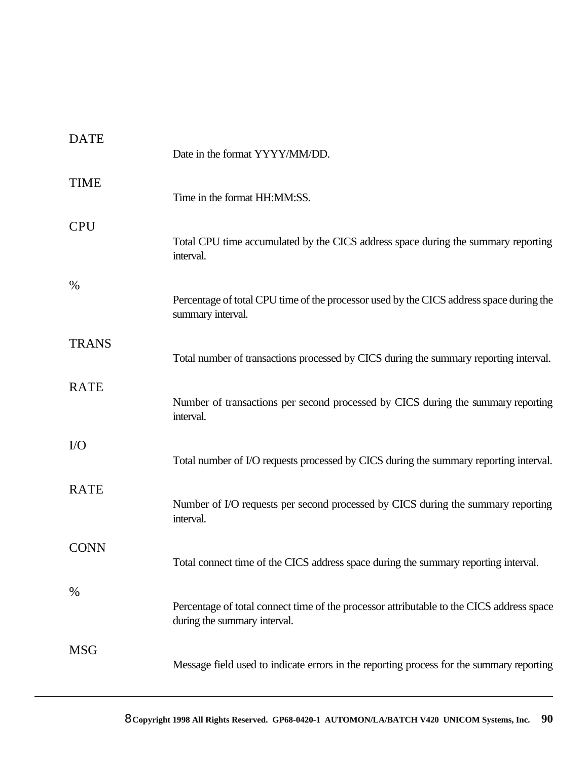| <b>DATE</b>  | Date in the format YYYY/MM/DD.                                                                                           |
|--------------|--------------------------------------------------------------------------------------------------------------------------|
| <b>TIME</b>  | Time in the format HH:MM:SS.                                                                                             |
| <b>CPU</b>   | Total CPU time accumulated by the CICS address space during the summary reporting<br>interval.                           |
| %            | Percentage of total CPU time of the processor used by the CICS address space during the<br>summary interval.             |
| <b>TRANS</b> | Total number of transactions processed by CICS during the summary reporting interval.                                    |
| <b>RATE</b>  | Number of transactions per second processed by CICS during the summary reporting<br>interval.                            |
| $\rm LO$     | Total number of I/O requests processed by CICS during the summary reporting interval.                                    |
| <b>RATE</b>  | Number of I/O requests per second processed by CICS during the summary reporting<br>interval.                            |
| <b>CONN</b>  | Total connect time of the CICS address space during the summary reporting interval.                                      |
| $\%$         | Percentage of total connect time of the processor attributable to the CICS address space<br>during the summary interval. |
| <b>MSG</b>   | Message field used to indicate errors in the reporting process for the summary reporting                                 |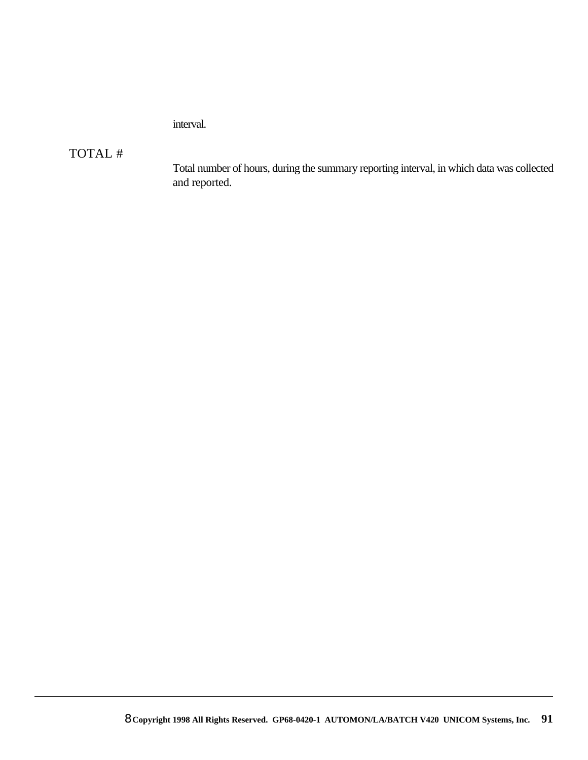interval.

#### TOTAL #

Total number of hours, during the summary reporting interval, in which data was collected and reported.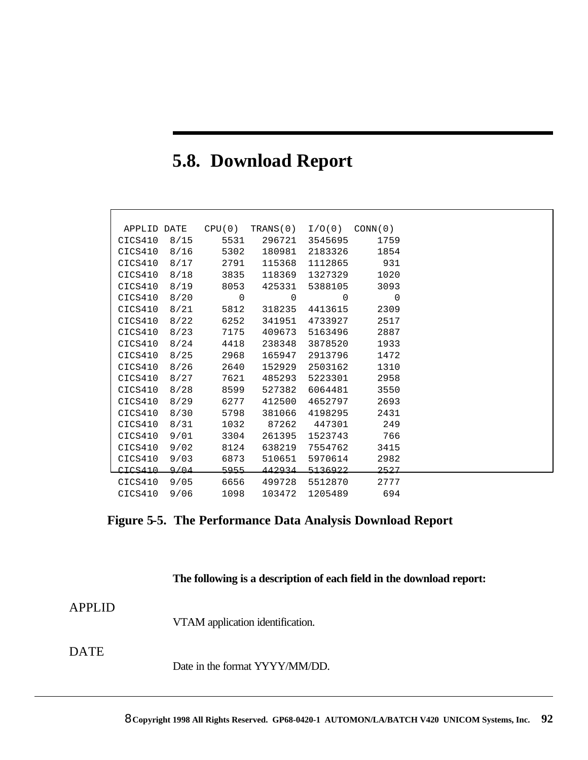## **5.8. Download Report**

| APPLID DATE |      | CPU(0)      | TRANS (0) | I/O(0)  | CONN(0) |
|-------------|------|-------------|-----------|---------|---------|
| CICS410     | 8/15 | 5531        | 296721    | 3545695 | 1759    |
| CICS410     | 8/16 | 5302        | 180981    | 2183326 | 1854    |
| CICS410     | 8/17 | 2791        | 115368    | 1112865 | 931     |
| CICS410     | 8/18 | 3835        | 118369    | 1327329 | 1020    |
| CICS410     | 8/19 | 8053        | 425331    | 5388105 | 3093    |
| CICS410     | 8/20 | $\mathbf 0$ | 0         | 0       | 0       |
| CICS410     | 8/21 | 5812        | 318235    | 4413615 | 2309    |
| CICS410     | 8/22 | 6252        | 341951    | 4733927 | 2517    |
| CICS410     | 8/23 | 7175        | 409673    | 5163496 | 2887    |
| CICS410     | 8/24 | 4418        | 238348    | 3878520 | 1933    |
| CICS410     | 8/25 | 2968        | 165947    | 2913796 | 1472    |
| CICS410     | 8/26 | 2640        | 152929    | 2503162 | 1310    |
| CICS410     | 8/27 | 7621        | 485293    | 5223301 | 2958    |
| CICS410     | 8/28 | 8599        | 527382    | 6064481 | 3550    |
| CICS410     | 8/29 | 6277        | 412500    | 4652797 | 2693    |
| CICS410     | 8/30 | 5798        | 381066    | 4198295 | 2431    |
| CICS410     | 8/31 | 1032        | 87262     | 447301  | 249     |
| CICS410     | 9/01 | 3304        | 261395    | 1523743 | 766     |
| CICS410     | 9/02 | 8124        | 638219    | 7554762 | 3415    |
| CICS410     | 9/03 | 6873        | 510651    | 5970614 | 2982    |
| CICS410     | 9/04 | 5955        | 442934    | 5136922 | 2527    |
| CICS410     | 9/05 | 6656        | 499728    | 5512870 | 2777    |
| CICS410     | 9/06 | 1098        | 103472    | 1205489 | 694     |

### **Figure 5-5. The Performance Data Analysis Download Report**

**The following is a description of each field in the download report:**

#### APPLID

VTAM application identification.

#### DATE

Date in the format YYYY/MM/DD.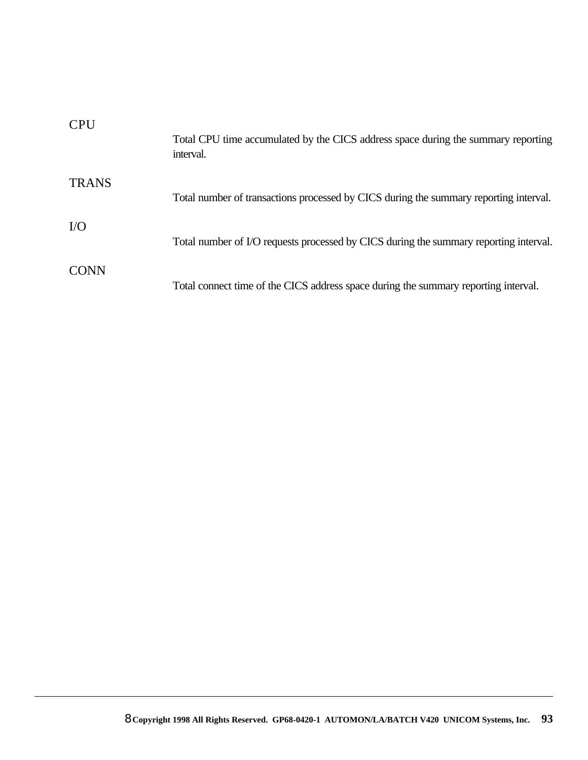| <b>CPU</b>   | Total CPU time accumulated by the CICS address space during the summary reporting<br>interval. |
|--------------|------------------------------------------------------------------------------------------------|
| <b>TRANS</b> | Total number of transactions processed by CICS during the summary reporting interval.          |
| $\rm LO$     | Total number of I/O requests processed by CICS during the summary reporting interval.          |
| <b>CONN</b>  | Total connect time of the CICS address space during the summary reporting interval.            |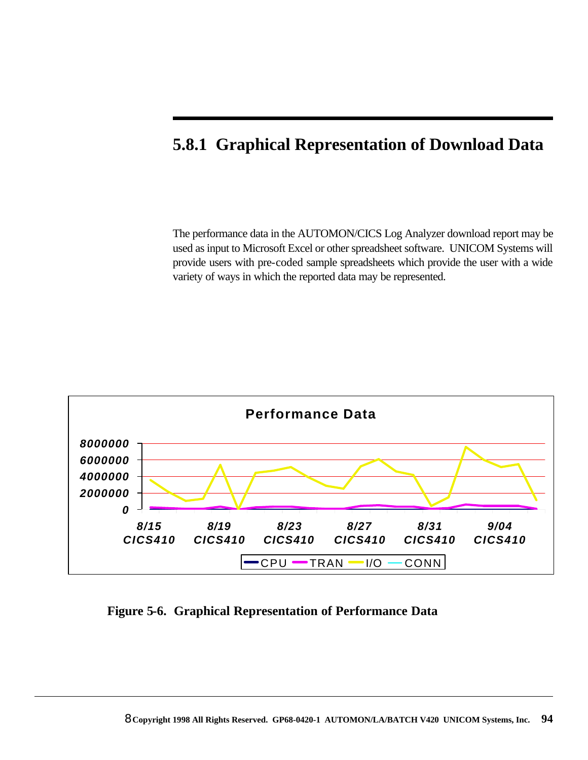### **5.8.1 Graphical Representation of Download Data**

The performance data in the AUTOMON/CICS Log Analyzer download report may be used as input to Microsoft Excel or other spreadsheet software. UNICOM Systems will provide users with pre-coded sample spreadsheets which provide the user with a wide variety of ways in which the reported data may be represented.



**Figure 5-6. Graphical Representation of Performance Data**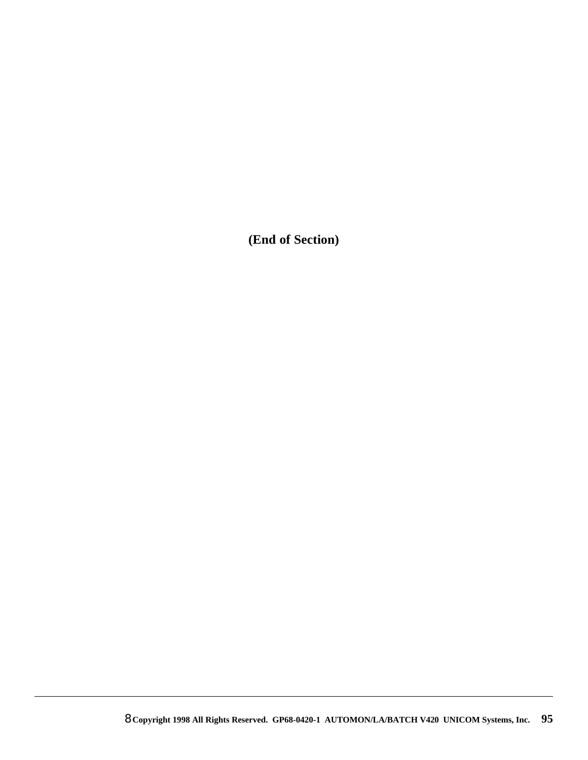**(End of Section)**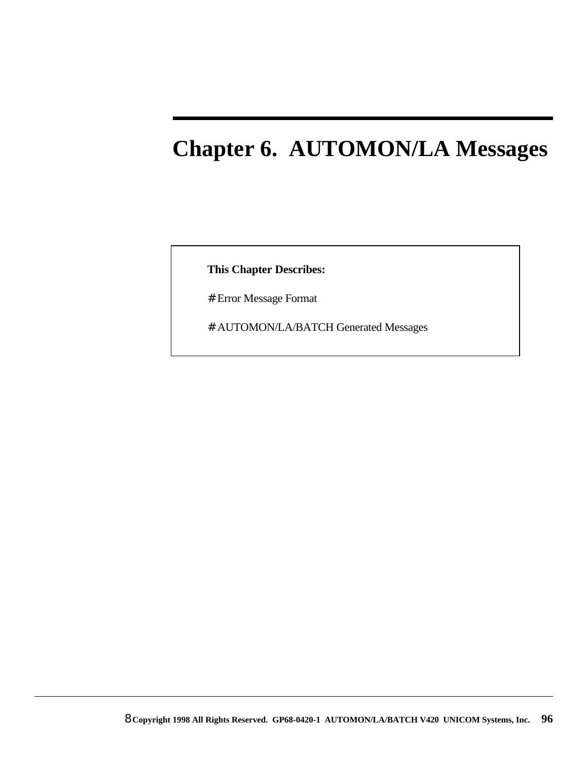# **Chapter 6. AUTOMON/LA Messages**

**This Chapter Describes:**

# Error Message Format

# AUTOMON/LA/BATCH Generated Messages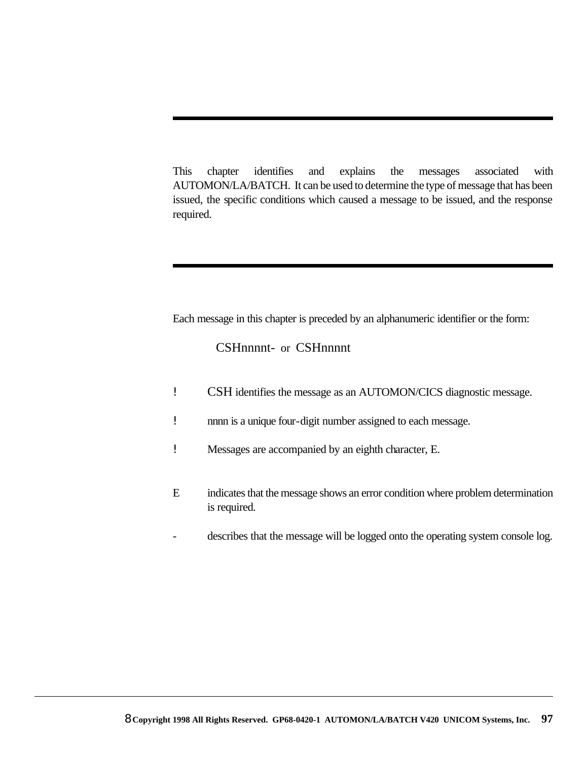This chapter identifies and explains the messages associated with AUTOMON/LA/BATCH. It can be used to determine the type of message that has been issued, the specific conditions which caused a message to be issued, and the response required.

Each message in this chapter is preceded by an alphanumeric identifier or the form:

CSHnnnnt- or CSHnnnnt

- ! CSH identifies the message as an AUTOMON/CICS diagnostic message.
- ! nnnn is a unique four-digit number assigned to each message.
- ! Messages are accompanied by an eighth character, E.
- E indicates that the message shows an error condition where problem determination is required.
- describes that the message will be logged onto the operating system console log.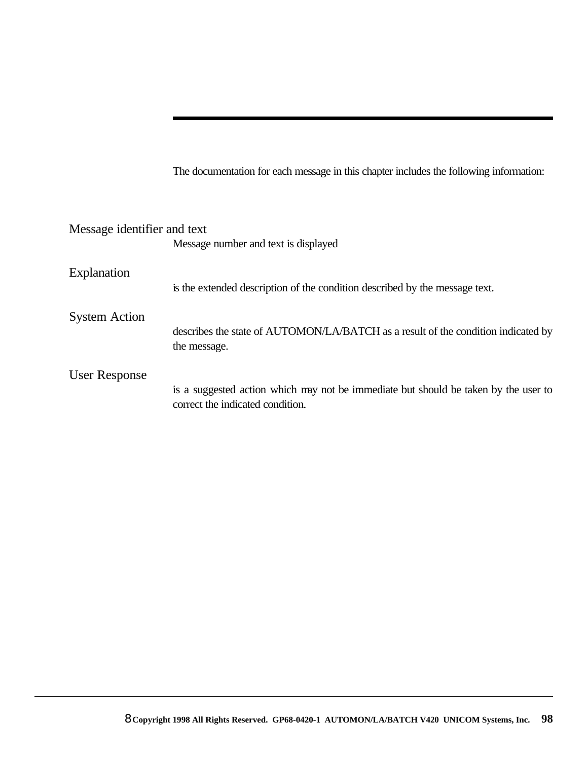The documentation for each message in this chapter includes the following information:

| Message identifier and text |                                                                                                                         |
|-----------------------------|-------------------------------------------------------------------------------------------------------------------------|
|                             | Message number and text is displayed                                                                                    |
| Explanation                 |                                                                                                                         |
|                             | is the extended description of the condition described by the message text.                                             |
| <b>System Action</b>        |                                                                                                                         |
|                             | describes the state of AUTOMON/LA/BATCH as a result of the condition indicated by<br>the message.                       |
| User Response               |                                                                                                                         |
|                             | is a suggested action which may not be immediate but should be taken by the user to<br>correct the indicated condition. |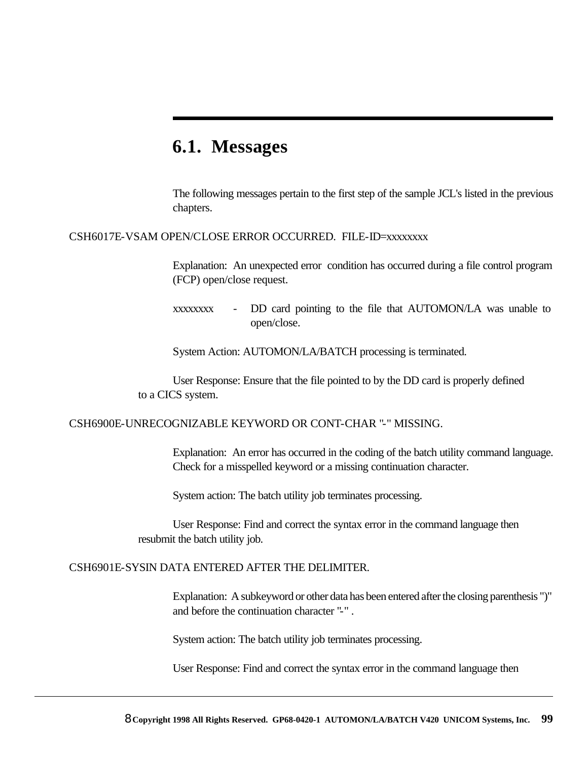### **6.1. Messages**

The following messages pertain to the first step of the sample JCL's listed in the previous chapters.

#### CSH6017E-VSAM OPEN/CLOSE ERROR OCCURRED. FILE-ID=xxxxxxxx

Explanation: An unexpected error condition has occurred during a file control program (FCP) open/close request.

xxxxxxxx - DD card pointing to the file that AUTOMON/LA was unable to open/close.

System Action: AUTOMON/LA/BATCH processing is terminated.

User Response: Ensure that the file pointed to by the DD card is properly defined to a CICS system.

#### CSH6900E-UNRECOGNIZABLE KEYWORD OR CONT-CHAR "-" MISSING.

Explanation: An error has occurred in the coding of the batch utility command language. Check for a misspelled keyword or a missing continuation character.

System action: The batch utility job terminates processing.

User Response: Find and correct the syntax error in the command language then resubmit the batch utility job.

#### CSH6901E-SYSIN DATA ENTERED AFTER THE DELIMITER.

Explanation: A subkeyword or other data has been entered after the closing parenthesis ")" and before the continuation character "-" .

System action: The batch utility job terminates processing.

User Response: Find and correct the syntax error in the command language then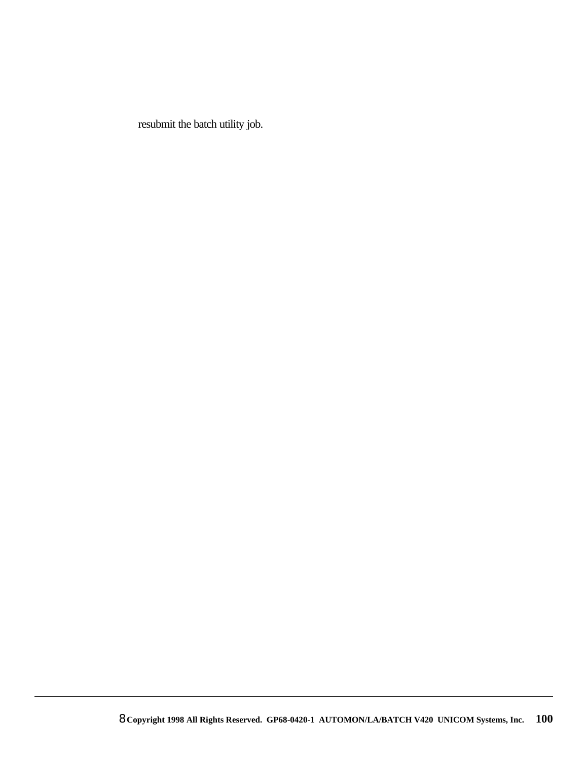resubmit the batch utility job.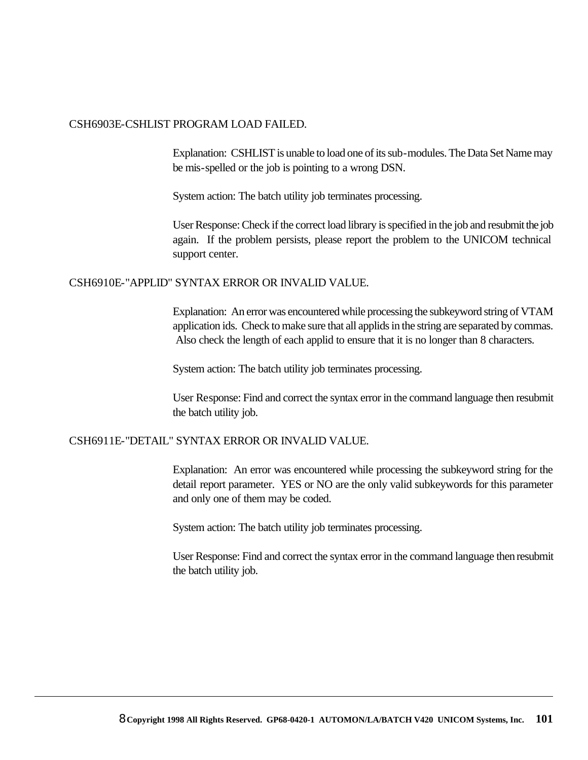#### CSH6903E-CSHLIST PROGRAM LOAD FAILED.

Explanation: CSHLIST is unable to load one of its sub-modules. The Data Set Name may be mis-spelled or the job is pointing to a wrong DSN.

System action: The batch utility job terminates processing.

User Response: Check if the correct load library is specified in the job and resubmit the job again. If the problem persists, please report the problem to the UNICOM technical support center.

#### CSH6910E-"APPLID" SYNTAX ERROR OR INVALID VALUE.

Explanation: An error was encountered while processing the subkeyword string of VTAM application ids. Check to make sure that all applids in the string are separated by commas. Also check the length of each applid to ensure that it is no longer than 8 characters.

System action: The batch utility job terminates processing.

User Response: Find and correct the syntax error in the command language then resubmit the batch utility job.

#### CSH6911E-"DETAIL" SYNTAX ERROR OR INVALID VALUE.

Explanation: An error was encountered while processing the subkeyword string for the detail report parameter. YES or NO are the only valid subkeywords for this parameter and only one of them may be coded.

System action: The batch utility job terminates processing.

User Response: Find and correct the syntax error in the command language then resubmit the batch utility job.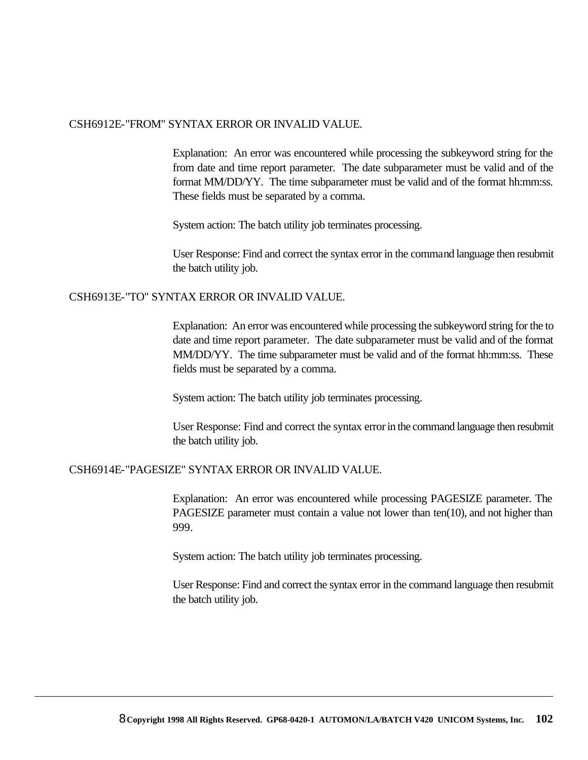#### CSH6912E-"FROM" SYNTAX ERROR OR INVALID VALUE.

Explanation: An error was encountered while processing the subkeyword string for the from date and time report parameter. The date subparameter must be valid and of the format MM/DD/YY. The time subparameter must be valid and of the format hh:mm:ss. These fields must be separated by a comma.

System action: The batch utility job terminates processing.

User Response: Find and correct the syntax error in the command language then resubmit the batch utility job.

#### CSH6913E-"TO" SYNTAX ERROR OR INVALID VALUE.

Explanation: An error was encountered while processing the subkeyword string for the to date and time report parameter. The date subparameter must be valid and of the format MM/DD/YY. The time subparameter must be valid and of the format hh:mm:ss. These fields must be separated by a comma.

System action: The batch utility job terminates processing.

User Response: Find and correct the syntax error in the command language then resubmit the batch utility job.

#### CSH6914E-"PAGESIZE" SYNTAX ERROR OR INVALID VALUE.

Explanation: An error was encountered while processing PAGESIZE parameter. The PAGESIZE parameter must contain a value not lower than ten(10), and not higher than 999.

System action: The batch utility job terminates processing.

User Response: Find and correct the syntax error in the command language then resubmit the batch utility job.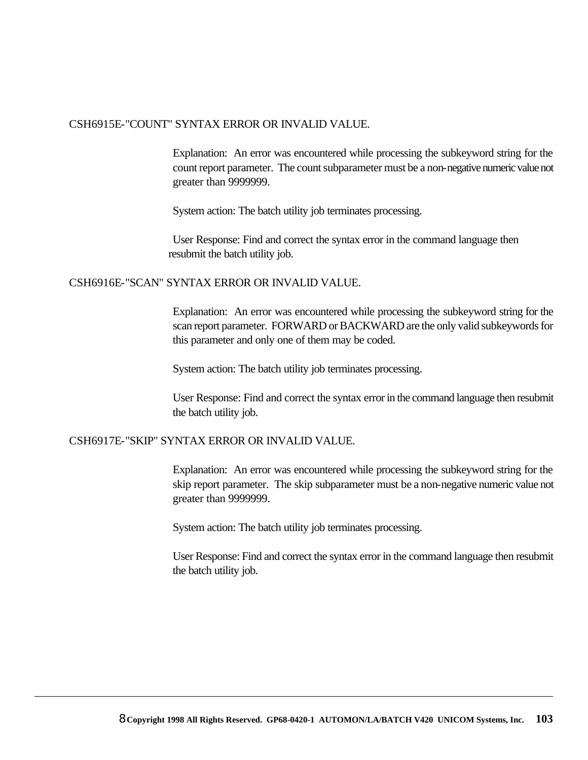#### CSH6915E-"COUNT" SYNTAX ERROR OR INVALID VALUE.

Explanation: An error was encountered while processing the subkeyword string for the count report parameter. The count subparameter must be a non-negative numeric value not greater than 9999999.

System action: The batch utility job terminates processing.

User Response: Find and correct the syntax error in the command language then resubmit the batch utility job.

#### CSH6916E-"SCAN" SYNTAX ERROR OR INVALID VALUE.

Explanation: An error was encountered while processing the subkeyword string for the scan report parameter. FORWARD or BACKWARD are the only valid subkeywords for this parameter and only one of them may be coded.

System action: The batch utility job terminates processing.

User Response: Find and correct the syntax error in the command language then resubmit the batch utility job.

#### CSH6917E-"SKIP" SYNTAX ERROR OR INVALID VALUE.

Explanation: An error was encountered while processing the subkeyword string for the skip report parameter. The skip subparameter must be a non-negative numeric value not greater than 9999999.

System action: The batch utility job terminates processing.

User Response: Find and correct the syntax error in the command language then resubmit the batch utility job.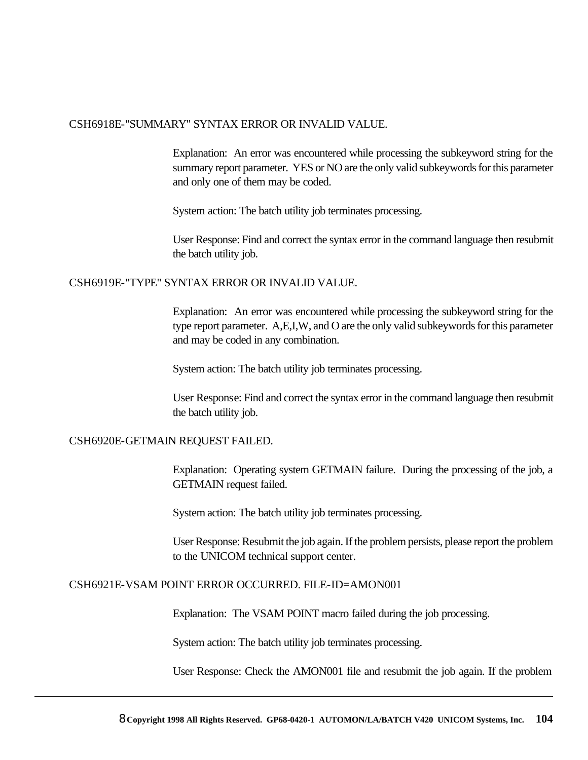#### CSH6918E-"SUMMARY" SYNTAX ERROR OR INVALID VALUE.

Explanation: An error was encountered while processing the subkeyword string for the summary report parameter. YES or NO are the only valid subkeywords for this parameter and only one of them may be coded.

System action: The batch utility job terminates processing.

User Response: Find and correct the syntax error in the command language then resubmit the batch utility job.

#### CSH6919E-"TYPE" SYNTAX ERROR OR INVALID VALUE.

Explanation: An error was encountered while processing the subkeyword string for the type report parameter. A,E,I,W, and O are the only valid subkeywords for this parameter and may be coded in any combination.

System action: The batch utility job terminates processing.

User Response: Find and correct the syntax error in the command language then resubmit the batch utility job.

#### CSH6920E-GETMAIN REQUEST FAILED.

Explanation: Operating system GETMAIN failure. During the processing of the job, a GETMAIN request failed.

System action: The batch utility job terminates processing.

User Response: Resubmit the job again. If the problem persists, please report the problem to the UNICOM technical support center.

#### CSH6921E-VSAM POINT ERROR OCCURRED. FILE-ID=AMON001

Explanation: The VSAM POINT macro failed during the job processing.

System action: The batch utility job terminates processing.

User Response: Check the AMON001 file and resubmit the job again. If the problem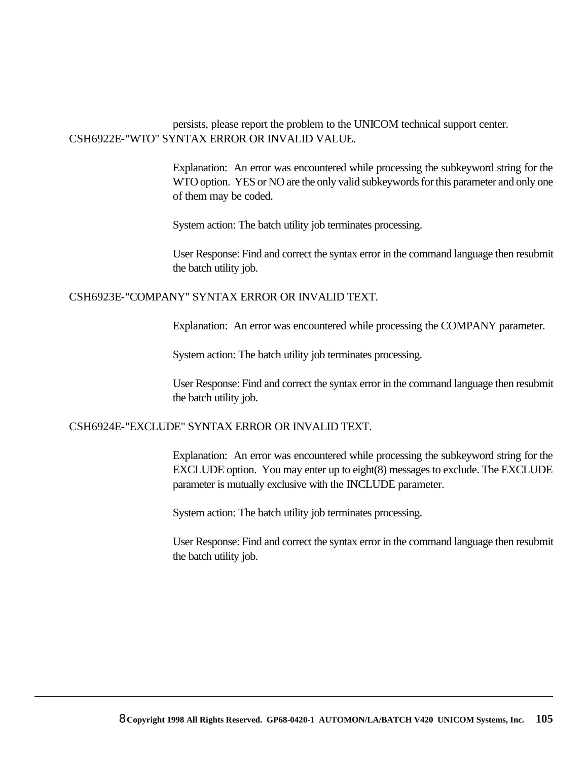#### persists, please report the problem to the UNICOM technical support center. CSH6922E-"WTO" SYNTAX ERROR OR INVALID VALUE.

Explanation: An error was encountered while processing the subkeyword string for the WTO option. YES or NO are the only valid subkeywords for this parameter and only one of them may be coded.

System action: The batch utility job terminates processing.

User Response: Find and correct the syntax error in the command language then resubmit the batch utility job.

#### CSH6923E-"COMPANY" SYNTAX ERROR OR INVALID TEXT.

Explanation: An error was encountered while processing the COMPANY parameter.

System action: The batch utility job terminates processing.

User Response: Find and correct the syntax error in the command language then resubmit the batch utility job.

#### CSH6924E-"EXCLUDE" SYNTAX ERROR OR INVALID TEXT.

Explanation: An error was encountered while processing the subkeyword string for the EXCLUDE option. You may enter up to eight(8) messages to exclude. The EXCLUDE parameter is mutually exclusive with the INCLUDE parameter.

System action: The batch utility job terminates processing.

User Response: Find and correct the syntax error in the command language then resubmit the batch utility job.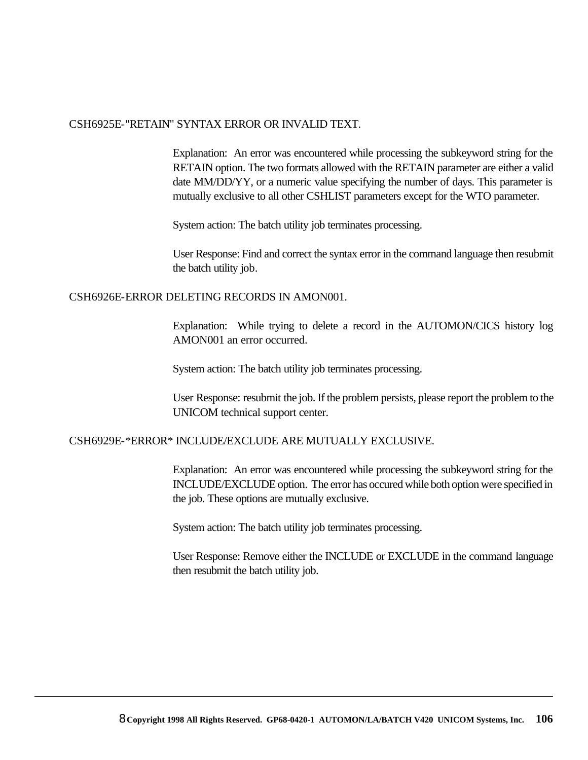#### CSH6925E-"RETAIN" SYNTAX ERROR OR INVALID TEXT.

Explanation: An error was encountered while processing the subkeyword string for the RETAIN option. The two formats allowed with the RETAIN parameter are either a valid date MM/DD/YY, or a numeric value specifying the number of days. This parameter is mutually exclusive to all other CSHLIST parameters except for the WTO parameter.

System action: The batch utility job terminates processing.

User Response: Find and correct the syntax error in the command language then resubmit the batch utility job.

#### CSH6926E-ERROR DELETING RECORDS IN AMON001.

Explanation: While trying to delete a record in the AUTOMON/CICS history log AMON001 an error occurred.

System action: The batch utility job terminates processing.

User Response: resubmit the job. If the problem persists, please report the problem to the UNICOM technical support center.

#### CSH6929E-\*ERROR\* INCLUDE/EXCLUDE ARE MUTUALLY EXCLUSIVE.

Explanation: An error was encountered while processing the subkeyword string for the INCLUDE/EXCLUDE option. The error has occured while both option were specified in the job. These options are mutually exclusive.

System action: The batch utility job terminates processing.

User Response: Remove either the INCLUDE or EXCLUDE in the command language then resubmit the batch utility job.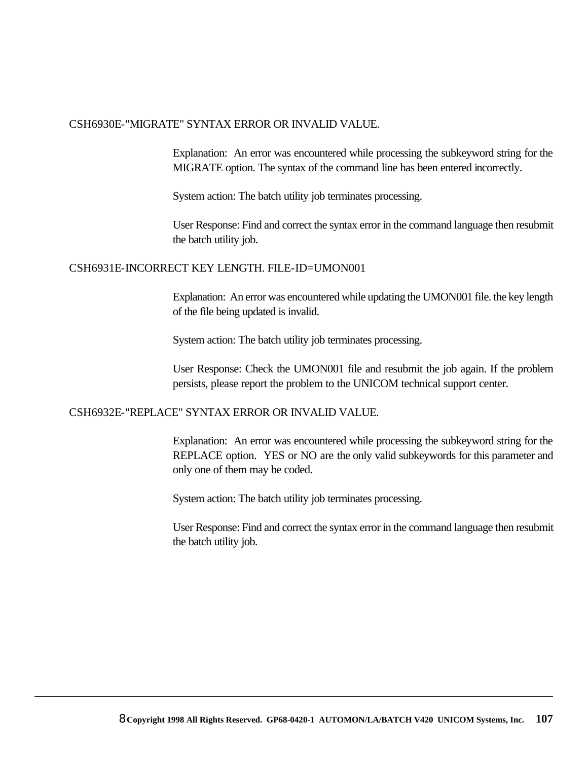#### CSH6930E-"MIGRATE" SYNTAX ERROR OR INVALID VALUE.

Explanation: An error was encountered while processing the subkeyword string for the MIGRATE option. The syntax of the command line has been entered incorrectly.

System action: The batch utility job terminates processing.

User Response: Find and correct the syntax error in the command language then resubmit the batch utility job.

#### CSH6931E-INCORRECT KEY LENGTH. FILE-ID=UMON001

Explanation: An error was encountered while updating the UMON001 file. the key length of the file being updated is invalid.

System action: The batch utility job terminates processing.

User Response: Check the UMON001 file and resubmit the job again. If the problem persists, please report the problem to the UNICOM technical support center.

#### CSH6932E-"REPLACE" SYNTAX ERROR OR INVALID VALUE.

Explanation: An error was encountered while processing the subkeyword string for the REPLACE option. YES or NO are the only valid subkeywords for this parameter and only one of them may be coded.

System action: The batch utility job terminates processing.

User Response: Find and correct the syntax error in the command language then resubmit the batch utility job.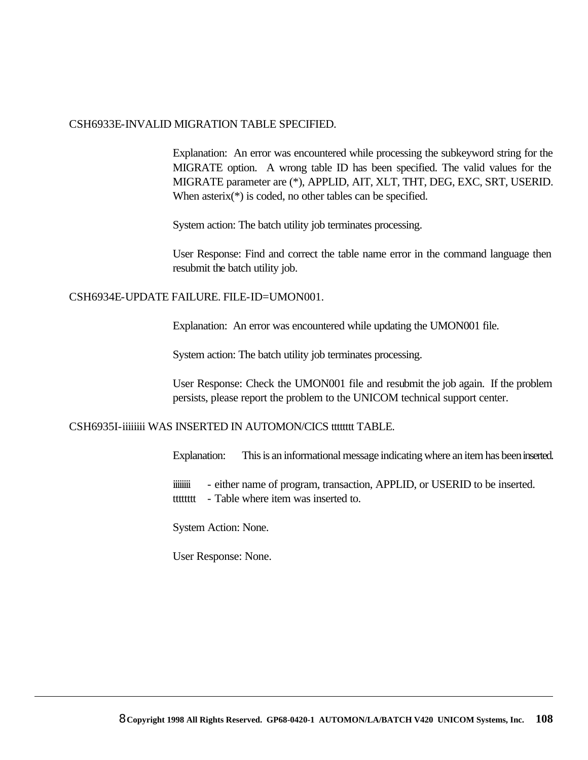#### CSH6933E-INVALID MIGRATION TABLE SPECIFIED.

Explanation: An error was encountered while processing the subkeyword string for the MIGRATE option. A wrong table ID has been specified. The valid values for the MIGRATE parameter are (\*), APPLID, AIT, XLT, THT, DEG, EXC, SRT, USERID. When asterix<sup>(\*)</sup> is coded, no other tables can be specified.

System action: The batch utility job terminates processing.

User Response: Find and correct the table name error in the command language then resubmit the batch utility job.

#### CSH6934E-UPDATE FAILURE. FILE-ID=UMON001.

Explanation: An error was encountered while updating the UMON001 file.

System action: The batch utility job terminates processing.

User Response: Check the UMON001 file and resubmit the job again. If the problem persists, please report the problem to the UNICOM technical support center.

#### CSH6935I-iiiiiiii WAS INSERTED IN AUTOMON/CICS tttttttt TABLE.

Explanation: This is an informational message indicating where an item has been inserted.

iiiiiiii - either name of program, transaction, APPLID, or USERID to be inserted. tttttttt - Table where item was inserted to.

System Action: None.

User Response: None.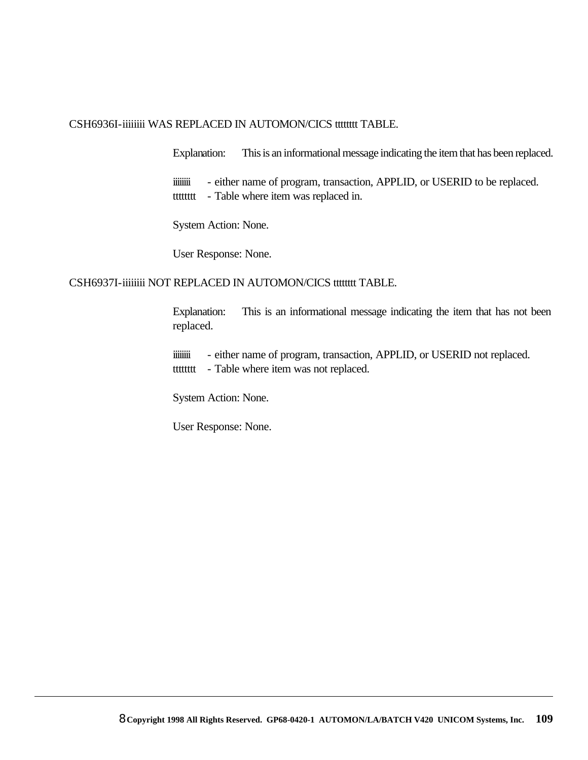#### CSH6936I-iiiiiiii WAS REPLACED IN AUTOMON/CICS tttttttt TABLE.

Explanation: This is an informational message indicating the item that has been replaced.

iiiiiiii - either name of program, transaction, APPLID, or USERID to be replaced. tttttttt - Table where item was replaced in.

System Action: None.

User Response: None.

#### CSH6937I-iiiiiiii NOT REPLACED IN AUTOMON/CICS tttttttt TABLE.

Explanation: This is an informational message indicating the item that has not been replaced.

iiiiiii - either name of program, transaction, APPLID, or USERID not replaced. tttttttt - Table where item was not replaced.

System Action: None.

User Response: None.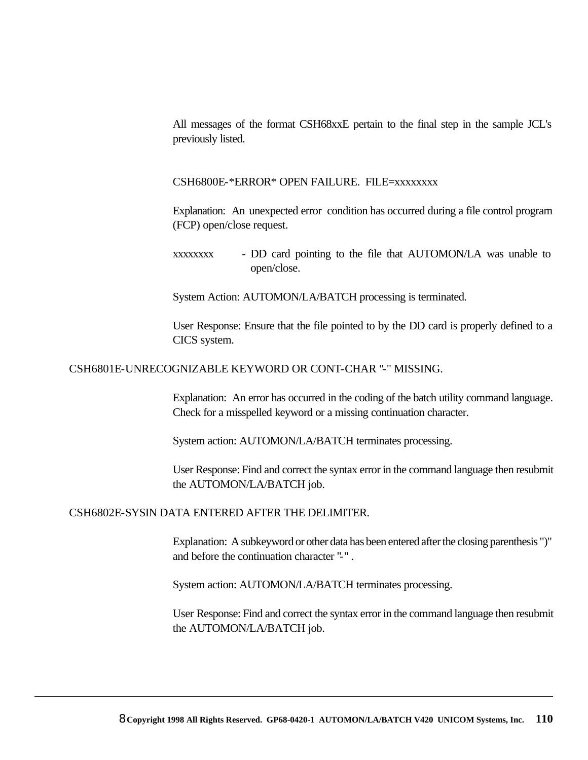All messages of the format CSH68xxE pertain to the final step in the sample JCL's previously listed.

#### CSH6800E-\*ERROR\* OPEN FAILURE. FILE=xxxxxxxx

Explanation: An unexpected error condition has occurred during a file control program (FCP) open/close request.

System Action: AUTOMON/LA/BATCH processing is terminated.

User Response: Ensure that the file pointed to by the DD card is properly defined to a CICS system.

#### CSH6801E-UNRECOGNIZABLE KEYWORD OR CONT-CHAR "-" MISSING.

Explanation: An error has occurred in the coding of the batch utility command language. Check for a misspelled keyword or a missing continuation character.

System action: AUTOMON/LA/BATCH terminates processing.

User Response: Find and correct the syntax error in the command language then resubmit the AUTOMON/LA/BATCH job.

#### CSH6802E-SYSIN DATA ENTERED AFTER THE DELIMITER.

Explanation: A subkeyword or other data has been entered after the closing parenthesis ")" and before the continuation character "-" .

System action: AUTOMON/LA/BATCH terminates processing.

xxxxxxxx - DD card pointing to the file that AUTOMON/LA was unable to open/close.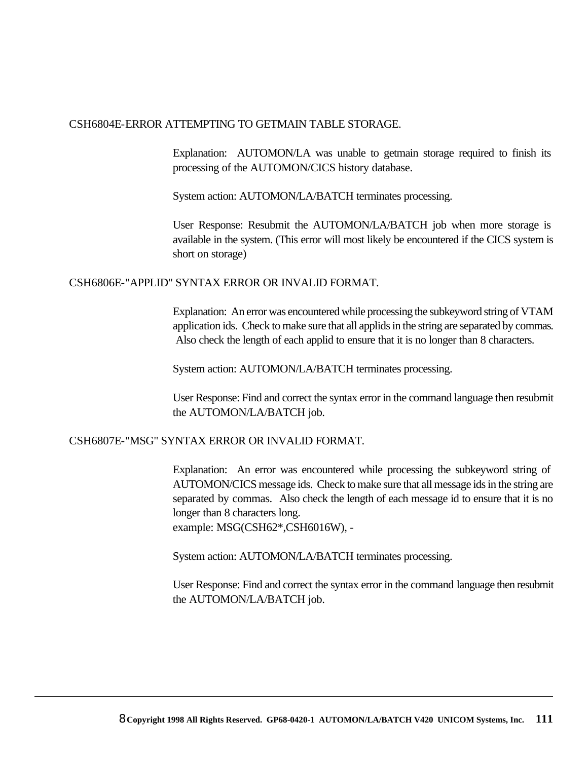#### CSH6804E-ERROR ATTEMPTING TO GETMAIN TABLE STORAGE.

Explanation: AUTOMON/LA was unable to getmain storage required to finish its processing of the AUTOMON/CICS history database.

System action: AUTOMON/LA/BATCH terminates processing.

User Response: Resubmit the AUTOMON/LA/BATCH job when more storage is available in the system. (This error will most likely be encountered if the CICS system is short on storage)

#### CSH6806E-"APPLID" SYNTAX ERROR OR INVALID FORMAT.

Explanation: An error was encountered while processing the subkeyword string of VTAM application ids. Check to make sure that all applids in the string are separated by commas. Also check the length of each applid to ensure that it is no longer than 8 characters.

System action: AUTOMON/LA/BATCH terminates processing.

User Response: Find and correct the syntax error in the command language then resubmit the AUTOMON/LA/BATCH job.

#### CSH6807E-"MSG" SYNTAX ERROR OR INVALID FORMAT.

Explanation: An error was encountered while processing the subkeyword string of AUTOMON/CICS message ids. Check to make sure that all message ids in the string are separated by commas. Also check the length of each message id to ensure that it is no longer than 8 characters long. example: MSG(CSH62\*,CSH6016W), -

System action: AUTOMON/LA/BATCH terminates processing.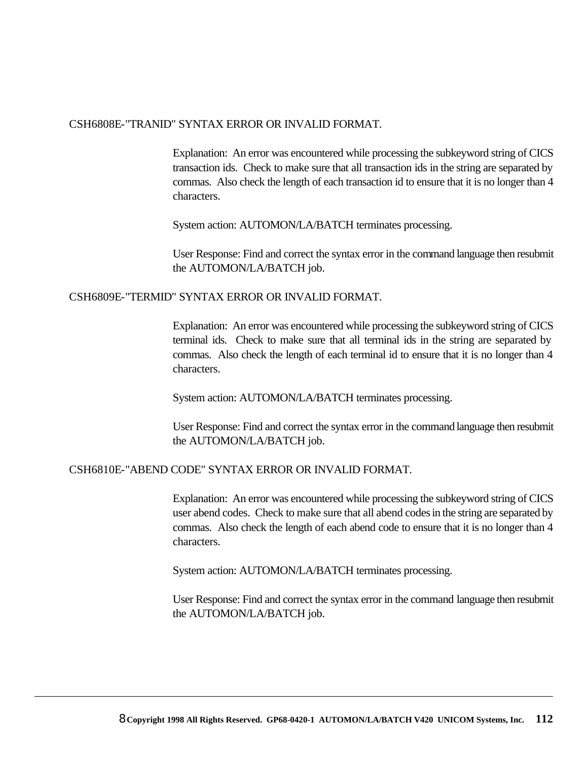#### CSH6808E-"TRANID" SYNTAX ERROR OR INVALID FORMAT.

Explanation: An error was encountered while processing the subkeyword string of CICS transaction ids. Check to make sure that all transaction ids in the string are separated by commas. Also check the length of each transaction id to ensure that it is no longer than 4 characters.

System action: AUTOMON/LA/BATCH terminates processing.

User Response: Find and correct the syntax error in the command language then resubmit the AUTOMON/LA/BATCH job.

#### CSH6809E-"TERMID" SYNTAX ERROR OR INVALID FORMAT.

Explanation: An error was encountered while processing the subkeyword string of CICS terminal ids. Check to make sure that all terminal ids in the string are separated by commas. Also check the length of each terminal id to ensure that it is no longer than 4 characters.

System action: AUTOMON/LA/BATCH terminates processing.

User Response: Find and correct the syntax error in the command language then resubmit the AUTOMON/LA/BATCH job.

#### CSH6810E-"ABEND CODE" SYNTAX ERROR OR INVALID FORMAT.

Explanation: An error was encountered while processing the subkeyword string of CICS user abend codes. Check to make sure that all abend codes in the string are separated by commas. Also check the length of each abend code to ensure that it is no longer than 4 characters.

System action: AUTOMON/LA/BATCH terminates processing.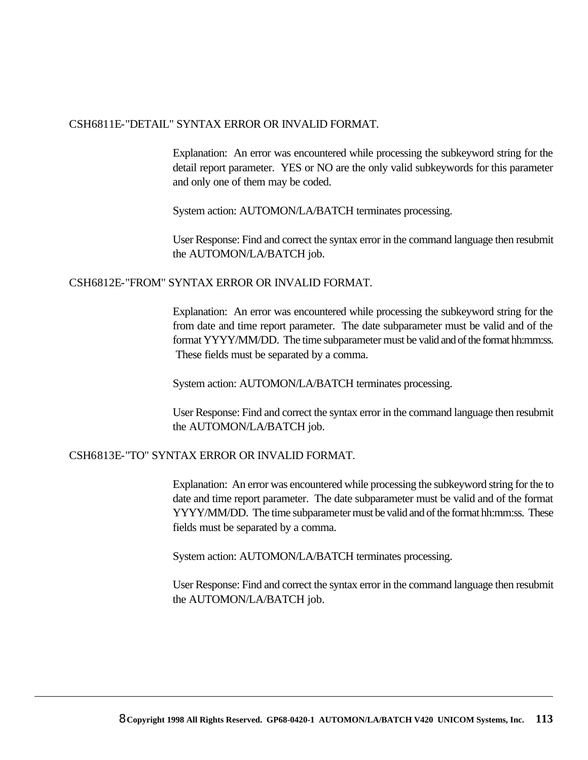#### CSH6811E-"DETAIL" SYNTAX ERROR OR INVALID FORMAT.

Explanation: An error was encountered while processing the subkeyword string for the detail report parameter. YES or NO are the only valid subkeywords for this parameter and only one of them may be coded.

System action: AUTOMON/LA/BATCH terminates processing.

User Response: Find and correct the syntax error in the command language then resubmit the AUTOMON/LA/BATCH job.

#### CSH6812E-"FROM" SYNTAX ERROR OR INVALID FORMAT.

Explanation: An error was encountered while processing the subkeyword string for the from date and time report parameter. The date subparameter must be valid and of the format YYYY/MM/DD. The time subparameter must be valid and of the format hh:mm:ss. These fields must be separated by a comma.

System action: AUTOMON/LA/BATCH terminates processing.

User Response: Find and correct the syntax error in the command language then resubmit the AUTOMON/LA/BATCH job.

#### CSH6813E-"TO" SYNTAX ERROR OR INVALID FORMAT.

Explanation: An error was encountered while processing the subkeyword string for the to date and time report parameter. The date subparameter must be valid and of the format YYYY/MM/DD. The time subparameter must be valid and of the format hh:mm:ss. These fields must be separated by a comma.

System action: AUTOMON/LA/BATCH terminates processing.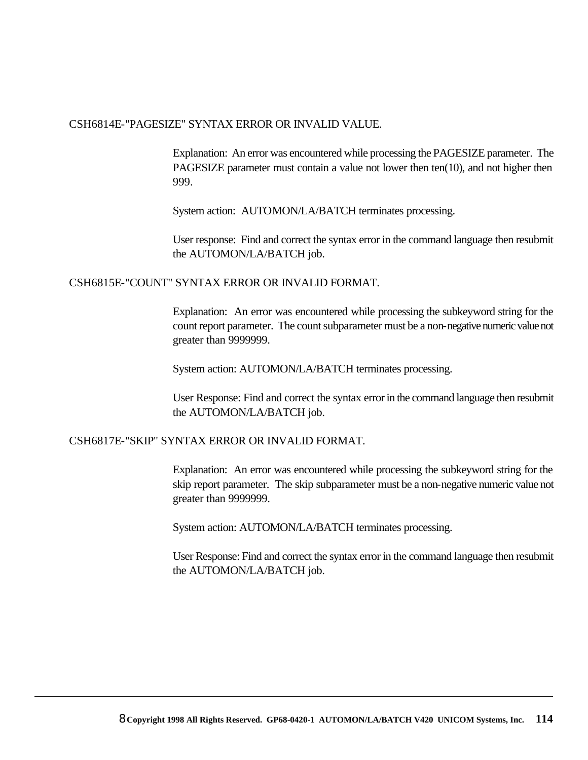#### CSH6814E-"PAGESIZE" SYNTAX ERROR OR INVALID VALUE.

Explanation: An error was encountered while processing the PAGESIZE parameter. The PAGESIZE parameter must contain a value not lower then ten(10), and not higher then 999.

System action: AUTOMON/LA/BATCH terminates processing.

User response: Find and correct the syntax error in the command language then resubmit the AUTOMON/LA/BATCH job.

#### CSH6815E-"COUNT" SYNTAX ERROR OR INVALID FORMAT.

Explanation: An error was encountered while processing the subkeyword string for the count report parameter. The count subparameter must be a non-negative numeric value not greater than 9999999.

System action: AUTOMON/LA/BATCH terminates processing.

User Response: Find and correct the syntax error in the command language then resubmit the AUTOMON/LA/BATCH job.

#### CSH6817E-"SKIP" SYNTAX ERROR OR INVALID FORMAT.

Explanation: An error was encountered while processing the subkeyword string for the skip report parameter. The skip subparameter must be a non-negative numeric value not greater than 9999999.

System action: AUTOMON/LA/BATCH terminates processing.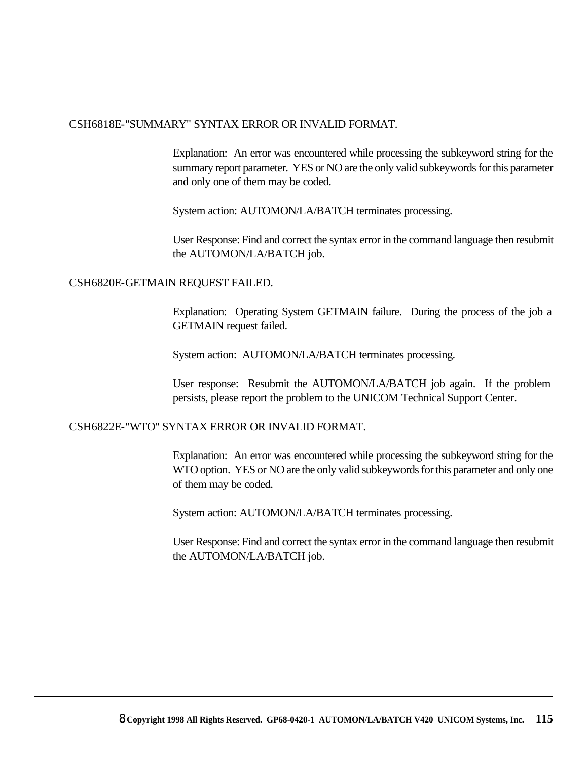#### CSH6818E-"SUMMARY" SYNTAX ERROR OR INVALID FORMAT.

Explanation: An error was encountered while processing the subkeyword string for the summary report parameter. YES or NO are the only valid subkeywords for this parameter and only one of them may be coded.

System action: AUTOMON/LA/BATCH terminates processing.

User Response: Find and correct the syntax error in the command language then resubmit the AUTOMON/LA/BATCH job.

#### CSH6820E-GETMAIN REQUEST FAILED.

Explanation: Operating System GETMAIN failure. During the process of the job a GETMAIN request failed.

System action: AUTOMON/LA/BATCH terminates processing.

User response: Resubmit the AUTOMON/LA/BATCH job again. If the problem persists, please report the problem to the UNICOM Technical Support Center.

#### CSH6822E-"WTO" SYNTAX ERROR OR INVALID FORMAT.

Explanation: An error was encountered while processing the subkeyword string for the WTO option. YES or NO are the only valid subkeywords for this parameter and only one of them may be coded.

System action: AUTOMON/LA/BATCH terminates processing.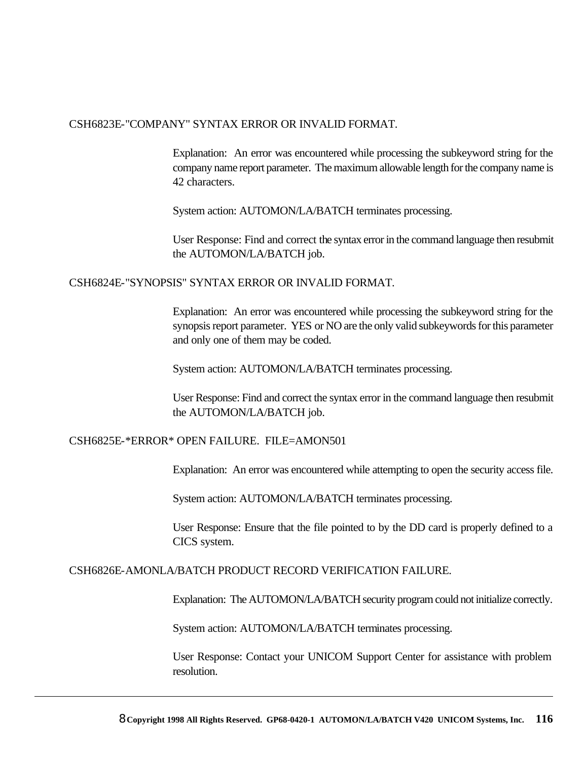#### CSH6823E-"COMPANY" SYNTAX ERROR OR INVALID FORMAT.

Explanation: An error was encountered while processing the subkeyword string for the company name report parameter. The maximum allowable length for the company name is 42 characters.

System action: AUTOMON/LA/BATCH terminates processing.

User Response: Find and correct the syntax error in the command language then resubmit the AUTOMON/LA/BATCH job.

#### CSH6824E-"SYNOPSIS" SYNTAX ERROR OR INVALID FORMAT.

Explanation: An error was encountered while processing the subkeyword string for the synopsis report parameter. YES or NO are the only valid subkeywords for this parameter and only one of them may be coded.

System action: AUTOMON/LA/BATCH terminates processing.

User Response: Find and correct the syntax error in the command language then resubmit the AUTOMON/LA/BATCH job.

#### CSH6825E-\*ERROR\* OPEN FAILURE. FILE=AMON501

Explanation: An error was encountered while attempting to open the security access file.

System action: AUTOMON/LA/BATCH terminates processing.

User Response: Ensure that the file pointed to by the DD card is properly defined to a CICS system.

#### CSH6826E-AMONLA/BATCH PRODUCT RECORD VERIFICATION FAILURE.

Explanation: The AUTOMON/LA/BATCH security program could not initialize correctly.

System action: AUTOMON/LA/BATCH terminates processing.

User Response: Contact your UNICOM Support Center for assistance with problem resolution.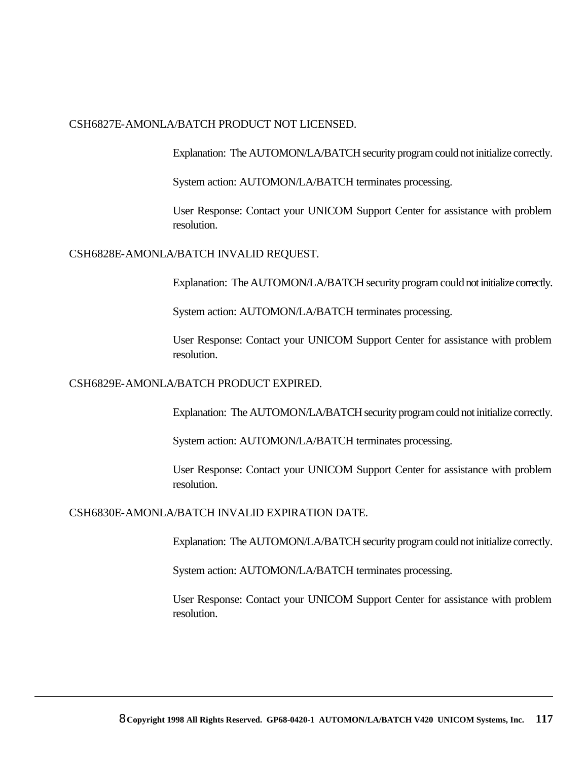#### CSH6827E-AMONLA/BATCH PRODUCT NOT LICENSED.

Explanation: The AUTOMON/LA/BATCH security program could not initialize correctly.

System action: AUTOMON/LA/BATCH terminates processing.

User Response: Contact your UNICOM Support Center for assistance with problem resolution.

#### CSH6828E-AMONLA/BATCH INVALID REQUEST.

Explanation: The AUTOMON/LA/BATCH security program could not initialize correctly.

System action: AUTOMON/LA/BATCH terminates processing.

User Response: Contact your UNICOM Support Center for assistance with problem resolution.

#### CSH6829E-AMONLA/BATCH PRODUCT EXPIRED.

Explanation: The AUTOMON/LA/BATCH security program could not initialize correctly.

System action: AUTOMON/LA/BATCH terminates processing.

User Response: Contact your UNICOM Support Center for assistance with problem resolution.

#### CSH6830E-AMONLA/BATCH INVALID EXPIRATION DATE.

Explanation: The AUTOMON/LA/BATCH security program could not initialize correctly.

System action: AUTOMON/LA/BATCH terminates processing.

User Response: Contact your UNICOM Support Center for assistance with problem resolution.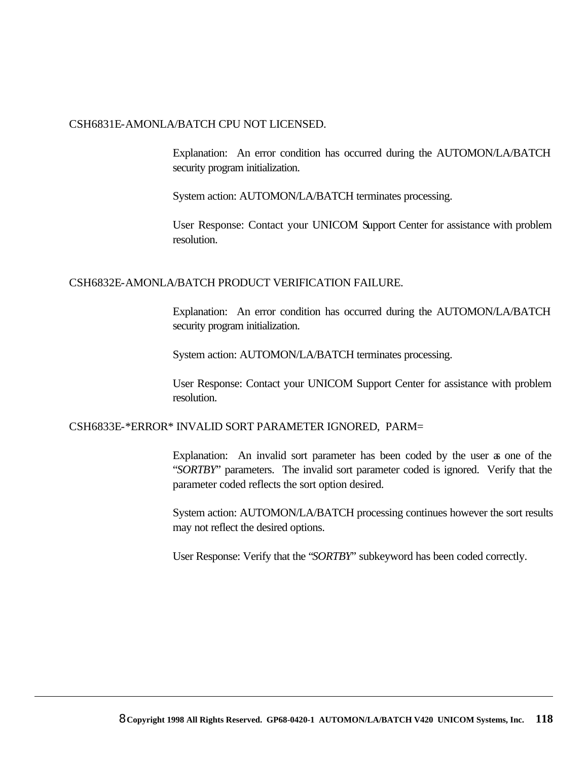#### CSH6831E-AMONLA/BATCH CPU NOT LICENSED.

Explanation: An error condition has occurred during the AUTOMON/LA/BATCH security program initialization.

System action: AUTOMON/LA/BATCH terminates processing.

User Response: Contact your UNICOM Support Center for assistance with problem resolution.

#### CSH6832E-AMONLA/BATCH PRODUCT VERIFICATION FAILURE.

Explanation: An error condition has occurred during the AUTOMON/LA/BATCH security program initialization.

System action: AUTOMON/LA/BATCH terminates processing.

User Response: Contact your UNICOM Support Center for assistance with problem resolution.

#### CSH6833E-\*ERROR\* INVALID SORT PARAMETER IGNORED, PARM=

Explanation: An invalid sort parameter has been coded by the user as one of the "*SORTBY*" parameters. The invalid sort parameter coded is ignored. Verify that the parameter coded reflects the sort option desired.

System action: AUTOMON/LA/BATCH processing continues however the sort results may not reflect the desired options.

User Response: Verify that the "*SORTBY*" subkeyword has been coded correctly.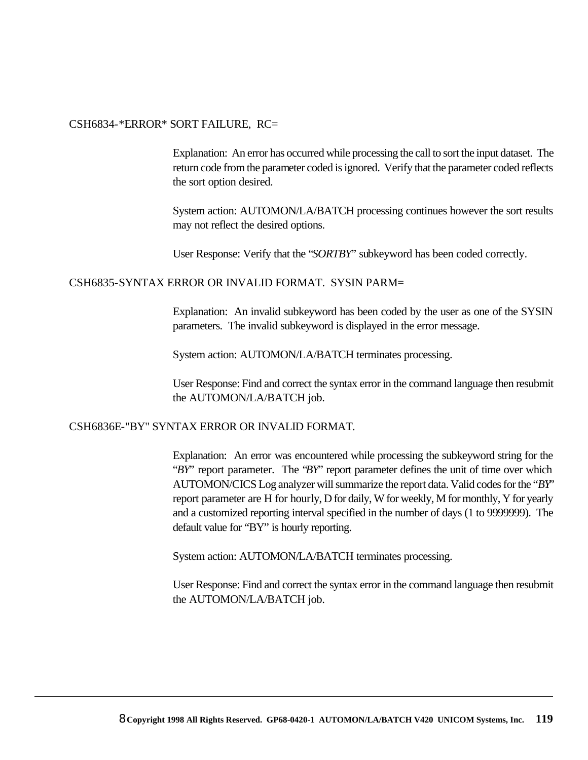#### CSH6834-\*ERROR\* SORT FAILURE, RC=

Explanation: An error has occurred while processing the call to sort the input dataset. The return code from the parameter coded is ignored. Verify that the parameter coded reflects the sort option desired.

System action: AUTOMON/LA/BATCH processing continues however the sort results may not reflect the desired options.

User Response: Verify that the "*SORTBY*" subkeyword has been coded correctly.

CSH6835-SYNTAX ERROR OR INVALID FORMAT. SYSIN PARM=

Explanation: An invalid subkeyword has been coded by the user as one of the SYSIN parameters. The invalid subkeyword is displayed in the error message.

System action: AUTOMON/LA/BATCH terminates processing.

User Response: Find and correct the syntax error in the command language then resubmit the AUTOMON/LA/BATCH job.

#### CSH6836E-"BY" SYNTAX ERROR OR INVALID FORMAT.

Explanation: An error was encountered while processing the subkeyword string for the "*BY*" report parameter. The "*BY*" report parameter defines the unit of time over which AUTOMON/CICS Log analyzer will summarize the report data. Valid codes for the "*BY*" report parameter are H for hourly, D for daily, W for weekly, M for monthly, Y for yearly and a customized reporting interval specified in the number of days (1 to 9999999). The default value for "BY" is hourly reporting.

System action: AUTOMON/LA/BATCH terminates processing.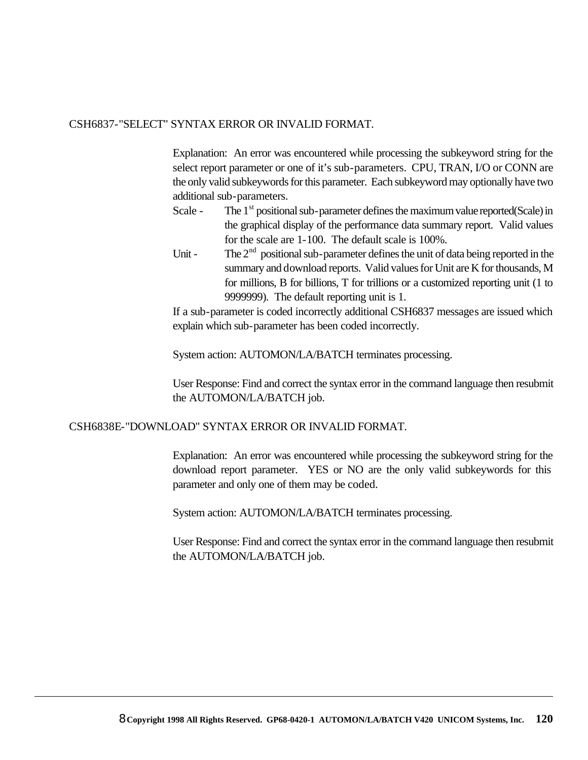#### CSH6837-"SELECT" SYNTAX ERROR OR INVALID FORMAT.

Explanation: An error was encountered while processing the subkeyword string for the select report parameter or one of it's sub-parameters. CPU, TRAN, I/O or CONN are the only valid subkeywords for this parameter. Each subkeyword may optionally have two additional sub-parameters.

- Scale The  $1<sup>st</sup>$  positional sub-parameter defines the maximum value reported(Scale) in the graphical display of the performance data summary report. Valid values for the scale are 1-100. The default scale is 100%.
- Unit The  $2<sup>nd</sup>$  positional sub-parameter defines the unit of data being reported in the summary and download reports. Valid values for Unit are K for thousands, M for millions, B for billions, T for trillions or a customized reporting unit (1 to 9999999). The default reporting unit is 1.

If a sub-parameter is coded incorrectly additional CSH6837 messages are issued which explain which sub-parameter has been coded incorrectly.

System action: AUTOMON/LA/BATCH terminates processing.

User Response: Find and correct the syntax error in the command language then resubmit the AUTOMON/LA/BATCH job.

#### CSH6838E-"DOWNLOAD" SYNTAX ERROR OR INVALID FORMAT.

Explanation: An error was encountered while processing the subkeyword string for the download report parameter. YES or NO are the only valid subkeywords for this parameter and only one of them may be coded.

System action: AUTOMON/LA/BATCH terminates processing.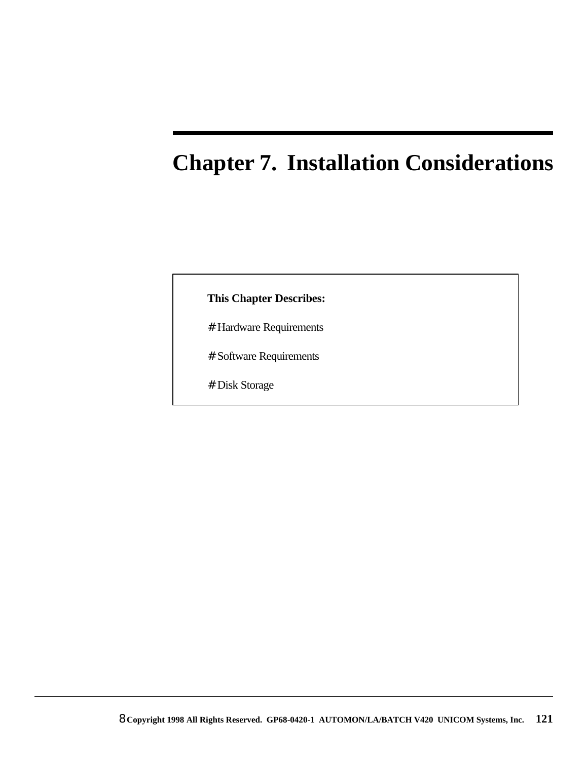# **Chapter 7. Installation Considerations**

#### **This Chapter Describes:**

- # Hardware Requirements
- # Software Requirements
- # Disk Storage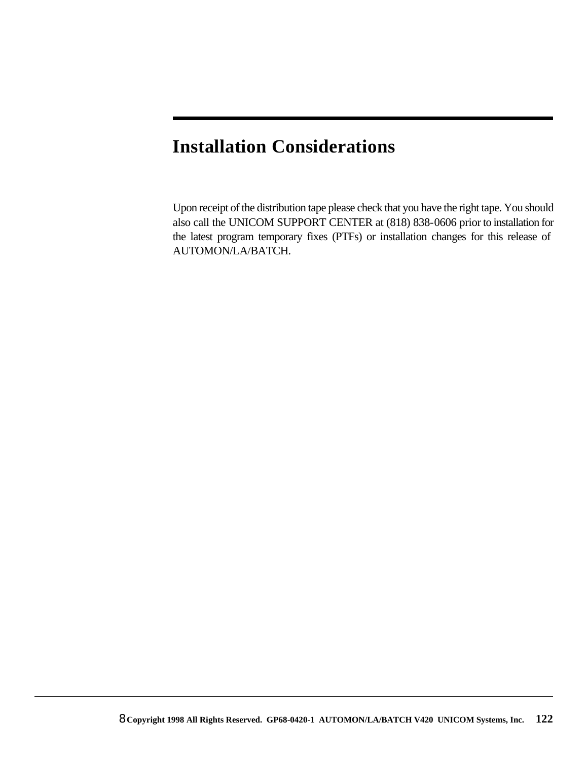# **Installation Considerations**

Upon receipt of the distribution tape please check that you have the right tape. You should also call the UNICOM SUPPORT CENTER at (818) 838-0606 prior to installation for the latest program temporary fixes (PTFs) or installation changes for this release of AUTOMON/LA/BATCH.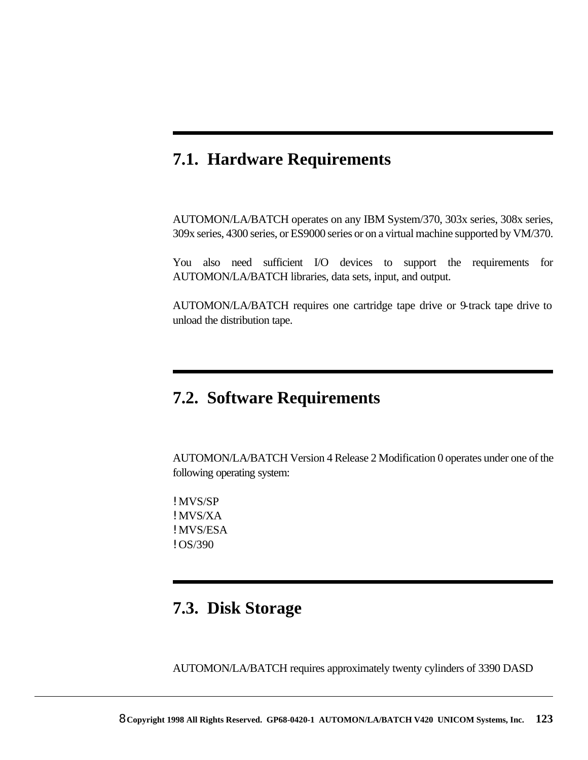### **7.1. Hardware Requirements**

AUTOMON/LA/BATCH operates on any IBM System/370, 303x series, 308x series, 309x series, 4300 series, or ES9000 series or on a virtual machine supported by VM/370.

You also need sufficient I/O devices to support the requirements for AUTOMON/LA/BATCH libraries, data sets, input, and output.

AUTOMON/LA/BATCH requires one cartridge tape drive or 9-track tape drive to unload the distribution tape.

### **7.2. Software Requirements**

AUTOMON/LA/BATCH Version 4 Release 2 Modification 0 operates under one of the following operating system:

! MVS/SP ! MVS/XA ! MVS/ESA ! OS/390

### **7.3. Disk Storage**

AUTOMON/LA/BATCH requires approximately twenty cylinders of 3390 DASD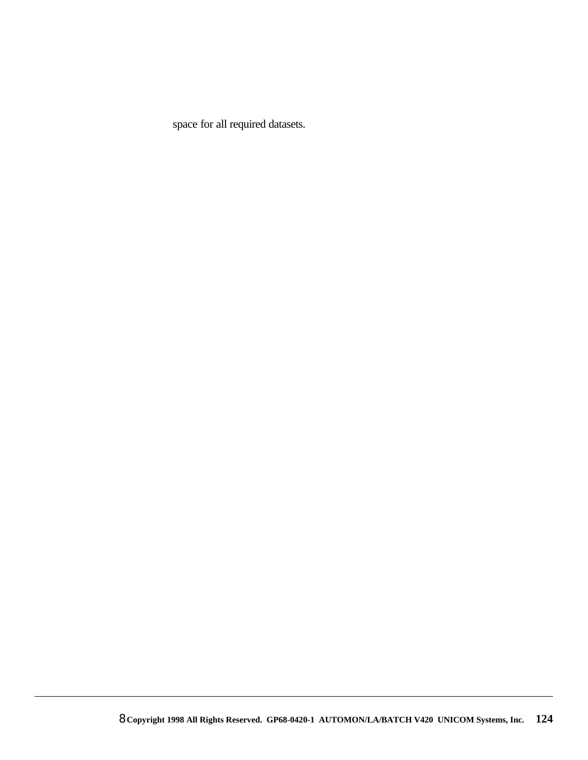space for all required datasets.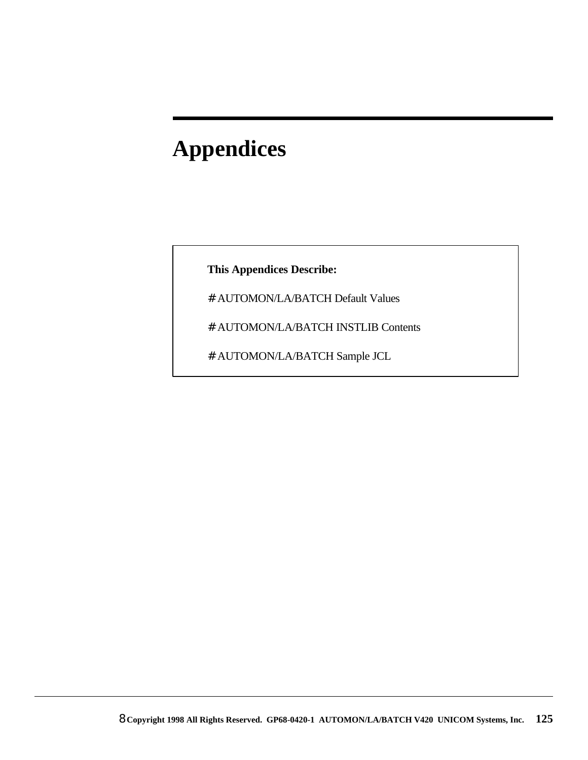# **Appendices**

**This Appendices Describe:**

- # AUTOMON/LA/BATCH Default Values
- # AUTOMON/LA/BATCH INSTLIB Contents
- # AUTOMON/LA/BATCH Sample JCL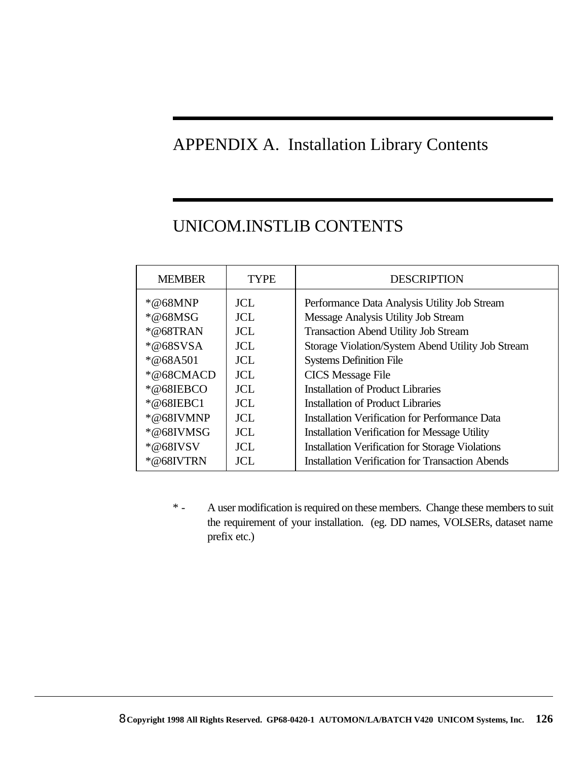### APPENDIX A. Installation Library Contents

# UNICOM.INSTLIB CONTENTS

| <b>MEMBER</b> | TYPE       | <b>DESCRIPTION</b>                                      |
|---------------|------------|---------------------------------------------------------|
| $*@68MNP$     | JCL.       | Performance Data Analysis Utility Job Stream            |
| $*@68MSG$     | <b>JCL</b> | Message Analysis Utility Job Stream                     |
| $*@68TRAN$    | <b>JCL</b> | <b>Transaction Abend Utility Job Stream</b>             |
| $*@68SVSA$    | JCL        | Storage Violation/System Abend Utility Job Stream       |
| $*@68A501$    | JCL        | <b>Systems Definition File</b>                          |
| $*@68CMACD$   | JCL.       | <b>CICS</b> Message File                                |
| *@68IEBCO     | <b>JCL</b> | Installation of Product Libraries                       |
| *@68IEBC1     | JCL.       | Installation of Product Libraries                       |
| $*@68$ IVMNP  | <b>JCL</b> | <b>Installation Verification for Performance Data</b>   |
| *@68IVMSG     | <b>JCL</b> | <b>Installation Verification for Message Utility</b>    |
| $*@68$ IVSV   | JCL.       | <b>Installation Verification for Storage Violations</b> |
| *@68IVTRN     | JCL.       | <b>Installation Verification for Transaction Abends</b> |

\* - A user modification is required on these members. Change these members to suit the requirement of your installation. (eg. DD names, VOLSERs, dataset name prefix etc.)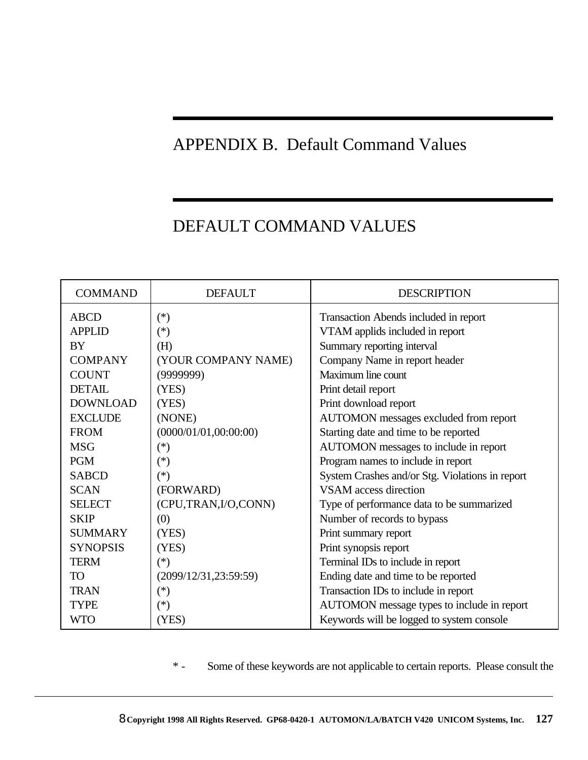# APPENDIX B. Default Command Values

# DEFAULT COMMAND VALUES

| <b>COMMAND</b>               | <b>DEFAULT</b>         | <b>DESCRIPTION</b>                                                       |
|------------------------------|------------------------|--------------------------------------------------------------------------|
| <b>ABCD</b><br><b>APPLID</b> | $(*)$<br>$(*)$         | Transaction Abends included in report<br>VTAM applids included in report |
| <b>BY</b>                    | (H)                    | Summary reporting interval                                               |
| <b>COMPANY</b>               | (YOUR COMPANY NAME)    |                                                                          |
| <b>COUNT</b>                 |                        | Company Name in report header<br>Maximum line count                      |
|                              | (9999999)              |                                                                          |
| <b>DETAIL</b>                | (YES)                  | Print detail report                                                      |
| <b>DOWNLOAD</b>              | (YES)                  | Print download report                                                    |
| <b>EXCLUDE</b>               | (NONE)                 | AUTOMON messages excluded from report                                    |
| <b>FROM</b>                  | (0000/01/01, 00:00:00) | Starting date and time to be reported                                    |
| <b>MSG</b>                   | $(\ast)$               | AUTOMON messages to include in report                                    |
| <b>PGM</b>                   | $(\ast)$               | Program names to include in report                                       |
| <b>SABCD</b>                 | $(*)$                  | System Crashes and/or Stg. Violations in report                          |
| <b>SCAN</b>                  | (FORWARD)              | <b>VSAM</b> access direction                                             |
| <b>SELECT</b>                | (CPU,TRAN,I/O,CONN)    | Type of performance data to be summarized                                |
| <b>SKIP</b>                  | (0)                    | Number of records to bypass                                              |
| <b>SUMMARY</b>               | (YES)                  | Print summary report                                                     |
| <b>SYNOPSIS</b>              | (YES)                  | Print synopsis report                                                    |
| <b>TERM</b>                  | $(*)$                  | Terminal IDs to include in report                                        |
| <b>TO</b>                    | (2099/12/31, 23:59:59) | Ending date and time to be reported                                      |
| <b>TRAN</b>                  | $(\ast)$               | Transaction IDs to include in report                                     |
| <b>TYPE</b>                  | $(\ast)$               | AUTOMON message types to include in report                               |
| <b>WTO</b>                   | (YES)                  | Keywords will be logged to system console                                |

\* - Some of these keywords are not applicable to certain reports. Please consult the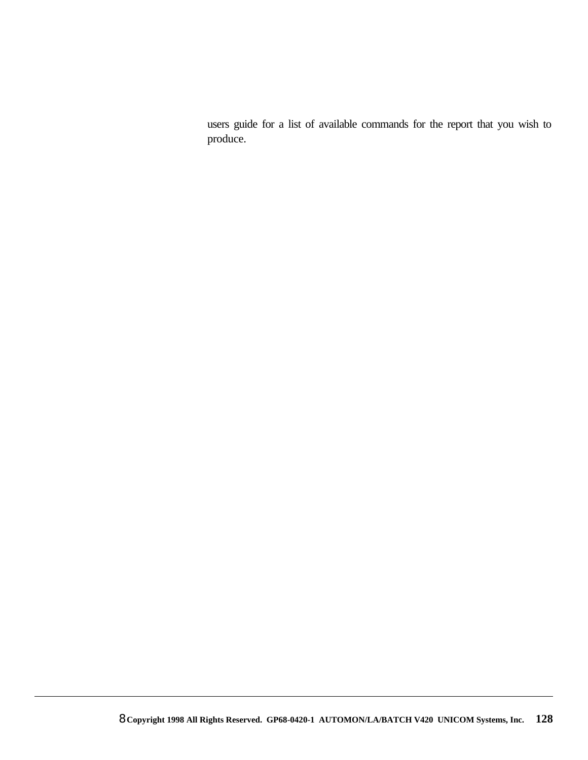users guide for a list of available commands for the report that you wish to produce.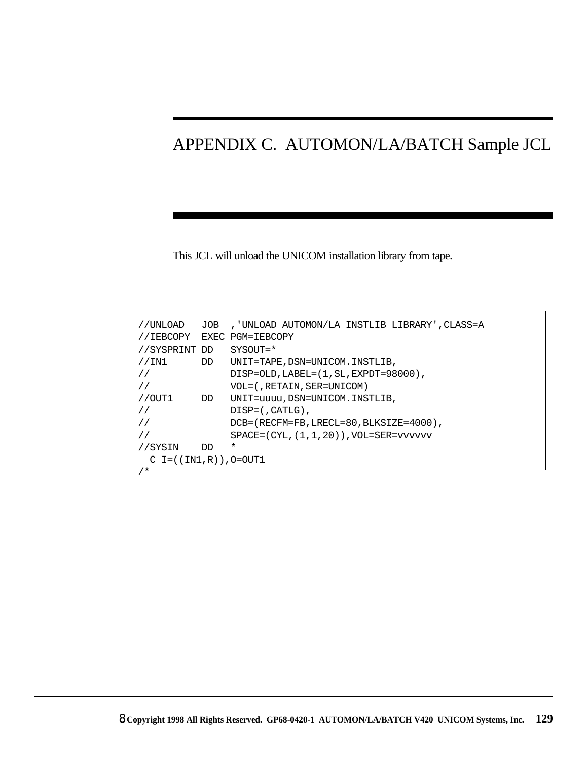# APPENDIX C. AUTOMON/LA/BATCH Sample JCL

This JCL will unload the UNICOM installation library from tape.

| //UNLOAD                    | JOB | ,'UNLOAD AUTOMON/LA INSTLIB LIBRARY',CLASS=A       |
|-----------------------------|-----|----------------------------------------------------|
| //IEBCOPY                   |     | EXEC PGM=IEBCOPY                                   |
| //SYSPRINT DD               |     | $SYSOUT = *$                                       |
| //IN1                       | DD  | UNIT=TAPE,DSN=UNICOM.INSTLIB,                      |
| $\frac{1}{2}$               |     | $DISP=OLD$ , $LABEL=(1, SL, EXPDT=98000)$ ,        |
|                             |     | VOL=(,RETAIN,SER=UNICOM)                           |
| $1/0$ UT $1$                | DD  | UNIT=uuuu, DSN=UNICOM. INSTLIB,                    |
|                             |     | $DISP=$ $\ldots$ $CATLG$ $\ldots$                  |
|                             |     | DCB=(RECFM=FB, LRECL=80, BLKSIZE=4000),            |
|                             |     | $SPACE = (CYL, (1, 1, 20))$ , $VOL = SER = vVVVVV$ |
| //SYSIN                     | חת  | $\ast$                                             |
| $C = ((IN1, R))$ , $O=OUT1$ |     |                                                    |
| $\overline{\phantom{a}}$    |     |                                                    |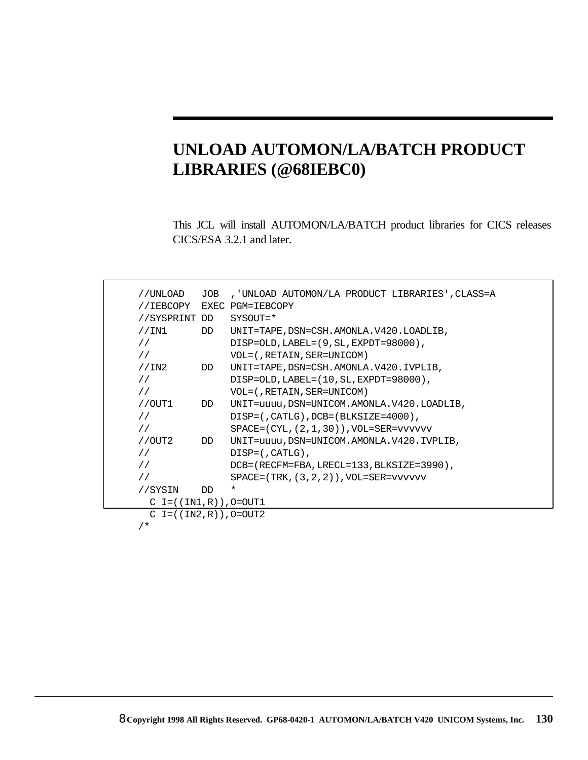# **UNLOAD AUTOMON/LA/BATCH PRODUCT LIBRARIES (@68IEBC0)**

This JCL will install AUTOMON/LA/BATCH product libraries for CICS releases CICS/ESA 3.2.1 and later.

| //UNLOAD                  | JOB | , 'UNLOAD AUTOMON/LA PRODUCT LIBRARIES', CLASS=A    |
|---------------------------|-----|-----------------------------------------------------|
|                           |     |                                                     |
| //IEBCOPY                 |     | EXEC PGM=IEBCOPY                                    |
| //SYSPRINT DD             |     | $SYSOUT = *$                                        |
| //IN1                     | DD  | UNIT=TAPE, DSN=CSH.AMONLA.V420.LOADLIB,             |
| $\frac{1}{2}$             |     | $DISP=OLD$ , $LABEL=(9, SL, EXPDT=98000)$ ,         |
| $\frac{1}{2}$             |     | VOL=(, RETAIN, SER=UNICOM)                          |
| //IN2                     | DD  | UNIT=TAPE, DSN=CSH.AMONLA.V420.IVPLIB,              |
| $\frac{1}{2}$             |     | $DISP=OLD$ , $LABEL=(10$ , $SL$ , $EXPDT=98000$ ),  |
| $\frac{1}{2}$             |     | VOL=(, RETAIN, SER=UNICOM)                          |
| //OUT1                    | DD  | UNIT=uuuu, DSN=UNICOM.AMONLA.V420.LOADLIB,          |
| $\frac{1}{2}$             |     | $DISP=$ (, CATLG), DCB= (BLKSIZE=4000),             |
| $\frac{1}{2}$             |     | $SPACE = (CYL, (2, 1, 30))$ , $VOL = SER = vvvvvvv$ |
| //OUT2                    | DD  | UNIT=uuuu, DSN=UNICOM.AMONLA.V420.IVPLIB,           |
| $\frac{1}{2}$             |     | $DISP=$ (, CATLG),                                  |
| $\frac{1}{2}$             |     | DCB=(RECFM=FBA, LRECL=133, BLKSIZE=3990),           |
| $\frac{1}{2}$             |     | $SPACE = (TRK, (3, 2, 2))$ , $VOL = SER = vVVVVV$   |
| //SYSIN                   | DD  | $\star$                                             |
| $C = ((IN1, R))$ , O=OUT1 |     |                                                     |
| $C = ((IN2, R))$ , 0=0UT2 |     |                                                     |
| $/$ *                     |     |                                                     |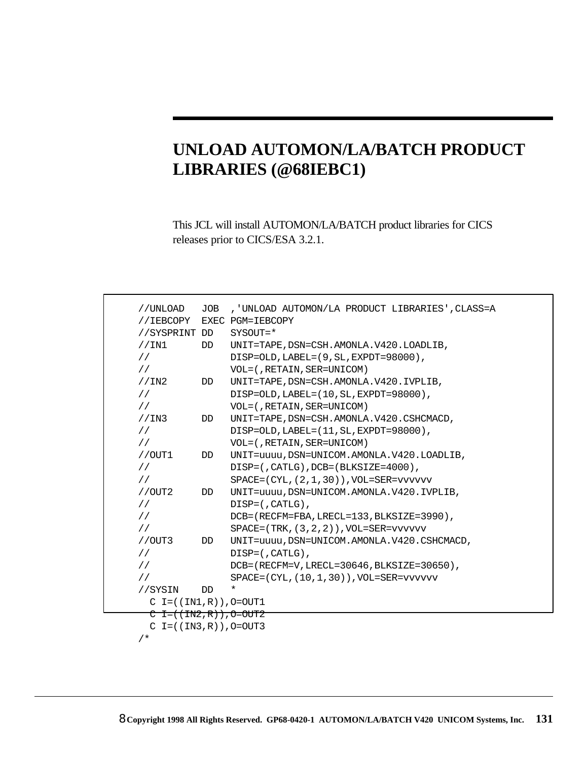# **UNLOAD AUTOMON/LA/BATCH PRODUCT LIBRARIES (@68IEBC1)**

This JCL will install AUTOMON/LA/BATCH product libraries for CICS releases prior to CICS/ESA 3.2.1.

| //UNLOAD                    | JOB | , 'UNLOAD AUTOMON/LA PRODUCT LIBRARIES', CLASS=A    |
|-----------------------------|-----|-----------------------------------------------------|
| //IEBCOPY                   |     | EXEC PGM=IEBCOPY                                    |
| //SYSPRINT DD               |     | SYSOUT=*                                            |
| //IN1                       | DD  | UNIT=TAPE, DSN=CSH.AMONLA.V420.LOADLIB,             |
| $\frac{1}{2}$               |     | DISP=OLD, LABEL=(9, SL, EXPDT=98000),               |
| $\frac{1}{2}$               |     | VOL=(, RETAIN, SER=UNICOM)                          |
| //IN2                       | DD  | UNIT=TAPE, DSN=CSH.AMONLA.V420.IVPLIB,              |
| $\frac{1}{2}$               |     | $DISP=OLD$ , $LABEL=(10$ , $SL$ , $EXPDT=98000$ ),  |
| $\frac{1}{2}$               |     | VOL=(, RETAIN, SER=UNICOM)                          |
| //IN3                       | DD  | UNIT=TAPE, DSN=CSH.AMONLA.V420.CSHCMACD,            |
| $\frac{1}{2}$               |     | DISP=OLD, LABEL=(11, SL, EXPDT=98000),              |
| $\frac{1}{2}$               |     | VOL=(, RETAIN, SER=UNICOM)                          |
| //OUT1                      | DD  | UNIT=uuuu, DSN=UNICOM.AMONLA.V420.LOADLIB,          |
| $\frac{1}{2}$               |     | $DISP=$ (, CATLG), DCB= (BLKSIZE=4000),             |
| $\frac{1}{2}$               |     | $SPACE = (CYL, (2, 1, 30))$ , $VOL = SER = vvvvvv$  |
| //OUT2                      | DD  | UNIT=uuuu, DSN=UNICOM.AMONLA.V420.IVPLIB,           |
| $\frac{1}{2}$               |     | $DISP=$ (, CATLG),                                  |
| $\frac{1}{2}$               |     | DCB=(RECFM=FBA, LRECL=133, BLKSIZE=3990),           |
| $\frac{1}{2}$               |     | $SPACE = (TRK, (3, 2, 2))$ , $VOL=SER=VVVVVVV$      |
| //OUT3                      | DD  | UNIT=uuuu, DSN=UNICOM. AMONLA.V420.CSHCMACD,        |
| $\frac{1}{2}$               |     | $DISP=$ (, CATLG),                                  |
| $\frac{1}{2}$               |     | DCB=(RECFM=V, LRECL=30646, BLKSIZE=30650),          |
| $\frac{1}{2}$               |     | $SPACE = (CYL, (10, 1, 30))$ , $VOL = SER = VVVVVV$ |
| //SYSIN                     | DD. | *                                                   |
| $C = ((IN1, R))$ , O=OUT1   |     |                                                     |
| <u>C I=((IN2,R)),O=OUT2</u> |     |                                                     |
| $C = ((IN3, R))$ , $O=OUT3$ |     |                                                     |
| $/$ *                       |     |                                                     |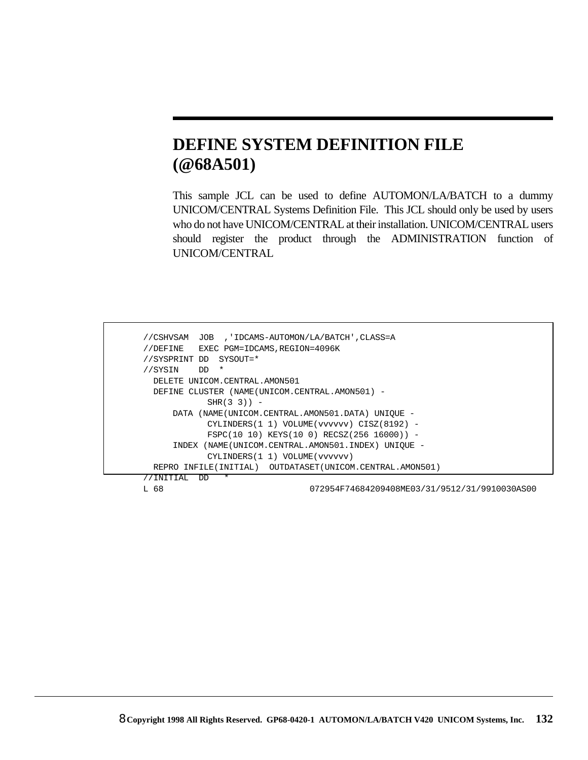## **DEFINE SYSTEM DEFINITION FILE (@68A501)**

This sample JCL can be used to define AUTOMON/LA/BATCH to a dummy UNICOM/CENTRAL Systems Definition File. This JCL should only be used by users who do not have UNICOM/CENTRAL at their installation. UNICOM/CENTRAL users should register the product through the ADMINISTRATION function of UNICOM/CENTRAL

```
 //CSHVSAM JOB ,'IDCAMS-AUTOMON/LA/BATCH',CLASS=A
 //DEFINE EXEC PGM=IDCAMS,REGION=4096K
 //SYSPRINT DD SYSOUT=*
 //SYSIN DD *
  DELETE UNICOM.CENTRAL.AMON501
  DEFINE CLUSTER (NAME(UNICOM.CENTRAL.AMON501) -
           SHR(3 3)) –
     DATA (NAME(UNICOM.CENTRAL.AMON501.DATA) UNIQUE -
           CYLINDERS(1 1) VOLUME(vvvvvv) CISZ(8192) -
           FSPC(10 10) KEYS(10 0) RECSZ(256 16000)) -
     INDEX (NAME(UNICOM.CENTRAL.AMON501.INDEX) UNIQUE -
           CYLINDERS(1 1) VOLUME(vvvvvv)
  REPRO INFILE(INITIAL) OUTDATASET(UNICOM.CENTRAL.AMON501)
 //INITIAL DD *
 L 68 072954F74684209408ME03/31/9512/31/9910030AS00
```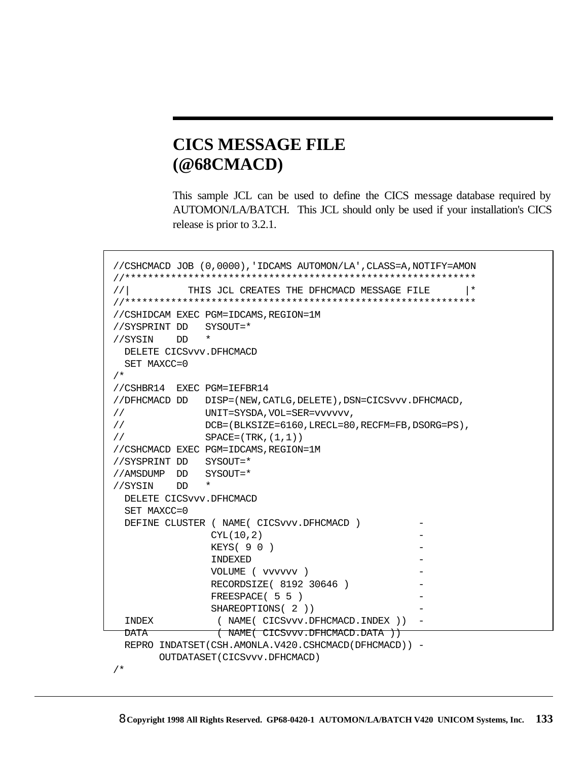### **CICS MESSAGE FILE (@68CMACD)**

This sample JCL can be used to define the CICS message database required by AUTOMON/LA/BATCH. This JCL should only be used if your installation's CICS release is prior to 3.2.1.

```
 //CSHCMACD JOB (0,0000),'IDCAMS AUTOMON/LA',CLASS=A,NOTIFY=AMON
 //*************************************************************
 //| THIS JCL CREATES THE DFHCMACD MESSAGE FILE |*
 //*************************************************************
 //CSHIDCAM EXEC PGM=IDCAMS,REGION=1M
 //SYSPRINT DD SYSOUT=*
 //SYSIN DD *
  DELETE CICSvvv.DFHCMACD
  SET MAXCC=0
 /*
 //CSHBR14 EXEC PGM=IEFBR14
 //DFHCMACD DD DISP=(NEW,CATLG,DELETE),DSN=CICSvvv.DFHCMACD,
 // UNIT=SYSDA,VOL=SER=vvvvvv,
 // DCB=(BLKSIZE=6160,LRECL=80,RECFM=FB,DSORG=PS),
 // SPACE=(TRK,(1,1))
 //CSHCMACD EXEC PGM=IDCAMS,REGION=1M
 //SYSPRINT DD SYSOUT=*
 //AMSDUMP DD SYSOUT=*
 //SYSIN DD *
  DELETE CICSvvv.DFHCMACD
  SET MAXCC=0
 DEFINE CLUSTER ( NAME ( CICSvvv.DFHCMACD )
               CYL(10, 2)KEYS( 9 0 )INDEXED
                 VOLUME ( vvvvvv ) -
               RECORDSIZE( 8192 30646 )
               FREESPACE( 5 5 )
               SHAREOPTIONS(2))
 INDEX (NAME(CICSvvv.DFHCMACD.INDEX)) -
 DATA (NAME(CICSvvv.DFHCMACD.DATA))
  REPRO INDATSET(CSH.AMONLA.V420.CSHCMACD(DFHCMACD)) -
        OUTDATASET(CICSvvv.DFHCMACD)
 /*
```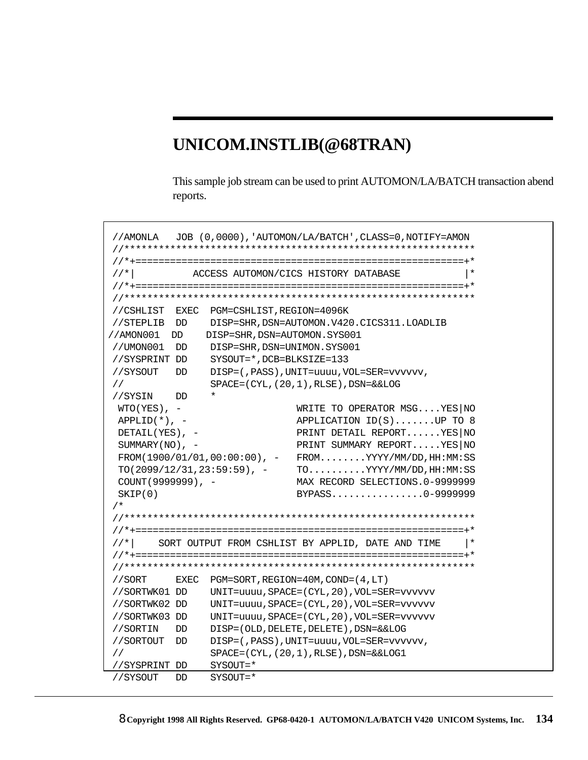## **UNICOM.INSTLIB(@68TRAN)**

This sample job stream can be used to print AUTOMON/LA/BATCH transaction abend reports.

```
//AMONLA JOB (0,0000),'AUTOMON/LA/BATCH',CLASS=0,NOTIFY=AMON 
//************************************************************* 
//*+=========================================================+* 
//*| ACCESS AUTOMON/CICS HISTORY DATABASE |* 
//*+=========================================================+* 
//************************************************************* 
//CSHLIST EXEC PGM=CSHLIST,REGION=4096K 
 //STEPLIB DD DISP=SHR,DSN=AUTOMON.V420.CICS311.LOADLIB 
//AMON001 DD DISP=SHR,DSN=AUTOMON.SYS001
//UMON001 DD DISP=SHR,DSN=UNIMON.SYS001 
//SYSPRINT DD SYSOUT=*,DCB=BLKSIZE=133 
//SYSOUT DD DISP=(,PASS),UNIT=uuuu,VOL=SER=vvvvvv,
// SPACE=(CYL,(20,1),RLSE),DSN=&&LOG
//SYSIN DD * 
 WTO(YES), - WRITE TO OPERATOR MSG....YES|NO
 APPLID(*), - APPLICATION ID(S)......UP TO 8
DETAIL(YES), - PRINT DETAIL REPORT......YES|NO
 SUMMARY(NO), - PRINT SUMMARY REPORT.....YES|NO
  FROM(1900/01/01,00:00:00), - FROM........YYYY/MM/DD,HH:MM:SS 
 TO(2099/12/31,23:59:59), - TO.........YYYY/MM/DD, HH:MM:SS
  COUNT(9999999), - MAX RECORD SELECTIONS.0-9999999 
 SKIP(0) BYPASS.................0-9999999
/*
//************************************************************* 
//*+=========================================================+* 
//*| SORT OUTPUT FROM CSHLIST BY APPLID, DATE AND TIME |*//*+=========================================================+* 
//************************************************************* 
//SORT EXEC PGM=SORT,REGION=40M,COND=(4,LT)
//SORTWK01 DD UNIT=uuuu,SPACE=(CYL,20),VOL=SER=vvvvvv
//SORTWK02 DD UNIT=uuuu,SPACE=(CYL,20),VOL=SER=vvvvvv
//SORTWK03 DD UNIT=uuuu,SPACE=(CYL,20),VOL=SER=vvvvvv
//SORTIN DD DISP=(OLD,DELETE,DELETE),DSN=&&LOG
//SORTOUT DD DISP=(,PASS),UNIT=uuuu,VOL=SER=vvvvvv,
// SPACE=(CYL,(20,1),RLSE),DSN=&&LOG1
//SYSPRINT DD SYSOUT=*
//SYSOUT DD SYSOUT=*
```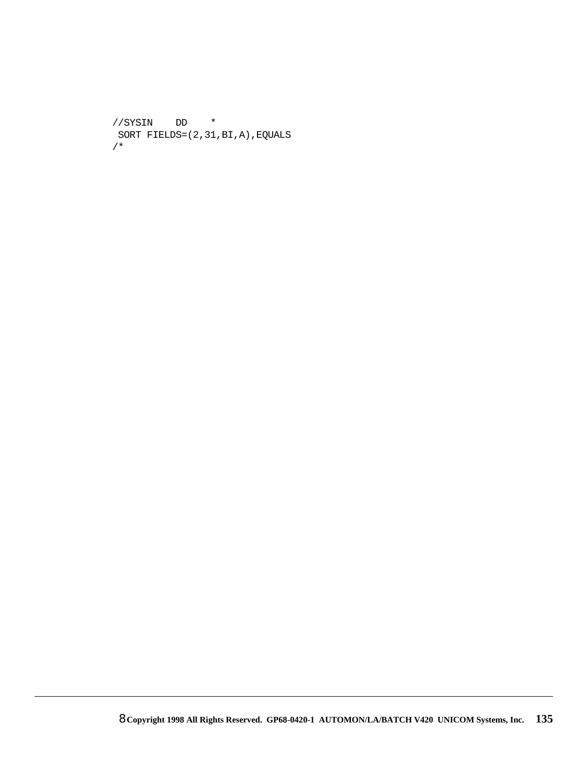```
//SYSIN DD *
 SORT FIELDS=(2,31,BI,A),EQUALS
/*
```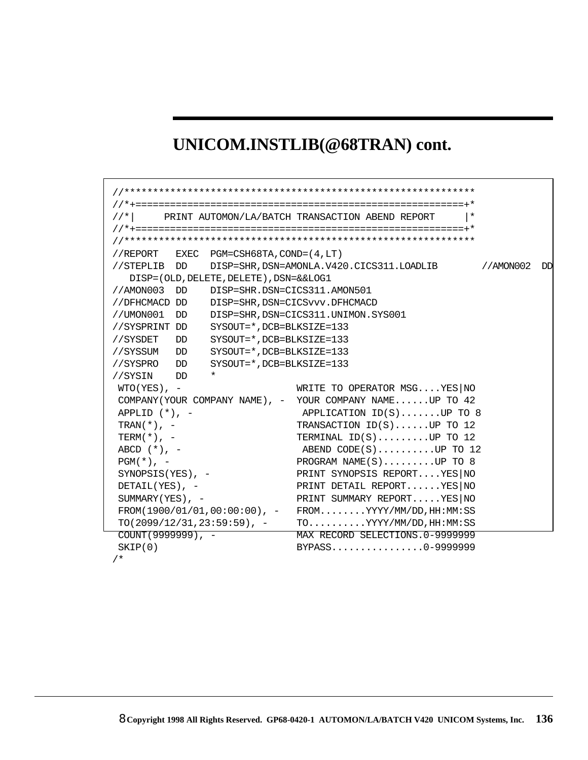# **UNICOM.INSTLIB(@68TRAN) cont.**

| $//*$                          |    |                                            | PRINT AUTOMON/LA/BATCH TRANSACTION ABEND REPORT                         |           |    |  |  |
|--------------------------------|----|--------------------------------------------|-------------------------------------------------------------------------|-----------|----|--|--|
|                                |    |                                            |                                                                         |           |    |  |  |
|                                |    |                                            |                                                                         |           |    |  |  |
|                                |    | //REPORT EXEC PGM=CSH68TA, COND= $(4, LT)$ |                                                                         |           |    |  |  |
|                                |    |                                            | //STEPLIB $DD$ $DISP=SHR$ , $DSN=AMONLA$ . $V420$ . $CICS311$ . LOADLIB | //AMON002 | DD |  |  |
|                                |    | DISP=(OLD, DELETE, DELETE), DSN=&&LOG1     |                                                                         |           |    |  |  |
| //AMON003                      | DD | DISP=SHR.DSN=CICS311.AMON501               |                                                                         |           |    |  |  |
| //DFHCMACD DD                  |    |                                            | DISP=SHR, DSN=CICSvvv. DFHCMACD                                         |           |    |  |  |
| //UMON001                      | DD |                                            | DISP=SHR, DSN=CICS311. UNIMON. SYS001                                   |           |    |  |  |
| //SYSPRINT DD                  |    | SYSOUT=*, DCB=BLKSIZE=133                  |                                                                         |           |    |  |  |
| //SYSDET                       | DD | SYSOUT=*, DCB=BLKSIZE=133                  |                                                                         |           |    |  |  |
| //SYSSUM DD                    |    | SYSOUT=*, DCB=BLKSIZE=133                  |                                                                         |           |    |  |  |
| //SYSPRO DD                    |    | SYSOUT=*, DCB=BLKSIZE=133                  |                                                                         |           |    |  |  |
| //SYSIN DD                     |    | $^\star$                                   |                                                                         |           |    |  |  |
| $WTO(YES)$ , -                 |    |                                            | WRITE TO OPERATOR MSGYES NO                                             |           |    |  |  |
|                                |    |                                            | COMPANY (YOUR COMPANY NAME), - YOUR COMPANY NAMEUP TO 42                |           |    |  |  |
| APPLID $(*)$ , -               |    |                                            | APPLICATION $ID(S)$ UP TO 8                                             |           |    |  |  |
| TRAN $(*)$ , -                 |    |                                            | TRANSACTION $ID(S)$ UP TO 12                                            |           |    |  |  |
| $TERM(*)$ , -                  |    |                                            | TERMINAL $ID(S)$ UP TO 12                                               |           |    |  |  |
| ABCD $(*)$ , -                 |    |                                            | ABEND $CODE(S) \ldots \ldots \ldots \ldots \text{UP}$ TO 12             |           |    |  |  |
| $PGM(*)$ , -                   |    |                                            | PROGRAM NAME $(S)$ UP TO 8                                              |           |    |  |  |
| $SYNOPSIS(YES)$ , -            |    |                                            | PRINT SYNOPSIS REPORTYES NO                                             |           |    |  |  |
| DETAIL $(YES)$ , -             |    |                                            | PRINT DETAIL REPORT YES NO                                              |           |    |  |  |
| SUMMARY (YES), $-$             |    |                                            | PRINT SUMMARY REPORTYES NO                                              |           |    |  |  |
|                                |    |                                            | $FROM(1900/01/01, 00:00:00)$ , - $FROM$ YYYY/MM/DD, HH:MM:SS            |           |    |  |  |
| $TO(2099/12/31, 23:59:59)$ , - |    |                                            | $TO.\dots\ YYYY/MM/DD, HH:MM:SS$                                        |           |    |  |  |
| $COUNT(9999999)$ , -           |    |                                            | MAX RECORD SELECTIONS. 0-9999999                                        |           |    |  |  |
| SKIP(0)                        |    |                                            | BYPASS0-9999999                                                         |           |    |  |  |
| $/$ *                          |    |                                            |                                                                         |           |    |  |  |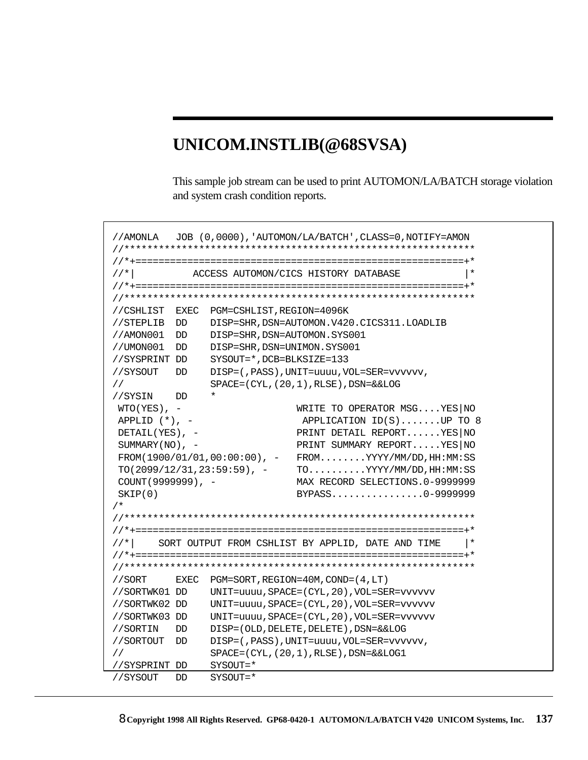# **UNICOM.INSTLIB(@68SVSA)**

This sample job stream can be used to print AUTOMON/LA/BATCH storage violation and system crash condition reports.

```
//AMONLA JOB (0,0000),'AUTOMON/LA/BATCH',CLASS=0,NOTIFY=AMON 
//************************************************************* 
//*+=========================================================+* 
//*| ACCESS AUTOMON/CICS HISTORY DATABASE |* 
//*+=========================================================+* 
//************************************************************* 
//CSHLIST EXEC PGM=CSHLIST,REGION=4096K 
//STEPLIB DD DISP=SHR,DSN=AUTOMON.V420.CICS311.LOADLIB
//AMON001 DD DISP=SHR, DSN=AUTOMON.SYS001
//UMON001 DD DISP=SHR,DSN=UNIMON.SYS001
//SYSPRINT DD SYSOUT=*,DCB=BLKSIZE=133 
//SYSOUT DD DISP=(,PASS),UNIT=uuuu,VOL=SER=vvvvvv,
// SPACE=(CYL,(20,1),RLSE),DSN=&&LOG
//SYSIN DD * 
WTO(YES), - WRITE TO OPERATOR MSG....YES|NO
APPLID (*), - APPLICATION ID(S)......UP TO 8
DETAIL(YES), - PRINT DETAIL REPORT......YES|NO
SUMMARY(NO), - PRINT SUMMARY REPORT.....YES|NO
\verb|FROM(1900/01/01,00:00:00)|, - \verb|FROM|, \verb|....YYYY/MM/DD,HH:MM:SSTO(2099/12/31, 23:59:59), - TO.........YYYY/MM/DD, HH:MM:SS
 COUNT(9999999), - MAX RECORD SELECTIONS.0-9999999 
SKIP(0) BYPASS.................0-9999999
/*
//************************************************************* 
//*+=========================================================+* 
//*| SORT OUTPUT FROM CSHLIST BY APPLID, DATE AND TIME |*//*+=========================================================+* 
//************************************************************* 
//SORT EXEC PGM=SORT,REGION=40M,COND=(4,LT)
//SORTWK01 DD UNIT=uuuu,SPACE=(CYL,20),VOL=SER=vvvvvv
//SORTWK02 DD UNIT=uuuu,SPACE=(CYL,20),VOL=SER=vvvvvv 
//SORTWK03 DD UNIT=uuuu,SPACE=(CYL,20),VOL=SER=vvvvvv
//SORTIN DD DISP=(OLD,DELETE,DELETE),DSN=&&LOG
//SORTOUT DD DISP=(,PASS),UNIT=uuuu,VOL=SER=vvvvvv,
// SPACE=(CYL,(20,1),RLSE),DSN=&&LOG1
//SYSPRINT DD SYSOUT=*
//SYSOUT DD SYSOUT=*
```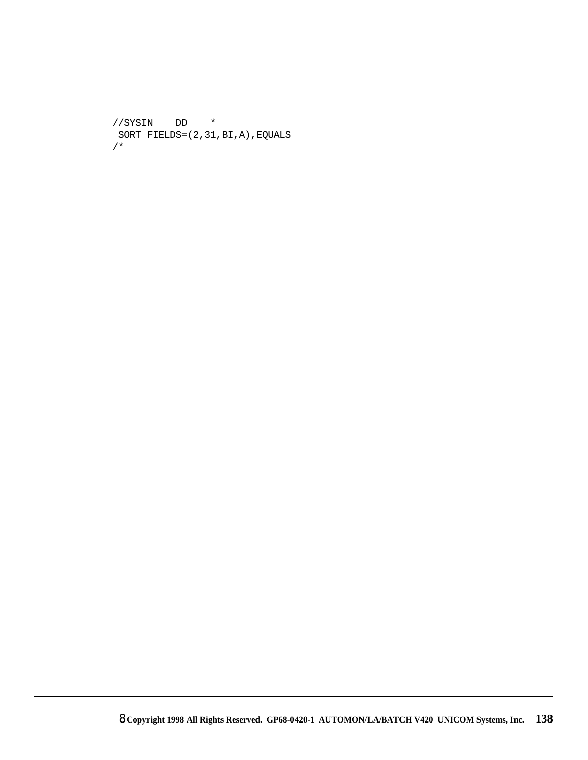```
//SYSIN
             \mathsf{DD}\starSORT FIELDS=(2,31,BI,A), EQUALS
/*
```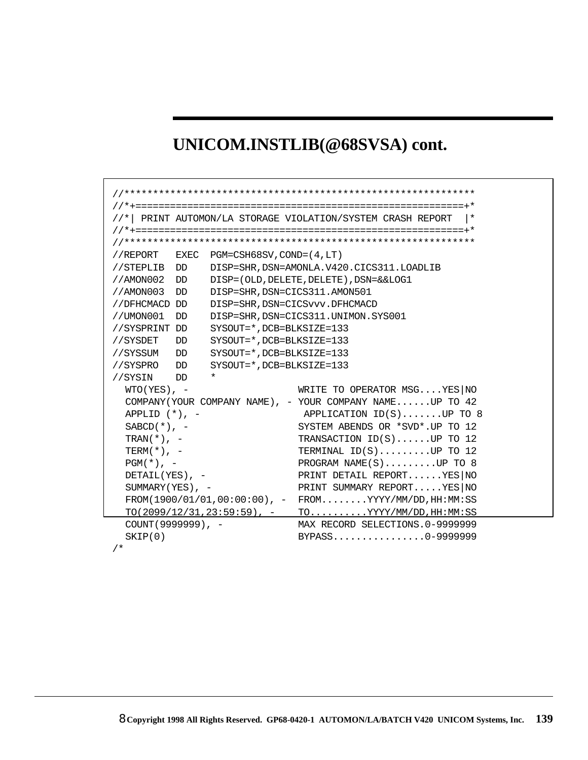# UNICOM.INSTLIB(@68SVSA) cont.

|                             |                                         | //*  PRINT AUTOMON/LA STORAGE VIOLATION/SYSTEM CRASH REPORT  |
|-----------------------------|-----------------------------------------|--------------------------------------------------------------|
|                             |                                         |                                                              |
|                             |                                         |                                                              |
|                             | //REPORT EXEC PGM=CSH68SV, COND=(4, LT) |                                                              |
| //STEPLIB DD                |                                         | DISP=SHR, DSN=AMONLA.V420.CICS311.LOADLIB                    |
| //AMON002<br>DD             |                                         | DISP=(OLD, DELETE, DELETE), DSN=&&LOG1                       |
| //AMON003<br>DD.            |                                         | DISP=SHR, DSN=CICS311.AMON501                                |
| //DFHCMACD DD               |                                         | DISP=SHR, DSN=CICSvvv.DFHCMACD                               |
| //UMON001<br>DD             |                                         | DISP=SHR, DSN=CICS311. UNIMON. SYS001                        |
| //SYSPRINT DD               |                                         | SYSOUT=*, DCB=BLKSIZE=133                                    |
| //SYSDET<br>DD              |                                         | SYSOUT=*, DCB=BLKSIZE=133                                    |
| //SYSSUM<br>DD DD           |                                         | SYSOUT=*.DCB=BLKSIZE=133                                     |
| //SYSPRO<br>DD <sub>D</sub> |                                         | SYSOUT=*, DCB=BLKSIZE=133                                    |
| //SYSIN<br>חת כ             | $\star$                                 |                                                              |
| $WTO(YES)$ , -              |                                         | WRITE TO OPERATOR MSGYES NO                                  |
|                             |                                         | COMPANY (YOUR COMPANY NAME), - YOUR COMPANY NAMEUP TO 42     |
| APPLID $(*)$ , $-$          |                                         | APPLICATION ID(S)UP TO 8                                     |
| $SABCD(*)$ , -              |                                         | SYSTEM ABENDS OR *SVD*.UP TO 12                              |
| $TRAN(*)$ , -               |                                         | TRANSACTION $ID(S) \ldots$ UP TO 12                          |
| $TERM(*)$ , -               |                                         | TERMINAL $ID(S)$ UP TO 12                                    |
| $PGM(*)$ , -                |                                         | PROGRAM NAME $(S)$ UP TO 8                                   |
| DETAIL $(YES)$ , -          |                                         | PRINT DETAIL REPORTYES NO                                    |
| SUMMARY (YES), -            |                                         | PRINT SUMMARY REPORTYES NO                                   |
|                             |                                         | $FROM(1900/01/01, 00:00:00)$ , - $FROM$ YYYY/MM/DD, HH:MM:SS |
|                             |                                         | $TO(2099/12/31, 23:59:59)$ , - TOYYYY/MM/DD, HH:MM:SS        |
| $COUNT(9999999)$ , -        |                                         | MAX RECORD SELECTIONS.0-9999999                              |
| SKIP(0)                     |                                         | BYPASS0-9999999                                              |
| $/$ *                       |                                         |                                                              |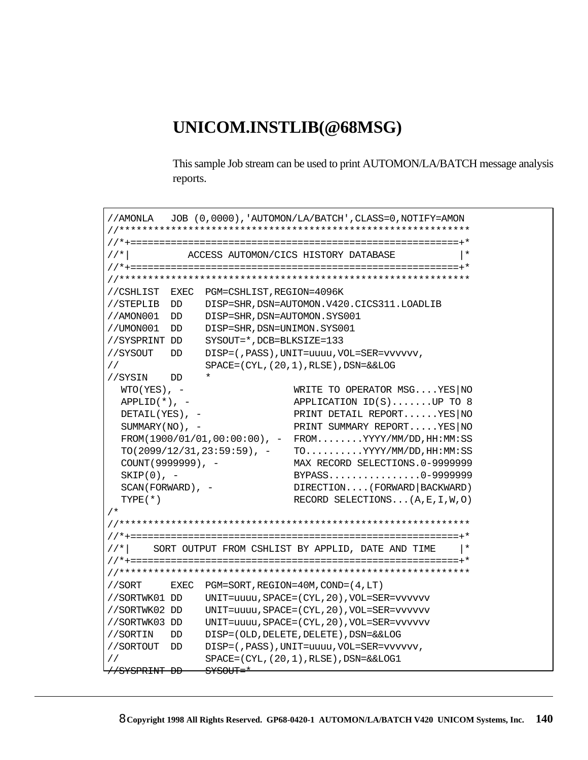### UNICOM.INSTLIB(@68MSG)

This sample Job stream can be used to print AUTOMON/LA/BATCH message analysis reports.

```
//AMONLA
        JOB (0,0000), 'AUTOMON/LA/BATCH', CLASS=0, NOTIFY=AMON
//*ACCESS AUTOMON/CICS HISTORY DATABASE
                                             \vert *//CSHLIST EXEC PGM=CSHLIST, REGION=4096K
//STEPLIB DD DISP=SHR, DSN=AUTOMON.V420.CICS311.LOADLIB
//AMON001 DD DISP=SHR, DSN=AUTOMON.SYS001
//UMON001 DD DISP=SHR, DSN=UNIMON.SYS001
//SYSPRINT DD SYSOUT=*, DCB=BLKSIZE=133
//SYSOUT DD DISP=(, PASS), UNIT=uuuu, VOL=SER=vvvvvv,
           SPACE = (CYL, (20, 1), RUSE), DSN = & LOG\frac{1}{2}//SYSIN DD *
                       WRITE TO OPERATOR MSG....YES NO
 WTO(YES), -
 APPLID(*), -
                       APPLICATION ID(S) \ldots \ldots \text{UP} TO 8
                       PRINT DETAIL REPORT......YES NO
 DETAIL(YES), -
                       PRINT SUMMARY REPORT.....YES NO
 SUMMARY(NO), -
 FROM(1900/01/01, 00:00:00), - FROM.......YYYY/MM/DD, HH:MM:SS
 TO(2099/12/31, 23:59:59), - TO.........YYYY/MM/DD, HH:MM:SS
 COUNT(9999999), -
                       MAX RECORD SELECTIONS.0-9999999
                       BYPASS...............0-9999999
 SKIP(0), -
 SCAN(FORWARD), -
                       DIRECTION.... (FORWARD | BACKWARD)
 TYPE(*)RECORD SELECTIONS... (A, E, I, W, O)
/*
SORT OUTPUT FROM CSHLIST BY APPLID, DATE AND TIME
1/* |
                                             \vert *//SORT
       EXEC PGM=SORT, REGION=40M, COND=(4, LT)
//SORTWK01 DD UNIT=uuuu, SPACE=(CYL, 20), VOL=SER=vvvvvv
//SORTWK02 DD UNIT=uuuu, SPACE=(CYL, 20), VOL=SER=vvvvvv
//SORTWK03 DD UNIT=uuuu, SPACE=(CYL, 20), VOL=SER=vvvvvv
//SORTIN DD DISP=(OLD, DELETE, DELETE), DSN=&&LOG
//SORTOUT DD DISP=(, PASS), UNIT=uuuu, VOL=SER=vvvvvv,
\frac{1}{2}SPACE = (CYL, (20, 1), RLSE), DSN = \&LOG1//SYSPRINT DD SYSOUT=*
```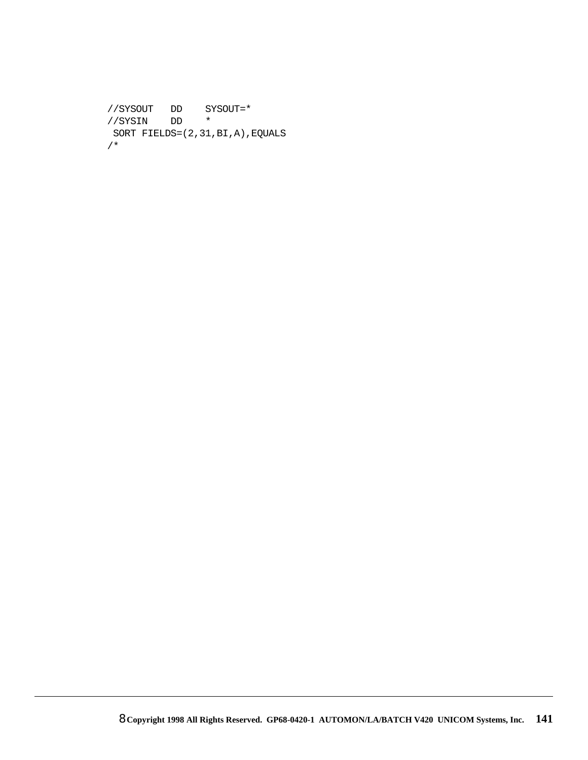```
//SYSOUT DD SYSOUT=*
//SYSIN DD *
 SORT FIELDS=(2,31,BI,A),EQUALS
/*
```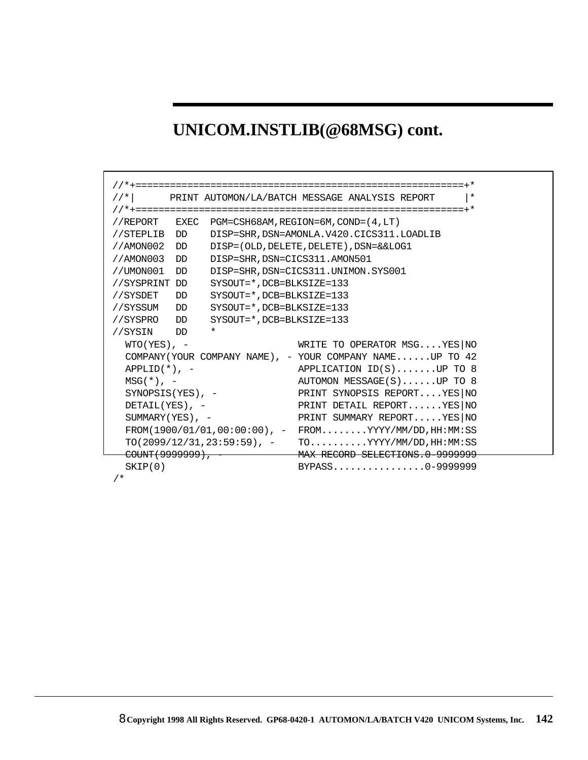# **UNICOM.INSTLIB(@68MSG) cont.**

| $//*$                      | PRINT AUTOMON/LA/BATCH MESSAGE ANALYSIS REPORT<br>$\vert *$  |
|----------------------------|--------------------------------------------------------------|
|                            |                                                              |
|                            | //REPORT EXEC PGM=CSH68AM, REGION=6M, COND=(4, LT)           |
| //STEPLIB DD               | DISP=SHR, DSN=AMONLA.V420.CICS311.LOADLIB                    |
| //AMON002 DD               | DISP=(OLD, DELETE, DELETE), DSN=&&LOG1                       |
| //AMON003<br>DD            | DISP=SHR, DSN=CICS311.AMON501                                |
| //UMON001<br>DD            | DISP=SHR, DSN=CICS311. UNIMON. SYS001                        |
| //SYSPRINT DD              | SYSOUT=*.DCB=BLKSIZE=133                                     |
| //SYSDET DD                | SYSOUT=*.DCB=BLKSIZE=133                                     |
| //SYSSUM<br>DD             | SYSOUT=*, DCB=BLKSIZE=133                                    |
| //SYSPRO DD                | SYSOUT=*.DCB=BLKSIZE=133                                     |
| //SYSIN DD                 | $\star$                                                      |
| $WTO(YES)$ , -             | WRITE TO OPERATOR MSGYES NO                                  |
|                            | COMPANY (YOUR COMPANY NAME), - YOUR COMPANY NAMEUP TO 42     |
| $APPLID(*)$ , -            | APPLICATION ID(S)UP TO 8                                     |
| $MSG(*)$ , -               | AUTOMON MESSAGE(S)UP TO 8                                    |
| SYNOPSIS (YES), $-$        | PRINT SYNOPSIS REPORT YES NO                                 |
| DETAIL $(YES)$ , -         | PRINT DETAIL REPORT YES NO                                   |
| $SUMMARY(YES)$ , -         | PRINT SUMMARY REPORTYES NO                                   |
|                            | $FROM(1900/01/01, 00:00:00)$ , - $FROM$ YYYY/MM/DD, HH:MM:SS |
|                            | $TO(2099/12/31, 23:59:59)$ , - $TO$ YYYY/MM/DD, HH:MM:SS     |
| <del>COUNT(9999999),</del> | MAX RECORD SELECTIONS.0-9999999                              |
| SKIP(0)                    | BYPASS0-9999999                                              |
|                            |                                                              |

/\*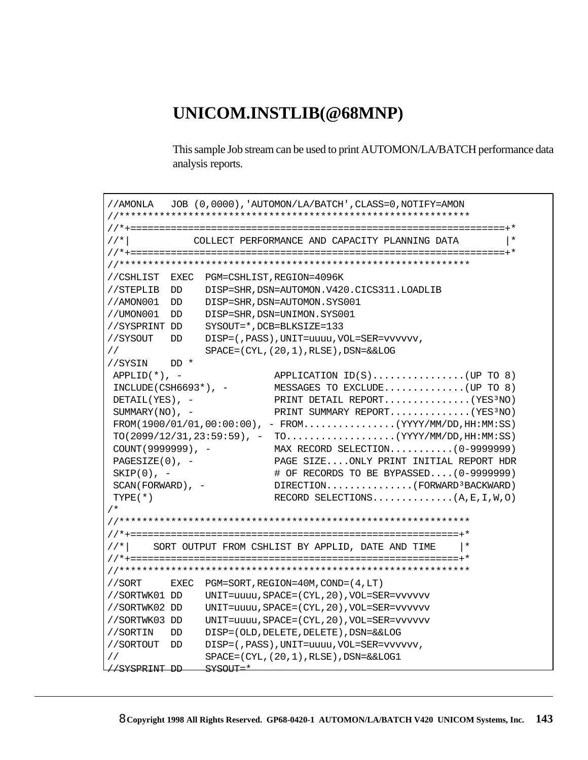## UNICOM.INSTLIB(@68MNP)

This sample Job stream can be used to print AUTOMON/LA/BATCH performance data analysis reports.

```
//AMONLA
        JOB (0,0000), 'AUTOMON/LA/BATCH', CLASS=0, NOTIFY=AMON
1/*|
           COLLECT PERFORMANCE AND CAPACITY PLANNING DATA
                                                     \vert *//CSHLIST EXEC PGM=CSHLIST, REGION=4096K
//STEPLIB DD DISP=SHR, DSN=AUTOMON.V420.CICS311.LOADLIB
//AMON001 DD DISP=SHR, DSN=AUTOMON.SYS001
//UMON001 DD DISP=SHR, DSN=UNIMON.SYS001
//SYSPRINT DD SYSOUT=*, DCB=BLKSIZE=133
//SYSOUT DD DISP=(,PASS), UNIT=uuuu, VOL=SER=vvvvvv,
\frac{1}{2}SPACE = (CYL, (20, 1), RLSE), DSN = & LOG//SYSIN DD *
                     APPLICATION ID(S)..............(UP TO 8)
APPLID(*), -
\verb|INCLUDE(CSH6693*)|,- \qquad \qquad \verb|MESSAGES TO EXCLUDE|, \ldots, \ldots, \ldots, \text{(UP TO 8)}PRINT DETAIL REPORT..............(YES3NO)
DETAIL(YES), -
                     PRINT SUMMARY REPORT.............(YES3NO)
SUMMARY(NO), -
FROM(1900/01/01, 00:00:00), - FROM.............(YYYY/MM/DD, HH:MM:SS)
TO(2099/12/31, 23:59:59), - TO.................(YYYY/MM/DD, HH:MM:SS)
                     MAX RECORD SELECTION...........(0-9999999)COUNT (9999999), -
                     PAGE SIZE....ONLY PRINT INITIAL REPORT HDR
PAGESTZE(0), -SKIP(0), -
                     # OF RECORDS TO BE BYPASSED.... (0-9999999)
                     DIRECTION.............(FORWARD<sup>3</sup>BACKWARD)
SCAN(FORWARD), -
                     RECORD SELECTIONS.............(A, E, I, W, O)
TYPE(*)/ *
1/* |
      SORT OUTPUT FROM CSHLIST BY APPLID, DATE AND TIME
                                              \vert *EXEC PGM=SORT, REGION=40M, COND=(4, LT)
//SORT
//SORTWK01 DD UNIT=uuuu, SPACE=(CYL, 20), VOL=SER=vvvvvv
//SORTWK02 DD UNIT=uuuu, SPACE=(CYL, 20), VOL=SER=vvvvvv
//SORTWK03 DD UNIT=uuuu, SPACE=(CYL, 20), VOL=SER=vvvvvv
//SORTIN DD DISP=(OLD, DELETE, DELETE), DSN=&&LOG
//SORTOUT    DD    DISP=(, PASS), UNIT=uuuu, VOL=SER=vvvvvv,
\frac{1}{2}SPACE = (CYL, (20, 1), RUSE), DSN = & LOG1//SYSPRINT DD SYSOUT=*
```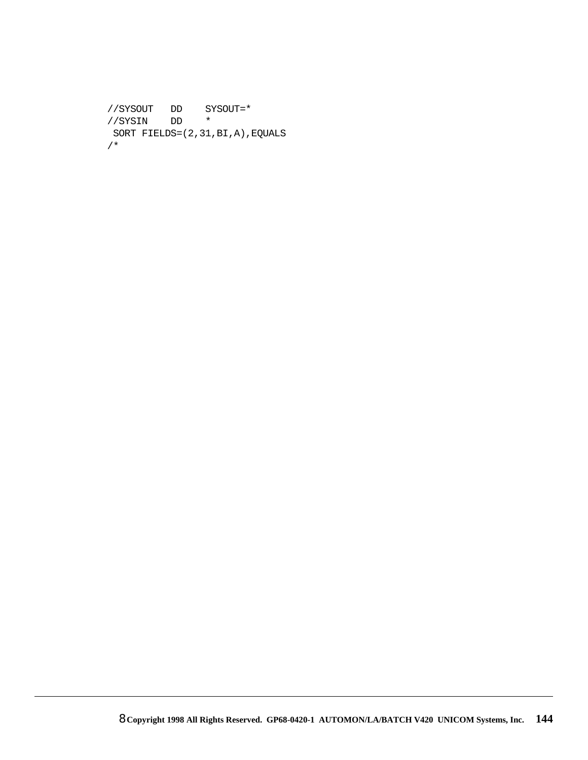```
//SYSOUT DD SYSOUT=*
//SYSIN DD *
 SORT FIELDS=(2,31,BI,A),EQUALS
/*
```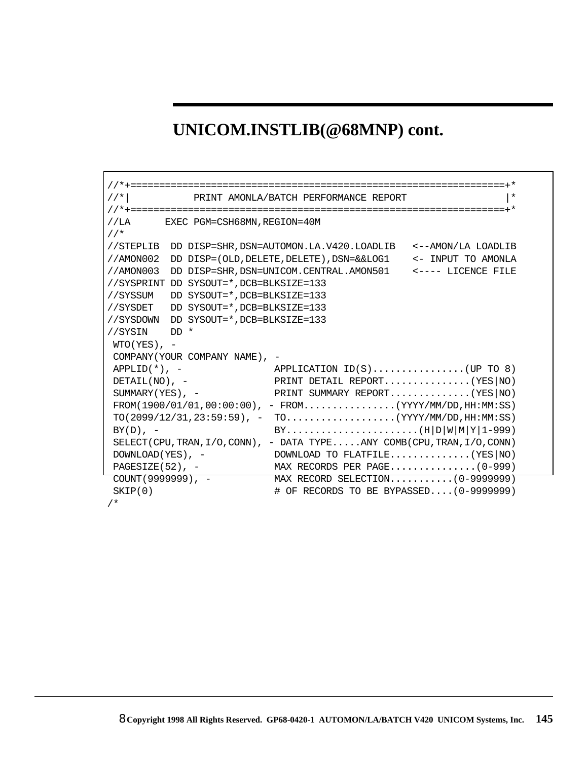# **UNICOM.INSTLIB(@68MNP) cont.**

| $//*$               |                                         | PRINT AMONLA/BATCH PERFORMANCE REPORT                                           | $\ast$             |
|---------------------|-----------------------------------------|---------------------------------------------------------------------------------|--------------------|
|                     |                                         |                                                                                 |                    |
|                     | //LA EXEC PGM=CSH68MN, REGION=40M       |                                                                                 |                    |
| $//*$               |                                         |                                                                                 |                    |
| //STEPLIB           |                                         | DD DISP=SHR, DSN=AUTOMON.LA.V420.LOADLIB                                        | <--AMON/LA LOADLIB |
| //AMON002           |                                         | DD $DISP = (OLD, DELETE, DELETE)$ , $DSN = & LOG1$ << INPUT TO AMONLA           |                    |
| //AMON003           |                                         | DD DISP=SHR, DSN=UNICOM. CENTRAL. AMON501 <---- LICENCE FILE                    |                    |
|                     | //SYSPRINT DD SYSOUT=*, DCB=BLKSIZE=133 |                                                                                 |                    |
| //SYSSUM            | DD SYSOUT=*, DCB=BLKSIZE=133            |                                                                                 |                    |
| //SYSDET            | DD SYSOUT=*, DCB=BLKSIZE=133            |                                                                                 |                    |
| //SYSDOWN           | DD SYSOUT=*, DCB=BLKSIZE=133            |                                                                                 |                    |
| //SYSIN             | $DD$ *                                  |                                                                                 |                    |
| $WTO(YES)$ , -      |                                         |                                                                                 |                    |
|                     | COMPANY (YOUR COMPANY NAME), -          |                                                                                 |                    |
| $APPLID(*)$ , -     |                                         | APPLICATION $ID(S)$ (UP TO 8)                                                   |                    |
| DETAIL( $NO$ ), -   |                                         | PRINT DETAIL REPORT (YES $ $ NO )                                               |                    |
| $SUMMARY(YES)$ , -  |                                         | PRINT SUMMARY REPORT(YES NO)                                                    |                    |
|                     |                                         | $FROM(1900/01/01, 00:00:00)$ , - $FROM$ (YYYY/MM/DD, HH:MM:SS)                  |                    |
|                     |                                         | $TO(2099/12/31, 23:59:59)$ , - TO(YYYY/MM/DD, HH:MM:SS)                         |                    |
| $BY(D)$ , -         |                                         |                                                                                 |                    |
|                     |                                         | SELECT (CPU, TRAN, $I/O$ , CONN), - DATA TYPEANY COMB (CPU, TRAN, $I/O$ , CONN) |                    |
| DOWNLOAD (YES), -   |                                         | DOWNLOAD TO FLATFILE(YES $ NO\rangle$                                           |                    |
|                     |                                         | $PAGESIZE(52)$ , - MAX RECORDS PER PAGE(0-999)                                  |                    |
| $COUT(9999999)$ , - |                                         | MAX RECORD SELECTION (0-9999999)                                                |                    |
| SKIP(0)             |                                         | # OF RECORDS TO BE BYPASSED (0-9999999)                                         |                    |
|                     |                                         |                                                                                 |                    |

/\*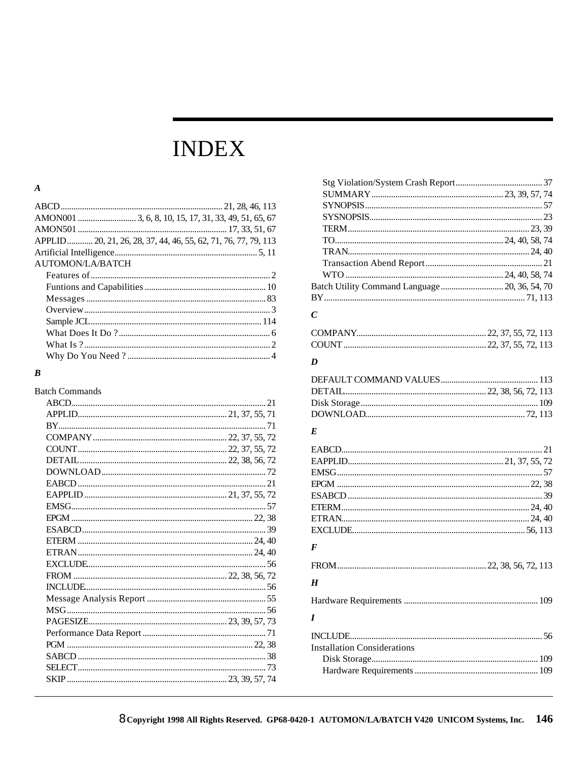# **INDEX**

#### $\pmb{A}$

| APPLID 20, 21, 26, 28, 37, 44, 46, 55, 62, 71, 76, 77, 79, 113 |  |
|----------------------------------------------------------------|--|
|                                                                |  |
| AUTOMON/LA/BATCH                                               |  |
|                                                                |  |
|                                                                |  |
|                                                                |  |
|                                                                |  |
|                                                                |  |
|                                                                |  |
|                                                                |  |
|                                                                |  |
|                                                                |  |

#### $\boldsymbol{B}$

**Batch Commands** 

| Batch Utility Command Language 20, 36, 54, 70 |  |
|-----------------------------------------------|--|
|                                               |  |

#### $\mathcal{C}$

#### $\boldsymbol{D}$

#### $\boldsymbol{E}$

| F |  |
|---|--|
|   |  |
| H |  |
|   |  |
|   |  |
|   |  |

| <b>Installation Considerations</b> |  |
|------------------------------------|--|
|                                    |  |
|                                    |  |
|                                    |  |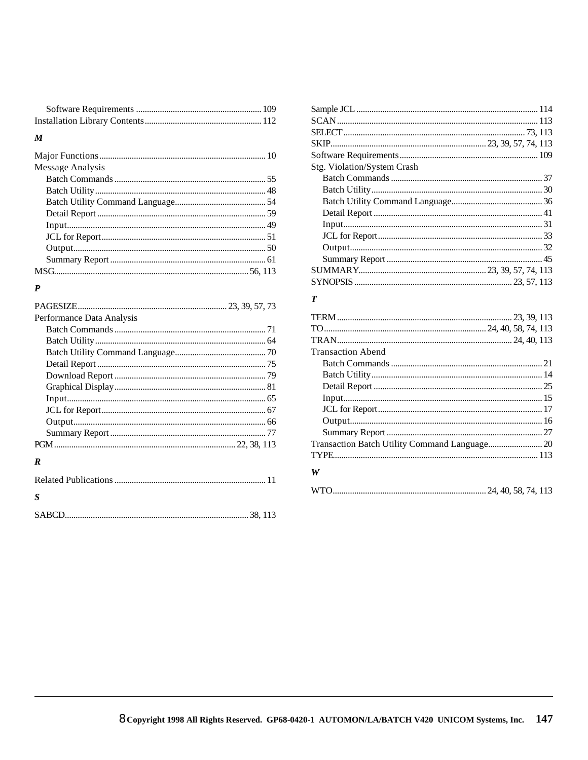### $\pmb{M}$

| Message Analysis |  |
|------------------|--|
|                  |  |
|                  |  |
|                  |  |
|                  |  |
|                  |  |
|                  |  |
|                  |  |
|                  |  |
|                  |  |

#### $\boldsymbol{P}$

| Performance Data Analysis |  |
|---------------------------|--|
|                           |  |
|                           |  |
|                           |  |
|                           |  |
|                           |  |
|                           |  |
|                           |  |
|                           |  |
|                           |  |
|                           |  |
|                           |  |
| R                         |  |

| <b>S</b> |  |
|----------|--|
|          |  |

| Stg. Violation/System Crash |  |
|-----------------------------|--|
|                             |  |
|                             |  |
|                             |  |
|                             |  |
|                             |  |
|                             |  |
|                             |  |
|                             |  |
|                             |  |
|                             |  |

### $\boldsymbol{T}$

| <b>Transaction Abend</b> |  |
|--------------------------|--|
|                          |  |
|                          |  |
|                          |  |
|                          |  |
|                          |  |
|                          |  |
|                          |  |
|                          |  |
|                          |  |
| W                        |  |
|                          |  |